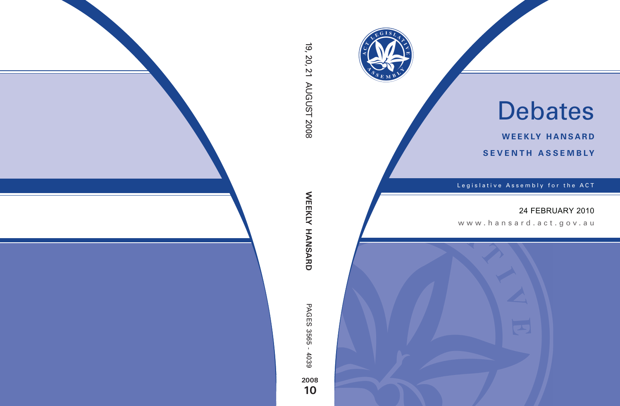

# Debates

**weekly hansard seventh asseMBly**

Legislative Assembly for the ACT

## 24 FEBRUARY 2010

www .hansard.act.go v.au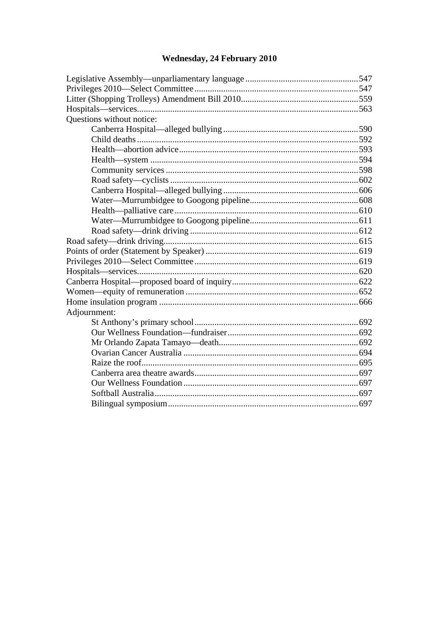# Wednesday, 24 February 2010

| Questions without notice: |  |
|---------------------------|--|
|                           |  |
|                           |  |
|                           |  |
|                           |  |
|                           |  |
|                           |  |
|                           |  |
|                           |  |
|                           |  |
|                           |  |
|                           |  |
|                           |  |
|                           |  |
|                           |  |
|                           |  |
|                           |  |
|                           |  |
|                           |  |
| Adjournment:              |  |
|                           |  |
|                           |  |
|                           |  |
|                           |  |
|                           |  |
|                           |  |
|                           |  |
|                           |  |
|                           |  |
|                           |  |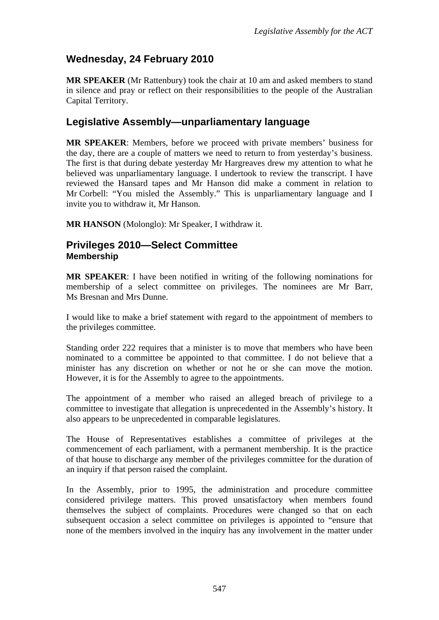## <span id="page-2-0"></span>**Wednesday, 24 February 2010**

**MR SPEAKER** (Mr Rattenbury) took the chair at 10 am and asked members to stand in silence and pray or reflect on their responsibilities to the people of the Australian Capital Territory.

## <span id="page-2-1"></span>**Legislative Assembly—unparliamentary language**

**MR SPEAKER**: Members, before we proceed with private members' business for the day, there are a couple of matters we need to return to from yesterday's business. The first is that during debate yesterday Mr Hargreaves drew my attention to what he believed was unparliamentary language. I undertook to review the transcript. I have reviewed the Hansard tapes and Mr Hanson did make a comment in relation to Mr Corbell: "You misled the Assembly." This is unparliamentary language and I invite you to withdraw it, Mr Hanson.

**MR HANSON** (Molonglo): Mr Speaker, I withdraw it.

### <span id="page-2-2"></span>**Privileges 2010—Select Committee Membership**

**MR SPEAKER**: I have been notified in writing of the following nominations for membership of a select committee on privileges. The nominees are Mr Barr, Ms Bresnan and Mrs Dunne.

I would like to make a brief statement with regard to the appointment of members to the privileges committee.

Standing order 222 requires that a minister is to move that members who have been nominated to a committee be appointed to that committee. I do not believe that a minister has any discretion on whether or not he or she can move the motion. However, it is for the Assembly to agree to the appointments.

The appointment of a member who raised an alleged breach of privilege to a committee to investigate that allegation is unprecedented in the Assembly's history. It also appears to be unprecedented in comparable legislatures.

The House of Representatives establishes a committee of privileges at the commencement of each parliament, with a permanent membership. It is the practice of that house to discharge any member of the privileges committee for the duration of an inquiry if that person raised the complaint.

In the Assembly, prior to 1995, the administration and procedure committee considered privilege matters. This proved unsatisfactory when members found themselves the subject of complaints. Procedures were changed so that on each subsequent occasion a select committee on privileges is appointed to "ensure that none of the members involved in the inquiry has any involvement in the matter under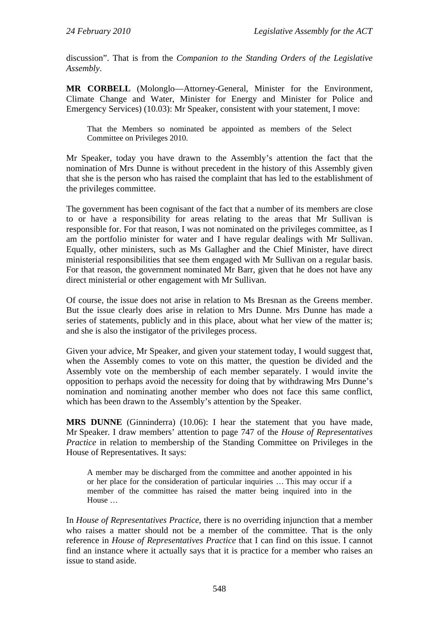discussion". That is from the *Companion to the Standing Orders of the Legislative Assembly*.

**MR CORBELL** (Molonglo—Attorney-General, Minister for the Environment, Climate Change and Water, Minister for Energy and Minister for Police and Emergency Services) (10.03): Mr Speaker, consistent with your statement, I move:

That the Members so nominated be appointed as members of the Select Committee on Privileges 2010.

Mr Speaker, today you have drawn to the Assembly's attention the fact that the nomination of Mrs Dunne is without precedent in the history of this Assembly given that she is the person who has raised the complaint that has led to the establishment of the privileges committee.

The government has been cognisant of the fact that a number of its members are close to or have a responsibility for areas relating to the areas that Mr Sullivan is responsible for. For that reason, I was not nominated on the privileges committee, as I am the portfolio minister for water and I have regular dealings with Mr Sullivan. Equally, other ministers, such as Ms Gallagher and the Chief Minister, have direct ministerial responsibilities that see them engaged with Mr Sullivan on a regular basis. For that reason, the government nominated Mr Barr, given that he does not have any direct ministerial or other engagement with Mr Sullivan.

Of course, the issue does not arise in relation to Ms Bresnan as the Greens member. But the issue clearly does arise in relation to Mrs Dunne. Mrs Dunne has made a series of statements, publicly and in this place, about what her view of the matter is; and she is also the instigator of the privileges process.

Given your advice, Mr Speaker, and given your statement today, I would suggest that, when the Assembly comes to vote on this matter, the question be divided and the Assembly vote on the membership of each member separately. I would invite the opposition to perhaps avoid the necessity for doing that by withdrawing Mrs Dunne's nomination and nominating another member who does not face this same conflict, which has been drawn to the Assembly's attention by the Speaker.

**MRS DUNNE** (Ginninderra) (10.06): I hear the statement that you have made, Mr Speaker. I draw members' attention to page 747 of the *House of Representatives Practice* in relation to membership of the Standing Committee on Privileges in the House of Representatives. It says:

A member may be discharged from the committee and another appointed in his or her place for the consideration of particular inquiries … This may occur if a member of the committee has raised the matter being inquired into in the House …

In *House of Representatives Practice*, there is no overriding injunction that a member who raises a matter should not be a member of the committee. That is the only reference in *House of Representatives Practice* that I can find on this issue. I cannot find an instance where it actually says that it is practice for a member who raises an issue to stand aside.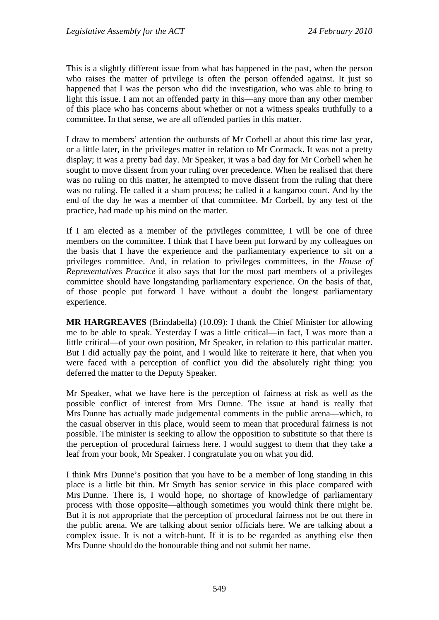This is a slightly different issue from what has happened in the past, when the person who raises the matter of privilege is often the person offended against. It just so happened that I was the person who did the investigation, who was able to bring to light this issue. I am not an offended party in this—any more than any other member of this place who has concerns about whether or not a witness speaks truthfully to a committee. In that sense, we are all offended parties in this matter.

I draw to members' attention the outbursts of Mr Corbell at about this time last year, or a little later, in the privileges matter in relation to Mr Cormack. It was not a pretty display; it was a pretty bad day. Mr Speaker, it was a bad day for Mr Corbell when he sought to move dissent from your ruling over precedence. When he realised that there was no ruling on this matter, he attempted to move dissent from the ruling that there was no ruling. He called it a sham process; he called it a kangaroo court. And by the end of the day he was a member of that committee. Mr Corbell, by any test of the practice, had made up his mind on the matter.

If I am elected as a member of the privileges committee, I will be one of three members on the committee. I think that I have been put forward by my colleagues on the basis that I have the experience and the parliamentary experience to sit on a privileges committee. And, in relation to privileges committees, in the *House of Representatives Practice* it also says that for the most part members of a privileges committee should have longstanding parliamentary experience. On the basis of that, of those people put forward I have without a doubt the longest parliamentary experience.

**MR HARGREAVES** (Brindabella) (10.09): I thank the Chief Minister for allowing me to be able to speak. Yesterday I was a little critical—in fact, I was more than a little critical—of your own position, Mr Speaker, in relation to this particular matter. But I did actually pay the point, and I would like to reiterate it here, that when you were faced with a perception of conflict you did the absolutely right thing: you deferred the matter to the Deputy Speaker.

Mr Speaker, what we have here is the perception of fairness at risk as well as the possible conflict of interest from Mrs Dunne. The issue at hand is really that Mrs Dunne has actually made judgemental comments in the public arena—which, to the casual observer in this place, would seem to mean that procedural fairness is not possible. The minister is seeking to allow the opposition to substitute so that there is the perception of procedural fairness here. I would suggest to them that they take a leaf from your book, Mr Speaker. I congratulate you on what you did.

I think Mrs Dunne's position that you have to be a member of long standing in this place is a little bit thin. Mr Smyth has senior service in this place compared with Mrs Dunne. There is, I would hope, no shortage of knowledge of parliamentary process with those opposite—although sometimes you would think there might be. But it is not appropriate that the perception of procedural fairness not be out there in the public arena. We are talking about senior officials here. We are talking about a complex issue. It is not a witch-hunt. If it is to be regarded as anything else then Mrs Dunne should do the honourable thing and not submit her name.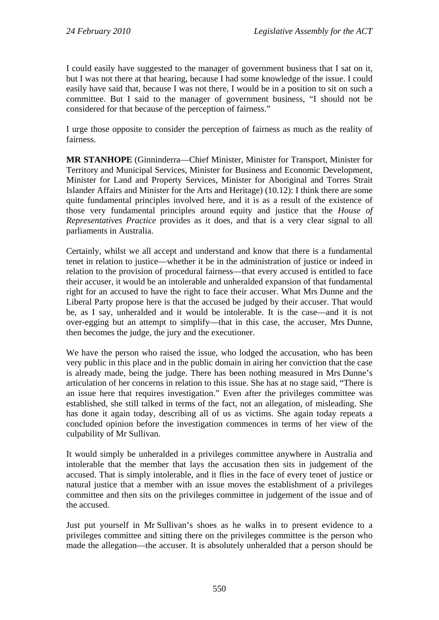I could easily have suggested to the manager of government business that I sat on it, but I was not there at that hearing, because I had some knowledge of the issue. I could easily have said that, because I was not there, I would be in a position to sit on such a committee. But I said to the manager of government business, "I should not be considered for that because of the perception of fairness."

I urge those opposite to consider the perception of fairness as much as the reality of fairness.

**MR STANHOPE** (Ginninderra—Chief Minister, Minister for Transport, Minister for Territory and Municipal Services, Minister for Business and Economic Development, Minister for Land and Property Services, Minister for Aboriginal and Torres Strait Islander Affairs and Minister for the Arts and Heritage) (10.12): I think there are some quite fundamental principles involved here, and it is as a result of the existence of those very fundamental principles around equity and justice that the *House of Representatives Practice* provides as it does, and that is a very clear signal to all parliaments in Australia.

Certainly, whilst we all accept and understand and know that there is a fundamental tenet in relation to justice—whether it be in the administration of justice or indeed in relation to the provision of procedural fairness—that every accused is entitled to face their accuser, it would be an intolerable and unheralded expansion of that fundamental right for an accused to have the right to face their accuser. What Mrs Dunne and the Liberal Party propose here is that the accused be judged by their accuser. That would be, as I say, unheralded and it would be intolerable. It is the case—and it is not over-egging but an attempt to simplify—that in this case, the accuser, Mrs Dunne, then becomes the judge, the jury and the executioner.

We have the person who raised the issue, who lodged the accusation, who has been very public in this place and in the public domain in airing her conviction that the case is already made, being the judge. There has been nothing measured in Mrs Dunne's articulation of her concerns in relation to this issue. She has at no stage said, "There is an issue here that requires investigation." Even after the privileges committee was established, she still talked in terms of the fact, not an allegation, of misleading. She has done it again today, describing all of us as victims. She again today repeats a concluded opinion before the investigation commences in terms of her view of the culpability of Mr Sullivan.

It would simply be unheralded in a privileges committee anywhere in Australia and intolerable that the member that lays the accusation then sits in judgement of the accused. That is simply intolerable, and it flies in the face of every tenet of justice or natural justice that a member with an issue moves the establishment of a privileges committee and then sits on the privileges committee in judgement of the issue and of the accused.

Just put yourself in Mr Sullivan's shoes as he walks in to present evidence to a privileges committee and sitting there on the privileges committee is the person who made the allegation—the accuser. It is absolutely unheralded that a person should be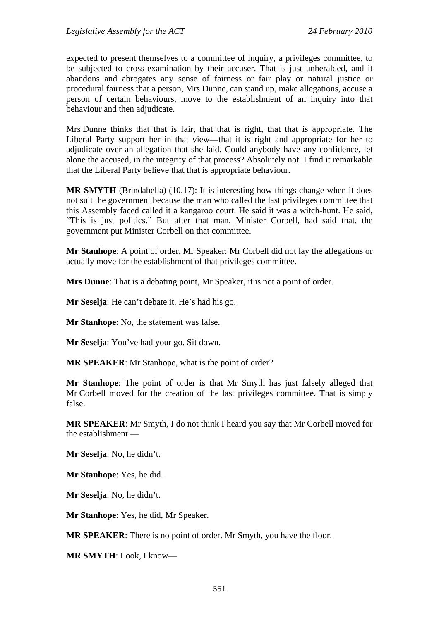expected to present themselves to a committee of inquiry, a privileges committee, to be subjected to cross-examination by their accuser. That is just unheralded, and it abandons and abrogates any sense of fairness or fair play or natural justice or procedural fairness that a person, Mrs Dunne, can stand up, make allegations, accuse a person of certain behaviours, move to the establishment of an inquiry into that behaviour and then adjudicate.

Mrs Dunne thinks that that is fair, that that is right, that that is appropriate. The Liberal Party support her in that view—that it is right and appropriate for her to adjudicate over an allegation that she laid. Could anybody have any confidence, let alone the accused, in the integrity of that process? Absolutely not. I find it remarkable that the Liberal Party believe that that is appropriate behaviour.

**MR SMYTH** (Brindabella) (10.17): It is interesting how things change when it does not suit the government because the man who called the last privileges committee that this Assembly faced called it a kangaroo court. He said it was a witch-hunt. He said, "This is just politics." But after that man, Minister Corbell, had said that, the government put Minister Corbell on that committee.

**Mr Stanhope**: A point of order, Mr Speaker: Mr Corbell did not lay the allegations or actually move for the establishment of that privileges committee.

**Mrs Dunne**: That is a debating point, Mr Speaker, it is not a point of order.

**Mr Seselja**: He can't debate it. He's had his go.

**Mr Stanhope**: No, the statement was false.

**Mr Seselja**: You've had your go. Sit down.

**MR SPEAKER**: Mr Stanhope, what is the point of order?

**Mr Stanhope**: The point of order is that Mr Smyth has just falsely alleged that Mr Corbell moved for the creation of the last privileges committee. That is simply false.

**MR SPEAKER**: Mr Smyth, I do not think I heard you say that Mr Corbell moved for the establishment —

**Mr Seselja**: No, he didn't.

**Mr Stanhope**: Yes, he did.

**Mr Seselja**: No, he didn't.

**Mr Stanhope**: Yes, he did, Mr Speaker.

**MR SPEAKER**: There is no point of order. Mr Smyth, you have the floor.

**MR SMYTH**: Look, I know—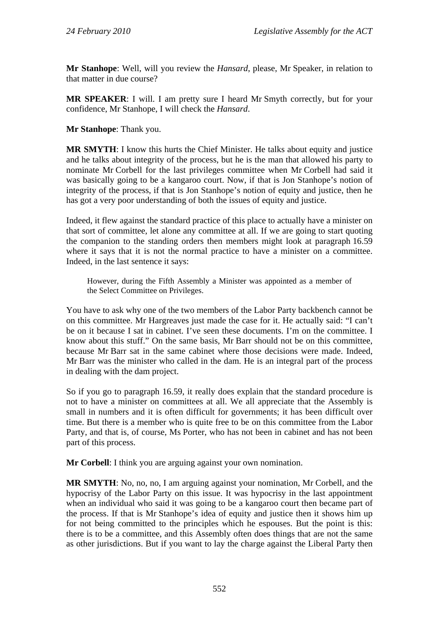**Mr Stanhope**: Well, will you review the *Hansard*, please, Mr Speaker, in relation to that matter in due course?

**MR SPEAKER**: I will. I am pretty sure I heard Mr Smyth correctly, but for your confidence, Mr Stanhope, I will check the *Hansard*.

**Mr Stanhope**: Thank you.

**MR SMYTH**: I know this hurts the Chief Minister. He talks about equity and justice and he talks about integrity of the process, but he is the man that allowed his party to nominate Mr Corbell for the last privileges committee when Mr Corbell had said it was basically going to be a kangaroo court. Now, if that is Jon Stanhope's notion of integrity of the process, if that is Jon Stanhope's notion of equity and justice, then he has got a very poor understanding of both the issues of equity and justice.

Indeed, it flew against the standard practice of this place to actually have a minister on that sort of committee, let alone any committee at all. If we are going to start quoting the companion to the standing orders then members might look at paragraph 16.59 where it says that it is not the normal practice to have a minister on a committee. Indeed, in the last sentence it says:

However, during the Fifth Assembly a Minister was appointed as a member of the Select Committee on Privileges.

You have to ask why one of the two members of the Labor Party backbench cannot be on this committee. Mr Hargreaves just made the case for it. He actually said: "I can't be on it because I sat in cabinet. I've seen these documents. I'm on the committee. I know about this stuff." On the same basis, Mr Barr should not be on this committee, because Mr Barr sat in the same cabinet where those decisions were made. Indeed, Mr Barr was the minister who called in the dam. He is an integral part of the process in dealing with the dam project.

So if you go to paragraph 16.59, it really does explain that the standard procedure is not to have a minister on committees at all. We all appreciate that the Assembly is small in numbers and it is often difficult for governments; it has been difficult over time. But there is a member who is quite free to be on this committee from the Labor Party, and that is, of course, Ms Porter, who has not been in cabinet and has not been part of this process.

**Mr Corbell**: I think you are arguing against your own nomination.

**MR SMYTH**: No, no, no, I am arguing against your nomination, Mr Corbell, and the hypocrisy of the Labor Party on this issue. It was hypocrisy in the last appointment when an individual who said it was going to be a kangaroo court then became part of the process. If that is Mr Stanhope's idea of equity and justice then it shows him up for not being committed to the principles which he espouses. But the point is this: there is to be a committee, and this Assembly often does things that are not the same as other jurisdictions. But if you want to lay the charge against the Liberal Party then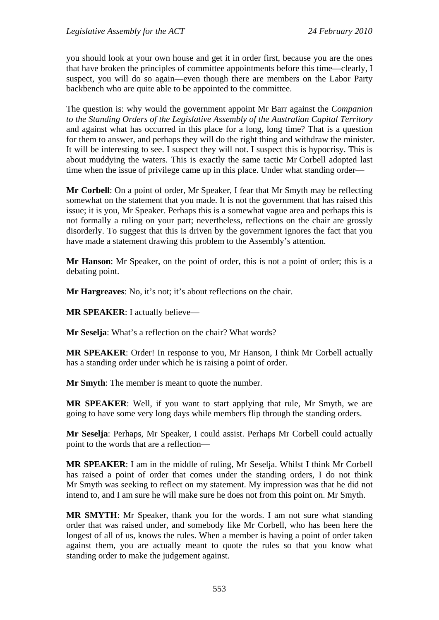you should look at your own house and get it in order first, because you are the ones that have broken the principles of committee appointments before this time—clearly, I suspect, you will do so again—even though there are members on the Labor Party backbench who are quite able to be appointed to the committee.

The question is: why would the government appoint Mr Barr against the *Companion to the Standing Orders of the Legislative Assembly of the Australian Capital Territory* and against what has occurred in this place for a long, long time? That is a question for them to answer, and perhaps they will do the right thing and withdraw the minister. It will be interesting to see. I suspect they will not. I suspect this is hypocrisy. This is about muddying the waters. This is exactly the same tactic Mr Corbell adopted last time when the issue of privilege came up in this place. Under what standing order—

**Mr Corbell**: On a point of order, Mr Speaker, I fear that Mr Smyth may be reflecting somewhat on the statement that you made. It is not the government that has raised this issue; it is you, Mr Speaker. Perhaps this is a somewhat vague area and perhaps this is not formally a ruling on your part; nevertheless, reflections on the chair are grossly disorderly. To suggest that this is driven by the government ignores the fact that you have made a statement drawing this problem to the Assembly's attention.

**Mr Hanson**: Mr Speaker, on the point of order, this is not a point of order; this is a debating point.

**Mr Hargreaves**: No, it's not; it's about reflections on the chair.

**MR SPEAKER**: I actually believe—

**Mr Seselja**: What's a reflection on the chair? What words?

**MR SPEAKER**: Order! In response to you, Mr Hanson, I think Mr Corbell actually has a standing order under which he is raising a point of order.

**Mr Smyth**: The member is meant to quote the number.

**MR SPEAKER**: Well, if you want to start applying that rule, Mr Smyth, we are going to have some very long days while members flip through the standing orders.

**Mr Seselja**: Perhaps, Mr Speaker, I could assist. Perhaps Mr Corbell could actually point to the words that are a reflection—

**MR SPEAKER**: I am in the middle of ruling, Mr Seselja. Whilst I think Mr Corbell has raised a point of order that comes under the standing orders, I do not think Mr Smyth was seeking to reflect on my statement. My impression was that he did not intend to, and I am sure he will make sure he does not from this point on. Mr Smyth.

**MR SMYTH**: Mr Speaker, thank you for the words. I am not sure what standing order that was raised under, and somebody like Mr Corbell, who has been here the longest of all of us, knows the rules. When a member is having a point of order taken against them, you are actually meant to quote the rules so that you know what standing order to make the judgement against.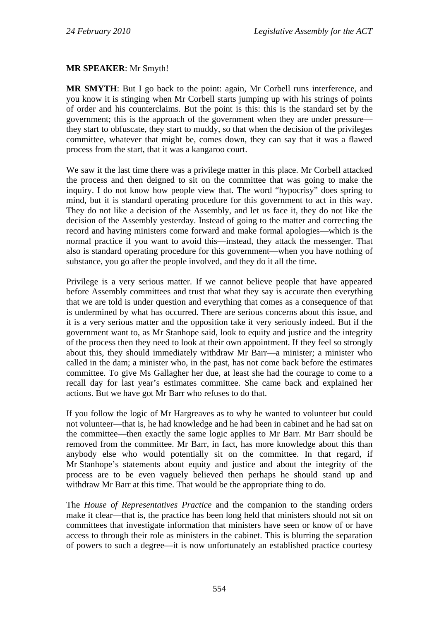#### **MR SPEAKER**: Mr Smyth!

**MR SMYTH**: But I go back to the point: again, Mr Corbell runs interference, and you know it is stinging when Mr Corbell starts jumping up with his strings of points of order and his counterclaims. But the point is this: this is the standard set by the government; this is the approach of the government when they are under pressure they start to obfuscate, they start to muddy, so that when the decision of the privileges committee, whatever that might be, comes down, they can say that it was a flawed process from the start, that it was a kangaroo court.

We saw it the last time there was a privilege matter in this place. Mr Corbell attacked the process and then deigned to sit on the committee that was going to make the inquiry. I do not know how people view that. The word "hypocrisy" does spring to mind, but it is standard operating procedure for this government to act in this way. They do not like a decision of the Assembly, and let us face it, they do not like the decision of the Assembly yesterday. Instead of going to the matter and correcting the record and having ministers come forward and make formal apologies—which is the normal practice if you want to avoid this—instead, they attack the messenger. That also is standard operating procedure for this government—when you have nothing of substance, you go after the people involved, and they do it all the time.

Privilege is a very serious matter. If we cannot believe people that have appeared before Assembly committees and trust that what they say is accurate then everything that we are told is under question and everything that comes as a consequence of that is undermined by what has occurred. There are serious concerns about this issue, and it is a very serious matter and the opposition take it very seriously indeed. But if the government want to, as Mr Stanhope said, look to equity and justice and the integrity of the process then they need to look at their own appointment. If they feel so strongly about this, they should immediately withdraw Mr Barr—a minister; a minister who called in the dam; a minister who, in the past, has not come back before the estimates committee. To give Ms Gallagher her due, at least she had the courage to come to a recall day for last year's estimates committee. She came back and explained her actions. But we have got Mr Barr who refuses to do that.

If you follow the logic of Mr Hargreaves as to why he wanted to volunteer but could not volunteer—that is, he had knowledge and he had been in cabinet and he had sat on the committee—then exactly the same logic applies to Mr Barr. Mr Barr should be removed from the committee. Mr Barr, in fact, has more knowledge about this than anybody else who would potentially sit on the committee. In that regard, if Mr Stanhope's statements about equity and justice and about the integrity of the process are to be even vaguely believed then perhaps he should stand up and withdraw Mr Barr at this time. That would be the appropriate thing to do.

The *House of Representatives Practice* and the companion to the standing orders make it clear—that is, the practice has been long held that ministers should not sit on committees that investigate information that ministers have seen or know of or have access to through their role as ministers in the cabinet. This is blurring the separation of powers to such a degree—it is now unfortunately an established practice courtesy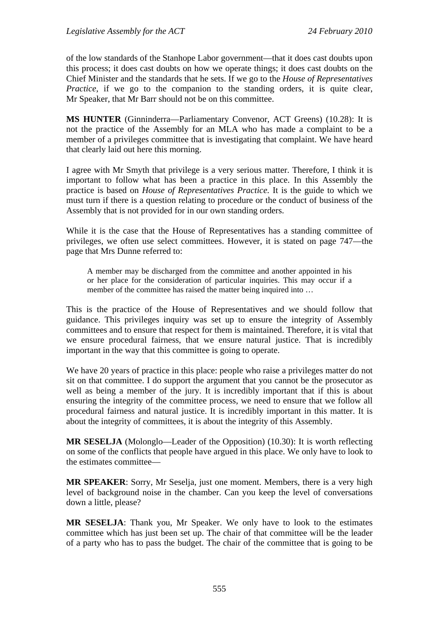of the low standards of the Stanhope Labor government—that it does cast doubts upon this process; it does cast doubts on how we operate things; it does cast doubts on the Chief Minister and the standards that he sets. If we go to the *House of Representatives Practice*, if we go to the companion to the standing orders, it is quite clear, Mr Speaker, that Mr Barr should not be on this committee.

**MS HUNTER** (Ginninderra—Parliamentary Convenor, ACT Greens) (10.28): It is not the practice of the Assembly for an MLA who has made a complaint to be a member of a privileges committee that is investigating that complaint. We have heard that clearly laid out here this morning.

I agree with Mr Smyth that privilege is a very serious matter. Therefore, I think it is important to follow what has been a practice in this place. In this Assembly the practice is based on *House of Representatives Practice.* It is the guide to which we must turn if there is a question relating to procedure or the conduct of business of the Assembly that is not provided for in our own standing orders.

While it is the case that the House of Representatives has a standing committee of privileges, we often use select committees. However, it is stated on page 747—the page that Mrs Dunne referred to:

A member may be discharged from the committee and another appointed in his or her place for the consideration of particular inquiries. This may occur if a member of the committee has raised the matter being inquired into ...

This is the practice of the House of Representatives and we should follow that guidance. This privileges inquiry was set up to ensure the integrity of Assembly committees and to ensure that respect for them is maintained. Therefore, it is vital that we ensure procedural fairness, that we ensure natural justice. That is incredibly important in the way that this committee is going to operate.

We have 20 years of practice in this place: people who raise a privileges matter do not sit on that committee. I do support the argument that you cannot be the prosecutor as well as being a member of the jury. It is incredibly important that if this is about ensuring the integrity of the committee process, we need to ensure that we follow all procedural fairness and natural justice. It is incredibly important in this matter. It is about the integrity of committees, it is about the integrity of this Assembly.

**MR SESELJA** (Molonglo—Leader of the Opposition) (10.30): It is worth reflecting on some of the conflicts that people have argued in this place. We only have to look to the estimates committee—

**MR SPEAKER**: Sorry, Mr Seselja, just one moment. Members, there is a very high level of background noise in the chamber. Can you keep the level of conversations down a little, please?

**MR SESELJA**: Thank you, Mr Speaker. We only have to look to the estimates committee which has just been set up. The chair of that committee will be the leader of a party who has to pass the budget. The chair of the committee that is going to be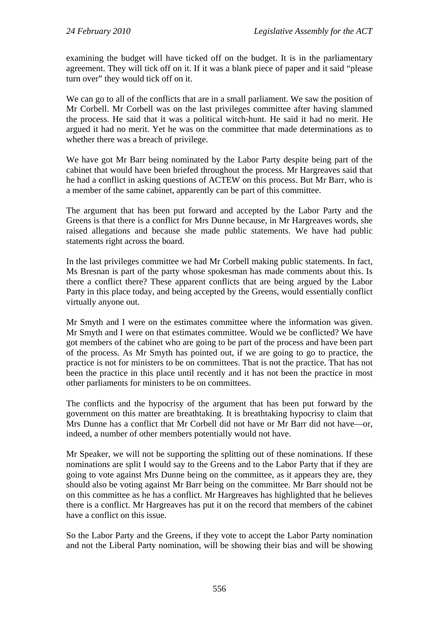examining the budget will have ticked off on the budget. It is in the parliamentary agreement. They will tick off on it. If it was a blank piece of paper and it said "please turn over" they would tick off on it.

We can go to all of the conflicts that are in a small parliament. We saw the position of Mr Corbell. Mr Corbell was on the last privileges committee after having slammed the process. He said that it was a political witch-hunt. He said it had no merit. He argued it had no merit. Yet he was on the committee that made determinations as to whether there was a breach of privilege.

We have got Mr Barr being nominated by the Labor Party despite being part of the cabinet that would have been briefed throughout the process. Mr Hargreaves said that he had a conflict in asking questions of ACTEW on this process. But Mr Barr, who is a member of the same cabinet, apparently can be part of this committee.

The argument that has been put forward and accepted by the Labor Party and the Greens is that there is a conflict for Mrs Dunne because, in Mr Hargreaves words, she raised allegations and because she made public statements. We have had public statements right across the board.

In the last privileges committee we had Mr Corbell making public statements. In fact, Ms Bresnan is part of the party whose spokesman has made comments about this. Is there a conflict there? These apparent conflicts that are being argued by the Labor Party in this place today, and being accepted by the Greens, would essentially conflict virtually anyone out.

Mr Smyth and I were on the estimates committee where the information was given. Mr Smyth and I were on that estimates committee. Would we be conflicted? We have got members of the cabinet who are going to be part of the process and have been part of the process. As Mr Smyth has pointed out, if we are going to go to practice, the practice is not for ministers to be on committees. That is not the practice. That has not been the practice in this place until recently and it has not been the practice in most other parliaments for ministers to be on committees.

The conflicts and the hypocrisy of the argument that has been put forward by the government on this matter are breathtaking. It is breathtaking hypocrisy to claim that Mrs Dunne has a conflict that Mr Corbell did not have or Mr Barr did not have—or, indeed, a number of other members potentially would not have.

Mr Speaker, we will not be supporting the splitting out of these nominations. If these nominations are split I would say to the Greens and to the Labor Party that if they are going to vote against Mrs Dunne being on the committee, as it appears they are, they should also be voting against Mr Barr being on the committee. Mr Barr should not be on this committee as he has a conflict. Mr Hargreaves has highlighted that he believes there is a conflict. Mr Hargreaves has put it on the record that members of the cabinet have a conflict on this issue.

So the Labor Party and the Greens, if they vote to accept the Labor Party nomination and not the Liberal Party nomination, will be showing their bias and will be showing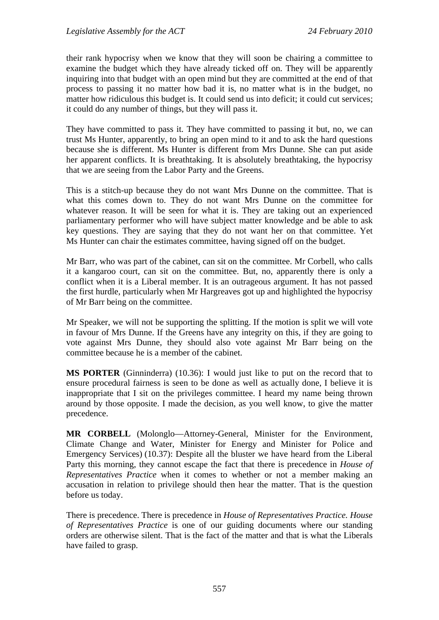their rank hypocrisy when we know that they will soon be chairing a committee to examine the budget which they have already ticked off on. They will be apparently inquiring into that budget with an open mind but they are committed at the end of that process to passing it no matter how bad it is, no matter what is in the budget, no matter how ridiculous this budget is. It could send us into deficit; it could cut services; it could do any number of things, but they will pass it.

They have committed to pass it. They have committed to passing it but, no, we can trust Ms Hunter, apparently, to bring an open mind to it and to ask the hard questions because she is different. Ms Hunter is different from Mrs Dunne. She can put aside her apparent conflicts. It is breathtaking. It is absolutely breathtaking, the hypocrisy that we are seeing from the Labor Party and the Greens.

This is a stitch-up because they do not want Mrs Dunne on the committee. That is what this comes down to. They do not want Mrs Dunne on the committee for whatever reason. It will be seen for what it is. They are taking out an experienced parliamentary performer who will have subject matter knowledge and be able to ask key questions. They are saying that they do not want her on that committee. Yet Ms Hunter can chair the estimates committee, having signed off on the budget.

Mr Barr, who was part of the cabinet, can sit on the committee. Mr Corbell, who calls it a kangaroo court, can sit on the committee. But, no, apparently there is only a conflict when it is a Liberal member. It is an outrageous argument. It has not passed the first hurdle, particularly when Mr Hargreaves got up and highlighted the hypocrisy of Mr Barr being on the committee.

Mr Speaker, we will not be supporting the splitting. If the motion is split we will vote in favour of Mrs Dunne. If the Greens have any integrity on this, if they are going to vote against Mrs Dunne, they should also vote against Mr Barr being on the committee because he is a member of the cabinet.

**MS PORTER** (Ginninderra) (10.36): I would just like to put on the record that to ensure procedural fairness is seen to be done as well as actually done, I believe it is inappropriate that I sit on the privileges committee. I heard my name being thrown around by those opposite. I made the decision, as you well know, to give the matter precedence.

**MR CORBELL** (Molonglo—Attorney-General, Minister for the Environment, Climate Change and Water, Minister for Energy and Minister for Police and Emergency Services) (10.37): Despite all the bluster we have heard from the Liberal Party this morning, they cannot escape the fact that there is precedence in *House of Representatives Practice* when it comes to whether or not a member making an accusation in relation to privilege should then hear the matter. That is the question before us today.

There is precedence. There is precedence in *House of Representatives Practice. House of Representatives Practice* is one of our guiding documents where our standing orders are otherwise silent. That is the fact of the matter and that is what the Liberals have failed to grasp.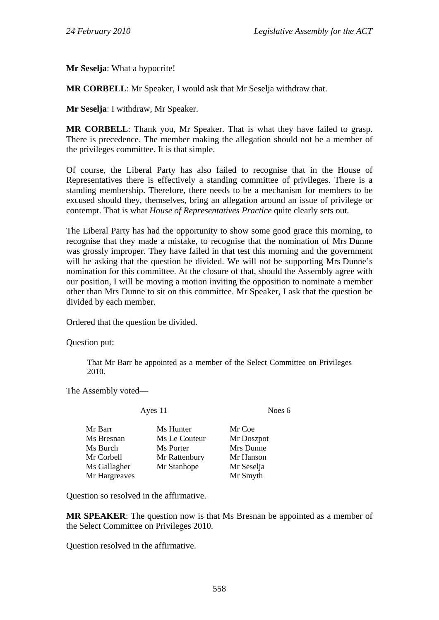**Mr Seselja**: What a hypocrite!

**MR CORBELL**: Mr Speaker, I would ask that Mr Seselja withdraw that.

**Mr Seselja**: I withdraw, Mr Speaker.

**MR CORBELL**: Thank you, Mr Speaker. That is what they have failed to grasp. There is precedence. The member making the allegation should not be a member of the privileges committee. It is that simple.

Of course, the Liberal Party has also failed to recognise that in the House of Representatives there is effectively a standing committee of privileges. There is a standing membership. Therefore, there needs to be a mechanism for members to be excused should they, themselves, bring an allegation around an issue of privilege or contempt. That is what *House of Representatives Practice* quite clearly sets out.

The Liberal Party has had the opportunity to show some good grace this morning, to recognise that they made a mistake, to recognise that the nomination of Mrs Dunne was grossly improper. They have failed in that test this morning and the government will be asking that the question be divided. We will not be supporting Mrs Dunne's nomination for this committee. At the closure of that, should the Assembly agree with our position, I will be moving a motion inviting the opposition to nominate a member other than Mrs Dunne to sit on this committee. Mr Speaker, I ask that the question be divided by each member.

Ordered that the question be divided.

Question put:

That Mr Barr be appointed as a member of the Select Committee on Privileges 2010.

The Assembly voted—

Ayes 11 Noes 6

|               | Mr Coe     |
|---------------|------------|
| Ms Le Couteur | Mr Doszpot |
| Ms Porter     | Mrs Dunne  |
| Mr Rattenbury | Mr Hanson  |
| Mr Stanhope   | Mr Seselja |
|               | Mr Smyth   |
|               | Ms Hunter  |

Question so resolved in the affirmative.

**MR SPEAKER**: The question now is that Ms Bresnan be appointed as a member of the Select Committee on Privileges 2010.

Question resolved in the affirmative.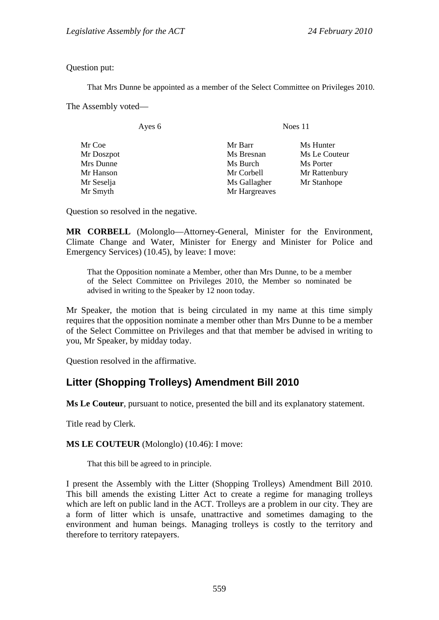Question put:

That Mrs Dunne be appointed as a member of the Select Committee on Privileges 2010.

The Assembly voted—

| ves |  |
|-----|--|
|-----|--|

Noes 11

| Mr Coe     | Mr Barr       | Ms Hunter     |
|------------|---------------|---------------|
| Mr Doszpot | Ms Bresnan    | Ms Le Couteur |
| Mrs Dunne  | Ms Burch      | Ms Porter     |
| Mr Hanson  | Mr Corbell    | Mr Rattenbury |
| Mr Seselja | Ms Gallagher  | Mr Stanhope   |
| Mr Smyth   | Mr Hargreaves |               |
|            |               |               |

Question so resolved in the negative.

**MR CORBELL** (Molonglo—Attorney-General, Minister for the Environment, Climate Change and Water, Minister for Energy and Minister for Police and Emergency Services) (10.45), by leave: I move:

That the Opposition nominate a Member, other than Mrs Dunne, to be a member of the Select Committee on Privileges 2010, the Member so nominated be advised in writing to the Speaker by 12 noon today.

Mr Speaker, the motion that is being circulated in my name at this time simply requires that the opposition nominate a member other than Mrs Dunne to be a member of the Select Committee on Privileges and that that member be advised in writing to you, Mr Speaker, by midday today.

Question resolved in the affirmative.

# <span id="page-14-0"></span>**Litter (Shopping Trolleys) Amendment Bill 2010**

**Ms Le Couteur**, pursuant to notice, presented the bill and its explanatory statement.

Title read by Clerk.

**MS LE COUTEUR** (Molonglo) (10.46): I move:

That this bill be agreed to in principle.

I present the Assembly with the Litter (Shopping Trolleys) Amendment Bill 2010. This bill amends the existing Litter Act to create a regime for managing trolleys which are left on public land in the ACT. Trolleys are a problem in our city. They are a form of litter which is unsafe, unattractive and sometimes damaging to the environment and human beings. Managing trolleys is costly to the territory and therefore to territory ratepayers.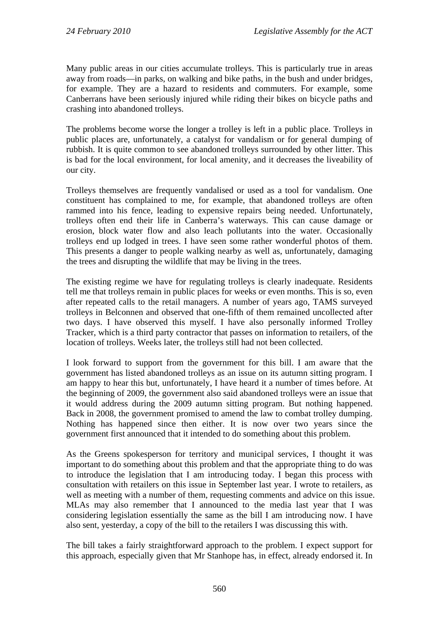Many public areas in our cities accumulate trolleys. This is particularly true in areas away from roads—in parks, on walking and bike paths, in the bush and under bridges, for example. They are a hazard to residents and commuters. For example, some Canberrans have been seriously injured while riding their bikes on bicycle paths and crashing into abandoned trolleys.

The problems become worse the longer a trolley is left in a public place. Trolleys in public places are, unfortunately, a catalyst for vandalism or for general dumping of rubbish. It is quite common to see abandoned trolleys surrounded by other litter. This is bad for the local environment, for local amenity, and it decreases the liveability of our city.

Trolleys themselves are frequently vandalised or used as a tool for vandalism. One constituent has complained to me, for example, that abandoned trolleys are often rammed into his fence, leading to expensive repairs being needed. Unfortunately, trolleys often end their life in Canberra's waterways. This can cause damage or erosion, block water flow and also leach pollutants into the water. Occasionally trolleys end up lodged in trees. I have seen some rather wonderful photos of them. This presents a danger to people walking nearby as well as, unfortunately, damaging the trees and disrupting the wildlife that may be living in the trees.

The existing regime we have for regulating trolleys is clearly inadequate. Residents tell me that trolleys remain in public places for weeks or even months. This is so, even after repeated calls to the retail managers. A number of years ago, TAMS surveyed trolleys in Belconnen and observed that one-fifth of them remained uncollected after two days. I have observed this myself. I have also personally informed Trolley Tracker, which is a third party contractor that passes on information to retailers, of the location of trolleys. Weeks later, the trolleys still had not been collected.

I look forward to support from the government for this bill. I am aware that the government has listed abandoned trolleys as an issue on its autumn sitting program. I am happy to hear this but, unfortunately, I have heard it a number of times before. At the beginning of 2009, the government also said abandoned trolleys were an issue that it would address during the 2009 autumn sitting program. But nothing happened. Back in 2008, the government promised to amend the law to combat trolley dumping. Nothing has happened since then either. It is now over two years since the government first announced that it intended to do something about this problem.

As the Greens spokesperson for territory and municipal services, I thought it was important to do something about this problem and that the appropriate thing to do was to introduce the legislation that I am introducing today. I began this process with consultation with retailers on this issue in September last year. I wrote to retailers, as well as meeting with a number of them, requesting comments and advice on this issue. MLAs may also remember that I announced to the media last year that I was considering legislation essentially the same as the bill I am introducing now. I have also sent, yesterday, a copy of the bill to the retailers I was discussing this with.

The bill takes a fairly straightforward approach to the problem. I expect support for this approach, especially given that Mr Stanhope has, in effect, already endorsed it. In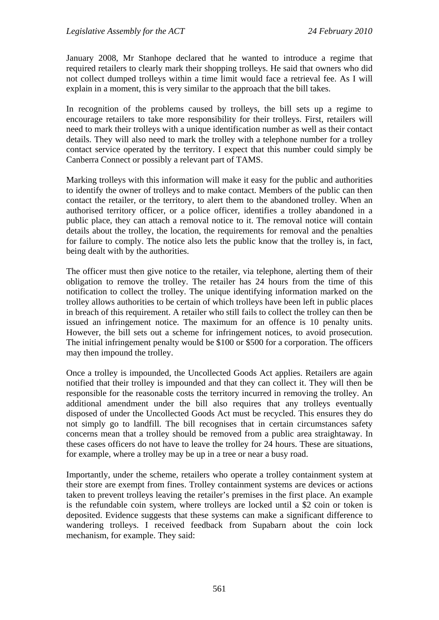January 2008, Mr Stanhope declared that he wanted to introduce a regime that required retailers to clearly mark their shopping trolleys. He said that owners who did not collect dumped trolleys within a time limit would face a retrieval fee. As I will explain in a moment, this is very similar to the approach that the bill takes.

In recognition of the problems caused by trolleys, the bill sets up a regime to encourage retailers to take more responsibility for their trolleys. First, retailers will need to mark their trolleys with a unique identification number as well as their contact details. They will also need to mark the trolley with a telephone number for a trolley contact service operated by the territory. I expect that this number could simply be Canberra Connect or possibly a relevant part of TAMS.

Marking trolleys with this information will make it easy for the public and authorities to identify the owner of trolleys and to make contact. Members of the public can then contact the retailer, or the territory, to alert them to the abandoned trolley. When an authorised territory officer, or a police officer, identifies a trolley abandoned in a public place, they can attach a removal notice to it. The removal notice will contain details about the trolley, the location, the requirements for removal and the penalties for failure to comply. The notice also lets the public know that the trolley is, in fact, being dealt with by the authorities.

The officer must then give notice to the retailer, via telephone, alerting them of their obligation to remove the trolley. The retailer has 24 hours from the time of this notification to collect the trolley. The unique identifying information marked on the trolley allows authorities to be certain of which trolleys have been left in public places in breach of this requirement. A retailer who still fails to collect the trolley can then be issued an infringement notice. The maximum for an offence is 10 penalty units. However, the bill sets out a scheme for infringement notices, to avoid prosecution. The initial infringement penalty would be \$100 or \$500 for a corporation. The officers may then impound the trolley.

Once a trolley is impounded, the Uncollected Goods Act applies. Retailers are again notified that their trolley is impounded and that they can collect it. They will then be responsible for the reasonable costs the territory incurred in removing the trolley. An additional amendment under the bill also requires that any trolleys eventually disposed of under the Uncollected Goods Act must be recycled. This ensures they do not simply go to landfill. The bill recognises that in certain circumstances safety concerns mean that a trolley should be removed from a public area straightaway. In these cases officers do not have to leave the trolley for 24 hours. These are situations, for example, where a trolley may be up in a tree or near a busy road.

Importantly, under the scheme, retailers who operate a trolley containment system at their store are exempt from fines. Trolley containment systems are devices or actions taken to prevent trolleys leaving the retailer's premises in the first place. An example is the refundable coin system, where trolleys are locked until a \$2 coin or token is deposited. Evidence suggests that these systems can make a significant difference to wandering trolleys. I received feedback from Supabarn about the coin lock mechanism, for example. They said: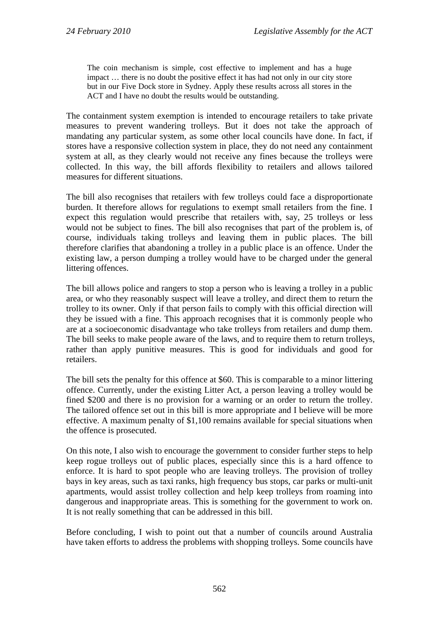The coin mechanism is simple, cost effective to implement and has a huge impact … there is no doubt the positive effect it has had not only in our city store but in our Five Dock store in Sydney. Apply these results across all stores in the ACT and I have no doubt the results would be outstanding.

The containment system exemption is intended to encourage retailers to take private measures to prevent wandering trolleys. But it does not take the approach of mandating any particular system, as some other local councils have done. In fact, if stores have a responsive collection system in place, they do not need any containment system at all, as they clearly would not receive any fines because the trolleys were collected. In this way, the bill affords flexibility to retailers and allows tailored measures for different situations.

The bill also recognises that retailers with few trolleys could face a disproportionate burden. It therefore allows for regulations to exempt small retailers from the fine. I expect this regulation would prescribe that retailers with, say, 25 trolleys or less would not be subject to fines. The bill also recognises that part of the problem is, of course, individuals taking trolleys and leaving them in public places. The bill therefore clarifies that abandoning a trolley in a public place is an offence. Under the existing law, a person dumping a trolley would have to be charged under the general littering offences.

The bill allows police and rangers to stop a person who is leaving a trolley in a public area, or who they reasonably suspect will leave a trolley, and direct them to return the trolley to its owner. Only if that person fails to comply with this official direction will they be issued with a fine. This approach recognises that it is commonly people who are at a socioeconomic disadvantage who take trolleys from retailers and dump them. The bill seeks to make people aware of the laws, and to require them to return trolleys, rather than apply punitive measures. This is good for individuals and good for retailers.

The bill sets the penalty for this offence at \$60. This is comparable to a minor littering offence. Currently, under the existing Litter Act, a person leaving a trolley would be fined \$200 and there is no provision for a warning or an order to return the trolley. The tailored offence set out in this bill is more appropriate and I believe will be more effective. A maximum penalty of \$1,100 remains available for special situations when the offence is prosecuted.

On this note, I also wish to encourage the government to consider further steps to help keep rogue trolleys out of public places, especially since this is a hard offence to enforce. It is hard to spot people who are leaving trolleys. The provision of trolley bays in key areas, such as taxi ranks, high frequency bus stops, car parks or multi-unit apartments, would assist trolley collection and help keep trolleys from roaming into dangerous and inappropriate areas. This is something for the government to work on. It is not really something that can be addressed in this bill.

Before concluding, I wish to point out that a number of councils around Australia have taken efforts to address the problems with shopping trolleys. Some councils have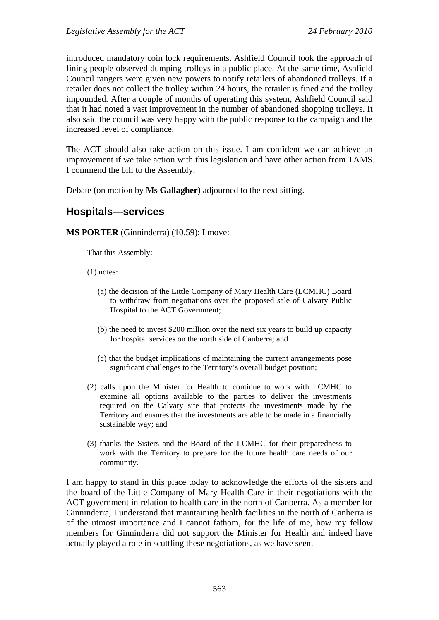introduced mandatory coin lock requirements. Ashfield Council took the approach of fining people observed dumping trolleys in a public place. At the same time, Ashfield Council rangers were given new powers to notify retailers of abandoned trolleys. If a retailer does not collect the trolley within 24 hours, the retailer is fined and the trolley impounded. After a couple of months of operating this system, Ashfield Council said that it had noted a vast improvement in the number of abandoned shopping trolleys. It also said the council was very happy with the public response to the campaign and the increased level of compliance.

The ACT should also take action on this issue. I am confident we can achieve an improvement if we take action with this legislation and have other action from TAMS. I commend the bill to the Assembly.

Debate (on motion by **Ms Gallagher**) adjourned to the next sitting.

## <span id="page-18-0"></span>**Hospitals—services**

**MS PORTER** (Ginninderra) (10.59): I move:

That this Assembly:

(1) notes:

- (a) the decision of the Little Company of Mary Health Care (LCMHC) Board to withdraw from negotiations over the proposed sale of Calvary Public Hospital to the ACT Government;
- (b) the need to invest \$200 million over the next six years to build up capacity for hospital services on the north side of Canberra; and
- (c) that the budget implications of maintaining the current arrangements pose significant challenges to the Territory's overall budget position;
- (2) calls upon the Minister for Health to continue to work with LCMHC to examine all options available to the parties to deliver the investments required on the Calvary site that protects the investments made by the Territory and ensures that the investments are able to be made in a financially sustainable way; and
- (3) thanks the Sisters and the Board of the LCMHC for their preparedness to work with the Territory to prepare for the future health care needs of our community.

I am happy to stand in this place today to acknowledge the efforts of the sisters and the board of the Little Company of Mary Health Care in their negotiations with the ACT government in relation to health care in the north of Canberra. As a member for Ginninderra, I understand that maintaining health facilities in the north of Canberra is of the utmost importance and I cannot fathom, for the life of me, how my fellow members for Ginninderra did not support the Minister for Health and indeed have actually played a role in scuttling these negotiations, as we have seen.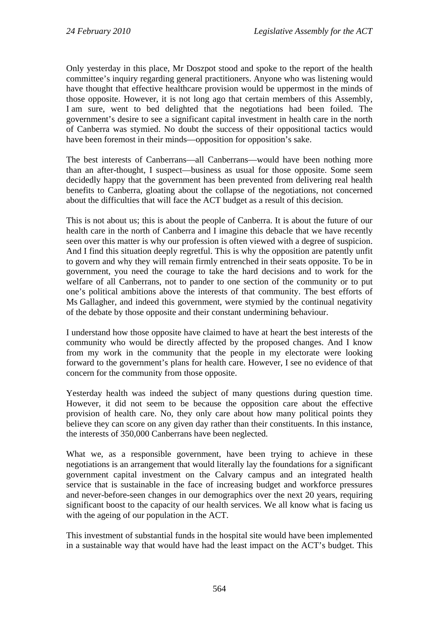Only yesterday in this place, Mr Doszpot stood and spoke to the report of the health committee's inquiry regarding general practitioners. Anyone who was listening would have thought that effective healthcare provision would be uppermost in the minds of those opposite. However, it is not long ago that certain members of this Assembly, I am sure, went to bed delighted that the negotiations had been foiled. The government's desire to see a significant capital investment in health care in the north of Canberra was stymied. No doubt the success of their oppositional tactics would have been foremost in their minds—opposition for opposition's sake.

The best interests of Canberrans—all Canberrans—would have been nothing more than an after-thought, I suspect—business as usual for those opposite. Some seem decidedly happy that the government has been prevented from delivering real health benefits to Canberra, gloating about the collapse of the negotiations, not concerned about the difficulties that will face the ACT budget as a result of this decision.

This is not about us; this is about the people of Canberra. It is about the future of our health care in the north of Canberra and I imagine this debacle that we have recently seen over this matter is why our profession is often viewed with a degree of suspicion. And I find this situation deeply regretful. This is why the opposition are patently unfit to govern and why they will remain firmly entrenched in their seats opposite. To be in government, you need the courage to take the hard decisions and to work for the welfare of all Canberrans, not to pander to one section of the community or to put one's political ambitions above the interests of that community. The best efforts of Ms Gallagher, and indeed this government, were stymied by the continual negativity of the debate by those opposite and their constant undermining behaviour.

I understand how those opposite have claimed to have at heart the best interests of the community who would be directly affected by the proposed changes. And I know from my work in the community that the people in my electorate were looking forward to the government's plans for health care. However, I see no evidence of that concern for the community from those opposite.

Yesterday health was indeed the subject of many questions during question time. However, it did not seem to be because the opposition care about the effective provision of health care. No, they only care about how many political points they believe they can score on any given day rather than their constituents. In this instance, the interests of 350,000 Canberrans have been neglected.

What we, as a responsible government, have been trying to achieve in these negotiations is an arrangement that would literally lay the foundations for a significant government capital investment on the Calvary campus and an integrated health service that is sustainable in the face of increasing budget and workforce pressures and never-before-seen changes in our demographics over the next 20 years, requiring significant boost to the capacity of our health services. We all know what is facing us with the ageing of our population in the ACT.

This investment of substantial funds in the hospital site would have been implemented in a sustainable way that would have had the least impact on the ACT's budget. This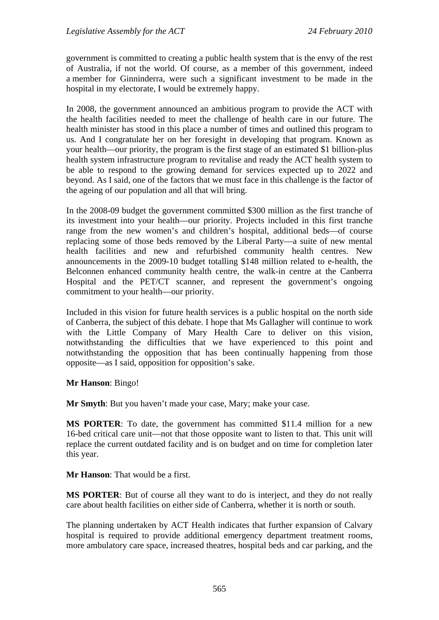government is committed to creating a public health system that is the envy of the rest of Australia, if not the world. Of course, as a member of this government, indeed a member for Ginninderra, were such a significant investment to be made in the hospital in my electorate, I would be extremely happy.

In 2008, the government announced an ambitious program to provide the ACT with the health facilities needed to meet the challenge of health care in our future. The health minister has stood in this place a number of times and outlined this program to us. And I congratulate her on her foresight in developing that program. Known as your health—our priority, the program is the first stage of an estimated \$1 billion-plus health system infrastructure program to revitalise and ready the ACT health system to be able to respond to the growing demand for services expected up to 2022 and beyond. As I said, one of the factors that we must face in this challenge is the factor of the ageing of our population and all that will bring.

In the 2008-09 budget the government committed \$300 million as the first tranche of its investment into your health—our priority. Projects included in this first tranche range from the new women's and children's hospital, additional beds—of course replacing some of those beds removed by the Liberal Party—a suite of new mental health facilities and new and refurbished community health centres. New announcements in the 2009-10 budget totalling \$148 million related to e-health, the Belconnen enhanced community health centre, the walk-in centre at the Canberra Hospital and the PET/CT scanner, and represent the government's ongoing commitment to your health—our priority.

Included in this vision for future health services is a public hospital on the north side of Canberra, the subject of this debate. I hope that Ms Gallagher will continue to work with the Little Company of Mary Health Care to deliver on this vision, notwithstanding the difficulties that we have experienced to this point and notwithstanding the opposition that has been continually happening from those opposite—as I said, opposition for opposition's sake.

#### **Mr Hanson**: Bingo!

**Mr Smyth**: But you haven't made your case, Mary; make your case.

**MS PORTER:** To date, the government has committed \$11.4 million for a new 16-bed critical care unit—not that those opposite want to listen to that. This unit will replace the current outdated facility and is on budget and on time for completion later this year.

**Mr Hanson**: That would be a first.

**MS PORTER**: But of course all they want to do is interject, and they do not really care about health facilities on either side of Canberra, whether it is north or south.

The planning undertaken by ACT Health indicates that further expansion of Calvary hospital is required to provide additional emergency department treatment rooms, more ambulatory care space, increased theatres, hospital beds and car parking, and the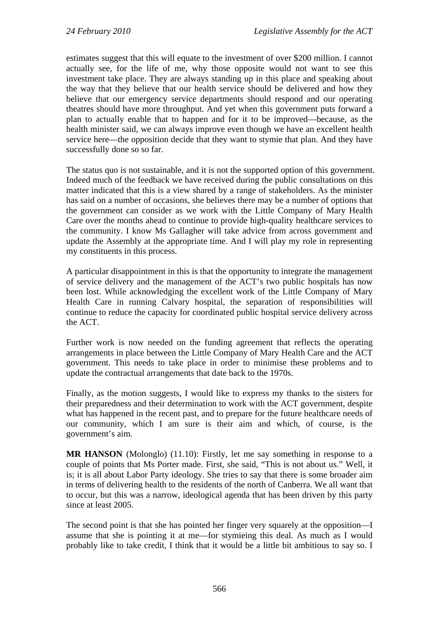estimates suggest that this will equate to the investment of over \$200 million. I cannot actually see, for the life of me, why those opposite would not want to see this investment take place. They are always standing up in this place and speaking about the way that they believe that our health service should be delivered and how they believe that our emergency service departments should respond and our operating theatres should have more throughput. And yet when this government puts forward a plan to actually enable that to happen and for it to be improved—because, as the health minister said, we can always improve even though we have an excellent health service here—the opposition decide that they want to stymie that plan. And they have successfully done so so far.

The status quo is not sustainable, and it is not the supported option of this government. Indeed much of the feedback we have received during the public consultations on this matter indicated that this is a view shared by a range of stakeholders. As the minister has said on a number of occasions, she believes there may be a number of options that the government can consider as we work with the Little Company of Mary Health Care over the months ahead to continue to provide high-quality healthcare services to the community. I know Ms Gallagher will take advice from across government and update the Assembly at the appropriate time. And I will play my role in representing my constituents in this process.

A particular disappointment in this is that the opportunity to integrate the management of service delivery and the management of the ACT's two public hospitals has now been lost. While acknowledging the excellent work of the Little Company of Mary Health Care in running Calvary hospital, the separation of responsibilities will continue to reduce the capacity for coordinated public hospital service delivery across the ACT.

Further work is now needed on the funding agreement that reflects the operating arrangements in place between the Little Company of Mary Health Care and the ACT government. This needs to take place in order to minimise these problems and to update the contractual arrangements that date back to the 1970s.

Finally, as the motion suggests, I would like to express my thanks to the sisters for their preparedness and their determination to work with the ACT government, despite what has happened in the recent past, and to prepare for the future healthcare needs of our community, which I am sure is their aim and which, of course, is the government's aim.

**MR HANSON** (Molonglo) (11.10): Firstly, let me say something in response to a couple of points that Ms Porter made. First, she said, "This is not about us." Well, it is; it is all about Labor Party ideology. She tries to say that there is some broader aim in terms of delivering health to the residents of the north of Canberra. We all want that to occur, but this was a narrow, ideological agenda that has been driven by this party since at least 2005.

The second point is that she has pointed her finger very squarely at the opposition—I assume that she is pointing it at me—for stymieing this deal. As much as I would probably like to take credit, I think that it would be a little bit ambitious to say so. I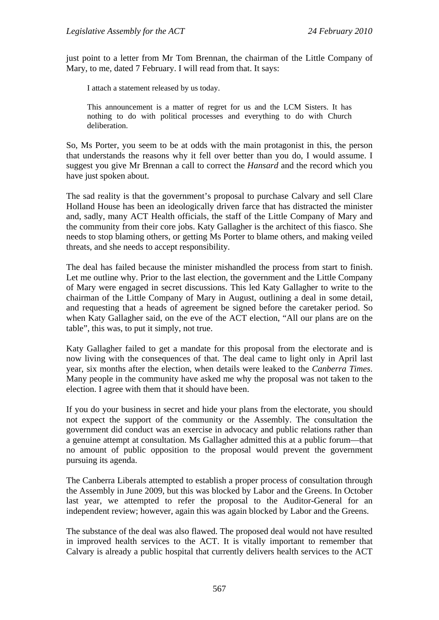just point to a letter from Mr Tom Brennan, the chairman of the Little Company of Mary, to me, dated 7 February. I will read from that. It says:

I attach a statement released by us today.

This announcement is a matter of regret for us and the LCM Sisters. It has nothing to do with political processes and everything to do with Church deliberation.

So, Ms Porter, you seem to be at odds with the main protagonist in this, the person that understands the reasons why it fell over better than you do, I would assume. I suggest you give Mr Brennan a call to correct the *Hansard* and the record which you have just spoken about.

The sad reality is that the government's proposal to purchase Calvary and sell Clare Holland House has been an ideologically driven farce that has distracted the minister and, sadly, many ACT Health officials, the staff of the Little Company of Mary and the community from their core jobs. Katy Gallagher is the architect of this fiasco. She needs to stop blaming others, or getting Ms Porter to blame others, and making veiled threats, and she needs to accept responsibility.

The deal has failed because the minister mishandled the process from start to finish. Let me outline why. Prior to the last election, the government and the Little Company of Mary were engaged in secret discussions. This led Katy Gallagher to write to the chairman of the Little Company of Mary in August, outlining a deal in some detail, and requesting that a heads of agreement be signed before the caretaker period. So when Katy Gallagher said, on the eve of the ACT election, "All our plans are on the table", this was, to put it simply, not true.

Katy Gallagher failed to get a mandate for this proposal from the electorate and is now living with the consequences of that. The deal came to light only in April last year, six months after the election, when details were leaked to the *Canberra Times*. Many people in the community have asked me why the proposal was not taken to the election. I agree with them that it should have been.

If you do your business in secret and hide your plans from the electorate, you should not expect the support of the community or the Assembly. The consultation the government did conduct was an exercise in advocacy and public relations rather than a genuine attempt at consultation. Ms Gallagher admitted this at a public forum—that no amount of public opposition to the proposal would prevent the government pursuing its agenda.

The Canberra Liberals attempted to establish a proper process of consultation through the Assembly in June 2009, but this was blocked by Labor and the Greens. In October last year, we attempted to refer the proposal to the Auditor-General for an independent review; however, again this was again blocked by Labor and the Greens.

The substance of the deal was also flawed. The proposed deal would not have resulted in improved health services to the ACT. It is vitally important to remember that Calvary is already a public hospital that currently delivers health services to the ACT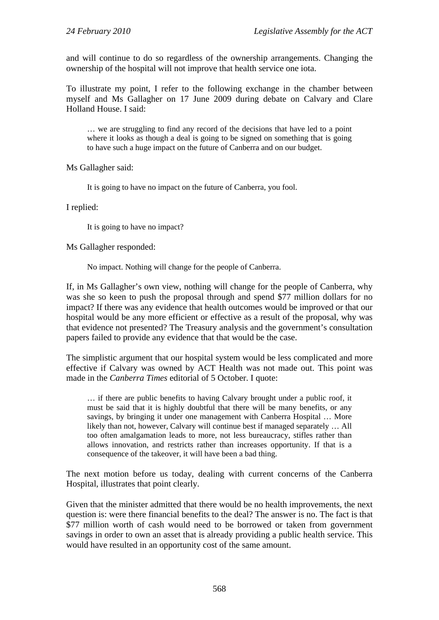and will continue to do so regardless of the ownership arrangements. Changing the ownership of the hospital will not improve that health service one iota.

To illustrate my point, I refer to the following exchange in the chamber between myself and Ms Gallagher on 17 June 2009 during debate on Calvary and Clare Holland House. I said:

… we are struggling to find any record of the decisions that have led to a point where it looks as though a deal is going to be signed on something that is going to have such a huge impact on the future of Canberra and on our budget.

Ms Gallagher said:

It is going to have no impact on the future of Canberra, you fool.

I replied:

It is going to have no impact?

Ms Gallagher responded:

No impact. Nothing will change for the people of Canberra.

If, in Ms Gallagher's own view, nothing will change for the people of Canberra, why was she so keen to push the proposal through and spend \$77 million dollars for no impact? If there was any evidence that health outcomes would be improved or that our hospital would be any more efficient or effective as a result of the proposal, why was that evidence not presented? The Treasury analysis and the government's consultation papers failed to provide any evidence that that would be the case.

The simplistic argument that our hospital system would be less complicated and more effective if Calvary was owned by ACT Health was not made out. This point was made in the *Canberra Times* editorial of 5 October. I quote:

… if there are public benefits to having Calvary brought under a public roof, it must be said that it is highly doubtful that there will be many benefits, or any savings, by bringing it under one management with Canberra Hospital … More likely than not, however, Calvary will continue best if managed separately … All too often amalgamation leads to more, not less bureaucracy, stifles rather than allows innovation, and restricts rather than increases opportunity. If that is a consequence of the takeover, it will have been a bad thing.

The next motion before us today, dealing with current concerns of the Canberra Hospital, illustrates that point clearly.

Given that the minister admitted that there would be no health improvements, the next question is: were there financial benefits to the deal? The answer is no. The fact is that \$77 million worth of cash would need to be borrowed or taken from government savings in order to own an asset that is already providing a public health service. This would have resulted in an opportunity cost of the same amount.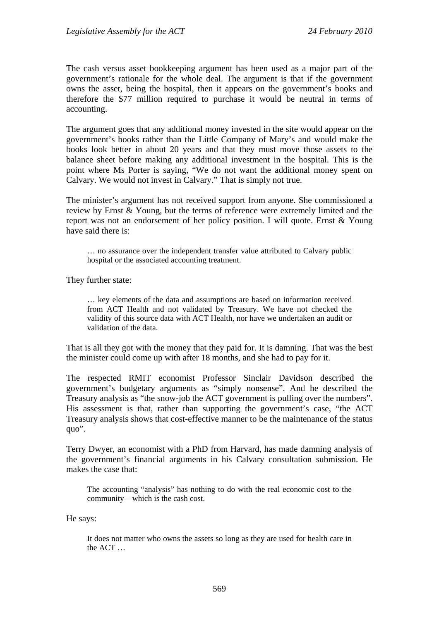The cash versus asset bookkeeping argument has been used as a major part of the government's rationale for the whole deal. The argument is that if the government owns the asset, being the hospital, then it appears on the government's books and therefore the \$77 million required to purchase it would be neutral in terms of accounting.

The argument goes that any additional money invested in the site would appear on the government's books rather than the Little Company of Mary's and would make the books look better in about 20 years and that they must move those assets to the balance sheet before making any additional investment in the hospital. This is the point where Ms Porter is saying, "We do not want the additional money spent on Calvary. We would not invest in Calvary." That is simply not true.

The minister's argument has not received support from anyone. She commissioned a review by Ernst & Young, but the terms of reference were extremely limited and the report was not an endorsement of her policy position. I will quote. Ernst & Young have said there is:

… no assurance over the independent transfer value attributed to Calvary public hospital or the associated accounting treatment.

They further state:

… key elements of the data and assumptions are based on information received from ACT Health and not validated by Treasury. We have not checked the validity of this source data with ACT Health, nor have we undertaken an audit or validation of the data.

That is all they got with the money that they paid for. It is damning. That was the best the minister could come up with after 18 months, and she had to pay for it.

The respected RMIT economist Professor Sinclair Davidson described the government's budgetary arguments as "simply nonsense". And he described the Treasury analysis as "the snow-job the ACT government is pulling over the numbers". His assessment is that, rather than supporting the government's case, "the ACT Treasury analysis shows that cost-effective manner to be the maintenance of the status quo".

Terry Dwyer, an economist with a PhD from Harvard, has made damning analysis of the government's financial arguments in his Calvary consultation submission. He makes the case that:

The accounting "analysis" has nothing to do with the real economic cost to the community—which is the cash cost.

He says:

It does not matter who owns the assets so long as they are used for health care in the ACT …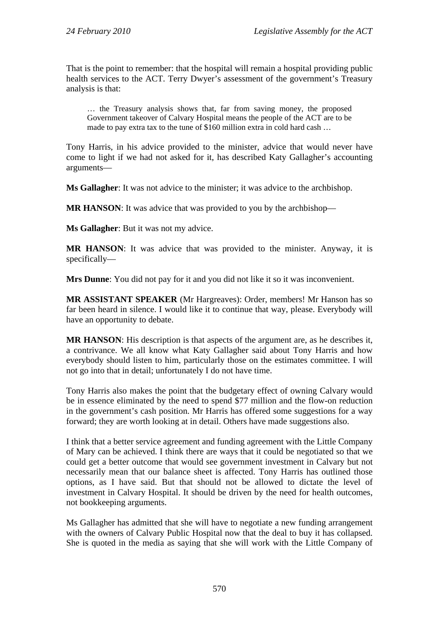That is the point to remember: that the hospital will remain a hospital providing public health services to the ACT. Terry Dwyer's assessment of the government's Treasury analysis is that:

… the Treasury analysis shows that, far from saving money, the proposed Government takeover of Calvary Hospital means the people of the ACT are to be made to pay extra tax to the tune of \$160 million extra in cold hard cash …

Tony Harris, in his advice provided to the minister, advice that would never have come to light if we had not asked for it, has described Katy Gallagher's accounting arguments—

**Ms Gallagher**: It was not advice to the minister; it was advice to the archbishop.

**MR HANSON:** It was advice that was provided to you by the archbishop—

**Ms Gallagher**: But it was not my advice.

**MR HANSON**: It was advice that was provided to the minister. Anyway, it is specifically—

**Mrs Dunne**: You did not pay for it and you did not like it so it was inconvenient.

**MR ASSISTANT SPEAKER** (Mr Hargreaves): Order, members! Mr Hanson has so far been heard in silence. I would like it to continue that way, please. Everybody will have an opportunity to debate.

**MR HANSON**: His description is that aspects of the argument are, as he describes it, a contrivance. We all know what Katy Gallagher said about Tony Harris and how everybody should listen to him, particularly those on the estimates committee. I will not go into that in detail; unfortunately I do not have time.

Tony Harris also makes the point that the budgetary effect of owning Calvary would be in essence eliminated by the need to spend \$77 million and the flow-on reduction in the government's cash position. Mr Harris has offered some suggestions for a way forward; they are worth looking at in detail. Others have made suggestions also.

I think that a better service agreement and funding agreement with the Little Company of Mary can be achieved. I think there are ways that it could be negotiated so that we could get a better outcome that would see government investment in Calvary but not necessarily mean that our balance sheet is affected. Tony Harris has outlined those options, as I have said. But that should not be allowed to dictate the level of investment in Calvary Hospital. It should be driven by the need for health outcomes, not bookkeeping arguments.

Ms Gallagher has admitted that she will have to negotiate a new funding arrangement with the owners of Calvary Public Hospital now that the deal to buy it has collapsed. She is quoted in the media as saying that she will work with the Little Company of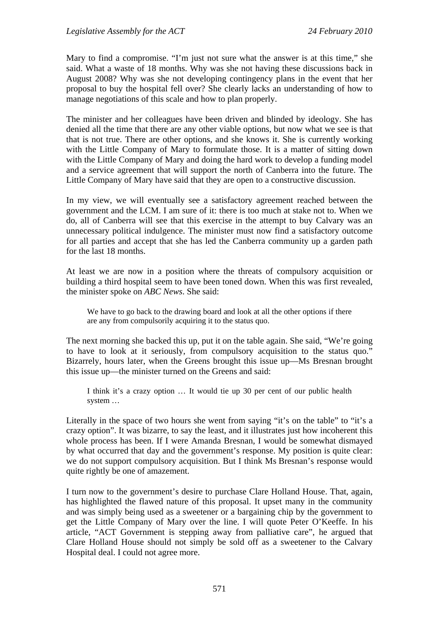Mary to find a compromise. "I'm just not sure what the answer is at this time," she said. What a waste of 18 months. Why was she not having these discussions back in August 2008? Why was she not developing contingency plans in the event that her proposal to buy the hospital fell over? She clearly lacks an understanding of how to manage negotiations of this scale and how to plan properly.

The minister and her colleagues have been driven and blinded by ideology. She has denied all the time that there are any other viable options, but now what we see is that that is not true. There are other options, and she knows it. She is currently working with the Little Company of Mary to formulate those. It is a matter of sitting down with the Little Company of Mary and doing the hard work to develop a funding model and a service agreement that will support the north of Canberra into the future. The Little Company of Mary have said that they are open to a constructive discussion.

In my view, we will eventually see a satisfactory agreement reached between the government and the LCM. I am sure of it: there is too much at stake not to. When we do, all of Canberra will see that this exercise in the attempt to buy Calvary was an unnecessary political indulgence. The minister must now find a satisfactory outcome for all parties and accept that she has led the Canberra community up a garden path for the last 18 months.

At least we are now in a position where the threats of compulsory acquisition or building a third hospital seem to have been toned down. When this was first revealed, the minister spoke on *ABC News*. She said:

We have to go back to the drawing board and look at all the other options if there are any from compulsorily acquiring it to the status quo.

The next morning she backed this up, put it on the table again. She said, "We're going to have to look at it seriously, from compulsory acquisition to the status quo." Bizarrely, hours later, when the Greens brought this issue up—Ms Bresnan brought this issue up—the minister turned on the Greens and said:

I think it's a crazy option … It would tie up 30 per cent of our public health system …

Literally in the space of two hours she went from saying "it's on the table" to "it's a crazy option". It was bizarre, to say the least, and it illustrates just how incoherent this whole process has been. If I were Amanda Bresnan, I would be somewhat dismayed by what occurred that day and the government's response. My position is quite clear: we do not support compulsory acquisition. But I think Ms Bresnan's response would quite rightly be one of amazement.

I turn now to the government's desire to purchase Clare Holland House. That, again, has highlighted the flawed nature of this proposal. It upset many in the community and was simply being used as a sweetener or a bargaining chip by the government to get the Little Company of Mary over the line. I will quote Peter O'Keeffe. In his article, "ACT Government is stepping away from palliative care", he argued that Clare Holland House should not simply be sold off as a sweetener to the Calvary Hospital deal. I could not agree more.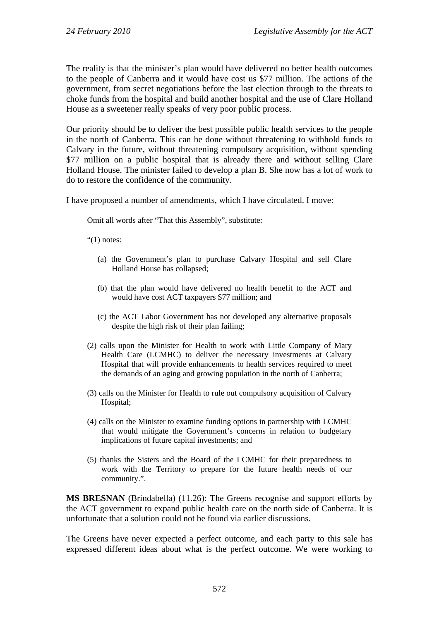The reality is that the minister's plan would have delivered no better health outcomes to the people of Canberra and it would have cost us \$77 million. The actions of the government, from secret negotiations before the last election through to the threats to choke funds from the hospital and build another hospital and the use of Clare Holland House as a sweetener really speaks of very poor public process.

Our priority should be to deliver the best possible public health services to the people in the north of Canberra. This can be done without threatening to withhold funds to Calvary in the future, without threatening compulsory acquisition, without spending \$77 million on a public hospital that is already there and without selling Clare Holland House. The minister failed to develop a plan B. She now has a lot of work to do to restore the confidence of the community.

I have proposed a number of amendments, which I have circulated. I move:

Omit all words after "That this Assembly", substitute:

" $(1)$  notes:

- (a) the Government's plan to purchase Calvary Hospital and sell Clare Holland House has collapsed;
- (b) that the plan would have delivered no health benefit to the ACT and would have cost ACT taxpayers \$77 million; and
- (c) the ACT Labor Government has not developed any alternative proposals despite the high risk of their plan failing;
- (2) calls upon the Minister for Health to work with Little Company of Mary Health Care (LCMHC) to deliver the necessary investments at Calvary Hospital that will provide enhancements to health services required to meet the demands of an aging and growing population in the north of Canberra;
- (3) calls on the Minister for Health to rule out compulsory acquisition of Calvary Hospital;
- (4) calls on the Minister to examine funding options in partnership with LCMHC that would mitigate the Government's concerns in relation to budgetary implications of future capital investments; and
- (5) thanks the Sisters and the Board of the LCMHC for their preparedness to work with the Territory to prepare for the future health needs of our community.".

**MS BRESNAN** (Brindabella) (11.26): The Greens recognise and support efforts by the ACT government to expand public health care on the north side of Canberra. It is unfortunate that a solution could not be found via earlier discussions.

The Greens have never expected a perfect outcome, and each party to this sale has expressed different ideas about what is the perfect outcome. We were working to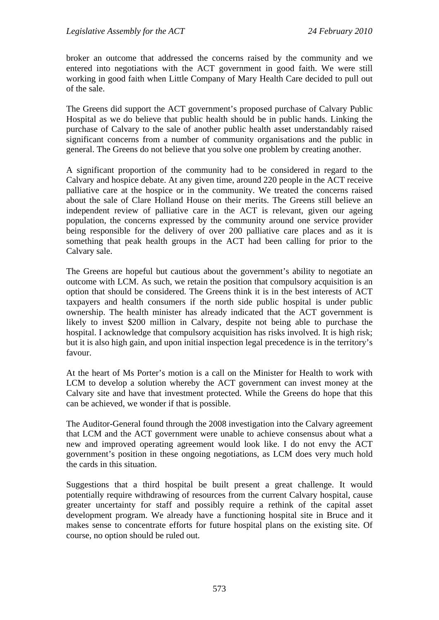broker an outcome that addressed the concerns raised by the community and we entered into negotiations with the ACT government in good faith. We were still working in good faith when Little Company of Mary Health Care decided to pull out of the sale.

The Greens did support the ACT government's proposed purchase of Calvary Public Hospital as we do believe that public health should be in public hands. Linking the purchase of Calvary to the sale of another public health asset understandably raised significant concerns from a number of community organisations and the public in general. The Greens do not believe that you solve one problem by creating another.

A significant proportion of the community had to be considered in regard to the Calvary and hospice debate. At any given time, around 220 people in the ACT receive palliative care at the hospice or in the community. We treated the concerns raised about the sale of Clare Holland House on their merits. The Greens still believe an independent review of palliative care in the ACT is relevant, given our ageing population, the concerns expressed by the community around one service provider being responsible for the delivery of over 200 palliative care places and as it is something that peak health groups in the ACT had been calling for prior to the Calvary sale.

The Greens are hopeful but cautious about the government's ability to negotiate an outcome with LCM. As such, we retain the position that compulsory acquisition is an option that should be considered. The Greens think it is in the best interests of ACT taxpayers and health consumers if the north side public hospital is under public ownership. The health minister has already indicated that the ACT government is likely to invest \$200 million in Calvary, despite not being able to purchase the hospital. I acknowledge that compulsory acquisition has risks involved. It is high risk; but it is also high gain, and upon initial inspection legal precedence is in the territory's favour.

At the heart of Ms Porter's motion is a call on the Minister for Health to work with LCM to develop a solution whereby the ACT government can invest money at the Calvary site and have that investment protected. While the Greens do hope that this can be achieved, we wonder if that is possible.

The Auditor-General found through the 2008 investigation into the Calvary agreement that LCM and the ACT government were unable to achieve consensus about what a new and improved operating agreement would look like. I do not envy the ACT government's position in these ongoing negotiations, as LCM does very much hold the cards in this situation.

Suggestions that a third hospital be built present a great challenge. It would potentially require withdrawing of resources from the current Calvary hospital, cause greater uncertainty for staff and possibly require a rethink of the capital asset development program. We already have a functioning hospital site in Bruce and it makes sense to concentrate efforts for future hospital plans on the existing site. Of course, no option should be ruled out.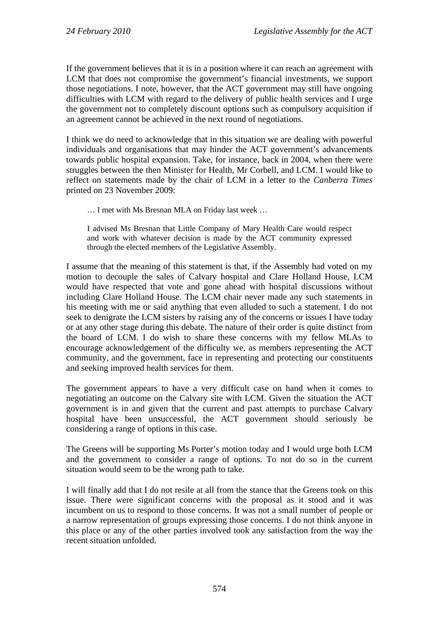If the government believes that it is in a position where it can reach an agreement with LCM that does not compromise the government's financial investments, we support those negotiations. I note, however, that the ACT government may still have ongoing difficulties with LCM with regard to the delivery of public health services and I urge the government not to completely discount options such as compulsory acquisition if an agreement cannot be achieved in the next round of negotiations.

I think we do need to acknowledge that in this situation we are dealing with powerful individuals and organisations that may hinder the ACT government's advancements towards public hospital expansion. Take, for instance, back in 2004, when there were struggles between the then Minister for Health, Mr Corbell, and LCM. I would like to reflect on statements made by the chair of LCM in a letter to the *Canberra Times* printed on 23 November 2009:

… I met with Ms Bresnan MLA on Friday last week …

I advised Ms Bresnan that Little Company of Mary Health Care would respect and work with whatever decision is made by the ACT community expressed through the elected members of the Legislative Assembly.

I assume that the meaning of this statement is that, if the Assembly had voted on my motion to decouple the sales of Calvary hospital and Clare Holland House, LCM would have respected that vote and gone ahead with hospital discussions without including Clare Holland House. The LCM chair never made any such statements in his meeting with me or said anything that even alluded to such a statement. I do not seek to denigrate the LCM sisters by raising any of the concerns or issues I have today or at any other stage during this debate. The nature of their order is quite distinct from the board of LCM. I do wish to share these concerns with my fellow MLAs to encourage acknowledgement of the difficulty we, as members representing the ACT community, and the government, face in representing and protecting our constituents and seeking improved health services for them.

The government appears to have a very difficult case on hand when it comes to negotiating an outcome on the Calvary site with LCM. Given the situation the ACT government is in and given that the current and past attempts to purchase Calvary hospital have been unsuccessful, the ACT government should seriously be considering a range of options in this case.

The Greens will be supporting Ms Porter's motion today and I would urge both LCM and the government to consider a range of options. To not do so in the current situation would seem to be the wrong path to take.

I will finally add that I do not resile at all from the stance that the Greens took on this issue. There were significant concerns with the proposal as it stood and it was incumbent on us to respond to those concerns. It was not a small number of people or a narrow representation of groups expressing those concerns. I do not think anyone in this place or any of the other parties involved took any satisfaction from the way the recent situation unfolded.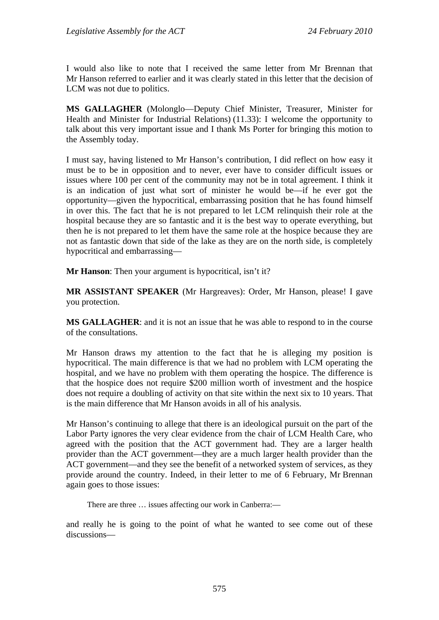I would also like to note that I received the same letter from Mr Brennan that Mr Hanson referred to earlier and it was clearly stated in this letter that the decision of LCM was not due to politics.

**MS GALLAGHER** (Molonglo—Deputy Chief Minister, Treasurer, Minister for Health and Minister for Industrial Relations) (11.33): I welcome the opportunity to talk about this very important issue and I thank Ms Porter for bringing this motion to the Assembly today.

I must say, having listened to Mr Hanson's contribution, I did reflect on how easy it must be to be in opposition and to never, ever have to consider difficult issues or issues where 100 per cent of the community may not be in total agreement. I think it is an indication of just what sort of minister he would be—if he ever got the opportunity—given the hypocritical, embarrassing position that he has found himself in over this. The fact that he is not prepared to let LCM relinquish their role at the hospital because they are so fantastic and it is the best way to operate everything, but then he is not prepared to let them have the same role at the hospice because they are not as fantastic down that side of the lake as they are on the north side, is completely hypocritical and embarrassing—

**Mr Hanson**: Then your argument is hypocritical, isn't it?

**MR ASSISTANT SPEAKER** (Mr Hargreaves): Order, Mr Hanson, please! I gave you protection.

**MS GALLAGHER**: and it is not an issue that he was able to respond to in the course of the consultations.

Mr Hanson draws my attention to the fact that he is alleging my position is hypocritical. The main difference is that we had no problem with LCM operating the hospital, and we have no problem with them operating the hospice. The difference is that the hospice does not require \$200 million worth of investment and the hospice does not require a doubling of activity on that site within the next six to 10 years. That is the main difference that Mr Hanson avoids in all of his analysis.

Mr Hanson's continuing to allege that there is an ideological pursuit on the part of the Labor Party ignores the very clear evidence from the chair of LCM Health Care, who agreed with the position that the ACT government had. They are a larger health provider than the ACT government—they are a much larger health provider than the ACT government—and they see the benefit of a networked system of services, as they provide around the country. Indeed, in their letter to me of 6 February, Mr Brennan again goes to those issues:

There are three ... issues affecting our work in Canberra:—

and really he is going to the point of what he wanted to see come out of these discussions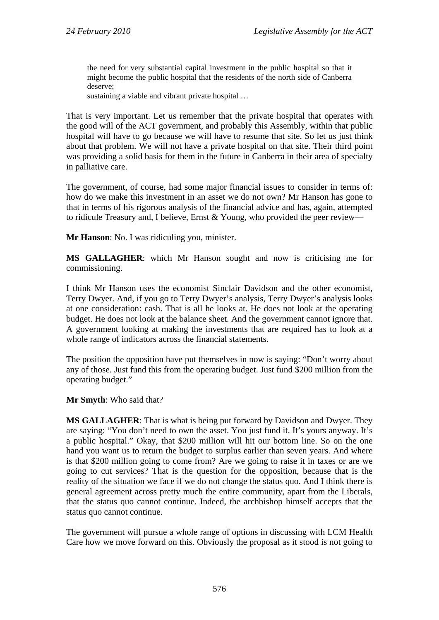the need for very substantial capital investment in the public hospital so that it might become the public hospital that the residents of the north side of Canberra deserve;

sustaining a viable and vibrant private hospital …

That is very important. Let us remember that the private hospital that operates with the good will of the ACT government, and probably this Assembly, within that public hospital will have to go because we will have to resume that site. So let us just think about that problem. We will not have a private hospital on that site. Their third point was providing a solid basis for them in the future in Canberra in their area of specialty in palliative care.

The government, of course, had some major financial issues to consider in terms of: how do we make this investment in an asset we do not own? Mr Hanson has gone to that in terms of his rigorous analysis of the financial advice and has, again, attempted to ridicule Treasury and, I believe, Ernst & Young, who provided the peer review—

**Mr Hanson**: No. I was ridiculing you, minister.

**MS GALLAGHER**: which Mr Hanson sought and now is criticising me for commissioning.

I think Mr Hanson uses the economist Sinclair Davidson and the other economist, Terry Dwyer. And, if you go to Terry Dwyer's analysis, Terry Dwyer's analysis looks at one consideration: cash. That is all he looks at. He does not look at the operating budget. He does not look at the balance sheet. And the government cannot ignore that. A government looking at making the investments that are required has to look at a whole range of indicators across the financial statements.

The position the opposition have put themselves in now is saying: "Don't worry about any of those. Just fund this from the operating budget. Just fund \$200 million from the operating budget."

**Mr Smyth**: Who said that?

**MS GALLAGHER**: That is what is being put forward by Davidson and Dwyer. They are saying: "You don't need to own the asset. You just fund it. It's yours anyway. It's a public hospital." Okay, that \$200 million will hit our bottom line. So on the one hand you want us to return the budget to surplus earlier than seven years. And where is that \$200 million going to come from? Are we going to raise it in taxes or are we going to cut services? That is the question for the opposition, because that is the reality of the situation we face if we do not change the status quo. And I think there is general agreement across pretty much the entire community, apart from the Liberals, that the status quo cannot continue. Indeed, the archbishop himself accepts that the status quo cannot continue.

The government will pursue a whole range of options in discussing with LCM Health Care how we move forward on this. Obviously the proposal as it stood is not going to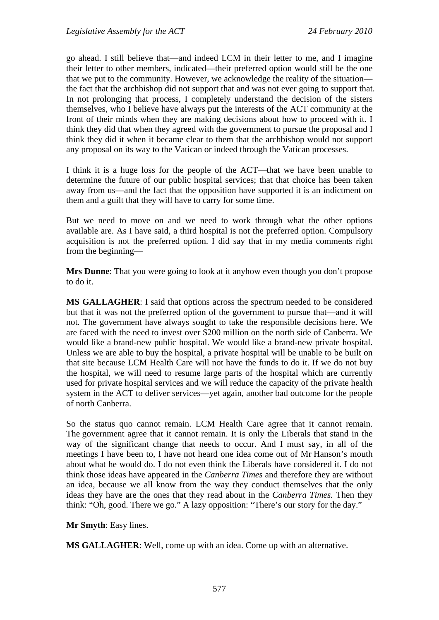go ahead. I still believe that—and indeed LCM in their letter to me, and I imagine their letter to other members, indicated—their preferred option would still be the one that we put to the community. However, we acknowledge the reality of the situation the fact that the archbishop did not support that and was not ever going to support that. In not prolonging that process, I completely understand the decision of the sisters themselves, who I believe have always put the interests of the ACT community at the front of their minds when they are making decisions about how to proceed with it. I think they did that when they agreed with the government to pursue the proposal and I think they did it when it became clear to them that the archbishop would not support any proposal on its way to the Vatican or indeed through the Vatican processes.

I think it is a huge loss for the people of the ACT—that we have been unable to determine the future of our public hospital services; that that choice has been taken away from us—and the fact that the opposition have supported it is an indictment on them and a guilt that they will have to carry for some time.

But we need to move on and we need to work through what the other options available are. As I have said, a third hospital is not the preferred option. Compulsory acquisition is not the preferred option. I did say that in my media comments right from the beginning—

**Mrs Dunne**: That you were going to look at it anyhow even though you don't propose to do it.

**MS GALLAGHER**: I said that options across the spectrum needed to be considered but that it was not the preferred option of the government to pursue that—and it will not. The government have always sought to take the responsible decisions here. We are faced with the need to invest over \$200 million on the north side of Canberra. We would like a brand-new public hospital. We would like a brand-new private hospital. Unless we are able to buy the hospital, a private hospital will be unable to be built on that site because LCM Health Care will not have the funds to do it. If we do not buy the hospital, we will need to resume large parts of the hospital which are currently used for private hospital services and we will reduce the capacity of the private health system in the ACT to deliver services—yet again, another bad outcome for the people of north Canberra.

So the status quo cannot remain. LCM Health Care agree that it cannot remain. The government agree that it cannot remain. It is only the Liberals that stand in the way of the significant change that needs to occur. And I must say, in all of the meetings I have been to, I have not heard one idea come out of Mr Hanson's mouth about what he would do. I do not even think the Liberals have considered it. I do not think those ideas have appeared in the *Canberra Times* and therefore they are without an idea, because we all know from the way they conduct themselves that the only ideas they have are the ones that they read about in the *Canberra Times.* Then they think: "Oh, good. There we go." A lazy opposition: "There's our story for the day."

**Mr Smyth**: Easy lines.

**MS GALLAGHER**: Well, come up with an idea. Come up with an alternative.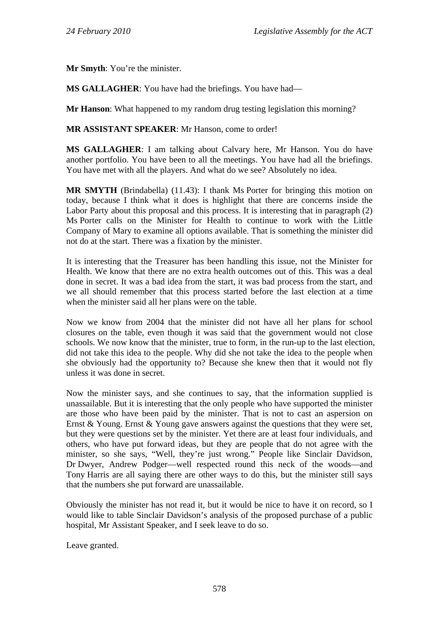**Mr Smyth**: You're the minister.

**MS GALLAGHER**: You have had the briefings. You have had—

**Mr Hanson**: What happened to my random drug testing legislation this morning?

**MR ASSISTANT SPEAKER**: Mr Hanson, come to order!

**MS GALLAGHER**: I am talking about Calvary here, Mr Hanson. You do have another portfolio. You have been to all the meetings. You have had all the briefings. You have met with all the players. And what do we see? Absolutely no idea.

**MR SMYTH** (Brindabella) (11.43): I thank Ms Porter for bringing this motion on today, because I think what it does is highlight that there are concerns inside the Labor Party about this proposal and this process. It is interesting that in paragraph (2) Ms Porter calls on the Minister for Health to continue to work with the Little Company of Mary to examine all options available. That is something the minister did not do at the start. There was a fixation by the minister.

It is interesting that the Treasurer has been handling this issue, not the Minister for Health. We know that there are no extra health outcomes out of this. This was a deal done in secret. It was a bad idea from the start, it was bad process from the start, and we all should remember that this process started before the last election at a time when the minister said all her plans were on the table.

Now we know from 2004 that the minister did not have all her plans for school closures on the table, even though it was said that the government would not close schools. We now know that the minister, true to form, in the run-up to the last election, did not take this idea to the people. Why did she not take the idea to the people when she obviously had the opportunity to? Because she knew then that it would not fly unless it was done in secret.

Now the minister says, and she continues to say, that the information supplied is unassailable. But it is interesting that the only people who have supported the minister are those who have been paid by the minister. That is not to cast an aspersion on Ernst & Young. Ernst & Young gave answers against the questions that they were set, but they were questions set by the minister. Yet there are at least four individuals, and others, who have put forward ideas, but they are people that do not agree with the minister, so she says, "Well, they're just wrong." People like Sinclair Davidson, Dr Dwyer, Andrew Podger—well respected round this neck of the woods—and Tony Harris are all saying there are other ways to do this, but the minister still says that the numbers she put forward are unassailable.

Obviously the minister has not read it, but it would be nice to have it on record, so I would like to table Sinclair Davidson's analysis of the proposed purchase of a public hospital, Mr Assistant Speaker, and I seek leave to do so.

Leave granted.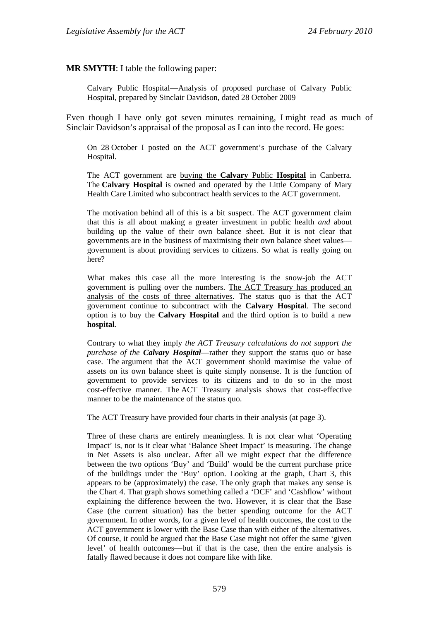#### **MR SMYTH**: I table the following paper:

Calvary Public Hospital—Analysis of proposed purchase of Calvary Public Hospital, prepared by Sinclair Davidson, dated 28 October 2009

Even though I have only got seven minutes remaining, I might read as much of Sinclair Davidson's appraisal of the proposal as I can into the record. He goes:

On 28 October I posted on the ACT government's purchase of the Calvary Hospital.

The ACT government are buying the **Calvary** Public **Hospital** in Canberra. The **Calvary Hospital** is owned and operated by the Little Company of Mary Health Care Limited who subcontract health services to the ACT government.

The motivation behind all of this is a bit suspect. The ACT government claim that this is all about making a greater investment in public health *and* about building up the value of their own balance sheet. But it is not clear that governments are in the business of maximising their own balance sheet values government is about providing services to citizens. So what is really going on here?

What makes this case all the more interesting is the snow-job the ACT government is pulling over the numbers. The ACT Treasury has produced an analysis of the costs of three alternatives. The status quo is that the ACT government continue to subcontract with the **Calvary Hospital**. The second option is to buy the **Calvary Hospital** and the third option is to build a new **hospital**.

Contrary to what they imply *the ACT Treasury calculations do not support the purchase of the Calvary Hospital*—rather they support the status quo or base case. The argument that the ACT government should maximise the value of assets on its own balance sheet is quite simply nonsense. It is the function of government to provide services to its citizens and to do so in the most cost-effective manner. The ACT Treasury analysis shows that cost-effective manner to be the maintenance of the status quo.

The ACT Treasury have provided four charts in their analysis (at page 3).

Three of these charts are entirely meaningless. It is not clear what 'Operating Impact' is, nor is it clear what 'Balance Sheet Impact' is measuring. The change in Net Assets is also unclear. After all we might expect that the difference between the two options 'Buy' and 'Build' would be the current purchase price of the buildings under the 'Buy' option. Looking at the graph, Chart 3, this appears to be (approximately) the case. The only graph that makes any sense is the Chart 4. That graph shows something called a 'DCF' and 'Cashflow' without explaining the difference between the two. However, it is clear that the Base Case (the current situation) has the better spending outcome for the ACT government. In other words, for a given level of health outcomes, the cost to the ACT government is lower with the Base Case than with either of the alternatives. Of course, it could be argued that the Base Case might not offer the same 'given level' of health outcomes—but if that is the case, then the entire analysis is fatally flawed because it does not compare like with like.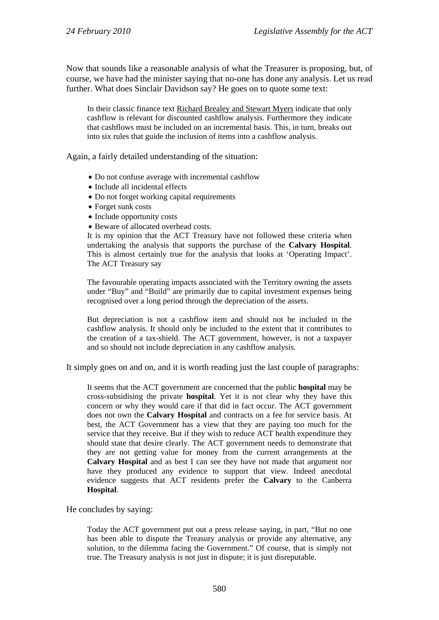Now that sounds like a reasonable analysis of what the Treasurer is proposing, but, of course, we have had the minister saying that no-one has done any analysis. Let us read further. What does Sinclair Davidson say? He goes on to quote some text:

In their classic finance text Richard Brealey and Stewart Myers indicate that only cashflow is relevant for discounted cashflow analysis. Furthermore they indicate that cashflows must be included on an incremental basis. This, in turn, breaks out into six rules that guide the inclusion of items into a cashflow analysis.

Again, a fairly detailed understanding of the situation:

- Do not confuse average with incremental cashflow
- Include all incidental effects
- Do not forget working capital requirements
- Forget sunk costs
- Include opportunity costs
- Beware of allocated overhead costs.

It is my opinion that the ACT Treasury have not followed these criteria when undertaking the analysis that supports the purchase of the **Calvary Hospital**. This is almost certainly true for the analysis that looks at 'Operating Impact'. The ACT Treasury say

The favourable operating impacts associated with the Territory owning the assets under "Buy" and "Build" are primarily due to capital investment expenses being recognised over a long period through the depreciation of the assets.

But depreciation is not a cashflow item and should not be included in the cashflow analysis. It should only be included to the extent that it contributes to the creation of a tax-shield. The ACT government, however, is not a taxpayer and so should not include depreciation in any cashflow analysis.

It simply goes on and on, and it is worth reading just the last couple of paragraphs:

It seems that the ACT government are concerned that the public **hospital** may be cross-subsidising the private **hospital**. Yet it is not clear why they have this concern or why they would care if that did in fact occur. The ACT government does not own the **Calvary Hospital** and contracts on a fee for service basis. At best, the ACT Government has a view that they are paying too much for the service that they receive. But if they wish to reduce ACT health expenditure they should state that desire clearly. The ACT government needs to demonstrate that they are not getting value for money from the current arrangements at the **Calvary Hospital** and as best I can see they have not made that argument nor have they produced any evidence to support that view. Indeed anecdotal evidence suggests that ACT residents prefer the **Calvary** to the Canberra **Hospital**.

He concludes by saying:

Today the ACT government put out a press release saying, in part, "But no one has been able to dispute the Treasury analysis or provide any alternative, any solution, to the dilemma facing the Government." Of course, that is simply not true. The Treasury analysis is not just in dispute; it is just disreputable.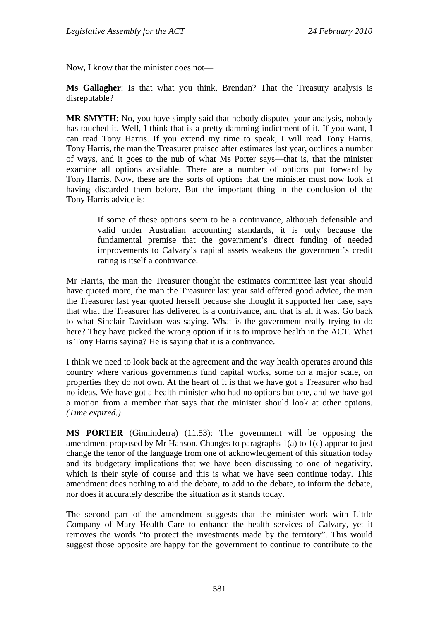Now, I know that the minister does not—

**Ms Gallagher**: Is that what you think, Brendan? That the Treasury analysis is disreputable?

**MR SMYTH**: No, you have simply said that nobody disputed your analysis, nobody has touched it. Well, I think that is a pretty damming indictment of it. If you want, I can read Tony Harris. If you extend my time to speak, I will read Tony Harris. Tony Harris, the man the Treasurer praised after estimates last year, outlines a number of ways, and it goes to the nub of what Ms Porter says—that is, that the minister examine all options available. There are a number of options put forward by Tony Harris. Now, these are the sorts of options that the minister must now look at having discarded them before. But the important thing in the conclusion of the Tony Harris advice is:

If some of these options seem to be a contrivance, although defensible and valid under Australian accounting standards, it is only because the fundamental premise that the government's direct funding of needed improvements to Calvary's capital assets weakens the government's credit rating is itself a contrivance.

Mr Harris, the man the Treasurer thought the estimates committee last year should have quoted more, the man the Treasurer last year said offered good advice, the man the Treasurer last year quoted herself because she thought it supported her case, says that what the Treasurer has delivered is a contrivance, and that is all it was. Go back to what Sinclair Davidson was saying. What is the government really trying to do here? They have picked the wrong option if it is to improve health in the ACT. What is Tony Harris saying? He is saying that it is a contrivance.

I think we need to look back at the agreement and the way health operates around this country where various governments fund capital works, some on a major scale, on properties they do not own. At the heart of it is that we have got a Treasurer who had no ideas. We have got a health minister who had no options but one, and we have got a motion from a member that says that the minister should look at other options. *(Time expired.)*

**MS PORTER** (Ginninderra) (11.53): The government will be opposing the amendment proposed by Mr Hanson. Changes to paragraphs 1(a) to 1(c) appear to just change the tenor of the language from one of acknowledgement of this situation today and its budgetary implications that we have been discussing to one of negativity, which is their style of course and this is what we have seen continue today. This amendment does nothing to aid the debate, to add to the debate, to inform the debate, nor does it accurately describe the situation as it stands today.

The second part of the amendment suggests that the minister work with Little Company of Mary Health Care to enhance the health services of Calvary, yet it removes the words "to protect the investments made by the territory". This would suggest those opposite are happy for the government to continue to contribute to the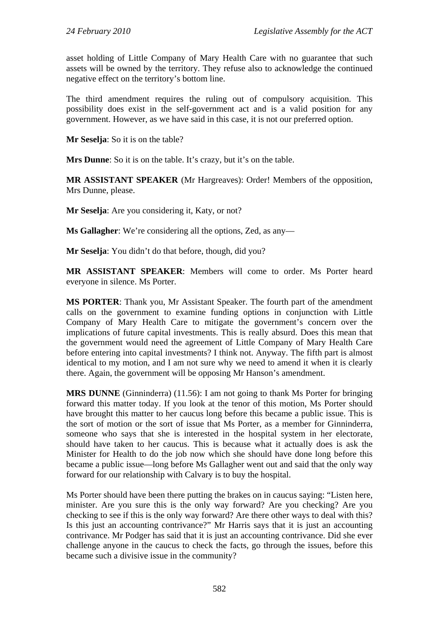asset holding of Little Company of Mary Health Care with no guarantee that such assets will be owned by the territory. They refuse also to acknowledge the continued negative effect on the territory's bottom line.

The third amendment requires the ruling out of compulsory acquisition. This possibility does exist in the self-government act and is a valid position for any government. However, as we have said in this case, it is not our preferred option.

**Mr Seselja**: So it is on the table?

**Mrs Dunne**: So it is on the table. It's crazy, but it's on the table.

**MR ASSISTANT SPEAKER** (Mr Hargreaves): Order! Members of the opposition, Mrs Dunne, please.

**Mr Seselja**: Are you considering it, Katy, or not?

**Ms Gallagher**: We're considering all the options, Zed, as any—

**Mr Seselja**: You didn't do that before, though, did you?

**MR ASSISTANT SPEAKER**: Members will come to order. Ms Porter heard everyone in silence. Ms Porter.

**MS PORTER**: Thank you, Mr Assistant Speaker. The fourth part of the amendment calls on the government to examine funding options in conjunction with Little Company of Mary Health Care to mitigate the government's concern over the implications of future capital investments. This is really absurd. Does this mean that the government would need the agreement of Little Company of Mary Health Care before entering into capital investments? I think not. Anyway. The fifth part is almost identical to my motion, and I am not sure why we need to amend it when it is clearly there. Again, the government will be opposing Mr Hanson's amendment.

**MRS DUNNE** (Ginninderra) (11.56): I am not going to thank Ms Porter for bringing forward this matter today. If you look at the tenor of this motion, Ms Porter should have brought this matter to her caucus long before this became a public issue. This is the sort of motion or the sort of issue that Ms Porter, as a member for Ginninderra, someone who says that she is interested in the hospital system in her electorate, should have taken to her caucus. This is because what it actually does is ask the Minister for Health to do the job now which she should have done long before this became a public issue—long before Ms Gallagher went out and said that the only way forward for our relationship with Calvary is to buy the hospital.

Ms Porter should have been there putting the brakes on in caucus saying: "Listen here, minister. Are you sure this is the only way forward? Are you checking? Are you checking to see if this is the only way forward? Are there other ways to deal with this? Is this just an accounting contrivance?" Mr Harris says that it is just an accounting contrivance. Mr Podger has said that it is just an accounting contrivance. Did she ever challenge anyone in the caucus to check the facts, go through the issues, before this became such a divisive issue in the community?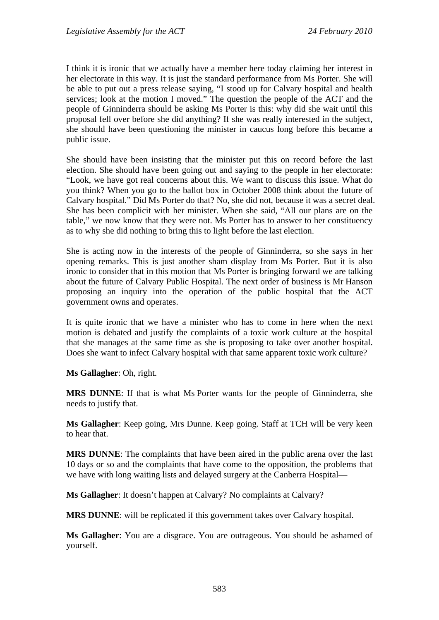I think it is ironic that we actually have a member here today claiming her interest in her electorate in this way. It is just the standard performance from Ms Porter. She will be able to put out a press release saying, "I stood up for Calvary hospital and health services; look at the motion I moved." The question the people of the ACT and the people of Ginninderra should be asking Ms Porter is this: why did she wait until this proposal fell over before she did anything? If she was really interested in the subject, she should have been questioning the minister in caucus long before this became a public issue.

She should have been insisting that the minister put this on record before the last election. She should have been going out and saying to the people in her electorate: "Look, we have got real concerns about this. We want to discuss this issue. What do you think? When you go to the ballot box in October 2008 think about the future of Calvary hospital." Did Ms Porter do that? No, she did not, because it was a secret deal. She has been complicit with her minister. When she said, "All our plans are on the table," we now know that they were not. Ms Porter has to answer to her constituency as to why she did nothing to bring this to light before the last election.

She is acting now in the interests of the people of Ginninderra, so she says in her opening remarks. This is just another sham display from Ms Porter. But it is also ironic to consider that in this motion that Ms Porter is bringing forward we are talking about the future of Calvary Public Hospital. The next order of business is Mr Hanson proposing an inquiry into the operation of the public hospital that the ACT government owns and operates.

It is quite ironic that we have a minister who has to come in here when the next motion is debated and justify the complaints of a toxic work culture at the hospital that she manages at the same time as she is proposing to take over another hospital. Does she want to infect Calvary hospital with that same apparent toxic work culture?

**Ms Gallagher**: Oh, right.

**MRS DUNNE**: If that is what Ms Porter wants for the people of Ginninderra, she needs to justify that.

**Ms Gallagher**: Keep going, Mrs Dunne. Keep going. Staff at TCH will be very keen to hear that.

**MRS DUNNE**: The complaints that have been aired in the public arena over the last 10 days or so and the complaints that have come to the opposition, the problems that we have with long waiting lists and delayed surgery at the Canberra Hospital—

**Ms Gallagher**: It doesn't happen at Calvary? No complaints at Calvary?

**MRS DUNNE**: will be replicated if this government takes over Calvary hospital.

**Ms Gallagher**: You are a disgrace. You are outrageous. You should be ashamed of yourself.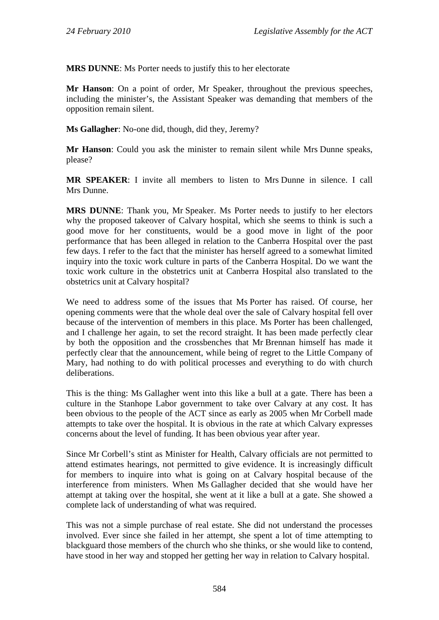**MRS DUNNE**: Ms Porter needs to justify this to her electorate

**Mr Hanson**: On a point of order, Mr Speaker, throughout the previous speeches, including the minister's, the Assistant Speaker was demanding that members of the opposition remain silent.

**Ms Gallagher**: No-one did, though, did they, Jeremy?

**Mr Hanson**: Could you ask the minister to remain silent while Mrs Dunne speaks, please?

**MR SPEAKER**: I invite all members to listen to Mrs Dunne in silence. I call Mrs Dunne.

**MRS DUNNE**: Thank you, Mr Speaker. Ms Porter needs to justify to her electors why the proposed takeover of Calvary hospital, which she seems to think is such a good move for her constituents, would be a good move in light of the poor performance that has been alleged in relation to the Canberra Hospital over the past few days. I refer to the fact that the minister has herself agreed to a somewhat limited inquiry into the toxic work culture in parts of the Canberra Hospital. Do we want the toxic work culture in the obstetrics unit at Canberra Hospital also translated to the obstetrics unit at Calvary hospital?

We need to address some of the issues that Ms Porter has raised. Of course, her opening comments were that the whole deal over the sale of Calvary hospital fell over because of the intervention of members in this place. Ms Porter has been challenged, and I challenge her again, to set the record straight. It has been made perfectly clear by both the opposition and the crossbenches that Mr Brennan himself has made it perfectly clear that the announcement, while being of regret to the Little Company of Mary, had nothing to do with political processes and everything to do with church deliberations.

This is the thing: Ms Gallagher went into this like a bull at a gate. There has been a culture in the Stanhope Labor government to take over Calvary at any cost. It has been obvious to the people of the ACT since as early as 2005 when Mr Corbell made attempts to take over the hospital. It is obvious in the rate at which Calvary expresses concerns about the level of funding. It has been obvious year after year.

Since Mr Corbell's stint as Minister for Health, Calvary officials are not permitted to attend estimates hearings, not permitted to give evidence. It is increasingly difficult for members to inquire into what is going on at Calvary hospital because of the interference from ministers. When Ms Gallagher decided that she would have her attempt at taking over the hospital, she went at it like a bull at a gate. She showed a complete lack of understanding of what was required.

This was not a simple purchase of real estate. She did not understand the processes involved. Ever since she failed in her attempt, she spent a lot of time attempting to blackguard those members of the church who she thinks, or she would like to contend, have stood in her way and stopped her getting her way in relation to Calvary hospital.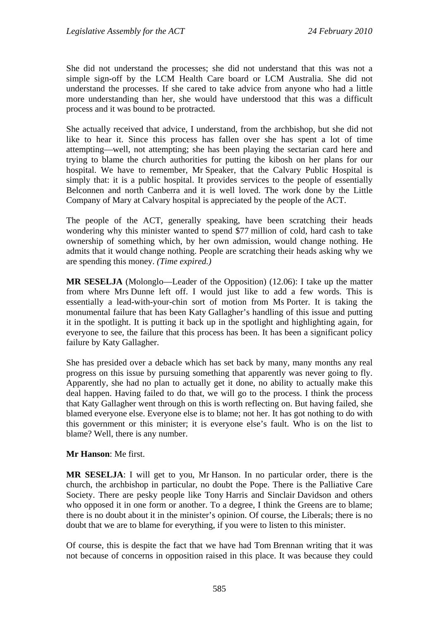She did not understand the processes; she did not understand that this was not a simple sign-off by the LCM Health Care board or LCM Australia. She did not understand the processes. If she cared to take advice from anyone who had a little more understanding than her, she would have understood that this was a difficult process and it was bound to be protracted.

She actually received that advice, I understand, from the archbishop, but she did not like to hear it. Since this process has fallen over she has spent a lot of time attempting—well, not attempting; she has been playing the sectarian card here and trying to blame the church authorities for putting the kibosh on her plans for our hospital. We have to remember, Mr Speaker, that the Calvary Public Hospital is simply that: it is a public hospital. It provides services to the people of essentially Belconnen and north Canberra and it is well loved. The work done by the Little Company of Mary at Calvary hospital is appreciated by the people of the ACT.

The people of the ACT, generally speaking, have been scratching their heads wondering why this minister wanted to spend \$77 million of cold, hard cash to take ownership of something which, by her own admission, would change nothing. He admits that it would change nothing. People are scratching their heads asking why we are spending this money. *(Time expired.)*

**MR SESELJA** (Molonglo—Leader of the Opposition) (12.06): I take up the matter from where Mrs Dunne left off. I would just like to add a few words. This is essentially a lead-with-your-chin sort of motion from Ms Porter. It is taking the monumental failure that has been Katy Gallagher's handling of this issue and putting it in the spotlight. It is putting it back up in the spotlight and highlighting again, for everyone to see, the failure that this process has been. It has been a significant policy failure by Katy Gallagher.

She has presided over a debacle which has set back by many, many months any real progress on this issue by pursuing something that apparently was never going to fly. Apparently, she had no plan to actually get it done, no ability to actually make this deal happen. Having failed to do that, we will go to the process. I think the process that Katy Gallagher went through on this is worth reflecting on. But having failed, she blamed everyone else. Everyone else is to blame; not her. It has got nothing to do with this government or this minister; it is everyone else's fault. Who is on the list to blame? Well, there is any number.

**Mr Hanson**: Me first.

**MR SESELJA**: I will get to you, Mr Hanson. In no particular order, there is the church, the archbishop in particular, no doubt the Pope. There is the Palliative Care Society. There are pesky people like Tony Harris and Sinclair Davidson and others who opposed it in one form or another. To a degree, I think the Greens are to blame; there is no doubt about it in the minister's opinion. Of course, the Liberals; there is no doubt that we are to blame for everything, if you were to listen to this minister.

Of course, this is despite the fact that we have had Tom Brennan writing that it was not because of concerns in opposition raised in this place. It was because they could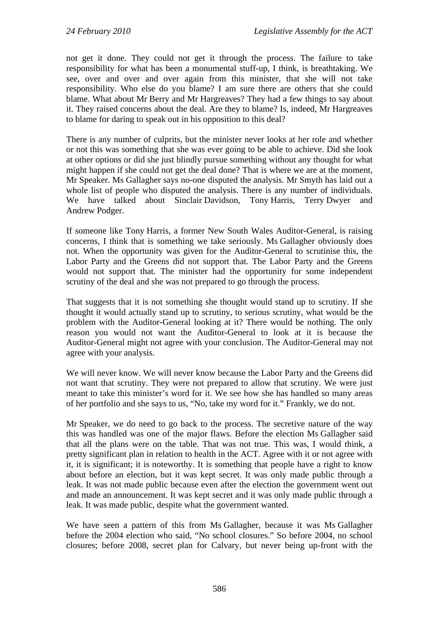not get it done. They could not get it through the process. The failure to take responsibility for what has been a monumental stuff-up, I think, is breathtaking. We see, over and over and over again from this minister, that she will not take responsibility. Who else do you blame? I am sure there are others that she could blame. What about Mr Berry and Mr Hargreaves? They had a few things to say about it. They raised concerns about the deal. Are they to blame? Is, indeed, Mr Hargreaves to blame for daring to speak out in his opposition to this deal?

There is any number of culprits, but the minister never looks at her role and whether or not this was something that she was ever going to be able to achieve. Did she look at other options or did she just blindly pursue something without any thought for what might happen if she could not get the deal done? That is where we are at the moment, Mr Speaker. Ms Gallagher says no-one disputed the analysis. Mr Smyth has laid out a whole list of people who disputed the analysis. There is any number of individuals. We have talked about Sinclair Davidson, Tony Harris, Terry Dwyer and Andrew Podger.

If someone like Tony Harris, a former New South Wales Auditor-General, is raising concerns, I think that is something we take seriously. Ms Gallagher obviously does not. When the opportunity was given for the Auditor-General to scrutinise this, the Labor Party and the Greens did not support that. The Labor Party and the Greens would not support that. The minister had the opportunity for some independent scrutiny of the deal and she was not prepared to go through the process.

That suggests that it is not something she thought would stand up to scrutiny. If she thought it would actually stand up to scrutiny, to serious scrutiny, what would be the problem with the Auditor-General looking at it? There would be nothing. The only reason you would not want the Auditor-General to look at it is because the Auditor-General might not agree with your conclusion. The Auditor-General may not agree with your analysis.

We will never know. We will never know because the Labor Party and the Greens did not want that scrutiny. They were not prepared to allow that scrutiny. We were just meant to take this minister's word for it. We see how she has handled so many areas of her portfolio and she says to us, "No, take my word for it." Frankly, we do not.

Mr Speaker, we do need to go back to the process. The secretive nature of the way this was handled was one of the major flaws. Before the election Ms Gallagher said that all the plans were on the table. That was not true. This was, I would think, a pretty significant plan in relation to health in the ACT. Agree with it or not agree with it, it is significant; it is noteworthy. It is something that people have a right to know about before an election, but it was kept secret. It was only made public through a leak. It was not made public because even after the election the government went out and made an announcement. It was kept secret and it was only made public through a leak. It was made public, despite what the government wanted.

We have seen a pattern of this from Ms Gallagher, because it was Ms Gallagher before the 2004 election who said, "No school closures." So before 2004, no school closures; before 2008, secret plan for Calvary, but never being up-front with the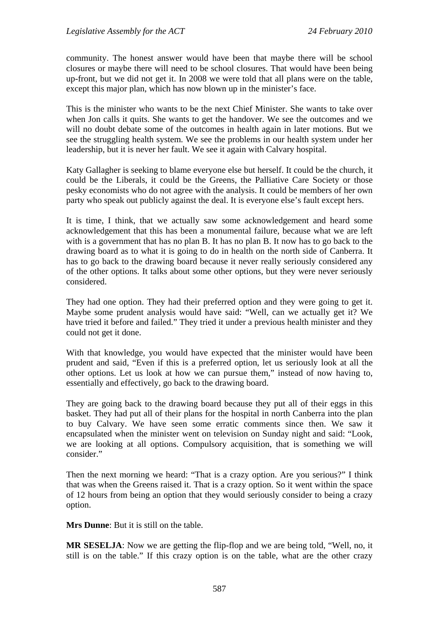community. The honest answer would have been that maybe there will be school closures or maybe there will need to be school closures. That would have been being up-front, but we did not get it. In 2008 we were told that all plans were on the table, except this major plan, which has now blown up in the minister's face.

This is the minister who wants to be the next Chief Minister. She wants to take over when Jon calls it quits. She wants to get the handover. We see the outcomes and we will no doubt debate some of the outcomes in health again in later motions. But we see the struggling health system. We see the problems in our health system under her leadership, but it is never her fault. We see it again with Calvary hospital.

Katy Gallagher is seeking to blame everyone else but herself. It could be the church, it could be the Liberals, it could be the Greens, the Palliative Care Society or those pesky economists who do not agree with the analysis. It could be members of her own party who speak out publicly against the deal. It is everyone else's fault except hers.

It is time, I think, that we actually saw some acknowledgement and heard some acknowledgement that this has been a monumental failure, because what we are left with is a government that has no plan B. It has no plan B. It now has to go back to the drawing board as to what it is going to do in health on the north side of Canberra. It has to go back to the drawing board because it never really seriously considered any of the other options. It talks about some other options, but they were never seriously considered.

They had one option. They had their preferred option and they were going to get it. Maybe some prudent analysis would have said: "Well, can we actually get it? We have tried it before and failed." They tried it under a previous health minister and they could not get it done.

With that knowledge, you would have expected that the minister would have been prudent and said, "Even if this is a preferred option, let us seriously look at all the other options. Let us look at how we can pursue them," instead of now having to, essentially and effectively, go back to the drawing board.

They are going back to the drawing board because they put all of their eggs in this basket. They had put all of their plans for the hospital in north Canberra into the plan to buy Calvary. We have seen some erratic comments since then. We saw it encapsulated when the minister went on television on Sunday night and said: "Look, we are looking at all options. Compulsory acquisition, that is something we will consider."

Then the next morning we heard: "That is a crazy option. Are you serious?" I think that was when the Greens raised it. That is a crazy option. So it went within the space of 12 hours from being an option that they would seriously consider to being a crazy option.

**Mrs Dunne**: But it is still on the table.

**MR SESELJA**: Now we are getting the flip-flop and we are being told, "Well, no, it still is on the table." If this crazy option is on the table, what are the other crazy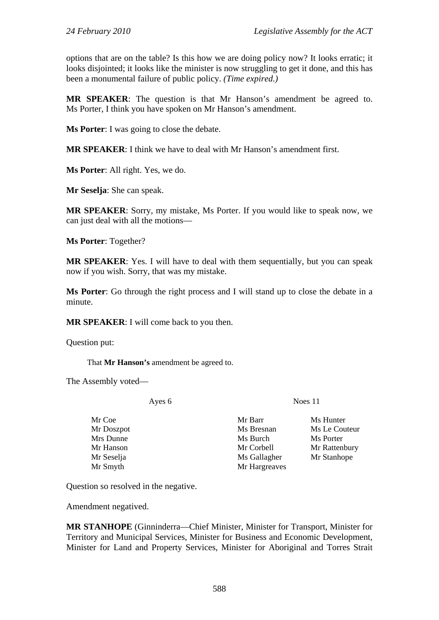options that are on the table? Is this how we are doing policy now? It looks erratic; it looks disjointed; it looks like the minister is now struggling to get it done, and this has been a monumental failure of public policy. *(Time expired.)*

**MR SPEAKER**: The question is that Mr Hanson's amendment be agreed to. Ms Porter, I think you have spoken on Mr Hanson's amendment.

**Ms Porter**: I was going to close the debate.

**MR SPEAKER**: I think we have to deal with Mr Hanson's amendment first.

**Ms Porter**: All right. Yes, we do.

**Mr Seselja**: She can speak.

**MR SPEAKER**: Sorry, my mistake, Ms Porter. If you would like to speak now, we can just deal with all the motions—

**Ms Porter**: Together?

**MR SPEAKER**: Yes. I will have to deal with them sequentially, but you can speak now if you wish. Sorry, that was my mistake.

**Ms Porter**: Go through the right process and I will stand up to close the debate in a minute.

**MR SPEAKER**: I will come back to you then.

Question put:

That **Mr Hanson's** amendment be agreed to.

The Assembly voted—

Ayes 6 Noes 11

Mr Smyth Mr Hargreaves

Mr Coe Mr Barr Ms Hunter Mrs Dunne Ms Burch Ms Burch Ms Porter

Mr Doszpot Ms Bresnan Ms Le Couteur Mr Hanson Mr Corbell Mr Rattenbury Mr Seselja Ms Gallagher Mr Stanhope

Question so resolved in the negative.

Amendment negatived.

**MR STANHOPE** (Ginninderra—Chief Minister, Minister for Transport, Minister for Territory and Municipal Services, Minister for Business and Economic Development, Minister for Land and Property Services, Minister for Aboriginal and Torres Strait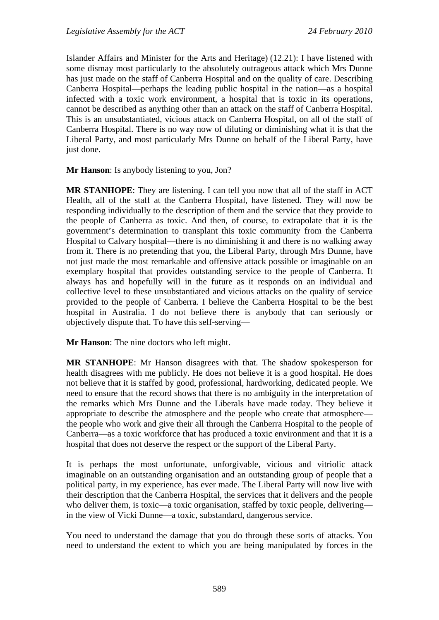Islander Affairs and Minister for the Arts and Heritage) (12.21): I have listened with some dismay most particularly to the absolutely outrageous attack which Mrs Dunne has just made on the staff of Canberra Hospital and on the quality of care. Describing Canberra Hospital—perhaps the leading public hospital in the nation—as a hospital infected with a toxic work environment, a hospital that is toxic in its operations, cannot be described as anything other than an attack on the staff of Canberra Hospital. This is an unsubstantiated, vicious attack on Canberra Hospital, on all of the staff of Canberra Hospital. There is no way now of diluting or diminishing what it is that the Liberal Party, and most particularly Mrs Dunne on behalf of the Liberal Party, have just done.

**Mr Hanson**: Is anybody listening to you, Jon?

**MR STANHOPE**: They are listening. I can tell you now that all of the staff in ACT Health, all of the staff at the Canberra Hospital, have listened. They will now be responding individually to the description of them and the service that they provide to the people of Canberra as toxic. And then, of course, to extrapolate that it is the government's determination to transplant this toxic community from the Canberra Hospital to Calvary hospital—there is no diminishing it and there is no walking away from it. There is no pretending that you, the Liberal Party, through Mrs Dunne, have not just made the most remarkable and offensive attack possible or imaginable on an exemplary hospital that provides outstanding service to the people of Canberra. It always has and hopefully will in the future as it responds on an individual and collective level to these unsubstantiated and vicious attacks on the quality of service provided to the people of Canberra. I believe the Canberra Hospital to be the best hospital in Australia. I do not believe there is anybody that can seriously or objectively dispute that. To have this self-serving—

**Mr Hanson**: The nine doctors who left might.

**MR STANHOPE**: Mr Hanson disagrees with that. The shadow spokesperson for health disagrees with me publicly. He does not believe it is a good hospital. He does not believe that it is staffed by good, professional, hardworking, dedicated people. We need to ensure that the record shows that there is no ambiguity in the interpretation of the remarks which Mrs Dunne and the Liberals have made today. They believe it appropriate to describe the atmosphere and the people who create that atmosphere the people who work and give their all through the Canberra Hospital to the people of Canberra—as a toxic workforce that has produced a toxic environment and that it is a hospital that does not deserve the respect or the support of the Liberal Party.

It is perhaps the most unfortunate, unforgivable, vicious and vitriolic attack imaginable on an outstanding organisation and an outstanding group of people that a political party, in my experience, has ever made. The Liberal Party will now live with their description that the Canberra Hospital, the services that it delivers and the people who deliver them, is toxic—a toxic organisation, staffed by toxic people, delivering in the view of Vicki Dunne—a toxic, substandard, dangerous service.

You need to understand the damage that you do through these sorts of attacks. You need to understand the extent to which you are being manipulated by forces in the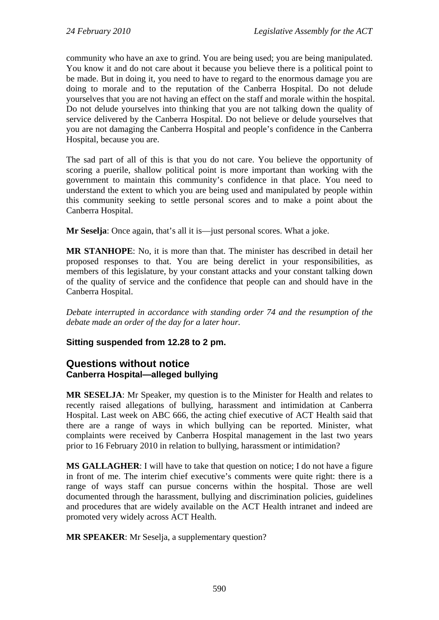community who have an axe to grind. You are being used; you are being manipulated. You know it and do not care about it because you believe there is a political point to be made. But in doing it, you need to have to regard to the enormous damage you are doing to morale and to the reputation of the Canberra Hospital. Do not delude yourselves that you are not having an effect on the staff and morale within the hospital. Do not delude yourselves into thinking that you are not talking down the quality of service delivered by the Canberra Hospital. Do not believe or delude yourselves that you are not damaging the Canberra Hospital and people's confidence in the Canberra Hospital, because you are.

The sad part of all of this is that you do not care. You believe the opportunity of scoring a puerile, shallow political point is more important than working with the government to maintain this community's confidence in that place. You need to understand the extent to which you are being used and manipulated by people within this community seeking to settle personal scores and to make a point about the Canberra Hospital.

**Mr Seselia**: Once again, that's all it is—just personal scores. What a joke.

**MR STANHOPE**: No, it is more than that. The minister has described in detail her proposed responses to that. You are being derelict in your responsibilities, as members of this legislature, by your constant attacks and your constant talking down of the quality of service and the confidence that people can and should have in the Canberra Hospital.

*Debate interrupted in accordance with standing order 74 and the resumption of the debate made an order of the day for a later hour.* 

### **Sitting suspended from 12.28 to 2 pm.**

# **Questions without notice Canberra Hospital—alleged bullying**

**MR SESELJA**: Mr Speaker, my question is to the Minister for Health and relates to recently raised allegations of bullying, harassment and intimidation at Canberra Hospital. Last week on ABC 666, the acting chief executive of ACT Health said that there are a range of ways in which bullying can be reported. Minister, what complaints were received by Canberra Hospital management in the last two years prior to 16 February 2010 in relation to bullying, harassment or intimidation?

**MS GALLAGHER**: I will have to take that question on notice; I do not have a figure in front of me. The interim chief executive's comments were quite right: there is a range of ways staff can pursue concerns within the hospital. Those are well documented through the harassment, bullying and discrimination policies, guidelines and procedures that are widely available on the ACT Health intranet and indeed are promoted very widely across ACT Health.

**MR SPEAKER**: Mr Seselja, a supplementary question?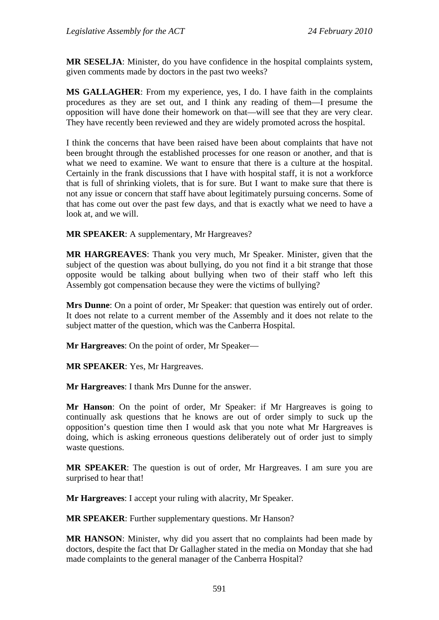**MR SESELJA**: Minister, do you have confidence in the hospital complaints system, given comments made by doctors in the past two weeks?

**MS GALLAGHER**: From my experience, yes, I do. I have faith in the complaints procedures as they are set out, and I think any reading of them—I presume the opposition will have done their homework on that—will see that they are very clear. They have recently been reviewed and they are widely promoted across the hospital.

I think the concerns that have been raised have been about complaints that have not been brought through the established processes for one reason or another, and that is what we need to examine. We want to ensure that there is a culture at the hospital. Certainly in the frank discussions that I have with hospital staff, it is not a workforce that is full of shrinking violets, that is for sure. But I want to make sure that there is not any issue or concern that staff have about legitimately pursuing concerns. Some of that has come out over the past few days, and that is exactly what we need to have a look at, and we will.

**MR SPEAKER**: A supplementary, Mr Hargreaves?

**MR HARGREAVES**: Thank you very much, Mr Speaker. Minister, given that the subject of the question was about bullying, do you not find it a bit strange that those opposite would be talking about bullying when two of their staff who left this Assembly got compensation because they were the victims of bullying?

**Mrs Dunne**: On a point of order, Mr Speaker: that question was entirely out of order. It does not relate to a current member of the Assembly and it does not relate to the subject matter of the question, which was the Canberra Hospital.

**Mr Hargreaves**: On the point of order, Mr Speaker—

**MR SPEAKER**: Yes, Mr Hargreaves.

**Mr Hargreaves**: I thank Mrs Dunne for the answer.

**Mr Hanson**: On the point of order, Mr Speaker: if Mr Hargreaves is going to continually ask questions that he knows are out of order simply to suck up the opposition's question time then I would ask that you note what Mr Hargreaves is doing, which is asking erroneous questions deliberately out of order just to simply waste questions.

**MR SPEAKER**: The question is out of order, Mr Hargreaves. I am sure you are surprised to hear that!

**Mr Hargreaves**: I accept your ruling with alacrity, Mr Speaker.

**MR SPEAKER**: Further supplementary questions. Mr Hanson?

**MR HANSON**: Minister, why did you assert that no complaints had been made by doctors, despite the fact that Dr Gallagher stated in the media on Monday that she had made complaints to the general manager of the Canberra Hospital?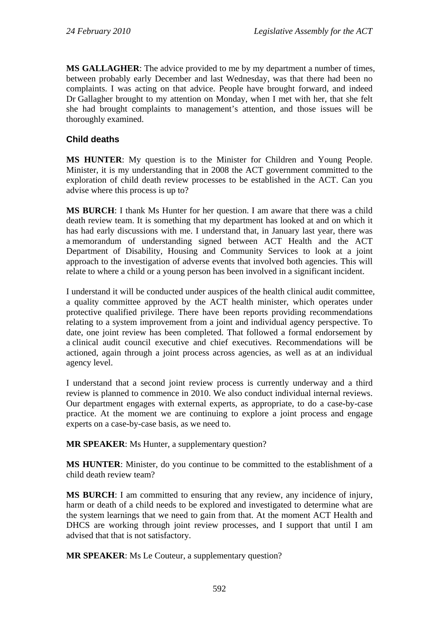**MS GALLAGHER**: The advice provided to me by my department a number of times, between probably early December and last Wednesday, was that there had been no complaints. I was acting on that advice. People have brought forward, and indeed Dr Gallagher brought to my attention on Monday, when I met with her, that she felt she had brought complaints to management's attention, and those issues will be thoroughly examined.

# **Child deaths**

**MS HUNTER**: My question is to the Minister for Children and Young People. Minister, it is my understanding that in 2008 the ACT government committed to the exploration of child death review processes to be established in the ACT. Can you advise where this process is up to?

**MS BURCH**: I thank Ms Hunter for her question. I am aware that there was a child death review team. It is something that my department has looked at and on which it has had early discussions with me. I understand that, in January last year, there was a memorandum of understanding signed between ACT Health and the ACT Department of Disability, Housing and Community Services to look at a joint approach to the investigation of adverse events that involved both agencies. This will relate to where a child or a young person has been involved in a significant incident.

I understand it will be conducted under auspices of the health clinical audit committee, a quality committee approved by the ACT health minister, which operates under protective qualified privilege. There have been reports providing recommendations relating to a system improvement from a joint and individual agency perspective. To date, one joint review has been completed. That followed a formal endorsement by a clinical audit council executive and chief executives. Recommendations will be actioned, again through a joint process across agencies, as well as at an individual agency level.

I understand that a second joint review process is currently underway and a third review is planned to commence in 2010. We also conduct individual internal reviews. Our department engages with external experts, as appropriate, to do a case-by-case practice. At the moment we are continuing to explore a joint process and engage experts on a case-by-case basis, as we need to.

**MR SPEAKER**: Ms Hunter, a supplementary question?

**MS HUNTER**: Minister, do you continue to be committed to the establishment of a child death review team?

**MS BURCH**: I am committed to ensuring that any review, any incidence of injury, harm or death of a child needs to be explored and investigated to determine what are the system learnings that we need to gain from that. At the moment ACT Health and DHCS are working through joint review processes, and I support that until I am advised that that is not satisfactory.

**MR SPEAKER**: Ms Le Couteur, a supplementary question?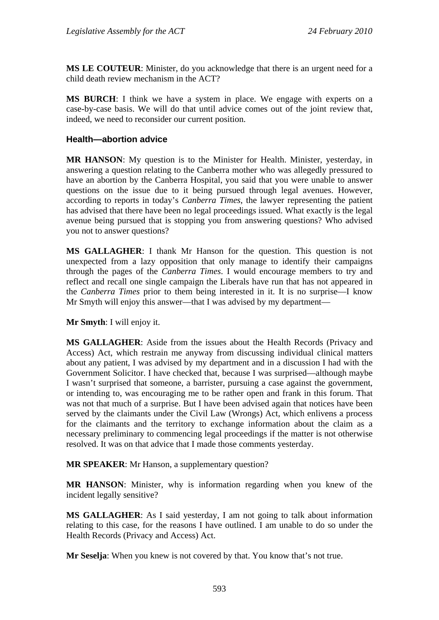**MS LE COUTEUR**: Minister, do you acknowledge that there is an urgent need for a child death review mechanism in the ACT?

**MS BURCH**: I think we have a system in place. We engage with experts on a case-by-case basis. We will do that until advice comes out of the joint review that, indeed, we need to reconsider our current position.

### **Health—abortion advice**

**MR HANSON**: My question is to the Minister for Health. Minister, yesterday, in answering a question relating to the Canberra mother who was allegedly pressured to have an abortion by the Canberra Hospital, you said that you were unable to answer questions on the issue due to it being pursued through legal avenues. However, according to reports in today's *Canberra Times*, the lawyer representing the patient has advised that there have been no legal proceedings issued. What exactly is the legal avenue being pursued that is stopping you from answering questions? Who advised you not to answer questions?

**MS GALLAGHER**: I thank Mr Hanson for the question. This question is not unexpected from a lazy opposition that only manage to identify their campaigns through the pages of the *Canberra Times*. I would encourage members to try and reflect and recall one single campaign the Liberals have run that has not appeared in the *Canberra Times* prior to them being interested in it. It is no surprise—I know Mr Smyth will enjoy this answer—that I was advised by my department—

**Mr Smyth**: I will enjoy it.

**MS GALLAGHER**: Aside from the issues about the Health Records (Privacy and Access) Act, which restrain me anyway from discussing individual clinical matters about any patient, I was advised by my department and in a discussion I had with the Government Solicitor. I have checked that, because I was surprised—although maybe I wasn't surprised that someone, a barrister, pursuing a case against the government, or intending to, was encouraging me to be rather open and frank in this forum. That was not that much of a surprise. But I have been advised again that notices have been served by the claimants under the Civil Law (Wrongs) Act, which enlivens a process for the claimants and the territory to exchange information about the claim as a necessary preliminary to commencing legal proceedings if the matter is not otherwise resolved. It was on that advice that I made those comments yesterday.

**MR SPEAKER**: Mr Hanson, a supplementary question?

**MR HANSON**: Minister, why is information regarding when you knew of the incident legally sensitive?

**MS GALLAGHER**: As I said yesterday, I am not going to talk about information relating to this case, for the reasons I have outlined. I am unable to do so under the Health Records (Privacy and Access) Act.

**Mr Seselja**: When you knew is not covered by that. You know that's not true.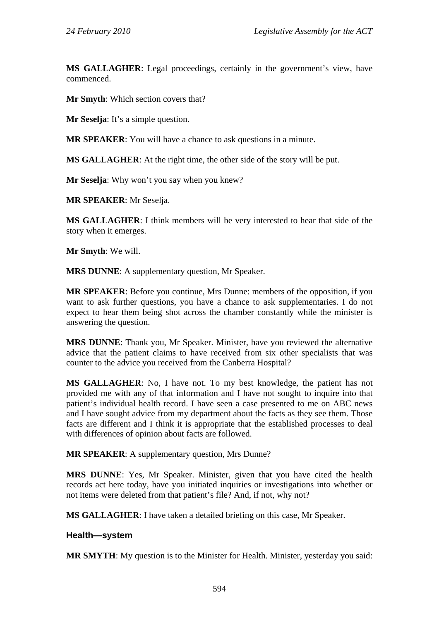**MS GALLAGHER**: Legal proceedings, certainly in the government's view, have commenced.

**Mr Smyth**: Which section covers that?

**Mr Seselja**: It's a simple question.

**MR SPEAKER**: You will have a chance to ask questions in a minute.

**MS GALLAGHER**: At the right time, the other side of the story will be put.

**Mr Seselja**: Why won't you say when you knew?

**MR SPEAKER**: Mr Seselja.

**MS GALLAGHER**: I think members will be very interested to hear that side of the story when it emerges.

**Mr Smyth**: We will.

**MRS DUNNE**: A supplementary question, Mr Speaker.

**MR SPEAKER**: Before you continue, Mrs Dunne: members of the opposition, if you want to ask further questions, you have a chance to ask supplementaries. I do not expect to hear them being shot across the chamber constantly while the minister is answering the question.

**MRS DUNNE**: Thank you, Mr Speaker. Minister, have you reviewed the alternative advice that the patient claims to have received from six other specialists that was counter to the advice you received from the Canberra Hospital?

**MS GALLAGHER**: No, I have not. To my best knowledge, the patient has not provided me with any of that information and I have not sought to inquire into that patient's individual health record. I have seen a case presented to me on ABC news and I have sought advice from my department about the facts as they see them. Those facts are different and I think it is appropriate that the established processes to deal with differences of opinion about facts are followed.

**MR SPEAKER**: A supplementary question, Mrs Dunne?

**MRS DUNNE**: Yes, Mr Speaker. Minister, given that you have cited the health records act here today, have you initiated inquiries or investigations into whether or not items were deleted from that patient's file? And, if not, why not?

**MS GALLAGHER**: I have taken a detailed briefing on this case, Mr Speaker.

### **Health—system**

**MR SMYTH**: My question is to the Minister for Health. Minister, yesterday you said: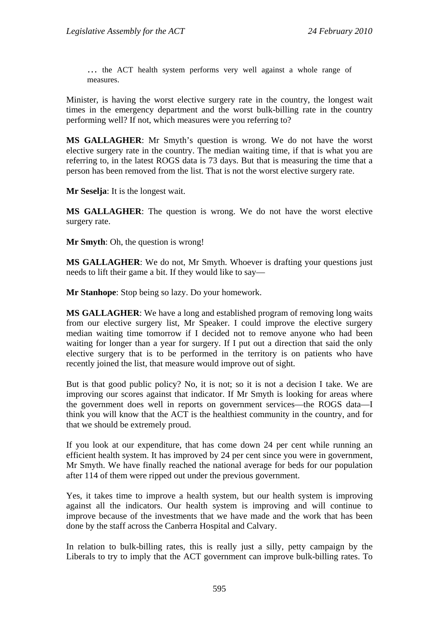… the ACT health system performs very well against a whole range of measures.

Minister, is having the worst elective surgery rate in the country, the longest wait times in the emergency department and the worst bulk-billing rate in the country performing well? If not, which measures were you referring to?

**MS GALLAGHER**: Mr Smyth's question is wrong. We do not have the worst elective surgery rate in the country. The median waiting time, if that is what you are referring to, in the latest ROGS data is 73 days. But that is measuring the time that a person has been removed from the list. That is not the worst elective surgery rate.

**Mr Seselja**: It is the longest wait.

**MS GALLAGHER**: The question is wrong. We do not have the worst elective surgery rate.

**Mr Smyth**: Oh, the question is wrong!

**MS GALLAGHER**: We do not, Mr Smyth. Whoever is drafting your questions just needs to lift their game a bit. If they would like to say—

**Mr Stanhope**: Stop being so lazy. Do your homework.

**MS GALLAGHER**: We have a long and established program of removing long waits from our elective surgery list, Mr Speaker. I could improve the elective surgery median waiting time tomorrow if I decided not to remove anyone who had been waiting for longer than a year for surgery. If I put out a direction that said the only elective surgery that is to be performed in the territory is on patients who have recently joined the list, that measure would improve out of sight.

But is that good public policy? No, it is not; so it is not a decision I take. We are improving our scores against that indicator. If Mr Smyth is looking for areas where the government does well in reports on government services—the ROGS data—I think you will know that the ACT is the healthiest community in the country, and for that we should be extremely proud.

If you look at our expenditure, that has come down 24 per cent while running an efficient health system. It has improved by 24 per cent since you were in government, Mr Smyth. We have finally reached the national average for beds for our population after 114 of them were ripped out under the previous government.

Yes, it takes time to improve a health system, but our health system is improving against all the indicators. Our health system is improving and will continue to improve because of the investments that we have made and the work that has been done by the staff across the Canberra Hospital and Calvary.

In relation to bulk-billing rates, this is really just a silly, petty campaign by the Liberals to try to imply that the ACT government can improve bulk-billing rates. To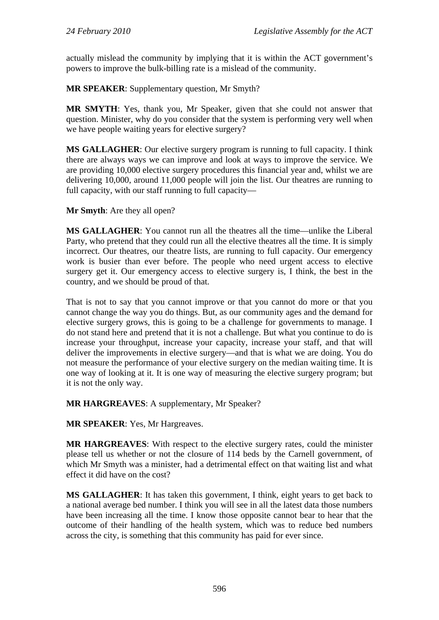actually mislead the community by implying that it is within the ACT government's powers to improve the bulk-billing rate is a mislead of the community.

**MR SPEAKER**: Supplementary question, Mr Smyth?

**MR SMYTH**: Yes, thank you, Mr Speaker, given that she could not answer that question. Minister, why do you consider that the system is performing very well when we have people waiting years for elective surgery?

**MS GALLAGHER**: Our elective surgery program is running to full capacity. I think there are always ways we can improve and look at ways to improve the service. We are providing 10,000 elective surgery procedures this financial year and, whilst we are delivering 10,000, around 11,000 people will join the list. Our theatres are running to full capacity, with our staff running to full capacity—

**Mr Smyth**: Are they all open?

**MS GALLAGHER**: You cannot run all the theatres all the time—unlike the Liberal Party, who pretend that they could run all the elective theatres all the time. It is simply incorrect. Our theatres, our theatre lists, are running to full capacity. Our emergency work is busier than ever before. The people who need urgent access to elective surgery get it. Our emergency access to elective surgery is, I think, the best in the country, and we should be proud of that.

That is not to say that you cannot improve or that you cannot do more or that you cannot change the way you do things. But, as our community ages and the demand for elective surgery grows, this is going to be a challenge for governments to manage. I do not stand here and pretend that it is not a challenge. But what you continue to do is increase your throughput, increase your capacity, increase your staff, and that will deliver the improvements in elective surgery—and that is what we are doing. You do not measure the performance of your elective surgery on the median waiting time. It is one way of looking at it. It is one way of measuring the elective surgery program; but it is not the only way.

**MR HARGREAVES**: A supplementary, Mr Speaker?

**MR SPEAKER**: Yes, Mr Hargreaves.

**MR HARGREAVES**: With respect to the elective surgery rates, could the minister please tell us whether or not the closure of 114 beds by the Carnell government, of which Mr Smyth was a minister, had a detrimental effect on that waiting list and what effect it did have on the cost?

**MS GALLAGHER**: It has taken this government, I think, eight years to get back to a national average bed number. I think you will see in all the latest data those numbers have been increasing all the time. I know those opposite cannot bear to hear that the outcome of their handling of the health system, which was to reduce bed numbers across the city, is something that this community has paid for ever since.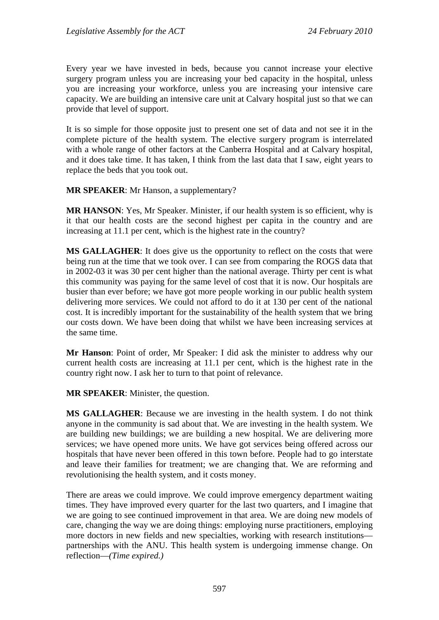Every year we have invested in beds, because you cannot increase your elective surgery program unless you are increasing your bed capacity in the hospital, unless you are increasing your workforce, unless you are increasing your intensive care capacity. We are building an intensive care unit at Calvary hospital just so that we can provide that level of support.

It is so simple for those opposite just to present one set of data and not see it in the complete picture of the health system. The elective surgery program is interrelated with a whole range of other factors at the Canberra Hospital and at Calvary hospital, and it does take time. It has taken, I think from the last data that I saw, eight years to replace the beds that you took out.

**MR SPEAKER**: Mr Hanson, a supplementary?

**MR HANSON**: Yes, Mr Speaker. Minister, if our health system is so efficient, why is it that our health costs are the second highest per capita in the country and are increasing at 11.1 per cent, which is the highest rate in the country?

**MS GALLAGHER**: It does give us the opportunity to reflect on the costs that were being run at the time that we took over. I can see from comparing the ROGS data that in 2002-03 it was 30 per cent higher than the national average. Thirty per cent is what this community was paying for the same level of cost that it is now. Our hospitals are busier than ever before; we have got more people working in our public health system delivering more services. We could not afford to do it at 130 per cent of the national cost. It is incredibly important for the sustainability of the health system that we bring our costs down. We have been doing that whilst we have been increasing services at the same time.

**Mr Hanson**: Point of order, Mr Speaker: I did ask the minister to address why our current health costs are increasing at 11.1 per cent, which is the highest rate in the country right now. I ask her to turn to that point of relevance.

**MR SPEAKER**: Minister, the question.

**MS GALLAGHER**: Because we are investing in the health system. I do not think anyone in the community is sad about that. We are investing in the health system. We are building new buildings; we are building a new hospital. We are delivering more services; we have opened more units. We have got services being offered across our hospitals that have never been offered in this town before. People had to go interstate and leave their families for treatment; we are changing that. We are reforming and revolutionising the health system, and it costs money.

There are areas we could improve. We could improve emergency department waiting times. They have improved every quarter for the last two quarters, and I imagine that we are going to see continued improvement in that area. We are doing new models of care, changing the way we are doing things: employing nurse practitioners, employing more doctors in new fields and new specialties, working with research institutions partnerships with the ANU. This health system is undergoing immense change. On reflection—*(Time expired.)*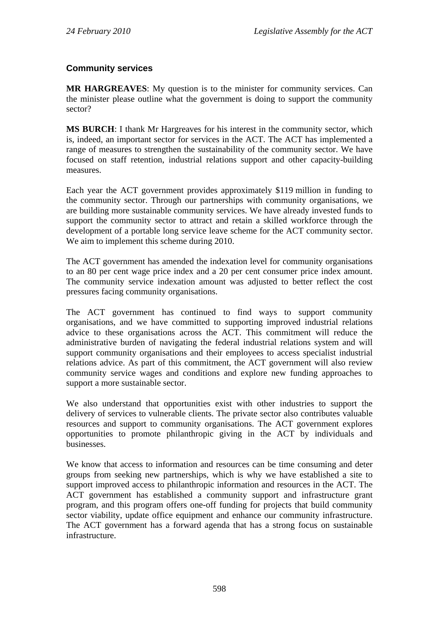# **Community services**

**MR HARGREAVES**: My question is to the minister for community services. Can the minister please outline what the government is doing to support the community sector?

**MS BURCH**: I thank Mr Hargreaves for his interest in the community sector, which is, indeed, an important sector for services in the ACT. The ACT has implemented a range of measures to strengthen the sustainability of the community sector. We have focused on staff retention, industrial relations support and other capacity-building measures.

Each year the ACT government provides approximately \$119 million in funding to the community sector. Through our partnerships with community organisations, we are building more sustainable community services. We have already invested funds to support the community sector to attract and retain a skilled workforce through the development of a portable long service leave scheme for the ACT community sector. We aim to implement this scheme during 2010.

The ACT government has amended the indexation level for community organisations to an 80 per cent wage price index and a 20 per cent consumer price index amount. The community service indexation amount was adjusted to better reflect the cost pressures facing community organisations.

The ACT government has continued to find ways to support community organisations, and we have committed to supporting improved industrial relations advice to these organisations across the ACT. This commitment will reduce the administrative burden of navigating the federal industrial relations system and will support community organisations and their employees to access specialist industrial relations advice. As part of this commitment, the ACT government will also review community service wages and conditions and explore new funding approaches to support a more sustainable sector.

We also understand that opportunities exist with other industries to support the delivery of services to vulnerable clients. The private sector also contributes valuable resources and support to community organisations. The ACT government explores opportunities to promote philanthropic giving in the ACT by individuals and businesses.

We know that access to information and resources can be time consuming and deter groups from seeking new partnerships, which is why we have established a site to support improved access to philanthropic information and resources in the ACT. The ACT government has established a community support and infrastructure grant program, and this program offers one-off funding for projects that build community sector viability, update office equipment and enhance our community infrastructure. The ACT government has a forward agenda that has a strong focus on sustainable infrastructure.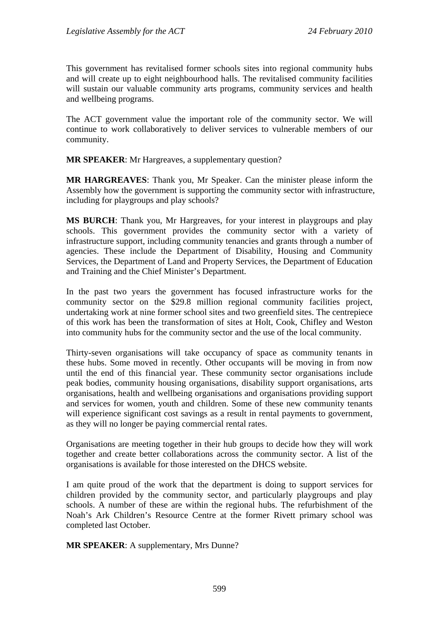This government has revitalised former schools sites into regional community hubs and will create up to eight neighbourhood halls. The revitalised community facilities will sustain our valuable community arts programs, community services and health and wellbeing programs.

The ACT government value the important role of the community sector. We will continue to work collaboratively to deliver services to vulnerable members of our community.

**MR SPEAKER**: Mr Hargreaves, a supplementary question?

**MR HARGREAVES**: Thank you, Mr Speaker. Can the minister please inform the Assembly how the government is supporting the community sector with infrastructure, including for playgroups and play schools?

**MS BURCH**: Thank you, Mr Hargreaves, for your interest in playgroups and play schools. This government provides the community sector with a variety of infrastructure support, including community tenancies and grants through a number of agencies. These include the Department of Disability, Housing and Community Services, the Department of Land and Property Services, the Department of Education and Training and the Chief Minister's Department.

In the past two years the government has focused infrastructure works for the community sector on the \$29.8 million regional community facilities project, undertaking work at nine former school sites and two greenfield sites. The centrepiece of this work has been the transformation of sites at Holt, Cook, Chifley and Weston into community hubs for the community sector and the use of the local community.

Thirty-seven organisations will take occupancy of space as community tenants in these hubs. Some moved in recently. Other occupants will be moving in from now until the end of this financial year. These community sector organisations include peak bodies, community housing organisations, disability support organisations, arts organisations, health and wellbeing organisations and organisations providing support and services for women, youth and children. Some of these new community tenants will experience significant cost savings as a result in rental payments to government, as they will no longer be paying commercial rental rates.

Organisations are meeting together in their hub groups to decide how they will work together and create better collaborations across the community sector. A list of the organisations is available for those interested on the DHCS website.

I am quite proud of the work that the department is doing to support services for children provided by the community sector, and particularly playgroups and play schools. A number of these are within the regional hubs. The refurbishment of the Noah's Ark Children's Resource Centre at the former Rivett primary school was completed last October.

**MR SPEAKER:** A supplementary, Mrs Dunne?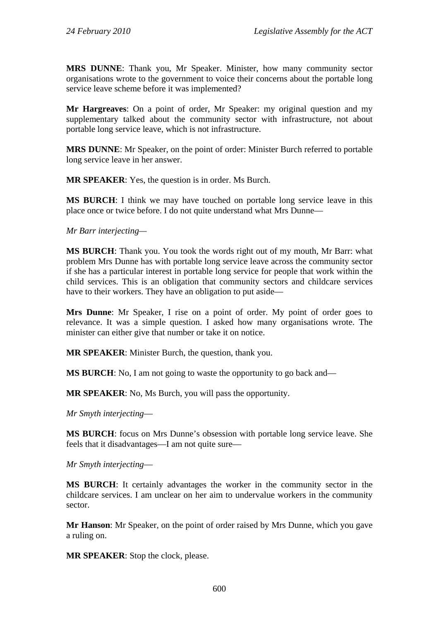**MRS DUNNE**: Thank you, Mr Speaker. Minister, how many community sector organisations wrote to the government to voice their concerns about the portable long service leave scheme before it was implemented?

**Mr Hargreaves**: On a point of order, Mr Speaker: my original question and my supplementary talked about the community sector with infrastructure, not about portable long service leave, which is not infrastructure.

**MRS DUNNE**: Mr Speaker, on the point of order: Minister Burch referred to portable long service leave in her answer.

**MR SPEAKER**: Yes, the question is in order. Ms Burch.

**MS BURCH**: I think we may have touched on portable long service leave in this place once or twice before. I do not quite understand what Mrs Dunne—

*Mr Barr interjecting—* 

**MS BURCH**: Thank you. You took the words right out of my mouth, Mr Barr: what problem Mrs Dunne has with portable long service leave across the community sector if she has a particular interest in portable long service for people that work within the child services. This is an obligation that community sectors and childcare services have to their workers. They have an obligation to put aside—

**Mrs Dunne**: Mr Speaker, I rise on a point of order. My point of order goes to relevance. It was a simple question. I asked how many organisations wrote. The minister can either give that number or take it on notice.

**MR SPEAKER**: Minister Burch, the question, thank you.

**MS BURCH:** No, I am not going to waste the opportunity to go back and—

**MR SPEAKER**: No, Ms Burch, you will pass the opportunity.

*Mr Smyth interjecting*—

**MS BURCH**: focus on Mrs Dunne's obsession with portable long service leave. She feels that it disadvantages—I am not quite sure—

*Mr Smyth interjecting*—

**MS BURCH**: It certainly advantages the worker in the community sector in the childcare services. I am unclear on her aim to undervalue workers in the community sector.

**Mr Hanson**: Mr Speaker, on the point of order raised by Mrs Dunne, which you gave a ruling on.

**MR SPEAKER**: Stop the clock, please.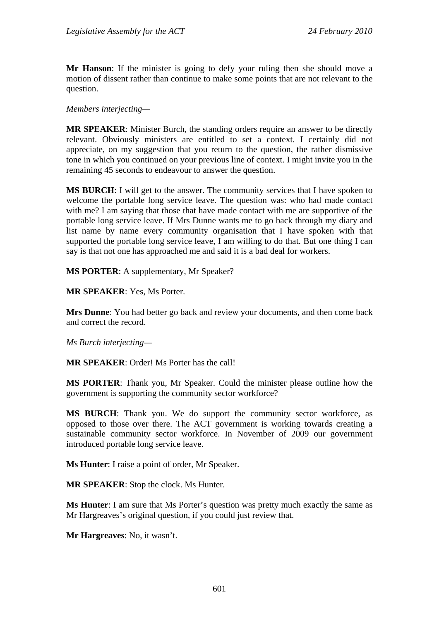**Mr Hanson**: If the minister is going to defy your ruling then she should move a motion of dissent rather than continue to make some points that are not relevant to the question.

*Members interjecting—* 

**MR SPEAKER**: Minister Burch, the standing orders require an answer to be directly relevant. Obviously ministers are entitled to set a context. I certainly did not appreciate, on my suggestion that you return to the question, the rather dismissive tone in which you continued on your previous line of context. I might invite you in the remaining 45 seconds to endeavour to answer the question.

**MS BURCH**: I will get to the answer. The community services that I have spoken to welcome the portable long service leave. The question was: who had made contact with me? I am saying that those that have made contact with me are supportive of the portable long service leave. If Mrs Dunne wants me to go back through my diary and list name by name every community organisation that I have spoken with that supported the portable long service leave, I am willing to do that. But one thing I can say is that not one has approached me and said it is a bad deal for workers.

**MS PORTER**: A supplementary, Mr Speaker?

**MR SPEAKER**: Yes, Ms Porter.

**Mrs Dunne**: You had better go back and review your documents, and then come back and correct the record.

#### *Ms Burch interjecting—*

**MR SPEAKER**: Order! Ms Porter has the call!

**MS PORTER**: Thank you, Mr Speaker. Could the minister please outline how the government is supporting the community sector workforce?

**MS BURCH**: Thank you. We do support the community sector workforce, as opposed to those over there. The ACT government is working towards creating a sustainable community sector workforce. In November of 2009 our government introduced portable long service leave.

**Ms Hunter**: I raise a point of order, Mr Speaker.

**MR SPEAKER**: Stop the clock. Ms Hunter.

**Ms Hunter**: I am sure that Ms Porter's question was pretty much exactly the same as Mr Hargreaves's original question, if you could just review that.

**Mr Hargreaves**: No, it wasn't.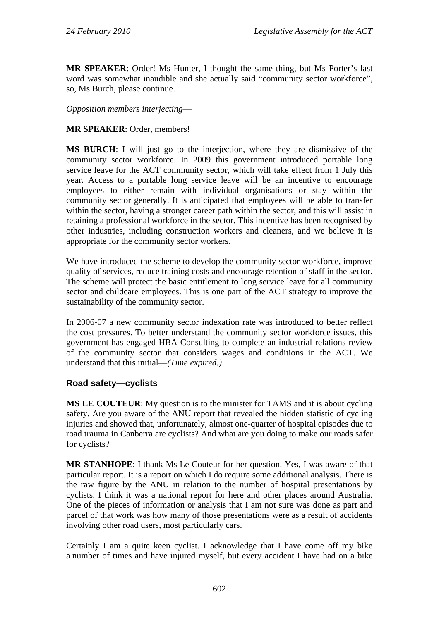**MR SPEAKER**: Order! Ms Hunter, I thought the same thing, but Ms Porter's last word was somewhat inaudible and she actually said "community sector workforce", so, Ms Burch, please continue.

*Opposition members interjecting*—

## **MR SPEAKER**: Order, members!

**MS BURCH**: I will just go to the interjection, where they are dismissive of the community sector workforce. In 2009 this government introduced portable long service leave for the ACT community sector, which will take effect from 1 July this year. Access to a portable long service leave will be an incentive to encourage employees to either remain with individual organisations or stay within the community sector generally. It is anticipated that employees will be able to transfer within the sector, having a stronger career path within the sector, and this will assist in retaining a professional workforce in the sector. This incentive has been recognised by other industries, including construction workers and cleaners, and we believe it is appropriate for the community sector workers.

We have introduced the scheme to develop the community sector workforce, improve quality of services, reduce training costs and encourage retention of staff in the sector. The scheme will protect the basic entitlement to long service leave for all community sector and childcare employees. This is one part of the ACT strategy to improve the sustainability of the community sector.

In 2006-07 a new community sector indexation rate was introduced to better reflect the cost pressures. To better understand the community sector workforce issues, this government has engaged HBA Consulting to complete an industrial relations review of the community sector that considers wages and conditions in the ACT. We understand that this initial—*(Time expired.)*

# **Road safety—cyclists**

**MS LE COUTEUR**: My question is to the minister for TAMS and it is about cycling safety. Are you aware of the ANU report that revealed the hidden statistic of cycling injuries and showed that, unfortunately, almost one-quarter of hospital episodes due to road trauma in Canberra are cyclists? And what are you doing to make our roads safer for cyclists?

**MR STANHOPE**: I thank Ms Le Couteur for her question. Yes, I was aware of that particular report. It is a report on which I do require some additional analysis. There is the raw figure by the ANU in relation to the number of hospital presentations by cyclists. I think it was a national report for here and other places around Australia. One of the pieces of information or analysis that I am not sure was done as part and parcel of that work was how many of those presentations were as a result of accidents involving other road users, most particularly cars.

Certainly I am a quite keen cyclist. I acknowledge that I have come off my bike a number of times and have injured myself, but every accident I have had on a bike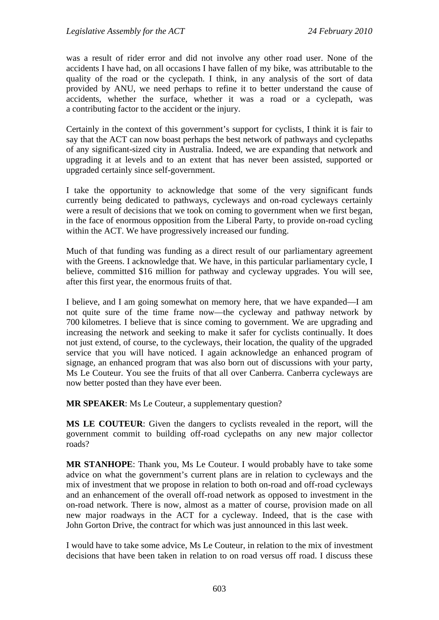was a result of rider error and did not involve any other road user. None of the accidents I have had, on all occasions I have fallen of my bike, was attributable to the quality of the road or the cyclepath. I think, in any analysis of the sort of data provided by ANU, we need perhaps to refine it to better understand the cause of accidents, whether the surface, whether it was a road or a cyclepath, was a contributing factor to the accident or the injury.

Certainly in the context of this government's support for cyclists, I think it is fair to say that the ACT can now boast perhaps the best network of pathways and cyclepaths of any significant-sized city in Australia. Indeed, we are expanding that network and upgrading it at levels and to an extent that has never been assisted, supported or upgraded certainly since self-government.

I take the opportunity to acknowledge that some of the very significant funds currently being dedicated to pathways, cycleways and on-road cycleways certainly were a result of decisions that we took on coming to government when we first began, in the face of enormous opposition from the Liberal Party, to provide on-road cycling within the ACT. We have progressively increased our funding.

Much of that funding was funding as a direct result of our parliamentary agreement with the Greens. I acknowledge that. We have, in this particular parliamentary cycle, I believe, committed \$16 million for pathway and cycleway upgrades. You will see, after this first year, the enormous fruits of that.

I believe, and I am going somewhat on memory here, that we have expanded—I am not quite sure of the time frame now—the cycleway and pathway network by 700 kilometres. I believe that is since coming to government. We are upgrading and increasing the network and seeking to make it safer for cyclists continually. It does not just extend, of course, to the cycleways, their location, the quality of the upgraded service that you will have noticed. I again acknowledge an enhanced program of signage, an enhanced program that was also born out of discussions with your party, Ms Le Couteur. You see the fruits of that all over Canberra. Canberra cycleways are now better posted than they have ever been.

**MR SPEAKER**: Ms Le Couteur, a supplementary question?

**MS LE COUTEUR**: Given the dangers to cyclists revealed in the report, will the government commit to building off-road cyclepaths on any new major collector roads?

**MR STANHOPE**: Thank you, Ms Le Couteur. I would probably have to take some advice on what the government's current plans are in relation to cycleways and the mix of investment that we propose in relation to both on-road and off-road cycleways and an enhancement of the overall off-road network as opposed to investment in the on-road network. There is now, almost as a matter of course, provision made on all new major roadways in the ACT for a cycleway. Indeed, that is the case with John Gorton Drive, the contract for which was just announced in this last week.

I would have to take some advice, Ms Le Couteur, in relation to the mix of investment decisions that have been taken in relation to on road versus off road. I discuss these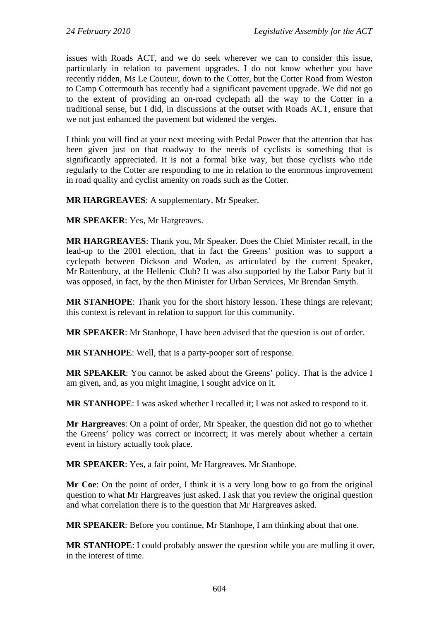issues with Roads ACT, and we do seek wherever we can to consider this issue, particularly in relation to pavement upgrades. I do not know whether you have recently ridden, Ms Le Couteur, down to the Cotter, but the Cotter Road from Weston to Camp Cottermouth has recently had a significant pavement upgrade. We did not go to the extent of providing an on-road cyclepath all the way to the Cotter in a traditional sense, but I did, in discussions at the outset with Roads ACT, ensure that we not just enhanced the pavement but widened the verges.

I think you will find at your next meeting with Pedal Power that the attention that has been given just on that roadway to the needs of cyclists is something that is significantly appreciated. It is not a formal bike way, but those cyclists who ride regularly to the Cotter are responding to me in relation to the enormous improvement in road quality and cyclist amenity on roads such as the Cotter.

**MR HARGREAVES**: A supplementary, Mr Speaker.

**MR SPEAKER**: Yes, Mr Hargreaves.

**MR HARGREAVES**: Thank you, Mr Speaker. Does the Chief Minister recall, in the lead-up to the 2001 election, that in fact the Greens' position was to support a cyclepath between Dickson and Woden, as articulated by the current Speaker, Mr Rattenbury, at the Hellenic Club? It was also supported by the Labor Party but it was opposed, in fact, by the then Minister for Urban Services, Mr Brendan Smyth.

**MR STANHOPE**: Thank you for the short history lesson. These things are relevant; this context is relevant in relation to support for this community.

**MR SPEAKER**: Mr Stanhope, I have been advised that the question is out of order.

**MR STANHOPE**: Well, that is a party-pooper sort of response.

**MR SPEAKER**: You cannot be asked about the Greens' policy. That is the advice I am given, and, as you might imagine, I sought advice on it.

**MR STANHOPE**: I was asked whether I recalled it; I was not asked to respond to it.

**Mr Hargreaves**: On a point of order, Mr Speaker, the question did not go to whether the Greens' policy was correct or incorrect; it was merely about whether a certain event in history actually took place.

**MR SPEAKER**: Yes, a fair point, Mr Hargreaves. Mr Stanhope.

**Mr Coe**: On the point of order, I think it is a very long bow to go from the original question to what Mr Hargreaves just asked. I ask that you review the original question and what correlation there is to the question that Mr Hargreaves asked.

**MR SPEAKER**: Before you continue, Mr Stanhope, I am thinking about that one.

**MR STANHOPE:** I could probably answer the question while you are mulling it over. in the interest of time.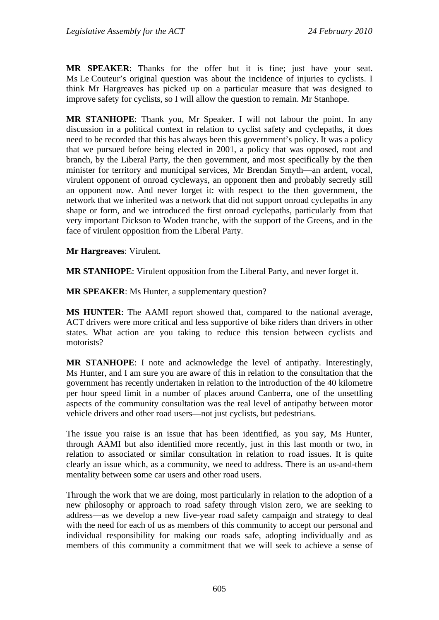**MR SPEAKER**: Thanks for the offer but it is fine; just have your seat. Ms Le Couteur's original question was about the incidence of injuries to cyclists. I think Mr Hargreaves has picked up on a particular measure that was designed to improve safety for cyclists, so I will allow the question to remain. Mr Stanhope.

**MR STANHOPE**: Thank you, Mr Speaker. I will not labour the point. In any discussion in a political context in relation to cyclist safety and cyclepaths, it does need to be recorded that this has always been this government's policy. It was a policy that we pursued before being elected in 2001, a policy that was opposed, root and branch, by the Liberal Party, the then government, and most specifically by the then minister for territory and municipal services, Mr Brendan Smyth—an ardent, vocal, virulent opponent of onroad cycleways, an opponent then and probably secretly still an opponent now. And never forget it: with respect to the then government, the network that we inherited was a network that did not support onroad cyclepaths in any shape or form, and we introduced the first onroad cyclepaths, particularly from that very important Dickson to Woden tranche, with the support of the Greens, and in the face of virulent opposition from the Liberal Party.

**Mr Hargreaves**: Virulent.

**MR STANHOPE**: Virulent opposition from the Liberal Party, and never forget it.

**MR SPEAKER**: Ms Hunter, a supplementary question?

**MS HUNTER**: The AAMI report showed that, compared to the national average, ACT drivers were more critical and less supportive of bike riders than drivers in other states. What action are you taking to reduce this tension between cyclists and motorists?

**MR STANHOPE**: I note and acknowledge the level of antipathy. Interestingly, Ms Hunter, and I am sure you are aware of this in relation to the consultation that the government has recently undertaken in relation to the introduction of the 40 kilometre per hour speed limit in a number of places around Canberra, one of the unsettling aspects of the community consultation was the real level of antipathy between motor vehicle drivers and other road users—not just cyclists, but pedestrians.

The issue you raise is an issue that has been identified, as you say, Ms Hunter, through AAMI but also identified more recently, just in this last month or two, in relation to associated or similar consultation in relation to road issues. It is quite clearly an issue which, as a community, we need to address. There is an us-and-them mentality between some car users and other road users.

Through the work that we are doing, most particularly in relation to the adoption of a new philosophy or approach to road safety through vision zero, we are seeking to address—as we develop a new five-year road safety campaign and strategy to deal with the need for each of us as members of this community to accept our personal and individual responsibility for making our roads safe, adopting individually and as members of this community a commitment that we will seek to achieve a sense of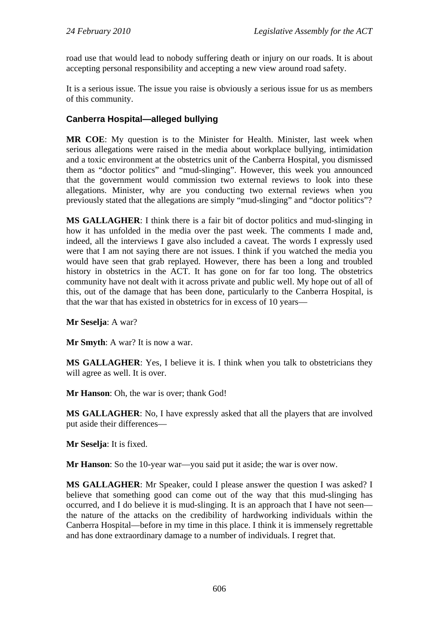road use that would lead to nobody suffering death or injury on our roads. It is about accepting personal responsibility and accepting a new view around road safety.

It is a serious issue. The issue you raise is obviously a serious issue for us as members of this community.

## **Canberra Hospital—alleged bullying**

**MR COE**: My question is to the Minister for Health. Minister, last week when serious allegations were raised in the media about workplace bullying, intimidation and a toxic environment at the obstetrics unit of the Canberra Hospital, you dismissed them as "doctor politics" and "mud-slinging". However, this week you announced that the government would commission two external reviews to look into these allegations. Minister, why are you conducting two external reviews when you previously stated that the allegations are simply "mud-slinging" and "doctor politics"?

**MS GALLAGHER**: I think there is a fair bit of doctor politics and mud-slinging in how it has unfolded in the media over the past week. The comments I made and, indeed, all the interviews I gave also included a caveat. The words I expressly used were that I am not saying there are not issues. I think if you watched the media you would have seen that grab replayed. However, there has been a long and troubled history in obstetrics in the ACT. It has gone on for far too long. The obstetrics community have not dealt with it across private and public well. My hope out of all of this, out of the damage that has been done, particularly to the Canberra Hospital, is that the war that has existed in obstetrics for in excess of 10 years—

**Mr Seselja**: A war?

**Mr Smyth**: A war? It is now a war.

**MS GALLAGHER**: Yes, I believe it is. I think when you talk to obstetricians they will agree as well. It is over.

**Mr Hanson**: Oh, the war is over; thank God!

**MS GALLAGHER**: No, I have expressly asked that all the players that are involved put aside their differences—

**Mr Seselja**: It is fixed.

**Mr Hanson**: So the 10-year war—you said put it aside; the war is over now.

**MS GALLAGHER**: Mr Speaker, could I please answer the question I was asked? I believe that something good can come out of the way that this mud-slinging has occurred, and I do believe it is mud-slinging. It is an approach that I have not seen the nature of the attacks on the credibility of hardworking individuals within the Canberra Hospital—before in my time in this place. I think it is immensely regrettable and has done extraordinary damage to a number of individuals. I regret that.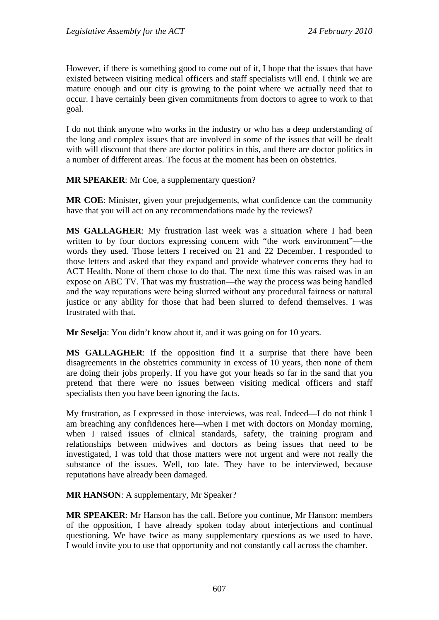However, if there is something good to come out of it, I hope that the issues that have existed between visiting medical officers and staff specialists will end. I think we are mature enough and our city is growing to the point where we actually need that to occur. I have certainly been given commitments from doctors to agree to work to that goal.

I do not think anyone who works in the industry or who has a deep understanding of the long and complex issues that are involved in some of the issues that will be dealt with will discount that there are doctor politics in this, and there are doctor politics in a number of different areas. The focus at the moment has been on obstetrics.

**MR SPEAKER**: Mr Coe, a supplementary question?

**MR COE**: Minister, given your prejudgements, what confidence can the community have that you will act on any recommendations made by the reviews?

**MS GALLAGHER**: My frustration last week was a situation where I had been written to by four doctors expressing concern with "the work environment"—the words they used. Those letters I received on 21 and 22 December. I responded to those letters and asked that they expand and provide whatever concerns they had to ACT Health. None of them chose to do that. The next time this was raised was in an expose on ABC TV. That was my frustration—the way the process was being handled and the way reputations were being slurred without any procedural fairness or natural justice or any ability for those that had been slurred to defend themselves. I was frustrated with that.

**Mr Seselja**: You didn't know about it, and it was going on for 10 years.

**MS GALLAGHER**: If the opposition find it a surprise that there have been disagreements in the obstetrics community in excess of 10 years, then none of them are doing their jobs properly. If you have got your heads so far in the sand that you pretend that there were no issues between visiting medical officers and staff specialists then you have been ignoring the facts.

My frustration, as I expressed in those interviews, was real. Indeed—I do not think I am breaching any confidences here—when I met with doctors on Monday morning, when I raised issues of clinical standards, safety, the training program and relationships between midwives and doctors as being issues that need to be investigated, I was told that those matters were not urgent and were not really the substance of the issues. Well, too late. They have to be interviewed, because reputations have already been damaged.

**MR HANSON**: A supplementary, Mr Speaker?

**MR SPEAKER**: Mr Hanson has the call. Before you continue, Mr Hanson: members of the opposition, I have already spoken today about interjections and continual questioning. We have twice as many supplementary questions as we used to have. I would invite you to use that opportunity and not constantly call across the chamber.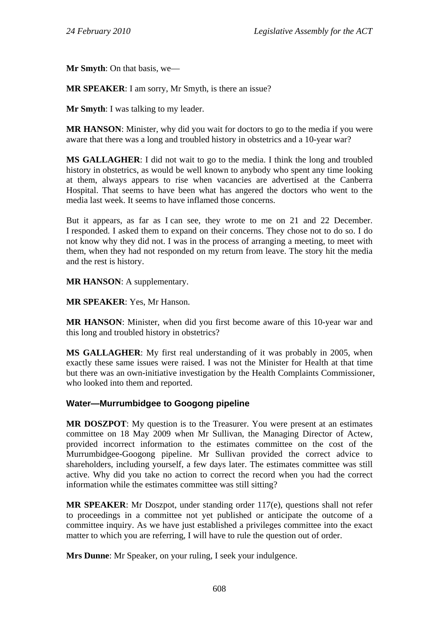**Mr Smyth**: On that basis, we—

**MR SPEAKER**: I am sorry, Mr Smyth, is there an issue?

**Mr Smyth**: I was talking to my leader.

**MR HANSON**: Minister, why did you wait for doctors to go to the media if you were aware that there was a long and troubled history in obstetrics and a 10-year war?

**MS GALLAGHER**: I did not wait to go to the media. I think the long and troubled history in obstetrics, as would be well known to anybody who spent any time looking at them, always appears to rise when vacancies are advertised at the Canberra Hospital. That seems to have been what has angered the doctors who went to the media last week. It seems to have inflamed those concerns.

But it appears, as far as I can see, they wrote to me on 21 and 22 December. I responded. I asked them to expand on their concerns. They chose not to do so. I do not know why they did not. I was in the process of arranging a meeting, to meet with them, when they had not responded on my return from leave. The story hit the media and the rest is history.

**MR HANSON**: A supplementary.

**MR SPEAKER**: Yes, Mr Hanson.

**MR HANSON**: Minister, when did you first become aware of this 10-year war and this long and troubled history in obstetrics?

**MS GALLAGHER**: My first real understanding of it was probably in 2005, when exactly these same issues were raised. I was not the Minister for Health at that time but there was an own-initiative investigation by the Health Complaints Commissioner, who looked into them and reported.

### **Water—Murrumbidgee to Googong pipeline**

**MR DOSZPOT**: My question is to the Treasurer. You were present at an estimates committee on 18 May 2009 when Mr Sullivan, the Managing Director of Actew, provided incorrect information to the estimates committee on the cost of the Murrumbidgee-Googong pipeline. Mr Sullivan provided the correct advice to shareholders, including yourself, a few days later. The estimates committee was still active. Why did you take no action to correct the record when you had the correct information while the estimates committee was still sitting?

**MR SPEAKER**: Mr Doszpot, under standing order 117(e), questions shall not refer to proceedings in a committee not yet published or anticipate the outcome of a committee inquiry. As we have just established a privileges committee into the exact matter to which you are referring, I will have to rule the question out of order.

**Mrs Dunne**: Mr Speaker, on your ruling, I seek your indulgence.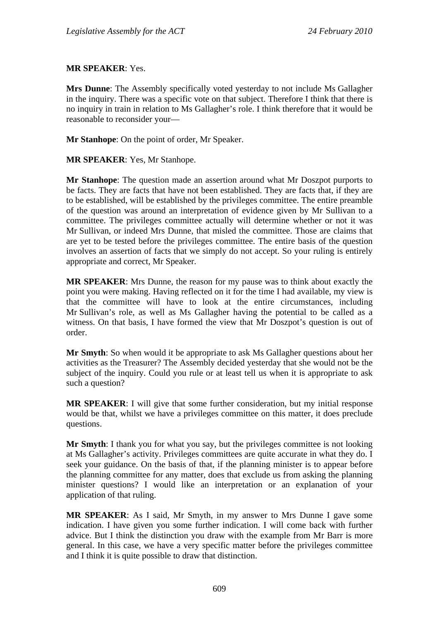#### **MR SPEAKER**: Yes.

**Mrs Dunne**: The Assembly specifically voted yesterday to not include Ms Gallagher in the inquiry. There was a specific vote on that subject. Therefore I think that there is no inquiry in train in relation to Ms Gallagher's role. I think therefore that it would be reasonable to reconsider your—

**Mr Stanhope**: On the point of order, Mr Speaker.

#### **MR SPEAKER**: Yes, Mr Stanhope.

**Mr Stanhope**: The question made an assertion around what Mr Doszpot purports to be facts. They are facts that have not been established. They are facts that, if they are to be established, will be established by the privileges committee. The entire preamble of the question was around an interpretation of evidence given by Mr Sullivan to a committee. The privileges committee actually will determine whether or not it was Mr Sullivan, or indeed Mrs Dunne, that misled the committee. Those are claims that are yet to be tested before the privileges committee. The entire basis of the question involves an assertion of facts that we simply do not accept. So your ruling is entirely appropriate and correct, Mr Speaker.

**MR SPEAKER**: Mrs Dunne, the reason for my pause was to think about exactly the point you were making. Having reflected on it for the time I had available, my view is that the committee will have to look at the entire circumstances, including Mr Sullivan's role, as well as Ms Gallagher having the potential to be called as a witness. On that basis, I have formed the view that Mr Doszpot's question is out of order.

**Mr Smyth**: So when would it be appropriate to ask Ms Gallagher questions about her activities as the Treasurer? The Assembly decided yesterday that she would not be the subject of the inquiry. Could you rule or at least tell us when it is appropriate to ask such a question?

**MR SPEAKER**: I will give that some further consideration, but my initial response would be that, whilst we have a privileges committee on this matter, it does preclude questions.

**Mr Smyth**: I thank you for what you say, but the privileges committee is not looking at Ms Gallagher's activity. Privileges committees are quite accurate in what they do. I seek your guidance. On the basis of that, if the planning minister is to appear before the planning committee for any matter, does that exclude us from asking the planning minister questions? I would like an interpretation or an explanation of your application of that ruling.

**MR SPEAKER**: As I said, Mr Smyth, in my answer to Mrs Dunne I gave some indication. I have given you some further indication. I will come back with further advice. But I think the distinction you draw with the example from Mr Barr is more general. In this case, we have a very specific matter before the privileges committee and I think it is quite possible to draw that distinction.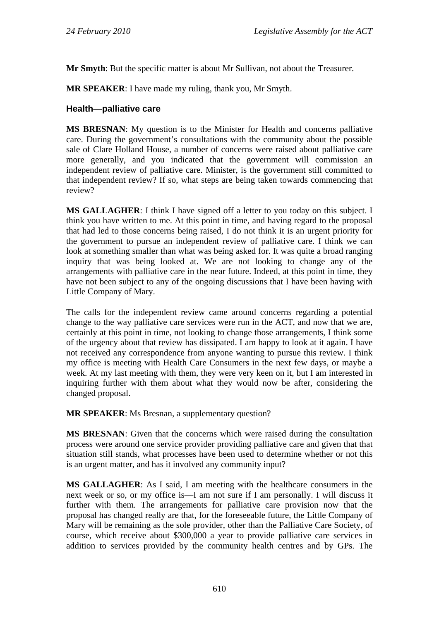**Mr Smyth**: But the specific matter is about Mr Sullivan, not about the Treasurer.

**MR SPEAKER**: I have made my ruling, thank you, Mr Smyth.

## **Health—palliative care**

**MS BRESNAN**: My question is to the Minister for Health and concerns palliative care. During the government's consultations with the community about the possible sale of Clare Holland House, a number of concerns were raised about palliative care more generally, and you indicated that the government will commission an independent review of palliative care. Minister, is the government still committed to that independent review? If so, what steps are being taken towards commencing that review?

**MS GALLAGHER**: I think I have signed off a letter to you today on this subject. I think you have written to me. At this point in time, and having regard to the proposal that had led to those concerns being raised, I do not think it is an urgent priority for the government to pursue an independent review of palliative care. I think we can look at something smaller than what was being asked for. It was quite a broad ranging inquiry that was being looked at. We are not looking to change any of the arrangements with palliative care in the near future. Indeed, at this point in time, they have not been subject to any of the ongoing discussions that I have been having with Little Company of Mary.

The calls for the independent review came around concerns regarding a potential change to the way palliative care services were run in the ACT, and now that we are, certainly at this point in time, not looking to change those arrangements, I think some of the urgency about that review has dissipated. I am happy to look at it again. I have not received any correspondence from anyone wanting to pursue this review. I think my office is meeting with Health Care Consumers in the next few days, or maybe a week. At my last meeting with them, they were very keen on it, but I am interested in inquiring further with them about what they would now be after, considering the changed proposal.

**MR SPEAKER**: Ms Bresnan, a supplementary question?

**MS BRESNAN**: Given that the concerns which were raised during the consultation process were around one service provider providing palliative care and given that that situation still stands, what processes have been used to determine whether or not this is an urgent matter, and has it involved any community input?

**MS GALLAGHER**: As I said, I am meeting with the healthcare consumers in the next week or so, or my office is—I am not sure if I am personally. I will discuss it further with them. The arrangements for palliative care provision now that the proposal has changed really are that, for the foreseeable future, the Little Company of Mary will be remaining as the sole provider, other than the Palliative Care Society, of course, which receive about \$300,000 a year to provide palliative care services in addition to services provided by the community health centres and by GPs. The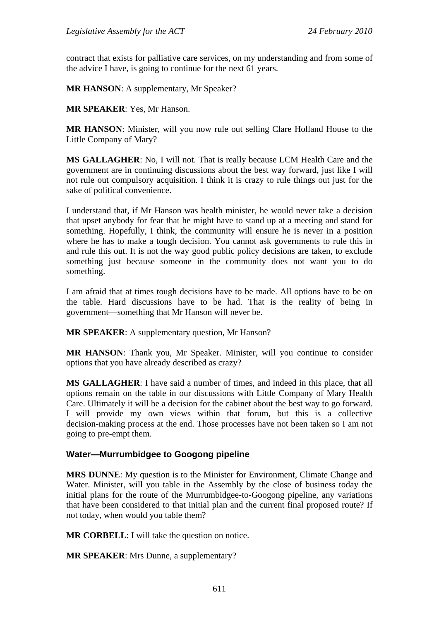contract that exists for palliative care services, on my understanding and from some of the advice I have, is going to continue for the next 61 years.

**MR HANSON**: A supplementary, Mr Speaker?

**MR SPEAKER**: Yes, Mr Hanson.

**MR HANSON**: Minister, will you now rule out selling Clare Holland House to the Little Company of Mary?

**MS GALLAGHER**: No, I will not. That is really because LCM Health Care and the government are in continuing discussions about the best way forward, just like I will not rule out compulsory acquisition. I think it is crazy to rule things out just for the sake of political convenience.

I understand that, if Mr Hanson was health minister, he would never take a decision that upset anybody for fear that he might have to stand up at a meeting and stand for something. Hopefully, I think, the community will ensure he is never in a position where he has to make a tough decision. You cannot ask governments to rule this in and rule this out. It is not the way good public policy decisions are taken, to exclude something just because someone in the community does not want you to do something.

I am afraid that at times tough decisions have to be made. All options have to be on the table. Hard discussions have to be had. That is the reality of being in government—something that Mr Hanson will never be.

**MR SPEAKER**: A supplementary question, Mr Hanson?

**MR HANSON**: Thank you, Mr Speaker. Minister, will you continue to consider options that you have already described as crazy?

**MS GALLAGHER**: I have said a number of times, and indeed in this place, that all options remain on the table in our discussions with Little Company of Mary Health Care. Ultimately it will be a decision for the cabinet about the best way to go forward. I will provide my own views within that forum, but this is a collective decision-making process at the end. Those processes have not been taken so I am not going to pre-empt them.

### **Water—Murrumbidgee to Googong pipeline**

**MRS DUNNE**: My question is to the Minister for Environment, Climate Change and Water. Minister, will you table in the Assembly by the close of business today the initial plans for the route of the Murrumbidgee-to-Googong pipeline, any variations that have been considered to that initial plan and the current final proposed route? If not today, when would you table them?

**MR CORBELL**: I will take the question on notice.

**MR SPEAKER**: Mrs Dunne, a supplementary?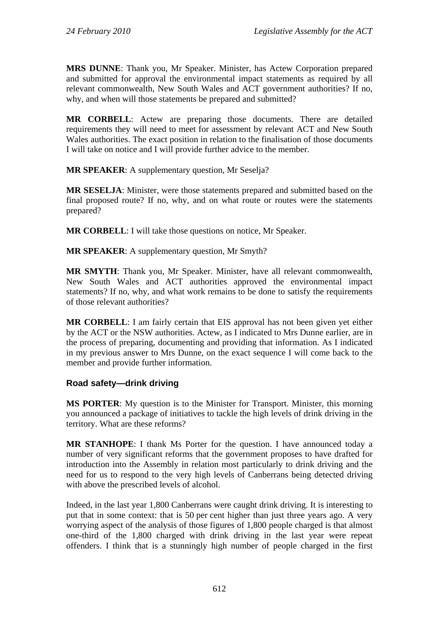**MRS DUNNE**: Thank you, Mr Speaker. Minister, has Actew Corporation prepared and submitted for approval the environmental impact statements as required by all relevant commonwealth, New South Wales and ACT government authorities? If no, why, and when will those statements be prepared and submitted?

**MR CORBELL**: Actew are preparing those documents. There are detailed requirements they will need to meet for assessment by relevant ACT and New South Wales authorities. The exact position in relation to the finalisation of those documents I will take on notice and I will provide further advice to the member.

**MR SPEAKER**: A supplementary question, Mr Seselja?

**MR SESELJA**: Minister, were those statements prepared and submitted based on the final proposed route? If no, why, and on what route or routes were the statements prepared?

**MR CORBELL**: I will take those questions on notice, Mr Speaker.

**MR SPEAKER**: A supplementary question, Mr Smyth?

**MR SMYTH**: Thank you, Mr Speaker. Minister, have all relevant commonwealth, New South Wales and ACT authorities approved the environmental impact statements? If no, why, and what work remains to be done to satisfy the requirements of those relevant authorities?

**MR CORBELL**: I am fairly certain that EIS approval has not been given yet either by the ACT or the NSW authorities. Actew, as I indicated to Mrs Dunne earlier, are in the process of preparing, documenting and providing that information. As I indicated in my previous answer to Mrs Dunne, on the exact sequence I will come back to the member and provide further information.

### **Road safety—drink driving**

**MS PORTER**: My question is to the Minister for Transport. Minister, this morning you announced a package of initiatives to tackle the high levels of drink driving in the territory. What are these reforms?

**MR STANHOPE**: I thank Ms Porter for the question. I have announced today a number of very significant reforms that the government proposes to have drafted for introduction into the Assembly in relation most particularly to drink driving and the need for us to respond to the very high levels of Canberrans being detected driving with above the prescribed levels of alcohol.

Indeed, in the last year 1,800 Canberrans were caught drink driving. It is interesting to put that in some context: that is 50 per cent higher than just three years ago. A very worrying aspect of the analysis of those figures of 1,800 people charged is that almost one-third of the 1,800 charged with drink driving in the last year were repeat offenders. I think that is a stunningly high number of people charged in the first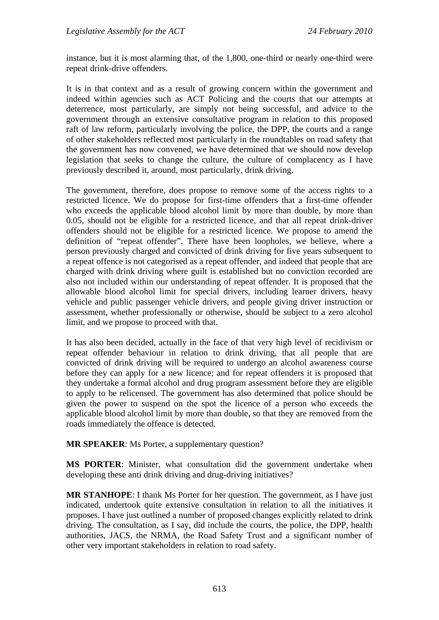instance, but it is most alarming that, of the 1,800, one-third or nearly one-third were repeat drink-drive offenders.

It is in that context and as a result of growing concern within the government and indeed within agencies such as ACT Policing and the courts that our attempts at deterrence, most particularly, are simply not being successful, and advice to the government through an extensive consultative program in relation to this proposed raft of law reform, particularly involving the police, the DPP, the courts and a range of other stakeholders reflected most particularly in the roundtables on road safety that the government has now convened, we have determined that we should now develop legislation that seeks to change the culture, the culture of complacency as I have previously described it, around, most particularly, drink driving.

The government, therefore, does propose to remove some of the access rights to a restricted licence. We do propose for first-time offenders that a first-time offender who exceeds the applicable blood alcohol limit by more than double, by more than 0.05, should not be eligible for a restricted licence, and that all repeat drink-driver offenders should not be eligible for a restricted licence. We propose to amend the definition of "repeat offender". There have been loopholes, we believe, where a person previously charged and convicted of drink driving for five years subsequent to a repeat offence is not categorised as a repeat offender, and indeed that people that are charged with drink driving where guilt is established but no conviction recorded are also not included within our understanding of repeat offender. It is proposed that the allowable blood alcohol limit for special drivers, including learner drivers, heavy vehicle and public passenger vehicle drivers, and people giving driver instruction or assessment, whether professionally or otherwise, should be subject to a zero alcohol limit, and we propose to proceed with that.

It has also been decided, actually in the face of that very high level of recidivism or repeat offender behaviour in relation to drink driving, that all people that are convicted of drink driving will be required to undergo an alcohol awareness course before they can apply for a new licence; and for repeat offenders it is proposed that they undertake a formal alcohol and drug program assessment before they are eligible to apply to be relicensed. The government has also determined that police should be given the power to suspend on the spot the licence of a person who exceeds the applicable blood alcohol limit by more than double, so that they are removed from the roads immediately the offence is detected.

**MR SPEAKER**: Ms Porter, a supplementary question?

**MS PORTER**: Minister, what consultation did the government undertake when developing these anti drink driving and drug-driving initiatives?

**MR STANHOPE**: I thank Ms Porter for her question. The government, as I have just indicated, undertook quite extensive consultation in relation to all the initiatives it proposes. I have just outlined a number of proposed changes explicitly related to drink driving. The consultation, as I say, did include the courts, the police, the DPP, health authorities, JACS, the NRMA, the Road Safety Trust and a significant number of other very important stakeholders in relation to road safety.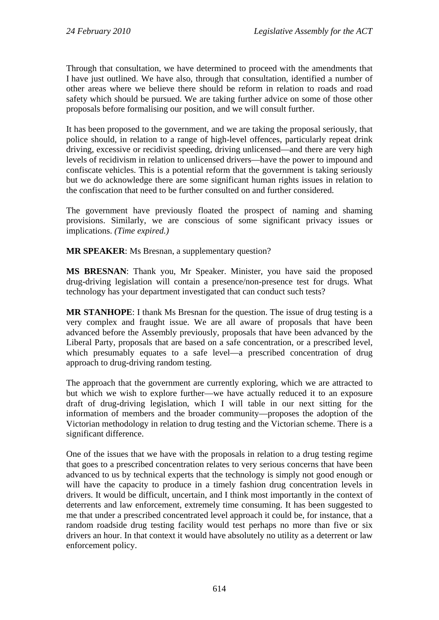Through that consultation, we have determined to proceed with the amendments that I have just outlined. We have also, through that consultation, identified a number of other areas where we believe there should be reform in relation to roads and road safety which should be pursued. We are taking further advice on some of those other proposals before formalising our position, and we will consult further.

It has been proposed to the government, and we are taking the proposal seriously, that police should, in relation to a range of high-level offences, particularly repeat drink driving, excessive or recidivist speeding, driving unlicensed—and there are very high levels of recidivism in relation to unlicensed drivers—have the power to impound and confiscate vehicles. This is a potential reform that the government is taking seriously but we do acknowledge there are some significant human rights issues in relation to the confiscation that need to be further consulted on and further considered.

The government have previously floated the prospect of naming and shaming provisions. Similarly, we are conscious of some significant privacy issues or implications. *(Time expired.)* 

**MR SPEAKER**: Ms Bresnan, a supplementary question?

**MS BRESNAN**: Thank you, Mr Speaker. Minister, you have said the proposed drug-driving legislation will contain a presence/non-presence test for drugs. What technology has your department investigated that can conduct such tests?

**MR STANHOPE**: I thank Ms Bresnan for the question. The issue of drug testing is a very complex and fraught issue. We are all aware of proposals that have been advanced before the Assembly previously, proposals that have been advanced by the Liberal Party, proposals that are based on a safe concentration, or a prescribed level, which presumably equates to a safe level—a prescribed concentration of drug approach to drug-driving random testing.

The approach that the government are currently exploring, which we are attracted to but which we wish to explore further—we have actually reduced it to an exposure draft of drug-driving legislation, which I will table in our next sitting for the information of members and the broader community—proposes the adoption of the Victorian methodology in relation to drug testing and the Victorian scheme. There is a significant difference.

One of the issues that we have with the proposals in relation to a drug testing regime that goes to a prescribed concentration relates to very serious concerns that have been advanced to us by technical experts that the technology is simply not good enough or will have the capacity to produce in a timely fashion drug concentration levels in drivers. It would be difficult, uncertain, and I think most importantly in the context of deterrents and law enforcement, extremely time consuming. It has been suggested to me that under a prescribed concentrated level approach it could be, for instance, that a random roadside drug testing facility would test perhaps no more than five or six drivers an hour. In that context it would have absolutely no utility as a deterrent or law enforcement policy.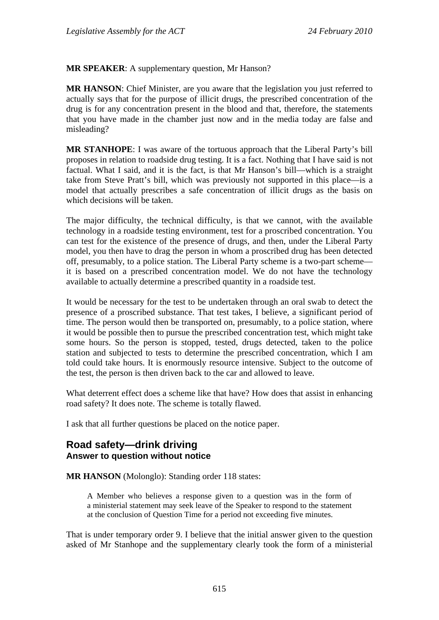**MR SPEAKER**: A supplementary question, Mr Hanson?

**MR HANSON**: Chief Minister, are you aware that the legislation you just referred to actually says that for the purpose of illicit drugs, the prescribed concentration of the drug is for any concentration present in the blood and that, therefore, the statements that you have made in the chamber just now and in the media today are false and misleading?

**MR STANHOPE**: I was aware of the tortuous approach that the Liberal Party's bill proposes in relation to roadside drug testing. It is a fact. Nothing that I have said is not factual. What I said, and it is the fact, is that Mr Hanson's bill—which is a straight take from Steve Pratt's bill, which was previously not supported in this place—is a model that actually prescribes a safe concentration of illicit drugs as the basis on which decisions will be taken.

The major difficulty, the technical difficulty, is that we cannot, with the available technology in a roadside testing environment, test for a proscribed concentration. You can test for the existence of the presence of drugs, and then, under the Liberal Party model, you then have to drag the person in whom a proscribed drug has been detected off, presumably, to a police station. The Liberal Party scheme is a two-part scheme it is based on a prescribed concentration model. We do not have the technology available to actually determine a prescribed quantity in a roadside test.

It would be necessary for the test to be undertaken through an oral swab to detect the presence of a proscribed substance. That test takes, I believe, a significant period of time. The person would then be transported on, presumably, to a police station, where it would be possible then to pursue the prescribed concentration test, which might take some hours. So the person is stopped, tested, drugs detected, taken to the police station and subjected to tests to determine the prescribed concentration, which I am told could take hours. It is enormously resource intensive. Subject to the outcome of the test, the person is then driven back to the car and allowed to leave.

What deterrent effect does a scheme like that have? How does that assist in enhancing road safety? It does note. The scheme is totally flawed.

I ask that all further questions be placed on the notice paper.

# **Road safety—drink driving Answer to question without notice**

**MR HANSON** (Molonglo): Standing order 118 states:

A Member who believes a response given to a question was in the form of a ministerial statement may seek leave of the Speaker to respond to the statement at the conclusion of Question Time for a period not exceeding five minutes.

That is under temporary order 9. I believe that the initial answer given to the question asked of Mr Stanhope and the supplementary clearly took the form of a ministerial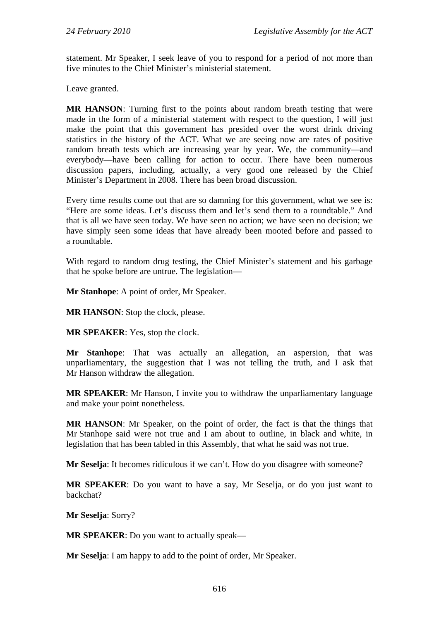statement. Mr Speaker, I seek leave of you to respond for a period of not more than five minutes to the Chief Minister's ministerial statement.

Leave granted.

**MR HANSON**: Turning first to the points about random breath testing that were made in the form of a ministerial statement with respect to the question, I will just make the point that this government has presided over the worst drink driving statistics in the history of the ACT. What we are seeing now are rates of positive random breath tests which are increasing year by year. We, the community—and everybody—have been calling for action to occur. There have been numerous discussion papers, including, actually, a very good one released by the Chief Minister's Department in 2008. There has been broad discussion.

Every time results come out that are so damning for this government, what we see is: "Here are some ideas. Let's discuss them and let's send them to a roundtable." And that is all we have seen today. We have seen no action; we have seen no decision; we have simply seen some ideas that have already been mooted before and passed to a roundtable.

With regard to random drug testing, the Chief Minister's statement and his garbage that he spoke before are untrue. The legislation—

**Mr Stanhope**: A point of order, Mr Speaker.

**MR HANSON**: Stop the clock, please.

**MR SPEAKER**: Yes, stop the clock.

**Mr Stanhope**: That was actually an allegation, an aspersion, that was unparliamentary, the suggestion that I was not telling the truth, and I ask that Mr Hanson withdraw the allegation.

**MR SPEAKER**: Mr Hanson, I invite you to withdraw the unparliamentary language and make your point nonetheless.

**MR HANSON**: Mr Speaker, on the point of order, the fact is that the things that Mr Stanhope said were not true and I am about to outline, in black and white, in legislation that has been tabled in this Assembly, that what he said was not true.

**Mr Seselja:** It becomes ridiculous if we can't. How do you disagree with someone?

**MR SPEAKER**: Do you want to have a say, Mr Seselja, or do you just want to backchat?

**Mr Seselja**: Sorry?

**MR SPEAKER**: Do you want to actually speak—

**Mr Seselja**: I am happy to add to the point of order, Mr Speaker.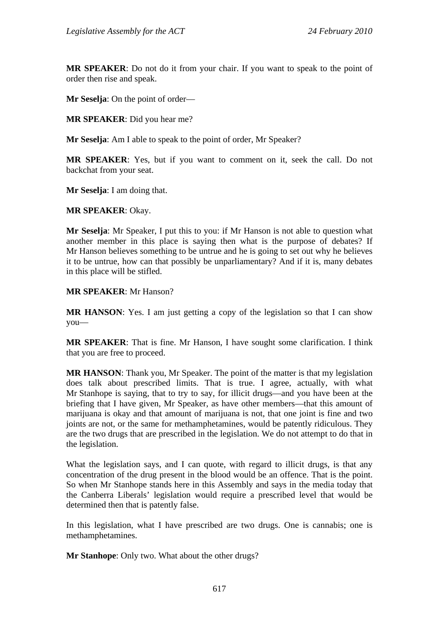**MR SPEAKER**: Do not do it from your chair. If you want to speak to the point of order then rise and speak.

**Mr Seselja**: On the point of order—

**MR SPEAKER**: Did you hear me?

**Mr Seselja**: Am I able to speak to the point of order, Mr Speaker?

**MR SPEAKER**: Yes, but if you want to comment on it, seek the call. Do not backchat from your seat.

**Mr Seselja**: I am doing that.

**MR SPEAKER**: Okay.

**Mr Seselja**: Mr Speaker, I put this to you: if Mr Hanson is not able to question what another member in this place is saying then what is the purpose of debates? If Mr Hanson believes something to be untrue and he is going to set out why he believes it to be untrue, how can that possibly be unparliamentary? And if it is, many debates in this place will be stifled.

**MR SPEAKER**: Mr Hanson?

**MR HANSON:** Yes. I am just getting a copy of the legislation so that I can show you—

**MR SPEAKER**: That is fine. Mr Hanson, I have sought some clarification. I think that you are free to proceed.

**MR HANSON**: Thank you, Mr Speaker. The point of the matter is that my legislation does talk about prescribed limits. That is true. I agree, actually, with what Mr Stanhope is saying, that to try to say, for illicit drugs—and you have been at the briefing that I have given, Mr Speaker, as have other members—that this amount of marijuana is okay and that amount of marijuana is not, that one joint is fine and two joints are not, or the same for methamphetamines, would be patently ridiculous. They are the two drugs that are prescribed in the legislation. We do not attempt to do that in the legislation.

What the legislation says, and I can quote, with regard to illicit drugs, is that any concentration of the drug present in the blood would be an offence. That is the point. So when Mr Stanhope stands here in this Assembly and says in the media today that the Canberra Liberals' legislation would require a prescribed level that would be determined then that is patently false.

In this legislation, what I have prescribed are two drugs. One is cannabis; one is methamphetamines.

**Mr Stanhope**: Only two. What about the other drugs?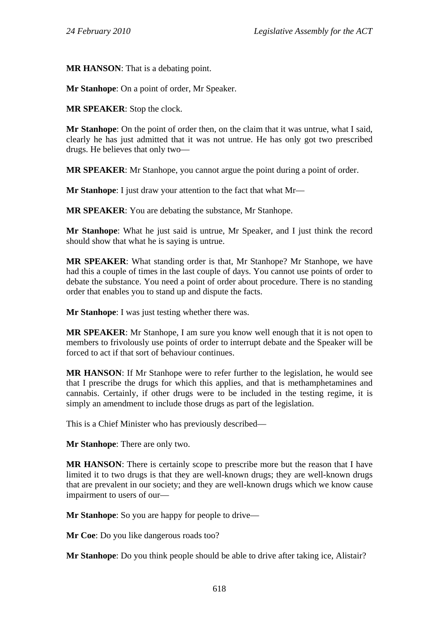**MR HANSON**: That is a debating point.

**Mr Stanhope**: On a point of order, Mr Speaker.

**MR SPEAKER**: Stop the clock.

**Mr Stanhope**: On the point of order then, on the claim that it was untrue, what I said, clearly he has just admitted that it was not untrue. He has only got two prescribed drugs. He believes that only two—

**MR SPEAKER**: Mr Stanhope, you cannot argue the point during a point of order.

**Mr Stanhope**: I just draw your attention to the fact that what Mr—

**MR SPEAKER**: You are debating the substance, Mr Stanhope.

**Mr Stanhope**: What he just said is untrue, Mr Speaker, and I just think the record should show that what he is saying is untrue.

**MR SPEAKER**: What standing order is that, Mr Stanhope? Mr Stanhope, we have had this a couple of times in the last couple of days. You cannot use points of order to debate the substance. You need a point of order about procedure. There is no standing order that enables you to stand up and dispute the facts.

**Mr Stanhope:** I was just testing whether there was.

**MR SPEAKER**: Mr Stanhope, I am sure you know well enough that it is not open to members to frivolously use points of order to interrupt debate and the Speaker will be forced to act if that sort of behaviour continues.

**MR HANSON**: If Mr Stanhope were to refer further to the legislation, he would see that I prescribe the drugs for which this applies, and that is methamphetamines and cannabis. Certainly, if other drugs were to be included in the testing regime, it is simply an amendment to include those drugs as part of the legislation.

This is a Chief Minister who has previously described—

**Mr Stanhope**: There are only two.

**MR HANSON**: There is certainly scope to prescribe more but the reason that I have limited it to two drugs is that they are well-known drugs; they are well-known drugs that are prevalent in our society; and they are well-known drugs which we know cause impairment to users of our—

**Mr Stanhope**: So you are happy for people to drive—

**Mr Coe**: Do you like dangerous roads too?

**Mr Stanhope**: Do you think people should be able to drive after taking ice, Alistair?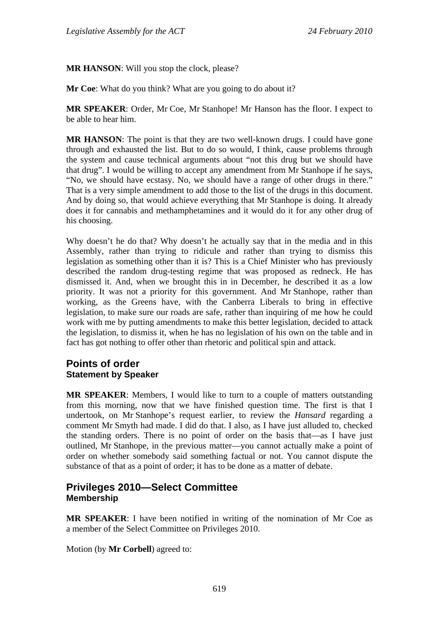**MR HANSON**: Will you stop the clock, please?

**Mr Coe**: What do you think? What are you going to do about it?

**MR SPEAKER**: Order, Mr Coe, Mr Stanhope! Mr Hanson has the floor. I expect to be able to hear him.

**MR HANSON**: The point is that they are two well-known drugs. I could have gone through and exhausted the list. But to do so would, I think, cause problems through the system and cause technical arguments about "not this drug but we should have that drug". I would be willing to accept any amendment from Mr Stanhope if he says, "No, we should have ecstasy. No, we should have a range of other drugs in there." That is a very simple amendment to add those to the list of the drugs in this document. And by doing so, that would achieve everything that Mr Stanhope is doing. It already does it for cannabis and methamphetamines and it would do it for any other drug of his choosing.

Why doesn't he do that? Why doesn't he actually say that in the media and in this Assembly, rather than trying to ridicule and rather than trying to dismiss this legislation as something other than it is? This is a Chief Minister who has previously described the random drug-testing regime that was proposed as redneck. He has dismissed it. And, when we brought this in in December, he described it as a low priority. It was not a priority for this government. And Mr Stanhope, rather than working, as the Greens have, with the Canberra Liberals to bring in effective legislation, to make sure our roads are safe, rather than inquiring of me how he could work with me by putting amendments to make this better legislation, decided to attack the legislation, to dismiss it, when he has no legislation of his own on the table and in fact has got nothing to offer other than rhetoric and political spin and attack.

### **Points of order Statement by Speaker**

**MR SPEAKER**: Members, I would like to turn to a couple of matters outstanding from this morning, now that we have finished question time. The first is that I undertook, on Mr Stanhope's request earlier, to review the *Hansard* regarding a comment Mr Smyth had made. I did do that. I also, as I have just alluded to, checked the standing orders. There is no point of order on the basis that—as I have just outlined, Mr Stanhope, in the previous matter—you cannot actually make a point of order on whether somebody said something factual or not. You cannot dispute the substance of that as a point of order; it has to be done as a matter of debate.

### **Privileges 2010—Select Committee Membership**

**MR SPEAKER**: I have been notified in writing of the nomination of Mr Coe as a member of the Select Committee on Privileges 2010.

Motion (by **Mr Corbell**) agreed to: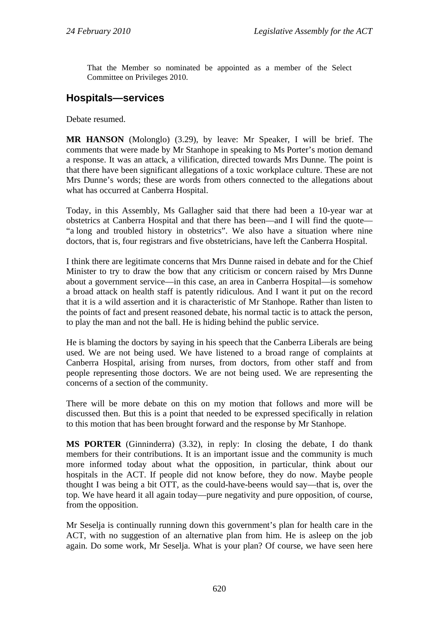That the Member so nominated be appointed as a member of the Select Committee on Privileges 2010.

# **Hospitals—services**

Debate resumed.

**MR HANSON** (Molonglo) (3.29), by leave: Mr Speaker, I will be brief. The comments that were made by Mr Stanhope in speaking to Ms Porter's motion demand a response. It was an attack, a vilification, directed towards Mrs Dunne. The point is that there have been significant allegations of a toxic workplace culture. These are not Mrs Dunne's words; these are words from others connected to the allegations about what has occurred at Canberra Hospital.

Today, in this Assembly, Ms Gallagher said that there had been a 10-year war at obstetrics at Canberra Hospital and that there has been—and I will find the quote— "a long and troubled history in obstetrics". We also have a situation where nine doctors, that is, four registrars and five obstetricians, have left the Canberra Hospital.

I think there are legitimate concerns that Mrs Dunne raised in debate and for the Chief Minister to try to draw the bow that any criticism or concern raised by Mrs Dunne about a government service—in this case, an area in Canberra Hospital—is somehow a broad attack on health staff is patently ridiculous. And I want it put on the record that it is a wild assertion and it is characteristic of Mr Stanhope. Rather than listen to the points of fact and present reasoned debate, his normal tactic is to attack the person, to play the man and not the ball. He is hiding behind the public service.

He is blaming the doctors by saying in his speech that the Canberra Liberals are being used. We are not being used. We have listened to a broad range of complaints at Canberra Hospital, arising from nurses, from doctors, from other staff and from people representing those doctors. We are not being used. We are representing the concerns of a section of the community.

There will be more debate on this on my motion that follows and more will be discussed then. But this is a point that needed to be expressed specifically in relation to this motion that has been brought forward and the response by Mr Stanhope.

**MS PORTER** (Ginninderra) (3.32), in reply: In closing the debate, I do thank members for their contributions. It is an important issue and the community is much more informed today about what the opposition, in particular, think about our hospitals in the ACT. If people did not know before, they do now. Maybe people thought I was being a bit OTT, as the could-have-beens would say—that is, over the top. We have heard it all again today—pure negativity and pure opposition, of course, from the opposition.

Mr Seselja is continually running down this government's plan for health care in the ACT, with no suggestion of an alternative plan from him. He is asleep on the job again. Do some work, Mr Seselja. What is your plan? Of course, we have seen here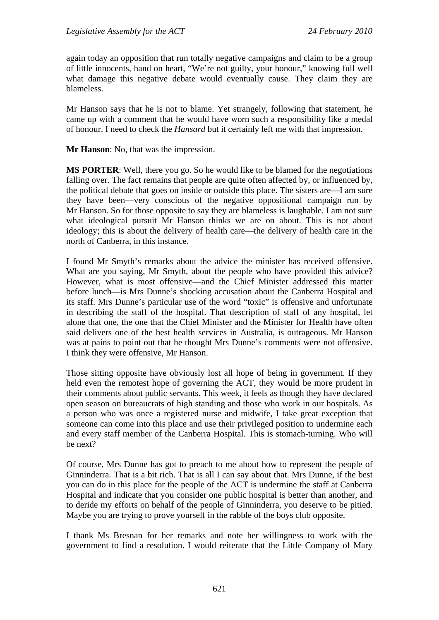again today an opposition that run totally negative campaigns and claim to be a group of little innocents, hand on heart, "We're not guilty, your honour," knowing full well what damage this negative debate would eventually cause. They claim they are blameless.

Mr Hanson says that he is not to blame. Yet strangely, following that statement, he came up with a comment that he would have worn such a responsibility like a medal of honour. I need to check the *Hansard* but it certainly left me with that impression.

**Mr Hanson**: No, that was the impression.

**MS PORTER**: Well, there you go. So he would like to be blamed for the negotiations falling over. The fact remains that people are quite often affected by, or influenced by, the political debate that goes on inside or outside this place. The sisters are—I am sure they have been—very conscious of the negative oppositional campaign run by Mr Hanson. So for those opposite to say they are blameless is laughable. I am not sure what ideological pursuit Mr Hanson thinks we are on about. This is not about ideology; this is about the delivery of health care—the delivery of health care in the north of Canberra, in this instance.

I found Mr Smyth's remarks about the advice the minister has received offensive. What are you saying, Mr Smyth, about the people who have provided this advice? However, what is most offensive—and the Chief Minister addressed this matter before lunch—is Mrs Dunne's shocking accusation about the Canberra Hospital and its staff. Mrs Dunne's particular use of the word "toxic" is offensive and unfortunate in describing the staff of the hospital. That description of staff of any hospital, let alone that one, the one that the Chief Minister and the Minister for Health have often said delivers one of the best health services in Australia, is outrageous. Mr Hanson was at pains to point out that he thought Mrs Dunne's comments were not offensive. I think they were offensive, Mr Hanson.

Those sitting opposite have obviously lost all hope of being in government. If they held even the remotest hope of governing the ACT, they would be more prudent in their comments about public servants. This week, it feels as though they have declared open season on bureaucrats of high standing and those who work in our hospitals. As a person who was once a registered nurse and midwife, I take great exception that someone can come into this place and use their privileged position to undermine each and every staff member of the Canberra Hospital. This is stomach-turning. Who will be next?

Of course, Mrs Dunne has got to preach to me about how to represent the people of Ginninderra. That is a bit rich. That is all I can say about that. Mrs Dunne, if the best you can do in this place for the people of the ACT is undermine the staff at Canberra Hospital and indicate that you consider one public hospital is better than another, and to deride my efforts on behalf of the people of Ginninderra, you deserve to be pitied. Maybe you are trying to prove yourself in the rabble of the boys club opposite.

I thank Ms Bresnan for her remarks and note her willingness to work with the government to find a resolution. I would reiterate that the Little Company of Mary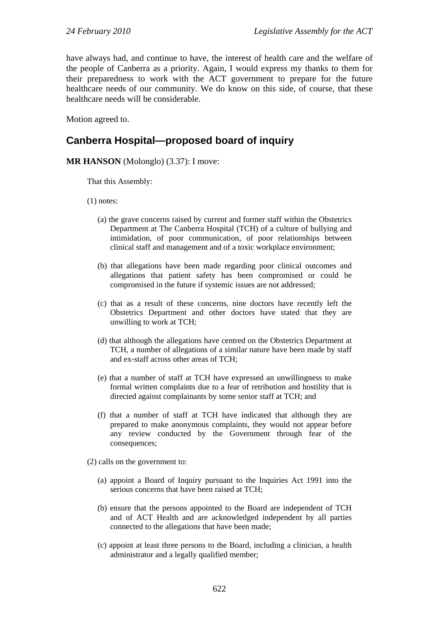have always had, and continue to have, the interest of health care and the welfare of the people of Canberra as a priority. Again, I would express my thanks to them for their preparedness to work with the ACT government to prepare for the future healthcare needs of our community. We do know on this side, of course, that these healthcare needs will be considerable.

Motion agreed to.

## **Canberra Hospital—proposed board of inquiry**

#### **MR HANSON** (Molonglo) (3.37): I move:

That this Assembly:

- (1) notes:
	- (a) the grave concerns raised by current and former staff within the Obstetrics Department at The Canberra Hospital (TCH) of a culture of bullying and intimidation, of poor communication, of poor relationships between clinical staff and management and of a toxic workplace environment;
	- (b) that allegations have been made regarding poor clinical outcomes and allegations that patient safety has been compromised or could be compromised in the future if systemic issues are not addressed;
	- (c) that as a result of these concerns, nine doctors have recently left the Obstetrics Department and other doctors have stated that they are unwilling to work at TCH;
	- (d) that although the allegations have centred on the Obstetrics Department at TCH, a number of allegations of a similar nature have been made by staff and ex-staff across other areas of TCH;
	- (e) that a number of staff at TCH have expressed an unwillingness to make formal written complaints due to a fear of retribution and hostility that is directed against complainants by some senior staff at TCH; and
	- (f) that a number of staff at TCH have indicated that although they are prepared to make anonymous complaints, they would not appear before any review conducted by the Government through fear of the consequences;

(2) calls on the government to:

- (a) appoint a Board of Inquiry pursuant to the Inquiries Act 1991 into the serious concerns that have been raised at TCH;
- (b) ensure that the persons appointed to the Board are independent of TCH and of ACT Health and are acknowledged independent by all parties connected to the allegations that have been made;
- (c) appoint at least three persons to the Board, including a clinician, a health administrator and a legally qualified member;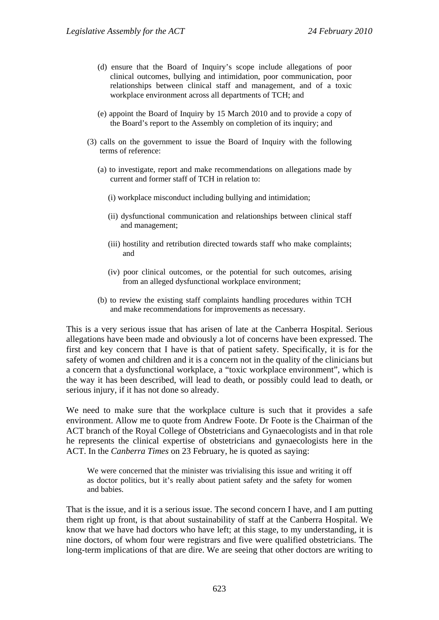- (d) ensure that the Board of Inquiry's scope include allegations of poor clinical outcomes, bullying and intimidation, poor communication, poor relationships between clinical staff and management, and of a toxic workplace environment across all departments of TCH; and
- (e) appoint the Board of Inquiry by 15 March 2010 and to provide a copy of the Board's report to the Assembly on completion of its inquiry; and
- (3) calls on the government to issue the Board of Inquiry with the following terms of reference:
	- (a) to investigate, report and make recommendations on allegations made by current and former staff of TCH in relation to:
		- (i) workplace misconduct including bullying and intimidation;
		- (ii) dysfunctional communication and relationships between clinical staff and management;
		- (iii) hostility and retribution directed towards staff who make complaints; and
		- (iv) poor clinical outcomes, or the potential for such outcomes, arising from an alleged dysfunctional workplace environment;
	- (b) to review the existing staff complaints handling procedures within TCH and make recommendations for improvements as necessary.

This is a very serious issue that has arisen of late at the Canberra Hospital. Serious allegations have been made and obviously a lot of concerns have been expressed. The first and key concern that I have is that of patient safety. Specifically, it is for the safety of women and children and it is a concern not in the quality of the clinicians but a concern that a dysfunctional workplace, a "toxic workplace environment", which is the way it has been described, will lead to death, or possibly could lead to death, or serious injury, if it has not done so already.

We need to make sure that the workplace culture is such that it provides a safe environment. Allow me to quote from Andrew Foote. Dr Foote is the Chairman of the ACT branch of the Royal College of Obstetricians and Gynaecologists and in that role he represents the clinical expertise of obstetricians and gynaecologists here in the ACT. In the *Canberra Times* on 23 February, he is quoted as saying:

We were concerned that the minister was trivialising this issue and writing it off as doctor politics, but it's really about patient safety and the safety for women and babies.

That is the issue, and it is a serious issue. The second concern I have, and I am putting them right up front, is that about sustainability of staff at the Canberra Hospital. We know that we have had doctors who have left; at this stage, to my understanding, it is nine doctors, of whom four were registrars and five were qualified obstetricians. The long-term implications of that are dire. We are seeing that other doctors are writing to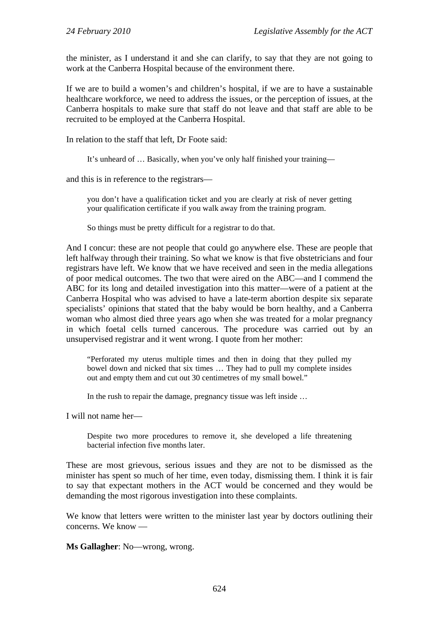the minister, as I understand it and she can clarify, to say that they are not going to work at the Canberra Hospital because of the environment there.

If we are to build a women's and children's hospital, if we are to have a sustainable healthcare workforce, we need to address the issues, or the perception of issues, at the Canberra hospitals to make sure that staff do not leave and that staff are able to be recruited to be employed at the Canberra Hospital.

In relation to the staff that left, Dr Foote said:

It's unheard of … Basically, when you've only half finished your training—

and this is in reference to the registrars—

you don't have a qualification ticket and you are clearly at risk of never getting your qualification certificate if you walk away from the training program.

So things must be pretty difficult for a registrar to do that.

And I concur: these are not people that could go anywhere else. These are people that left halfway through their training. So what we know is that five obstetricians and four registrars have left. We know that we have received and seen in the media allegations of poor medical outcomes. The two that were aired on the ABC—and I commend the ABC for its long and detailed investigation into this matter—were of a patient at the Canberra Hospital who was advised to have a late-term abortion despite six separate specialists' opinions that stated that the baby would be born healthy, and a Canberra woman who almost died three years ago when she was treated for a molar pregnancy in which foetal cells turned cancerous. The procedure was carried out by an unsupervised registrar and it went wrong. I quote from her mother:

"Perforated my uterus multiple times and then in doing that they pulled my bowel down and nicked that six times … They had to pull my complete insides out and empty them and cut out 30 centimetres of my small bowel."

In the rush to repair the damage, pregnancy tissue was left inside …

I will not name her—

Despite two more procedures to remove it, she developed a life threatening bacterial infection five months later.

These are most grievous, serious issues and they are not to be dismissed as the minister has spent so much of her time, even today, dismissing them. I think it is fair to say that expectant mothers in the ACT would be concerned and they would be demanding the most rigorous investigation into these complaints.

We know that letters were written to the minister last year by doctors outlining their concerns. We know —

**Ms Gallagher**: No—wrong, wrong.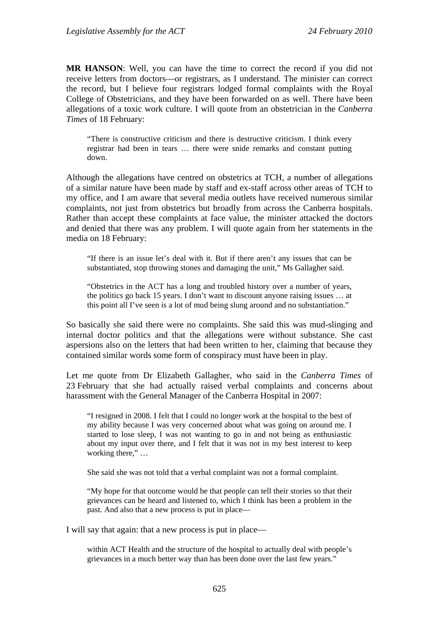**MR HANSON**: Well, you can have the time to correct the record if you did not receive letters from doctors—or registrars, as I understand. The minister can correct the record, but I believe four registrars lodged formal complaints with the Royal College of Obstetricians, and they have been forwarded on as well. There have been allegations of a toxic work culture. I will quote from an obstetrician in the *Canberra Times* of 18 February:

"There is constructive criticism and there is destructive criticism. I think every registrar had been in tears … there were snide remarks and constant putting down.

Although the allegations have centred on obstetrics at TCH, a number of allegations of a similar nature have been made by staff and ex-staff across other areas of TCH to my office, and I am aware that several media outlets have received numerous similar complaints, not just from obstetrics but broadly from across the Canberra hospitals. Rather than accept these complaints at face value, the minister attacked the doctors and denied that there was any problem. I will quote again from her statements in the media on 18 February:

"If there is an issue let's deal with it. But if there aren't any issues that can be substantiated, stop throwing stones and damaging the unit," Ms Gallagher said.

"Obstetrics in the ACT has a long and troubled history over a number of years, the politics go back 15 years. I don't want to discount anyone raising issues … at this point all I've seen is a lot of mud being slung around and no substantiation."

So basically she said there were no complaints. She said this was mud-slinging and internal doctor politics and that the allegations were without substance. She cast aspersions also on the letters that had been written to her, claiming that because they contained similar words some form of conspiracy must have been in play.

Let me quote from Dr Elizabeth Gallagher, who said in the *Canberra Times* of 23 February that she had actually raised verbal complaints and concerns about harassment with the General Manager of the Canberra Hospital in 2007:

"I resigned in 2008. I felt that I could no longer work at the hospital to the best of my ability because I was very concerned about what was going on around me. I started to lose sleep, I was not wanting to go in and not being as enthusiastic about my input over there, and I felt that it was not in my best interest to keep working there," …

She said she was not told that a verbal complaint was not a formal complaint.

"My hope for that outcome would be that people can tell their stories so that their grievances can be heard and listened to, which I think has been a problem in the past. And also that a new process is put in place—

I will say that again: that a new process is put in place—

within ACT Health and the structure of the hospital to actually deal with people's grievances in a much better way than has been done over the last few years."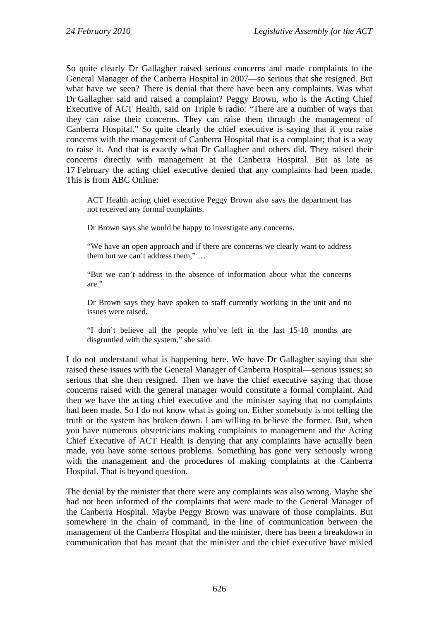So quite clearly Dr Gallagher raised serious concerns and made complaints to the General Manager of the Canberra Hospital in 2007—so serious that she resigned. But what have we seen? There is denial that there have been any complaints. Was what Dr Gallagher said and raised a complaint? Peggy Brown, who is the Acting Chief Executive of ACT Health, said on Triple 6 radio: "There are a number of ways that they can raise their concerns. They can raise them through the management of Canberra Hospital." So quite clearly the chief executive is saying that if you raise concerns with the management of Canberra Hospital that is a complaint; that is a way to raise it. And that is exactly what Dr Gallagher and others did. They raised their concerns directly with management at the Canberra Hospital. But as late as 17 February the acting chief executive denied that any complaints had been made. This is from ABC Online:

ACT Health acting chief executive Peggy Brown also says the department has not received any formal complaints.

Dr Brown says she would be happy to investigate any concerns.

"We have an open approach and if there are concerns we clearly want to address them but we can't address them," …

"But we can't address in the absence of information about what the concerns are."

Dr Brown says they have spoken to staff currently working in the unit and no issues were raised.

"I don't believe all the people who've left in the last 15-18 months are disgruntled with the system," she said.

I do not understand what is happening here. We have Dr Gallagher saying that she raised these issues with the General Manager of Canberra Hospital—serious issues; so serious that she then resigned. Then we have the chief executive saying that those concerns raised with the general manager would constitute a formal complaint. And then we have the acting chief executive and the minister saying that no complaints had been made. So I do not know what is going on. Either somebody is not telling the truth or the system has broken down. I am willing to believe the former. But, when you have numerous obstetricians making complaints to management and the Acting Chief Executive of ACT Health is denying that any complaints have actually been made, you have some serious problems. Something has gone very seriously wrong with the management and the procedures of making complaints at the Canberra Hospital. That is beyond question.

The denial by the minister that there were any complaints was also wrong. Maybe she had not been informed of the complaints that were made to the General Manager of the Canberra Hospital. Maybe Peggy Brown was unaware of those complaints. But somewhere in the chain of command, in the line of communication between the management of the Canberra Hospital and the minister, there has been a breakdown in communication that has meant that the minister and the chief executive have misled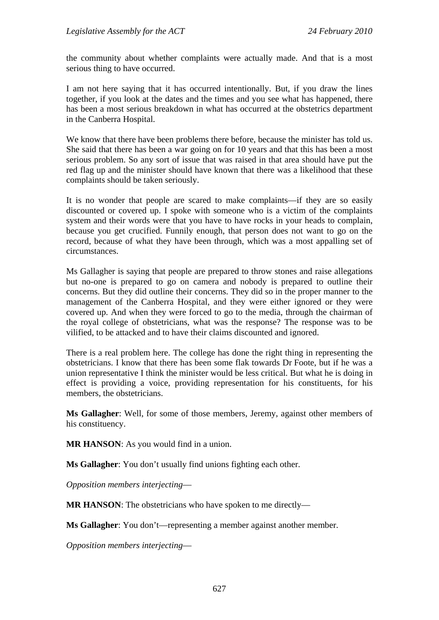the community about whether complaints were actually made. And that is a most serious thing to have occurred.

I am not here saying that it has occurred intentionally. But, if you draw the lines together, if you look at the dates and the times and you see what has happened, there has been a most serious breakdown in what has occurred at the obstetrics department in the Canberra Hospital.

We know that there have been problems there before, because the minister has told us. She said that there has been a war going on for 10 years and that this has been a most serious problem. So any sort of issue that was raised in that area should have put the red flag up and the minister should have known that there was a likelihood that these complaints should be taken seriously.

It is no wonder that people are scared to make complaints—if they are so easily discounted or covered up. I spoke with someone who is a victim of the complaints system and their words were that you have to have rocks in your heads to complain, because you get crucified. Funnily enough, that person does not want to go on the record, because of what they have been through, which was a most appalling set of circumstances.

Ms Gallagher is saying that people are prepared to throw stones and raise allegations but no-one is prepared to go on camera and nobody is prepared to outline their concerns. But they did outline their concerns. They did so in the proper manner to the management of the Canberra Hospital, and they were either ignored or they were covered up. And when they were forced to go to the media, through the chairman of the royal college of obstetricians, what was the response? The response was to be vilified, to be attacked and to have their claims discounted and ignored.

There is a real problem here. The college has done the right thing in representing the obstetricians. I know that there has been some flak towards Dr Foote, but if he was a union representative I think the minister would be less critical. But what he is doing in effect is providing a voice, providing representation for his constituents, for his members, the obstetricians.

**Ms Gallagher**: Well, for some of those members, Jeremy, against other members of his constituency.

**MR HANSON:** As you would find in a union.

**Ms Gallagher**: You don't usually find unions fighting each other.

*Opposition members interjecting*—

**MR HANSON:** The obstetricians who have spoken to me directly—

**Ms Gallagher**: You don't—representing a member against another member.

*Opposition members interjecting*—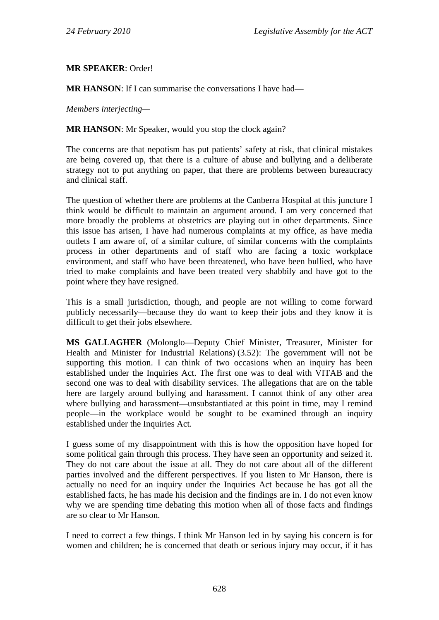**MR SPEAKER**: Order!

**MR HANSON:** If I can summarise the conversations I have had—

*Members interjecting—* 

**MR HANSON**: Mr Speaker, would you stop the clock again?

The concerns are that nepotism has put patients' safety at risk, that clinical mistakes are being covered up, that there is a culture of abuse and bullying and a deliberate strategy not to put anything on paper, that there are problems between bureaucracy and clinical staff.

The question of whether there are problems at the Canberra Hospital at this juncture I think would be difficult to maintain an argument around. I am very concerned that more broadly the problems at obstetrics are playing out in other departments. Since this issue has arisen, I have had numerous complaints at my office, as have media outlets I am aware of, of a similar culture, of similar concerns with the complaints process in other departments and of staff who are facing a toxic workplace environment, and staff who have been threatened, who have been bullied, who have tried to make complaints and have been treated very shabbily and have got to the point where they have resigned.

This is a small jurisdiction, though, and people are not willing to come forward publicly necessarily—because they do want to keep their jobs and they know it is difficult to get their jobs elsewhere.

**MS GALLAGHER** (Molonglo—Deputy Chief Minister, Treasurer, Minister for Health and Minister for Industrial Relations) (3.52): The government will not be supporting this motion. I can think of two occasions when an inquiry has been established under the Inquiries Act. The first one was to deal with VITAB and the second one was to deal with disability services. The allegations that are on the table here are largely around bullying and harassment. I cannot think of any other area where bullying and harassment—unsubstantiated at this point in time, may I remind people—in the workplace would be sought to be examined through an inquiry established under the Inquiries Act.

I guess some of my disappointment with this is how the opposition have hoped for some political gain through this process. They have seen an opportunity and seized it. They do not care about the issue at all. They do not care about all of the different parties involved and the different perspectives. If you listen to Mr Hanson, there is actually no need for an inquiry under the Inquiries Act because he has got all the established facts, he has made his decision and the findings are in. I do not even know why we are spending time debating this motion when all of those facts and findings are so clear to Mr Hanson.

I need to correct a few things. I think Mr Hanson led in by saying his concern is for women and children; he is concerned that death or serious injury may occur, if it has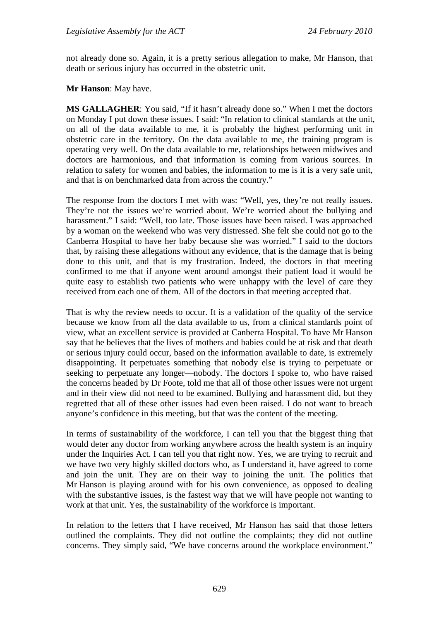not already done so. Again, it is a pretty serious allegation to make, Mr Hanson, that death or serious injury has occurred in the obstetric unit.

**Mr Hanson**: May have.

**MS GALLAGHER**: You said, "If it hasn't already done so." When I met the doctors on Monday I put down these issues. I said: "In relation to clinical standards at the unit, on all of the data available to me, it is probably the highest performing unit in obstetric care in the territory. On the data available to me, the training program is operating very well. On the data available to me, relationships between midwives and doctors are harmonious, and that information is coming from various sources. In relation to safety for women and babies, the information to me is it is a very safe unit, and that is on benchmarked data from across the country."

The response from the doctors I met with was: "Well, yes, they're not really issues. They're not the issues we're worried about. We're worried about the bullying and harassment." I said: "Well, too late. Those issues have been raised. I was approached by a woman on the weekend who was very distressed. She felt she could not go to the Canberra Hospital to have her baby because she was worried." I said to the doctors that, by raising these allegations without any evidence, that is the damage that is being done to this unit, and that is my frustration. Indeed, the doctors in that meeting confirmed to me that if anyone went around amongst their patient load it would be quite easy to establish two patients who were unhappy with the level of care they received from each one of them. All of the doctors in that meeting accepted that.

That is why the review needs to occur. It is a validation of the quality of the service because we know from all the data available to us, from a clinical standards point of view, what an excellent service is provided at Canberra Hospital. To have Mr Hanson say that he believes that the lives of mothers and babies could be at risk and that death or serious injury could occur, based on the information available to date, is extremely disappointing. It perpetuates something that nobody else is trying to perpetuate or seeking to perpetuate any longer—nobody. The doctors I spoke to, who have raised the concerns headed by Dr Foote, told me that all of those other issues were not urgent and in their view did not need to be examined. Bullying and harassment did, but they regretted that all of these other issues had even been raised. I do not want to breach anyone's confidence in this meeting, but that was the content of the meeting.

In terms of sustainability of the workforce, I can tell you that the biggest thing that would deter any doctor from working anywhere across the health system is an inquiry under the Inquiries Act. I can tell you that right now. Yes, we are trying to recruit and we have two very highly skilled doctors who, as I understand it, have agreed to come and join the unit. They are on their way to joining the unit. The politics that Mr Hanson is playing around with for his own convenience, as opposed to dealing with the substantive issues, is the fastest way that we will have people not wanting to work at that unit. Yes, the sustainability of the workforce is important.

In relation to the letters that I have received, Mr Hanson has said that those letters outlined the complaints. They did not outline the complaints; they did not outline concerns. They simply said, "We have concerns around the workplace environment."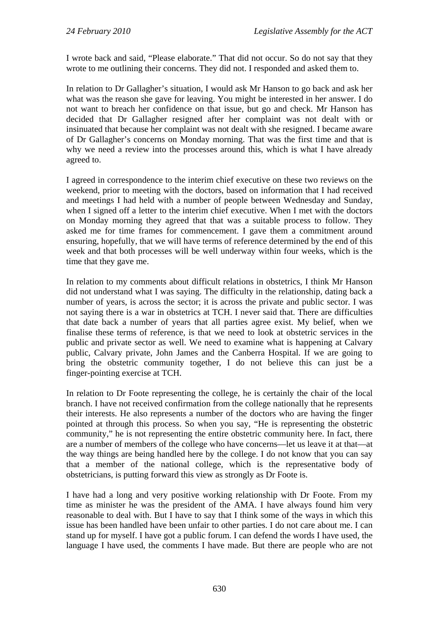I wrote back and said, "Please elaborate." That did not occur. So do not say that they wrote to me outlining their concerns. They did not. I responded and asked them to.

In relation to Dr Gallagher's situation, I would ask Mr Hanson to go back and ask her what was the reason she gave for leaving. You might be interested in her answer. I do not want to breach her confidence on that issue, but go and check. Mr Hanson has decided that Dr Gallagher resigned after her complaint was not dealt with or insinuated that because her complaint was not dealt with she resigned. I became aware of Dr Gallagher's concerns on Monday morning. That was the first time and that is why we need a review into the processes around this, which is what I have already agreed to.

I agreed in correspondence to the interim chief executive on these two reviews on the weekend, prior to meeting with the doctors, based on information that I had received and meetings I had held with a number of people between Wednesday and Sunday, when I signed off a letter to the interim chief executive. When I met with the doctors on Monday morning they agreed that that was a suitable process to follow. They asked me for time frames for commencement. I gave them a commitment around ensuring, hopefully, that we will have terms of reference determined by the end of this week and that both processes will be well underway within four weeks, which is the time that they gave me.

In relation to my comments about difficult relations in obstetrics, I think Mr Hanson did not understand what I was saying. The difficulty in the relationship, dating back a number of years, is across the sector; it is across the private and public sector. I was not saying there is a war in obstetrics at TCH. I never said that. There are difficulties that date back a number of years that all parties agree exist. My belief, when we finalise these terms of reference, is that we need to look at obstetric services in the public and private sector as well. We need to examine what is happening at Calvary public, Calvary private, John James and the Canberra Hospital. If we are going to bring the obstetric community together, I do not believe this can just be a finger-pointing exercise at TCH.

In relation to Dr Foote representing the college, he is certainly the chair of the local branch. I have not received confirmation from the college nationally that he represents their interests. He also represents a number of the doctors who are having the finger pointed at through this process. So when you say, "He is representing the obstetric community," he is not representing the entire obstetric community here. In fact, there are a number of members of the college who have concerns—let us leave it at that—at the way things are being handled here by the college. I do not know that you can say that a member of the national college, which is the representative body of obstetricians, is putting forward this view as strongly as Dr Foote is.

I have had a long and very positive working relationship with Dr Foote. From my time as minister he was the president of the AMA. I have always found him very reasonable to deal with. But I have to say that I think some of the ways in which this issue has been handled have been unfair to other parties. I do not care about me. I can stand up for myself. I have got a public forum. I can defend the words I have used, the language I have used, the comments I have made. But there are people who are not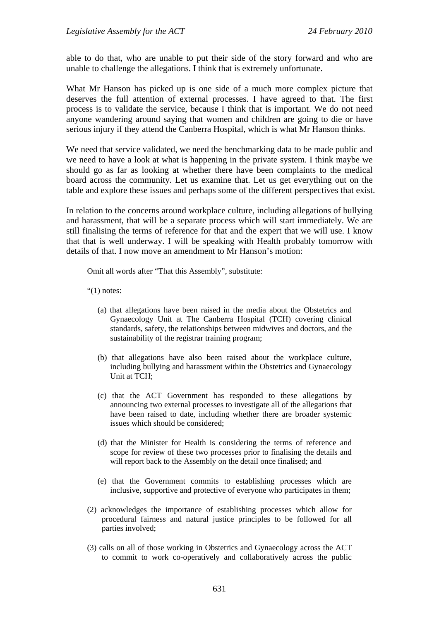able to do that, who are unable to put their side of the story forward and who are unable to challenge the allegations. I think that is extremely unfortunate.

What Mr Hanson has picked up is one side of a much more complex picture that deserves the full attention of external processes. I have agreed to that. The first process is to validate the service, because I think that is important. We do not need anyone wandering around saying that women and children are going to die or have serious injury if they attend the Canberra Hospital, which is what Mr Hanson thinks.

We need that service validated, we need the benchmarking data to be made public and we need to have a look at what is happening in the private system. I think maybe we should go as far as looking at whether there have been complaints to the medical board across the community. Let us examine that. Let us get everything out on the table and explore these issues and perhaps some of the different perspectives that exist.

In relation to the concerns around workplace culture, including allegations of bullying and harassment, that will be a separate process which will start immediately. We are still finalising the terms of reference for that and the expert that we will use. I know that that is well underway. I will be speaking with Health probably tomorrow with details of that. I now move an amendment to Mr Hanson's motion:

Omit all words after "That this Assembly", substitute:

" $(1)$  notes:

- (a) that allegations have been raised in the media about the Obstetrics and Gynaecology Unit at The Canberra Hospital (TCH) covering clinical standards, safety, the relationships between midwives and doctors, and the sustainability of the registrar training program;
- (b) that allegations have also been raised about the workplace culture, including bullying and harassment within the Obstetrics and Gynaecology Unit at TCH;
- (c) that the ACT Government has responded to these allegations by announcing two external processes to investigate all of the allegations that have been raised to date, including whether there are broader systemic issues which should be considered;
- (d) that the Minister for Health is considering the terms of reference and scope for review of these two processes prior to finalising the details and will report back to the Assembly on the detail once finalised; and
- (e) that the Government commits to establishing processes which are inclusive, supportive and protective of everyone who participates in them;
- (2) acknowledges the importance of establishing processes which allow for procedural fairness and natural justice principles to be followed for all parties involved;
- (3) calls on all of those working in Obstetrics and Gynaecology across the ACT to commit to work co-operatively and collaboratively across the public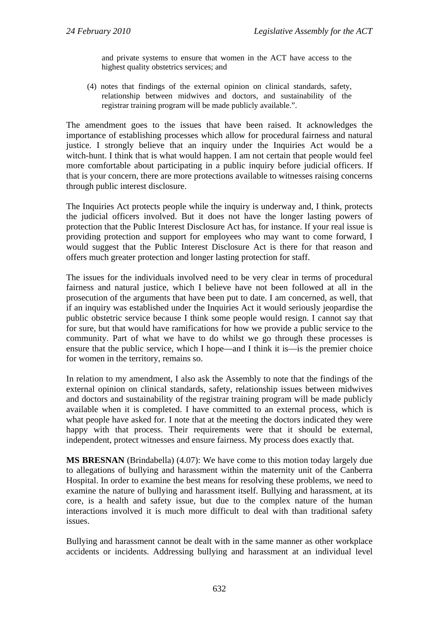and private systems to ensure that women in the ACT have access to the highest quality obstetrics services; and

(4) notes that findings of the external opinion on clinical standards, safety, relationship between midwives and doctors, and sustainability of the registrar training program will be made publicly available.".

The amendment goes to the issues that have been raised. It acknowledges the importance of establishing processes which allow for procedural fairness and natural justice. I strongly believe that an inquiry under the Inquiries Act would be a witch-hunt. I think that is what would happen. I am not certain that people would feel more comfortable about participating in a public inquiry before judicial officers. If that is your concern, there are more protections available to witnesses raising concerns through public interest disclosure.

The Inquiries Act protects people while the inquiry is underway and, I think, protects the judicial officers involved. But it does not have the longer lasting powers of protection that the Public Interest Disclosure Act has, for instance. If your real issue is providing protection and support for employees who may want to come forward, I would suggest that the Public Interest Disclosure Act is there for that reason and offers much greater protection and longer lasting protection for staff.

The issues for the individuals involved need to be very clear in terms of procedural fairness and natural justice, which I believe have not been followed at all in the prosecution of the arguments that have been put to date. I am concerned, as well, that if an inquiry was established under the Inquiries Act it would seriously jeopardise the public obstetric service because I think some people would resign. I cannot say that for sure, but that would have ramifications for how we provide a public service to the community. Part of what we have to do whilst we go through these processes is ensure that the public service, which I hope—and I think it is—is the premier choice for women in the territory, remains so.

In relation to my amendment, I also ask the Assembly to note that the findings of the external opinion on clinical standards, safety, relationship issues between midwives and doctors and sustainability of the registrar training program will be made publicly available when it is completed. I have committed to an external process, which is what people have asked for. I note that at the meeting the doctors indicated they were happy with that process. Their requirements were that it should be external, independent, protect witnesses and ensure fairness. My process does exactly that.

**MS BRESNAN** (Brindabella) (4.07): We have come to this motion today largely due to allegations of bullying and harassment within the maternity unit of the Canberra Hospital. In order to examine the best means for resolving these problems, we need to examine the nature of bullying and harassment itself. Bullying and harassment, at its core, is a health and safety issue, but due to the complex nature of the human interactions involved it is much more difficult to deal with than traditional safety issues.

Bullying and harassment cannot be dealt with in the same manner as other workplace accidents or incidents. Addressing bullying and harassment at an individual level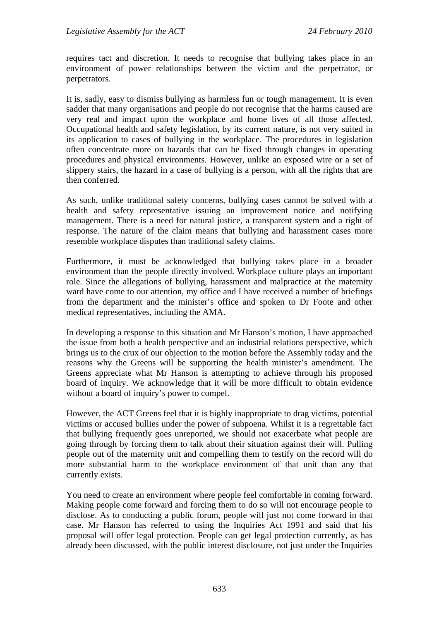requires tact and discretion. It needs to recognise that bullying takes place in an environment of power relationships between the victim and the perpetrator, or perpetrators.

It is, sadly, easy to dismiss bullying as harmless fun or tough management. It is even sadder that many organisations and people do not recognise that the harms caused are very real and impact upon the workplace and home lives of all those affected. Occupational health and safety legislation, by its current nature, is not very suited in its application to cases of bullying in the workplace. The procedures in legislation often concentrate more on hazards that can be fixed through changes in operating procedures and physical environments. However, unlike an exposed wire or a set of slippery stairs, the hazard in a case of bullying is a person, with all the rights that are then conferred.

As such, unlike traditional safety concerns, bullying cases cannot be solved with a health and safety representative issuing an improvement notice and notifying management. There is a need for natural justice, a transparent system and a right of response. The nature of the claim means that bullying and harassment cases more resemble workplace disputes than traditional safety claims.

Furthermore, it must be acknowledged that bullying takes place in a broader environment than the people directly involved. Workplace culture plays an important role. Since the allegations of bullying, harassment and malpractice at the maternity ward have come to our attention, my office and I have received a number of briefings from the department and the minister's office and spoken to Dr Foote and other medical representatives, including the AMA.

In developing a response to this situation and Mr Hanson's motion, I have approached the issue from both a health perspective and an industrial relations perspective, which brings us to the crux of our objection to the motion before the Assembly today and the reasons why the Greens will be supporting the health minister's amendment. The Greens appreciate what Mr Hanson is attempting to achieve through his proposed board of inquiry. We acknowledge that it will be more difficult to obtain evidence without a board of inquiry's power to compel.

However, the ACT Greens feel that it is highly inappropriate to drag victims, potential victims or accused bullies under the power of subpoena. Whilst it is a regrettable fact that bullying frequently goes unreported, we should not exacerbate what people are going through by forcing them to talk about their situation against their will. Pulling people out of the maternity unit and compelling them to testify on the record will do more substantial harm to the workplace environment of that unit than any that currently exists.

You need to create an environment where people feel comfortable in coming forward. Making people come forward and forcing them to do so will not encourage people to disclose. As to conducting a public forum, people will just not come forward in that case. Mr Hanson has referred to using the Inquiries Act 1991 and said that his proposal will offer legal protection. People can get legal protection currently, as has already been discussed, with the public interest disclosure, not just under the Inquiries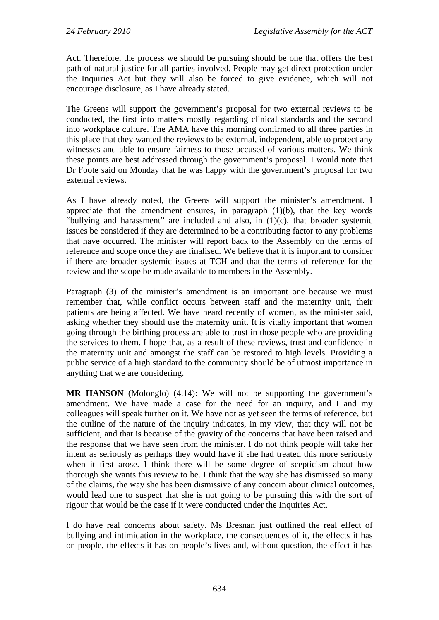Act. Therefore, the process we should be pursuing should be one that offers the best path of natural justice for all parties involved. People may get direct protection under the Inquiries Act but they will also be forced to give evidence, which will not encourage disclosure, as I have already stated.

The Greens will support the government's proposal for two external reviews to be conducted, the first into matters mostly regarding clinical standards and the second into workplace culture. The AMA have this morning confirmed to all three parties in this place that they wanted the reviews to be external, independent, able to protect any witnesses and able to ensure fairness to those accused of various matters. We think these points are best addressed through the government's proposal. I would note that Dr Foote said on Monday that he was happy with the government's proposal for two external reviews.

As I have already noted, the Greens will support the minister's amendment. I appreciate that the amendment ensures, in paragraph  $(1)(b)$ , that the key words "bullying and harassment" are included and also, in (1)(c), that broader systemic issues be considered if they are determined to be a contributing factor to any problems that have occurred. The minister will report back to the Assembly on the terms of reference and scope once they are finalised. We believe that it is important to consider if there are broader systemic issues at TCH and that the terms of reference for the review and the scope be made available to members in the Assembly.

Paragraph (3) of the minister's amendment is an important one because we must remember that, while conflict occurs between staff and the maternity unit, their patients are being affected. We have heard recently of women, as the minister said, asking whether they should use the maternity unit. It is vitally important that women going through the birthing process are able to trust in those people who are providing the services to them. I hope that, as a result of these reviews, trust and confidence in the maternity unit and amongst the staff can be restored to high levels. Providing a public service of a high standard to the community should be of utmost importance in anything that we are considering.

**MR HANSON** (Molonglo) (4.14): We will not be supporting the government's amendment. We have made a case for the need for an inquiry, and I and my colleagues will speak further on it. We have not as yet seen the terms of reference, but the outline of the nature of the inquiry indicates, in my view, that they will not be sufficient, and that is because of the gravity of the concerns that have been raised and the response that we have seen from the minister. I do not think people will take her intent as seriously as perhaps they would have if she had treated this more seriously when it first arose. I think there will be some degree of scepticism about how thorough she wants this review to be. I think that the way she has dismissed so many of the claims, the way she has been dismissive of any concern about clinical outcomes, would lead one to suspect that she is not going to be pursuing this with the sort of rigour that would be the case if it were conducted under the Inquiries Act.

I do have real concerns about safety. Ms Bresnan just outlined the real effect of bullying and intimidation in the workplace, the consequences of it, the effects it has on people, the effects it has on people's lives and, without question, the effect it has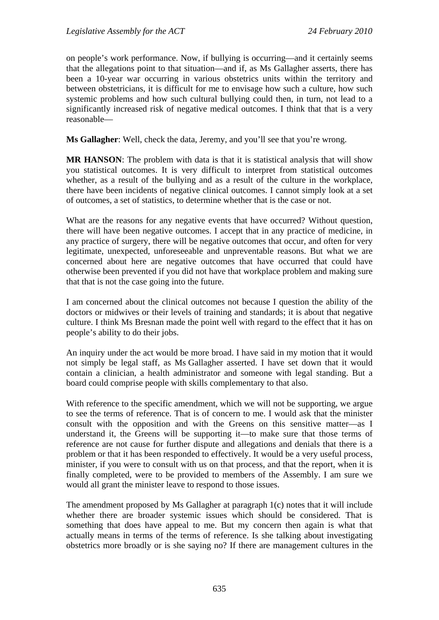on people's work performance. Now, if bullying is occurring—and it certainly seems that the allegations point to that situation—and if, as Ms Gallagher asserts, there has been a 10-year war occurring in various obstetrics units within the territory and between obstetricians, it is difficult for me to envisage how such a culture, how such systemic problems and how such cultural bullying could then, in turn, not lead to a significantly increased risk of negative medical outcomes. I think that that is a very reasonable—

**Ms Gallagher**: Well, check the data, Jeremy, and you'll see that you're wrong.

**MR HANSON**: The problem with data is that it is statistical analysis that will show you statistical outcomes. It is very difficult to interpret from statistical outcomes whether, as a result of the bullying and as a result of the culture in the workplace, there have been incidents of negative clinical outcomes. I cannot simply look at a set of outcomes, a set of statistics, to determine whether that is the case or not.

What are the reasons for any negative events that have occurred? Without question, there will have been negative outcomes. I accept that in any practice of medicine, in any practice of surgery, there will be negative outcomes that occur, and often for very legitimate, unexpected, unforeseeable and unpreventable reasons. But what we are concerned about here are negative outcomes that have occurred that could have otherwise been prevented if you did not have that workplace problem and making sure that that is not the case going into the future.

I am concerned about the clinical outcomes not because I question the ability of the doctors or midwives or their levels of training and standards; it is about that negative culture. I think Ms Bresnan made the point well with regard to the effect that it has on people's ability to do their jobs.

An inquiry under the act would be more broad. I have said in my motion that it would not simply be legal staff, as Ms Gallagher asserted. I have set down that it would contain a clinician, a health administrator and someone with legal standing. But a board could comprise people with skills complementary to that also.

With reference to the specific amendment, which we will not be supporting, we argue to see the terms of reference. That is of concern to me. I would ask that the minister consult with the opposition and with the Greens on this sensitive matter—as I understand it, the Greens will be supporting it—to make sure that those terms of reference are not cause for further dispute and allegations and denials that there is a problem or that it has been responded to effectively. It would be a very useful process, minister, if you were to consult with us on that process, and that the report, when it is finally completed, were to be provided to members of the Assembly. I am sure we would all grant the minister leave to respond to those issues.

The amendment proposed by Ms Gallagher at paragraph 1(c) notes that it will include whether there are broader systemic issues which should be considered. That is something that does have appeal to me. But my concern then again is what that actually means in terms of the terms of reference. Is she talking about investigating obstetrics more broadly or is she saying no? If there are management cultures in the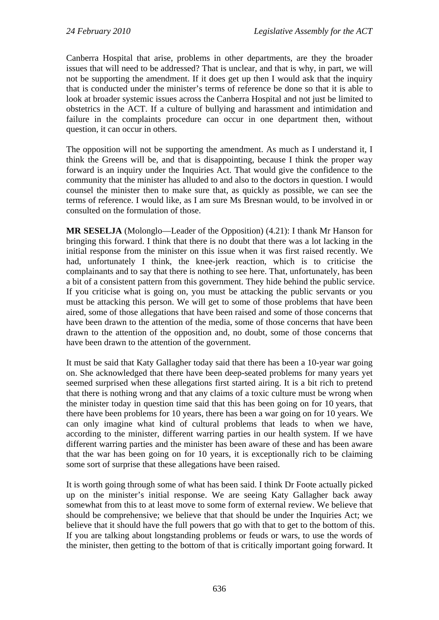Canberra Hospital that arise, problems in other departments, are they the broader issues that will need to be addressed? That is unclear, and that is why, in part, we will not be supporting the amendment. If it does get up then I would ask that the inquiry that is conducted under the minister's terms of reference be done so that it is able to look at broader systemic issues across the Canberra Hospital and not just be limited to obstetrics in the ACT. If a culture of bullying and harassment and intimidation and failure in the complaints procedure can occur in one department then, without question, it can occur in others.

The opposition will not be supporting the amendment. As much as I understand it, I think the Greens will be, and that is disappointing, because I think the proper way forward is an inquiry under the Inquiries Act. That would give the confidence to the community that the minister has alluded to and also to the doctors in question. I would counsel the minister then to make sure that, as quickly as possible, we can see the terms of reference. I would like, as I am sure Ms Bresnan would, to be involved in or consulted on the formulation of those.

**MR SESELJA** (Molonglo—Leader of the Opposition) (4.21): I thank Mr Hanson for bringing this forward. I think that there is no doubt that there was a lot lacking in the initial response from the minister on this issue when it was first raised recently. We had, unfortunately I think, the knee-jerk reaction, which is to criticise the complainants and to say that there is nothing to see here. That, unfortunately, has been a bit of a consistent pattern from this government. They hide behind the public service. If you criticise what is going on, you must be attacking the public servants or you must be attacking this person. We will get to some of those problems that have been aired, some of those allegations that have been raised and some of those concerns that have been drawn to the attention of the media, some of those concerns that have been drawn to the attention of the opposition and, no doubt, some of those concerns that have been drawn to the attention of the government.

It must be said that Katy Gallagher today said that there has been a 10-year war going on. She acknowledged that there have been deep-seated problems for many years yet seemed surprised when these allegations first started airing. It is a bit rich to pretend that there is nothing wrong and that any claims of a toxic culture must be wrong when the minister today in question time said that this has been going on for 10 years, that there have been problems for 10 years, there has been a war going on for 10 years. We can only imagine what kind of cultural problems that leads to when we have, according to the minister, different warring parties in our health system. If we have different warring parties and the minister has been aware of these and has been aware that the war has been going on for 10 years, it is exceptionally rich to be claiming some sort of surprise that these allegations have been raised.

It is worth going through some of what has been said. I think Dr Foote actually picked up on the minister's initial response. We are seeing Katy Gallagher back away somewhat from this to at least move to some form of external review. We believe that should be comprehensive; we believe that that should be under the Inquiries Act; we believe that it should have the full powers that go with that to get to the bottom of this. If you are talking about longstanding problems or feuds or wars, to use the words of the minister, then getting to the bottom of that is critically important going forward. It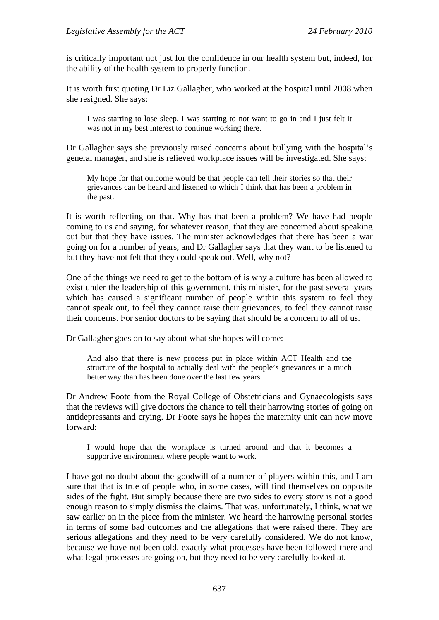is critically important not just for the confidence in our health system but, indeed, for the ability of the health system to properly function.

It is worth first quoting Dr Liz Gallagher, who worked at the hospital until 2008 when she resigned. She says:

I was starting to lose sleep, I was starting to not want to go in and I just felt it was not in my best interest to continue working there.

Dr Gallagher says she previously raised concerns about bullying with the hospital's general manager, and she is relieved workplace issues will be investigated. She says:

My hope for that outcome would be that people can tell their stories so that their grievances can be heard and listened to which I think that has been a problem in the past.

It is worth reflecting on that. Why has that been a problem? We have had people coming to us and saying, for whatever reason, that they are concerned about speaking out but that they have issues. The minister acknowledges that there has been a war going on for a number of years, and Dr Gallagher says that they want to be listened to but they have not felt that they could speak out. Well, why not?

One of the things we need to get to the bottom of is why a culture has been allowed to exist under the leadership of this government, this minister, for the past several years which has caused a significant number of people within this system to feel they cannot speak out, to feel they cannot raise their grievances, to feel they cannot raise their concerns. For senior doctors to be saying that should be a concern to all of us.

Dr Gallagher goes on to say about what she hopes will come:

And also that there is new process put in place within ACT Health and the structure of the hospital to actually deal with the people's grievances in a much better way than has been done over the last few years.

Dr Andrew Foote from the Royal College of Obstetricians and Gynaecologists says that the reviews will give doctors the chance to tell their harrowing stories of going on antidepressants and crying. Dr Foote says he hopes the maternity unit can now move forward:

I would hope that the workplace is turned around and that it becomes a supportive environment where people want to work.

I have got no doubt about the goodwill of a number of players within this, and I am sure that that is true of people who, in some cases, will find themselves on opposite sides of the fight. But simply because there are two sides to every story is not a good enough reason to simply dismiss the claims. That was, unfortunately, I think, what we saw earlier on in the piece from the minister. We heard the harrowing personal stories in terms of some bad outcomes and the allegations that were raised there. They are serious allegations and they need to be very carefully considered. We do not know, because we have not been told, exactly what processes have been followed there and what legal processes are going on, but they need to be very carefully looked at.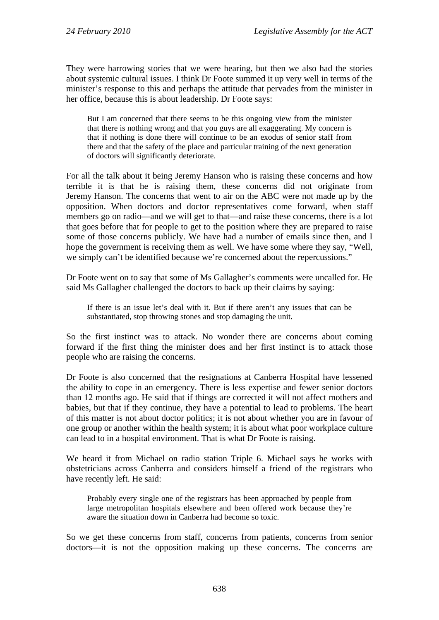They were harrowing stories that we were hearing, but then we also had the stories about systemic cultural issues. I think Dr Foote summed it up very well in terms of the minister's response to this and perhaps the attitude that pervades from the minister in her office, because this is about leadership. Dr Foote says:

But I am concerned that there seems to be this ongoing view from the minister that there is nothing wrong and that you guys are all exaggerating. My concern is that if nothing is done there will continue to be an exodus of senior staff from there and that the safety of the place and particular training of the next generation of doctors will significantly deteriorate.

For all the talk about it being Jeremy Hanson who is raising these concerns and how terrible it is that he is raising them, these concerns did not originate from Jeremy Hanson. The concerns that went to air on the ABC were not made up by the opposition. When doctors and doctor representatives come forward, when staff members go on radio—and we will get to that—and raise these concerns, there is a lot that goes before that for people to get to the position where they are prepared to raise some of those concerns publicly. We have had a number of emails since then, and I hope the government is receiving them as well. We have some where they say, "Well, we simply can't be identified because we're concerned about the repercussions."

Dr Foote went on to say that some of Ms Gallagher's comments were uncalled for. He said Ms Gallagher challenged the doctors to back up their claims by saying:

If there is an issue let's deal with it. But if there aren't any issues that can be substantiated, stop throwing stones and stop damaging the unit.

So the first instinct was to attack. No wonder there are concerns about coming forward if the first thing the minister does and her first instinct is to attack those people who are raising the concerns.

Dr Foote is also concerned that the resignations at Canberra Hospital have lessened the ability to cope in an emergency. There is less expertise and fewer senior doctors than 12 months ago. He said that if things are corrected it will not affect mothers and babies, but that if they continue, they have a potential to lead to problems. The heart of this matter is not about doctor politics; it is not about whether you are in favour of one group or another within the health system; it is about what poor workplace culture can lead to in a hospital environment. That is what Dr Foote is raising.

We heard it from Michael on radio station Triple 6. Michael says he works with obstetricians across Canberra and considers himself a friend of the registrars who have recently left. He said:

Probably every single one of the registrars has been approached by people from large metropolitan hospitals elsewhere and been offered work because they're aware the situation down in Canberra had become so toxic.

So we get these concerns from staff, concerns from patients, concerns from senior doctors—it is not the opposition making up these concerns. The concerns are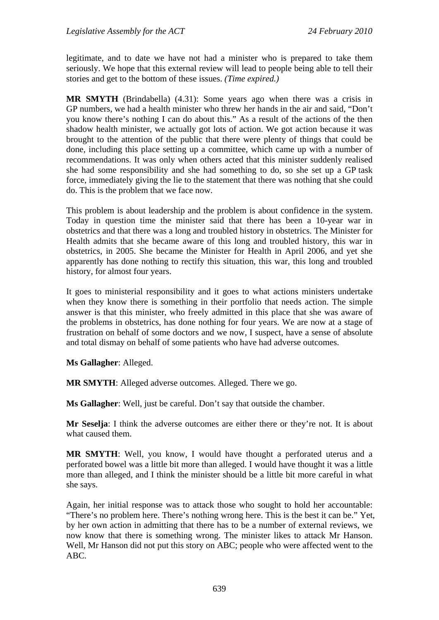legitimate, and to date we have not had a minister who is prepared to take them seriously. We hope that this external review will lead to people being able to tell their stories and get to the bottom of these issues. *(Time expired.)*

**MR SMYTH** (Brindabella) (4.31): Some years ago when there was a crisis in GP numbers, we had a health minister who threw her hands in the air and said, "Don't you know there's nothing I can do about this." As a result of the actions of the then shadow health minister, we actually got lots of action. We got action because it was brought to the attention of the public that there were plenty of things that could be done, including this place setting up a committee, which came up with a number of recommendations. It was only when others acted that this minister suddenly realised she had some responsibility and she had something to do, so she set up a GP task force, immediately giving the lie to the statement that there was nothing that she could do. This is the problem that we face now.

This problem is about leadership and the problem is about confidence in the system. Today in question time the minister said that there has been a 10-year war in obstetrics and that there was a long and troubled history in obstetrics. The Minister for Health admits that she became aware of this long and troubled history, this war in obstetrics, in 2005. She became the Minister for Health in April 2006, and yet she apparently has done nothing to rectify this situation, this war, this long and troubled history, for almost four years.

It goes to ministerial responsibility and it goes to what actions ministers undertake when they know there is something in their portfolio that needs action. The simple answer is that this minister, who freely admitted in this place that she was aware of the problems in obstetrics, has done nothing for four years. We are now at a stage of frustration on behalf of some doctors and we now, I suspect, have a sense of absolute and total dismay on behalf of some patients who have had adverse outcomes.

**Ms Gallagher**: Alleged.

**MR SMYTH**: Alleged adverse outcomes. Alleged. There we go.

**Ms Gallagher**: Well, just be careful. Don't say that outside the chamber.

**Mr Seselja**: I think the adverse outcomes are either there or they're not. It is about what caused them.

**MR SMYTH**: Well, you know, I would have thought a perforated uterus and a perforated bowel was a little bit more than alleged. I would have thought it was a little more than alleged, and I think the minister should be a little bit more careful in what she says.

Again, her initial response was to attack those who sought to hold her accountable: "There's no problem here. There's nothing wrong here. This is the best it can be." Yet, by her own action in admitting that there has to be a number of external reviews, we now know that there is something wrong. The minister likes to attack Mr Hanson. Well, Mr Hanson did not put this story on ABC; people who were affected went to the ABC.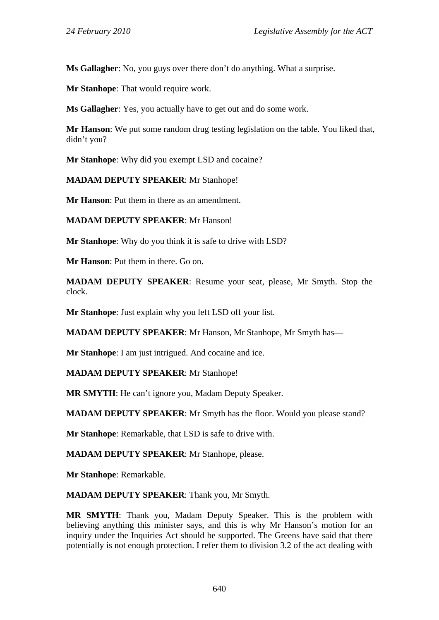**Ms Gallagher**: No, you guys over there don't do anything. What a surprise.

**Mr Stanhope**: That would require work.

**Ms Gallagher**: Yes, you actually have to get out and do some work.

**Mr Hanson**: We put some random drug testing legislation on the table. You liked that, didn't you?

**Mr Stanhope**: Why did you exempt LSD and cocaine?

**MADAM DEPUTY SPEAKER**: Mr Stanhope!

**Mr Hanson**: Put them in there as an amendment.

**MADAM DEPUTY SPEAKER**: Mr Hanson!

**Mr Stanhope**: Why do you think it is safe to drive with LSD?

**Mr Hanson**: Put them in there. Go on.

**MADAM DEPUTY SPEAKER**: Resume your seat, please, Mr Smyth. Stop the clock.

**Mr Stanhope**: Just explain why you left LSD off your list.

**MADAM DEPUTY SPEAKER**: Mr Hanson, Mr Stanhope, Mr Smyth has—

**Mr Stanhope**: I am just intrigued. And cocaine and ice.

**MADAM DEPUTY SPEAKER**: Mr Stanhope!

**MR SMYTH**: He can't ignore you, Madam Deputy Speaker.

**MADAM DEPUTY SPEAKER**: Mr Smyth has the floor. Would you please stand?

**Mr Stanhope**: Remarkable, that LSD is safe to drive with.

**MADAM DEPUTY SPEAKER**: Mr Stanhope, please.

**Mr Stanhope**: Remarkable.

**MADAM DEPUTY SPEAKER**: Thank you, Mr Smyth.

**MR SMYTH**: Thank you, Madam Deputy Speaker. This is the problem with believing anything this minister says, and this is why Mr Hanson's motion for an inquiry under the Inquiries Act should be supported. The Greens have said that there potentially is not enough protection. I refer them to division 3.2 of the act dealing with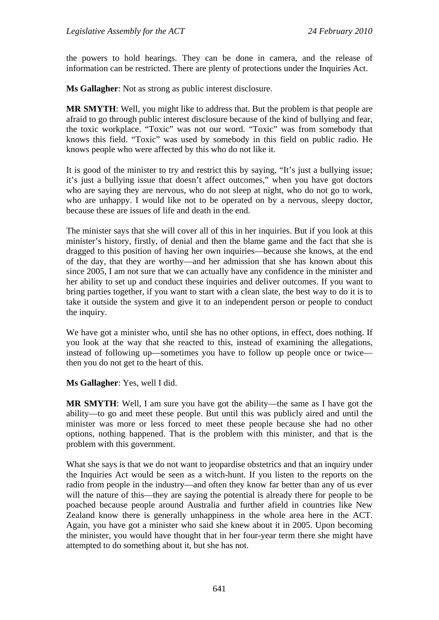the powers to hold hearings. They can be done in camera, and the release of information can be restricted. There are plenty of protections under the Inquiries Act.

**Ms Gallagher**: Not as strong as public interest disclosure.

**MR SMYTH**: Well, you might like to address that. But the problem is that people are afraid to go through public interest disclosure because of the kind of bullying and fear, the toxic workplace. "Toxic" was not our word. "Toxic" was from somebody that knows this field. "Toxic" was used by somebody in this field on public radio. He knows people who were affected by this who do not like it.

It is good of the minister to try and restrict this by saying, "It's just a bullying issue; it's just a bullying issue that doesn't affect outcomes," when you have got doctors who are saying they are nervous, who do not sleep at night, who do not go to work, who are unhappy. I would like not to be operated on by a nervous, sleepy doctor, because these are issues of life and death in the end.

The minister says that she will cover all of this in her inquiries. But if you look at this minister's history, firstly, of denial and then the blame game and the fact that she is dragged to this position of having her own inquiries—because she knows, at the end of the day, that they are worthy—and her admission that she has known about this since 2005, I am not sure that we can actually have any confidence in the minister and her ability to set up and conduct these inquiries and deliver outcomes. If you want to bring parties together, if you want to start with a clean slate, the best way to do it is to take it outside the system and give it to an independent person or people to conduct the inquiry.

We have got a minister who, until she has no other options, in effect, does nothing. If you look at the way that she reacted to this, instead of examining the allegations, instead of following up—sometimes you have to follow up people once or twice then you do not get to the heart of this.

**Ms Gallagher**: Yes, well I did.

**MR SMYTH**: Well, I am sure you have got the ability—the same as I have got the ability—to go and meet these people. But until this was publicly aired and until the minister was more or less forced to meet these people because she had no other options, nothing happened. That is the problem with this minister, and that is the problem with this government.

What she says is that we do not want to jeopardise obstetrics and that an inquiry under the Inquiries Act would be seen as a witch-hunt. If you listen to the reports on the radio from people in the industry—and often they know far better than any of us ever will the nature of this—they are saying the potential is already there for people to be poached because people around Australia and further afield in countries like New Zealand know there is generally unhappiness in the whole area here in the ACT. Again, you have got a minister who said she knew about it in 2005. Upon becoming the minister, you would have thought that in her four-year term there she might have attempted to do something about it, but she has not.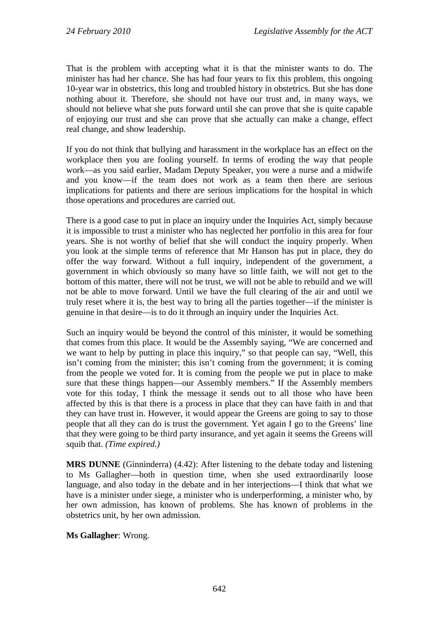That is the problem with accepting what it is that the minister wants to do. The minister has had her chance. She has had four years to fix this problem, this ongoing 10-year war in obstetrics, this long and troubled history in obstetrics. But she has done nothing about it. Therefore, she should not have our trust and, in many ways, we should not believe what she puts forward until she can prove that she is quite capable of enjoying our trust and she can prove that she actually can make a change, effect real change, and show leadership.

If you do not think that bullying and harassment in the workplace has an effect on the workplace then you are fooling yourself. In terms of eroding the way that people work—as you said earlier, Madam Deputy Speaker, you were a nurse and a midwife and you know—if the team does not work as a team then there are serious implications for patients and there are serious implications for the hospital in which those operations and procedures are carried out.

There is a good case to put in place an inquiry under the Inquiries Act, simply because it is impossible to trust a minister who has neglected her portfolio in this area for four years. She is not worthy of belief that she will conduct the inquiry properly. When you look at the simple terms of reference that Mr Hanson has put in place, they do offer the way forward. Without a full inquiry, independent of the government, a government in which obviously so many have so little faith, we will not get to the bottom of this matter, there will not be trust, we will not be able to rebuild and we will not be able to move forward. Until we have the full clearing of the air and until we truly reset where it is, the best way to bring all the parties together—if the minister is genuine in that desire—is to do it through an inquiry under the Inquiries Act.

Such an inquiry would be beyond the control of this minister, it would be something that comes from this place. It would be the Assembly saying, "We are concerned and we want to help by putting in place this inquiry," so that people can say, "Well, this isn't coming from the minister; this isn't coming from the government; it is coming from the people we voted for. It is coming from the people we put in place to make sure that these things happen—our Assembly members." If the Assembly members vote for this today, I think the message it sends out to all those who have been affected by this is that there is a process in place that they can have faith in and that they can have trust in. However, it would appear the Greens are going to say to those people that all they can do is trust the government. Yet again I go to the Greens' line that they were going to be third party insurance, and yet again it seems the Greens will squib that. *(Time expired.)*

**MRS DUNNE** (Ginninderra) (4.42): After listening to the debate today and listening to Ms Gallagher—both in question time, when she used extraordinarily loose language, and also today in the debate and in her interjections—I think that what we have is a minister under siege, a minister who is underperforming, a minister who, by her own admission, has known of problems. She has known of problems in the obstetrics unit, by her own admission.

### **Ms Gallagher**: Wrong.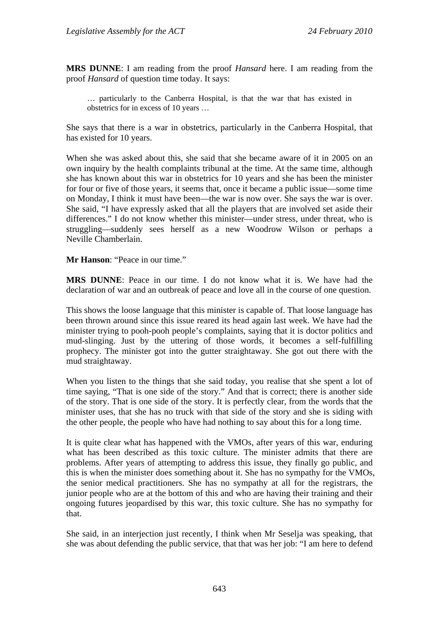**MRS DUNNE**: I am reading from the proof *Hansard* here. I am reading from the proof *Hansard* of question time today. It says:

… particularly to the Canberra Hospital, is that the war that has existed in obstetrics for in excess of 10 years …

She says that there is a war in obstetrics, particularly in the Canberra Hospital, that has existed for 10 years.

When she was asked about this, she said that she became aware of it in 2005 on an own inquiry by the health complaints tribunal at the time. At the same time, although she has known about this war in obstetrics for 10 years and she has been the minister for four or five of those years, it seems that, once it became a public issue—some time on Monday, I think it must have been—the war is now over. She says the war is over. She said, "I have expressly asked that all the players that are involved set aside their differences." I do not know whether this minister—under stress, under threat, who is struggling—suddenly sees herself as a new Woodrow Wilson or perhaps a Neville Chamberlain.

**Mr Hanson**: "Peace in our time."

**MRS DUNNE**: Peace in our time. I do not know what it is. We have had the declaration of war and an outbreak of peace and love all in the course of one question.

This shows the loose language that this minister is capable of. That loose language has been thrown around since this issue reared its head again last week. We have had the minister trying to pooh-pooh people's complaints, saying that it is doctor politics and mud-slinging. Just by the uttering of those words, it becomes a self-fulfilling prophecy. The minister got into the gutter straightaway. She got out there with the mud straightaway.

When you listen to the things that she said today, you realise that she spent a lot of time saying, "That is one side of the story." And that is correct; there is another side of the story. That is one side of the story. It is perfectly clear, from the words that the minister uses, that she has no truck with that side of the story and she is siding with the other people, the people who have had nothing to say about this for a long time.

It is quite clear what has happened with the VMOs, after years of this war, enduring what has been described as this toxic culture. The minister admits that there are problems. After years of attempting to address this issue, they finally go public, and this is when the minister does something about it. She has no sympathy for the VMOs, the senior medical practitioners. She has no sympathy at all for the registrars, the junior people who are at the bottom of this and who are having their training and their ongoing futures jeopardised by this war, this toxic culture. She has no sympathy for that.

She said, in an interjection just recently, I think when Mr Seselja was speaking, that she was about defending the public service, that that was her job: "I am here to defend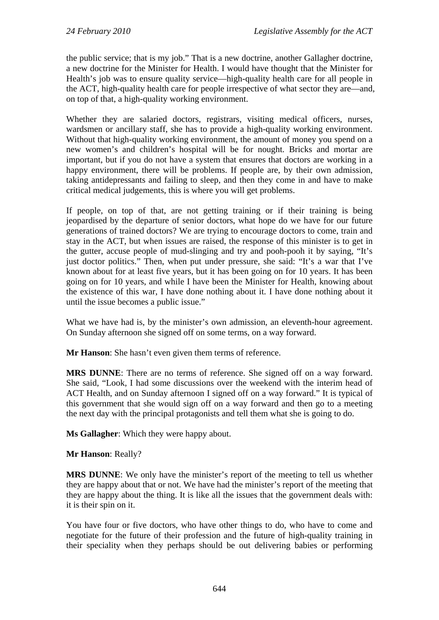the public service; that is my job." That is a new doctrine, another Gallagher doctrine, a new doctrine for the Minister for Health. I would have thought that the Minister for Health's job was to ensure quality service—high-quality health care for all people in the ACT, high-quality health care for people irrespective of what sector they are—and, on top of that, a high-quality working environment.

Whether they are salaried doctors, registrars, visiting medical officers, nurses, wardsmen or ancillary staff, she has to provide a high-quality working environment. Without that high-quality working environment, the amount of money you spend on a new women's and children's hospital will be for nought. Bricks and mortar are important, but if you do not have a system that ensures that doctors are working in a happy environment, there will be problems. If people are, by their own admission, taking antidepressants and failing to sleep, and then they come in and have to make critical medical judgements, this is where you will get problems.

If people, on top of that, are not getting training or if their training is being jeopardised by the departure of senior doctors, what hope do we have for our future generations of trained doctors? We are trying to encourage doctors to come, train and stay in the ACT, but when issues are raised, the response of this minister is to get in the gutter, accuse people of mud-slinging and try and pooh-pooh it by saying, "It's just doctor politics." Then, when put under pressure, she said: "It's a war that I've known about for at least five years, but it has been going on for 10 years. It has been going on for 10 years, and while I have been the Minister for Health, knowing about the existence of this war, I have done nothing about it. I have done nothing about it until the issue becomes a public issue."

What we have had is, by the minister's own admission, an eleventh-hour agreement. On Sunday afternoon she signed off on some terms, on a way forward.

**Mr Hanson**: She hasn't even given them terms of reference.

**MRS DUNNE**: There are no terms of reference. She signed off on a way forward. She said, "Look, I had some discussions over the weekend with the interim head of ACT Health, and on Sunday afternoon I signed off on a way forward." It is typical of this government that she would sign off on a way forward and then go to a meeting the next day with the principal protagonists and tell them what she is going to do.

**Ms Gallagher**: Which they were happy about.

**Mr Hanson**: Really?

**MRS DUNNE**: We only have the minister's report of the meeting to tell us whether they are happy about that or not. We have had the minister's report of the meeting that they are happy about the thing. It is like all the issues that the government deals with: it is their spin on it.

You have four or five doctors, who have other things to do, who have to come and negotiate for the future of their profession and the future of high-quality training in their speciality when they perhaps should be out delivering babies or performing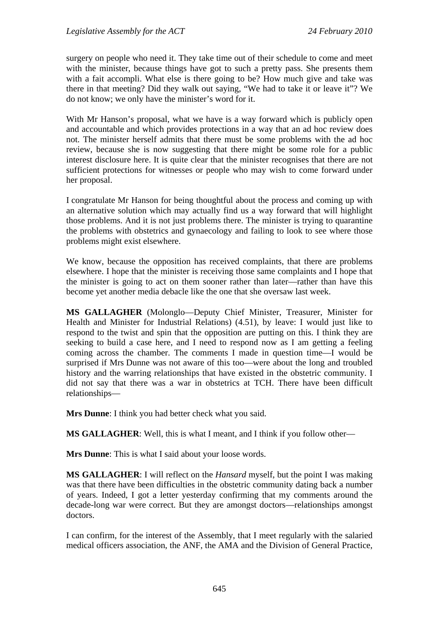surgery on people who need it. They take time out of their schedule to come and meet with the minister, because things have got to such a pretty pass. She presents them with a fait accompli. What else is there going to be? How much give and take was there in that meeting? Did they walk out saying, "We had to take it or leave it"? We do not know; we only have the minister's word for it.

With Mr Hanson's proposal, what we have is a way forward which is publicly open and accountable and which provides protections in a way that an ad hoc review does not. The minister herself admits that there must be some problems with the ad hoc review, because she is now suggesting that there might be some role for a public interest disclosure here. It is quite clear that the minister recognises that there are not sufficient protections for witnesses or people who may wish to come forward under her proposal.

I congratulate Mr Hanson for being thoughtful about the process and coming up with an alternative solution which may actually find us a way forward that will highlight those problems. And it is not just problems there. The minister is trying to quarantine the problems with obstetrics and gynaecology and failing to look to see where those problems might exist elsewhere.

We know, because the opposition has received complaints, that there are problems elsewhere. I hope that the minister is receiving those same complaints and I hope that the minister is going to act on them sooner rather than later—rather than have this become yet another media debacle like the one that she oversaw last week.

**MS GALLAGHER** (Molonglo—Deputy Chief Minister, Treasurer, Minister for Health and Minister for Industrial Relations) (4.51), by leave: I would just like to respond to the twist and spin that the opposition are putting on this. I think they are seeking to build a case here, and I need to respond now as I am getting a feeling coming across the chamber. The comments I made in question time—I would be surprised if Mrs Dunne was not aware of this too—were about the long and troubled history and the warring relationships that have existed in the obstetric community. I did not say that there was a war in obstetrics at TCH. There have been difficult relationships—

**Mrs Dunne**: I think you had better check what you said.

**MS GALLAGHER**: Well, this is what I meant, and I think if you follow other—

**Mrs Dunne**: This is what I said about your loose words.

**MS GALLAGHER**: I will reflect on the *Hansard* myself, but the point I was making was that there have been difficulties in the obstetric community dating back a number of years. Indeed, I got a letter yesterday confirming that my comments around the decade-long war were correct. But they are amongst doctors—relationships amongst doctors.

I can confirm, for the interest of the Assembly, that I meet regularly with the salaried medical officers association, the ANF, the AMA and the Division of General Practice,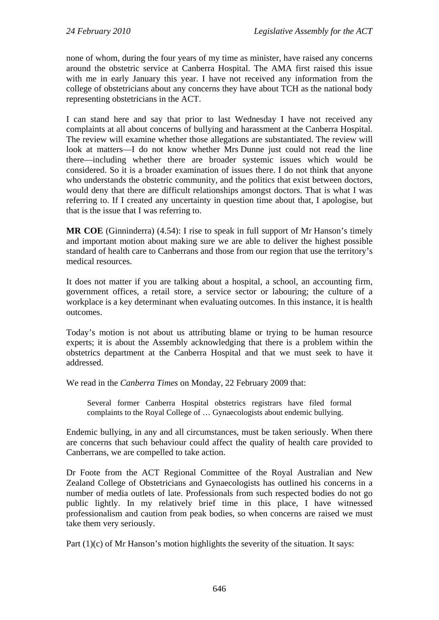none of whom, during the four years of my time as minister, have raised any concerns around the obstetric service at Canberra Hospital. The AMA first raised this issue with me in early January this year. I have not received any information from the college of obstetricians about any concerns they have about TCH as the national body representing obstetricians in the ACT.

I can stand here and say that prior to last Wednesday I have not received any complaints at all about concerns of bullying and harassment at the Canberra Hospital. The review will examine whether those allegations are substantiated. The review will look at matters—I do not know whether Mrs Dunne just could not read the line there—including whether there are broader systemic issues which would be considered. So it is a broader examination of issues there. I do not think that anyone who understands the obstetric community, and the politics that exist between doctors, would deny that there are difficult relationships amongst doctors. That is what I was referring to. If I created any uncertainty in question time about that, I apologise, but that is the issue that I was referring to.

**MR COE** (Ginninderra) (4.54): I rise to speak in full support of Mr Hanson's timely and important motion about making sure we are able to deliver the highest possible standard of health care to Canberrans and those from our region that use the territory's medical resources.

It does not matter if you are talking about a hospital, a school, an accounting firm, government offices, a retail store, a service sector or labouring; the culture of a workplace is a key determinant when evaluating outcomes. In this instance, it is health outcomes.

Today's motion is not about us attributing blame or trying to be human resource experts; it is about the Assembly acknowledging that there is a problem within the obstetrics department at the Canberra Hospital and that we must seek to have it addressed.

We read in the *Canberra Times* on Monday, 22 February 2009 that:

Several former Canberra Hospital obstetrics registrars have filed formal complaints to the Royal College of … Gynaecologists about endemic bullying.

Endemic bullying, in any and all circumstances, must be taken seriously. When there are concerns that such behaviour could affect the quality of health care provided to Canberrans, we are compelled to take action.

Dr Foote from the ACT Regional Committee of the Royal Australian and New Zealand College of Obstetricians and Gynaecologists has outlined his concerns in a number of media outlets of late. Professionals from such respected bodies do not go public lightly. In my relatively brief time in this place, I have witnessed professionalism and caution from peak bodies, so when concerns are raised we must take them very seriously.

Part (1)(c) of Mr Hanson's motion highlights the severity of the situation. It says: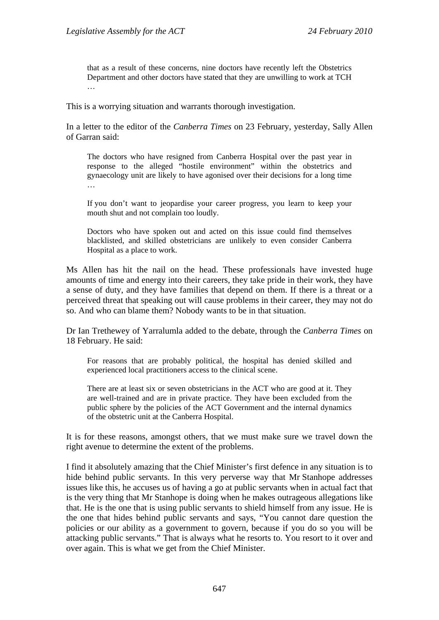that as a result of these concerns, nine doctors have recently left the Obstetrics Department and other doctors have stated that they are unwilling to work at TCH …

This is a worrying situation and warrants thorough investigation.

In a letter to the editor of the *Canberra Times* on 23 February, yesterday, Sally Allen of Garran said:

The doctors who have resigned from Canberra Hospital over the past year in response to the alleged "hostile environment" within the obstetrics and gynaecology unit are likely to have agonised over their decisions for a long time …

If you don't want to jeopardise your career progress, you learn to keep your mouth shut and not complain too loudly.

Doctors who have spoken out and acted on this issue could find themselves blacklisted, and skilled obstetricians are unlikely to even consider Canberra Hospital as a place to work.

Ms Allen has hit the nail on the head. These professionals have invested huge amounts of time and energy into their careers, they take pride in their work, they have a sense of duty, and they have families that depend on them. If there is a threat or a perceived threat that speaking out will cause problems in their career, they may not do so. And who can blame them? Nobody wants to be in that situation.

Dr Ian Trethewey of Yarralumla added to the debate, through the *Canberra Times* on 18 February. He said:

For reasons that are probably political, the hospital has denied skilled and experienced local practitioners access to the clinical scene.

There are at least six or seven obstetricians in the ACT who are good at it. They are well-trained and are in private practice. They have been excluded from the public sphere by the policies of the ACT Government and the internal dynamics of the obstetric unit at the Canberra Hospital.

It is for these reasons, amongst others, that we must make sure we travel down the right avenue to determine the extent of the problems.

I find it absolutely amazing that the Chief Minister's first defence in any situation is to hide behind public servants. In this very perverse way that Mr Stanhope addresses issues like this, he accuses us of having a go at public servants when in actual fact that is the very thing that Mr Stanhope is doing when he makes outrageous allegations like that. He is the one that is using public servants to shield himself from any issue. He is the one that hides behind public servants and says, "You cannot dare question the policies or our ability as a government to govern, because if you do so you will be attacking public servants." That is always what he resorts to. You resort to it over and over again. This is what we get from the Chief Minister.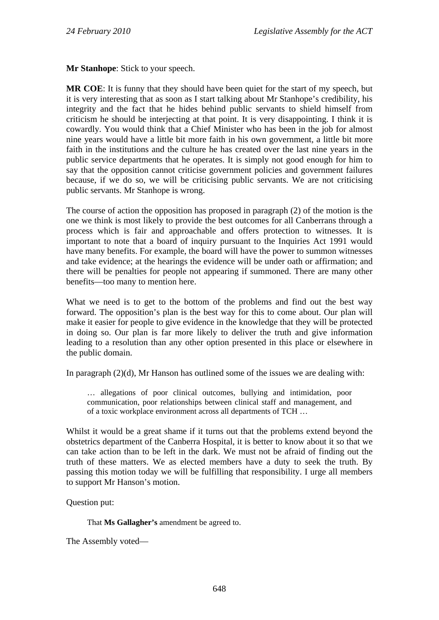**Mr Stanhope**: Stick to your speech.

**MR COE**: It is funny that they should have been quiet for the start of my speech, but it is very interesting that as soon as I start talking about Mr Stanhope's credibility, his integrity and the fact that he hides behind public servants to shield himself from criticism he should be interjecting at that point. It is very disappointing. I think it is cowardly. You would think that a Chief Minister who has been in the job for almost nine years would have a little bit more faith in his own government, a little bit more faith in the institutions and the culture he has created over the last nine years in the public service departments that he operates. It is simply not good enough for him to say that the opposition cannot criticise government policies and government failures because, if we do so, we will be criticising public servants. We are not criticising public servants. Mr Stanhope is wrong.

The course of action the opposition has proposed in paragraph (2) of the motion is the one we think is most likely to provide the best outcomes for all Canberrans through a process which is fair and approachable and offers protection to witnesses. It is important to note that a board of inquiry pursuant to the Inquiries Act 1991 would have many benefits. For example, the board will have the power to summon witnesses and take evidence; at the hearings the evidence will be under oath or affirmation; and there will be penalties for people not appearing if summoned. There are many other benefits—too many to mention here.

What we need is to get to the bottom of the problems and find out the best way forward. The opposition's plan is the best way for this to come about. Our plan will make it easier for people to give evidence in the knowledge that they will be protected in doing so. Our plan is far more likely to deliver the truth and give information leading to a resolution than any other option presented in this place or elsewhere in the public domain.

In paragraph (2)(d), Mr Hanson has outlined some of the issues we are dealing with:

… allegations of poor clinical outcomes, bullying and intimidation, poor communication, poor relationships between clinical staff and management, and of a toxic workplace environment across all departments of TCH …

Whilst it would be a great shame if it turns out that the problems extend beyond the obstetrics department of the Canberra Hospital, it is better to know about it so that we can take action than to be left in the dark. We must not be afraid of finding out the truth of these matters. We as elected members have a duty to seek the truth. By passing this motion today we will be fulfilling that responsibility. I urge all members to support Mr Hanson's motion.

Question put:

That **Ms Gallagher's** amendment be agreed to.

The Assembly voted—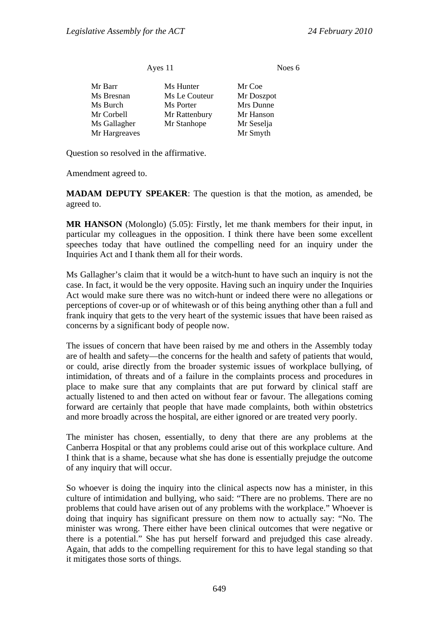Ayes 11 Noes 6

| Mr Barr       | Ms Hunter     | Mr Coe     |
|---------------|---------------|------------|
| Ms Bresnan    | Ms Le Couteur | Mr Doszpot |
| Ms Burch      | Ms Porter     | Mrs Dunne  |
| Mr Corbell    | Mr Rattenbury | Mr Hanson  |
| Ms Gallagher  | Mr Stanhope   | Mr Seselja |
| Mr Hargreaves |               | Mr Smyth   |

Question so resolved in the affirmative.

Amendment agreed to.

**MADAM DEPUTY SPEAKER**: The question is that the motion, as amended, be agreed to.

**MR HANSON** (Molonglo) (5.05): Firstly, let me thank members for their input, in particular my colleagues in the opposition. I think there have been some excellent speeches today that have outlined the compelling need for an inquiry under the Inquiries Act and I thank them all for their words.

Ms Gallagher's claim that it would be a witch-hunt to have such an inquiry is not the case. In fact, it would be the very opposite. Having such an inquiry under the Inquiries Act would make sure there was no witch-hunt or indeed there were no allegations or perceptions of cover-up or of whitewash or of this being anything other than a full and frank inquiry that gets to the very heart of the systemic issues that have been raised as concerns by a significant body of people now.

The issues of concern that have been raised by me and others in the Assembly today are of health and safety—the concerns for the health and safety of patients that would, or could, arise directly from the broader systemic issues of workplace bullying, of intimidation, of threats and of a failure in the complaints process and procedures in place to make sure that any complaints that are put forward by clinical staff are actually listened to and then acted on without fear or favour. The allegations coming forward are certainly that people that have made complaints, both within obstetrics and more broadly across the hospital, are either ignored or are treated very poorly.

The minister has chosen, essentially, to deny that there are any problems at the Canberra Hospital or that any problems could arise out of this workplace culture. And I think that is a shame, because what she has done is essentially prejudge the outcome of any inquiry that will occur.

So whoever is doing the inquiry into the clinical aspects now has a minister, in this culture of intimidation and bullying, who said: "There are no problems. There are no problems that could have arisen out of any problems with the workplace." Whoever is doing that inquiry has significant pressure on them now to actually say: "No. The minister was wrong. There either have been clinical outcomes that were negative or there is a potential." She has put herself forward and prejudged this case already. Again, that adds to the compelling requirement for this to have legal standing so that it mitigates those sorts of things.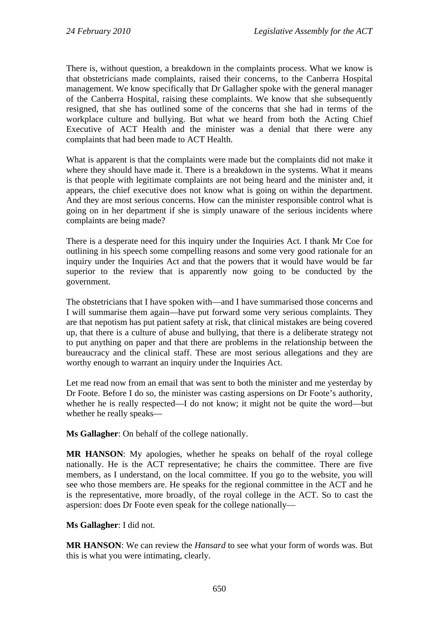There is, without question, a breakdown in the complaints process. What we know is that obstetricians made complaints, raised their concerns, to the Canberra Hospital management. We know specifically that Dr Gallagher spoke with the general manager of the Canberra Hospital, raising these complaints. We know that she subsequently resigned, that she has outlined some of the concerns that she had in terms of the workplace culture and bullying. But what we heard from both the Acting Chief Executive of ACT Health and the minister was a denial that there were any complaints that had been made to ACT Health.

What is apparent is that the complaints were made but the complaints did not make it where they should have made it. There is a breakdown in the systems. What it means is that people with legitimate complaints are not being heard and the minister and, it appears, the chief executive does not know what is going on within the department. And they are most serious concerns. How can the minister responsible control what is going on in her department if she is simply unaware of the serious incidents where complaints are being made?

There is a desperate need for this inquiry under the Inquiries Act. I thank Mr Coe for outlining in his speech some compelling reasons and some very good rationale for an inquiry under the Inquiries Act and that the powers that it would have would be far superior to the review that is apparently now going to be conducted by the government.

The obstetricians that I have spoken with—and I have summarised those concerns and I will summarise them again—have put forward some very serious complaints. They are that nepotism has put patient safety at risk, that clinical mistakes are being covered up, that there is a culture of abuse and bullying, that there is a deliberate strategy not to put anything on paper and that there are problems in the relationship between the bureaucracy and the clinical staff. These are most serious allegations and they are worthy enough to warrant an inquiry under the Inquiries Act.

Let me read now from an email that was sent to both the minister and me yesterday by Dr Foote. Before I do so, the minister was casting aspersions on Dr Foote's authority, whether he is really respected—I do not know; it might not be quite the word—but whether he really speaks—

**Ms Gallagher**: On behalf of the college nationally.

**MR HANSON**: My apologies, whether he speaks on behalf of the royal college nationally. He is the ACT representative; he chairs the committee. There are five members, as I understand, on the local committee. If you go to the website, you will see who those members are. He speaks for the regional committee in the ACT and he is the representative, more broadly, of the royal college in the ACT. So to cast the aspersion: does Dr Foote even speak for the college nationally—

### **Ms Gallagher**: I did not.

**MR HANSON**: We can review the *Hansard* to see what your form of words was. But this is what you were intimating, clearly.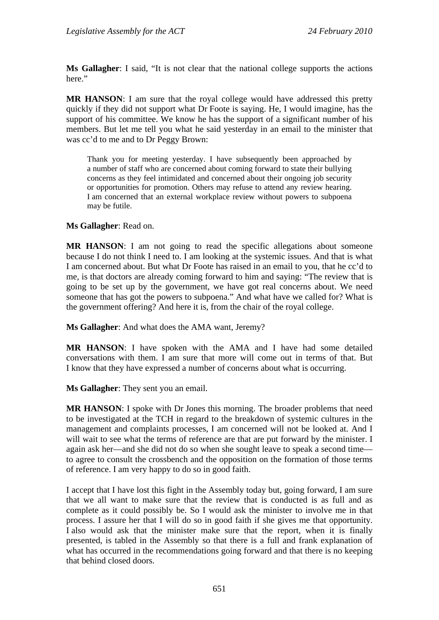**Ms Gallagher**: I said, "It is not clear that the national college supports the actions here."

**MR HANSON**: I am sure that the royal college would have addressed this pretty quickly if they did not support what Dr Foote is saying. He, I would imagine, has the support of his committee. We know he has the support of a significant number of his members. But let me tell you what he said yesterday in an email to the minister that was cc'd to me and to Dr Peggy Brown:

Thank you for meeting yesterday. I have subsequently been approached by a number of staff who are concerned about coming forward to state their bullying concerns as they feel intimidated and concerned about their ongoing job security or opportunities for promotion. Others may refuse to attend any review hearing. I am concerned that an external workplace review without powers to subpoena may be futile.

#### **Ms Gallagher**: Read on.

**MR HANSON**: I am not going to read the specific allegations about someone because I do not think I need to. I am looking at the systemic issues. And that is what I am concerned about. But what Dr Foote has raised in an email to you, that he cc'd to me, is that doctors are already coming forward to him and saying: "The review that is going to be set up by the government, we have got real concerns about. We need someone that has got the powers to subpoena." And what have we called for? What is the government offering? And here it is, from the chair of the royal college.

**Ms Gallagher**: And what does the AMA want, Jeremy?

**MR HANSON**: I have spoken with the AMA and I have had some detailed conversations with them. I am sure that more will come out in terms of that. But I know that they have expressed a number of concerns about what is occurring.

**Ms Gallagher**: They sent you an email.

**MR HANSON**: I spoke with Dr Jones this morning. The broader problems that need to be investigated at the TCH in regard to the breakdown of systemic cultures in the management and complaints processes, I am concerned will not be looked at. And I will wait to see what the terms of reference are that are put forward by the minister. I again ask her—and she did not do so when she sought leave to speak a second time to agree to consult the crossbench and the opposition on the formation of those terms of reference. I am very happy to do so in good faith.

I accept that I have lost this fight in the Assembly today but, going forward, I am sure that we all want to make sure that the review that is conducted is as full and as complete as it could possibly be. So I would ask the minister to involve me in that process. I assure her that I will do so in good faith if she gives me that opportunity. I also would ask that the minister make sure that the report, when it is finally presented, is tabled in the Assembly so that there is a full and frank explanation of what has occurred in the recommendations going forward and that there is no keeping that behind closed doors.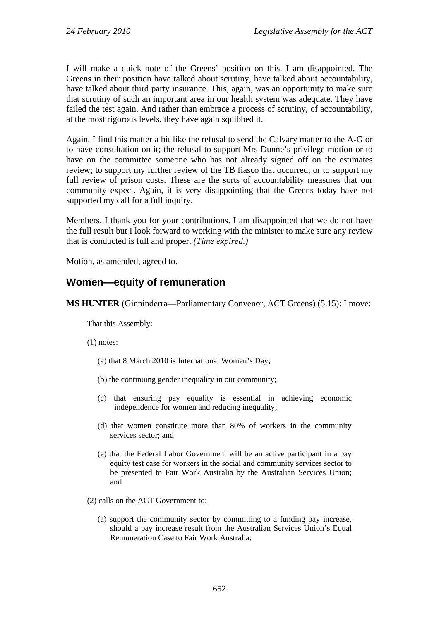I will make a quick note of the Greens' position on this. I am disappointed. The Greens in their position have talked about scrutiny, have talked about accountability, have talked about third party insurance. This, again, was an opportunity to make sure that scrutiny of such an important area in our health system was adequate. They have failed the test again. And rather than embrace a process of scrutiny, of accountability, at the most rigorous levels, they have again squibbed it.

Again, I find this matter a bit like the refusal to send the Calvary matter to the A-G or to have consultation on it; the refusal to support Mrs Dunne's privilege motion or to have on the committee someone who has not already signed off on the estimates review; to support my further review of the TB fiasco that occurred; or to support my full review of prison costs. These are the sorts of accountability measures that our community expect. Again, it is very disappointing that the Greens today have not supported my call for a full inquiry.

Members, I thank you for your contributions. I am disappointed that we do not have the full result but I look forward to working with the minister to make sure any review that is conducted is full and proper. *(Time expired.)* 

Motion, as amended, agreed to.

# **Women—equity of remuneration**

**MS HUNTER** (Ginninderra—Parliamentary Convenor, ACT Greens) (5.15): I move:

That this Assembly:

(1) notes:

- (a) that 8 March 2010 is International Women's Day;
- (b) the continuing gender inequality in our community;
- (c) that ensuring pay equality is essential in achieving economic independence for women and reducing inequality;
- (d) that women constitute more than 80% of workers in the community services sector; and
- (e) that the Federal Labor Government will be an active participant in a pay equity test case for workers in the social and community services sector to be presented to Fair Work Australia by the Australian Services Union; and
- (2) calls on the ACT Government to:
	- (a) support the community sector by committing to a funding pay increase, should a pay increase result from the Australian Services Union's Equal Remuneration Case to Fair Work Australia;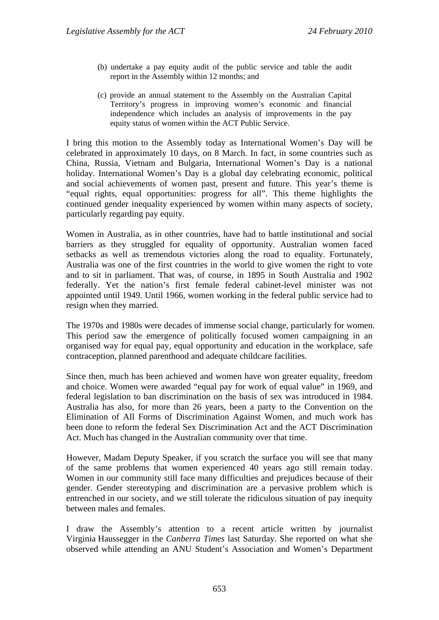- (b) undertake a pay equity audit of the public service and table the audit report in the Assembly within 12 months; and
- (c) provide an annual statement to the Assembly on the Australian Capital Territory's progress in improving women's economic and financial independence which includes an analysis of improvements in the pay equity status of women within the ACT Public Service.

I bring this motion to the Assembly today as International Women's Day will be celebrated in approximately 10 days, on 8 March. In fact, in some countries such as China, Russia, Vietnam and Bulgaria, International Women's Day is a national holiday. International Women's Day is a global day celebrating economic, political and social achievements of women past, present and future. This year's theme is "equal rights, equal opportunities: progress for all". This theme highlights the continued gender inequality experienced by women within many aspects of society, particularly regarding pay equity.

Women in Australia, as in other countries, have had to battle institutional and social barriers as they struggled for equality of opportunity. Australian women faced setbacks as well as tremendous victories along the road to equality. Fortunately, Australia was one of the first countries in the world to give women the right to vote and to sit in parliament. That was, of course, in 1895 in South Australia and 1902 federally. Yet the nation's first female federal cabinet-level minister was not appointed until 1949. Until 1966, women working in the federal public service had to resign when they married.

The 1970s and 1980s were decades of immense social change, particularly for women. This period saw the emergence of politically focused women campaigning in an organised way for equal pay, equal opportunity and education in the workplace, safe contraception, planned parenthood and adequate childcare facilities.

Since then, much has been achieved and women have won greater equality, freedom and choice. Women were awarded "equal pay for work of equal value" in 1969, and federal legislation to ban discrimination on the basis of sex was introduced in 1984. Australia has also, for more than 26 years, been a party to the Convention on the Elimination of All Forms of Discrimination Against Women, and much work has been done to reform the federal Sex Discrimination Act and the ACT Discrimination Act. Much has changed in the Australian community over that time.

However, Madam Deputy Speaker, if you scratch the surface you will see that many of the same problems that women experienced 40 years ago still remain today. Women in our community still face many difficulties and prejudices because of their gender. Gender stereotyping and discrimination are a pervasive problem which is entrenched in our society, and we still tolerate the ridiculous situation of pay inequity between males and females.

I draw the Assembly's attention to a recent article written by journalist Virginia Haussegger in the *Canberra Times* last Saturday. She reported on what she observed while attending an ANU Student's Association and Women's Department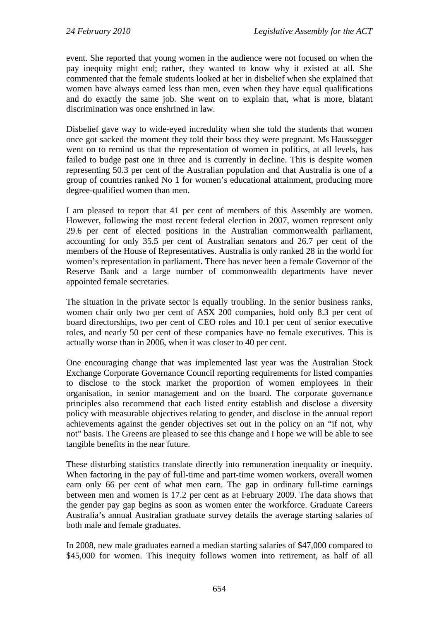event. She reported that young women in the audience were not focused on when the pay inequity might end; rather, they wanted to know why it existed at all. She commented that the female students looked at her in disbelief when she explained that women have always earned less than men, even when they have equal qualifications and do exactly the same job. She went on to explain that, what is more, blatant discrimination was once enshrined in law.

Disbelief gave way to wide-eyed incredulity when she told the students that women once got sacked the moment they told their boss they were pregnant. Ms Haussegger went on to remind us that the representation of women in politics, at all levels, has failed to budge past one in three and is currently in decline. This is despite women representing 50.3 per cent of the Australian population and that Australia is one of a group of countries ranked No 1 for women's educational attainment, producing more degree-qualified women than men.

I am pleased to report that 41 per cent of members of this Assembly are women. However, following the most recent federal election in 2007, women represent only 29.6 per cent of elected positions in the Australian commonwealth parliament, accounting for only 35.5 per cent of Australian senators and 26.7 per cent of the members of the House of Representatives. Australia is only ranked 28 in the world for women's representation in parliament. There has never been a female Governor of the Reserve Bank and a large number of commonwealth departments have never appointed female secretaries.

The situation in the private sector is equally troubling. In the senior business ranks, women chair only two per cent of ASX 200 companies, hold only 8.3 per cent of board directorships, two per cent of CEO roles and 10.1 per cent of senior executive roles, and nearly 50 per cent of these companies have no female executives. This is actually worse than in 2006, when it was closer to 40 per cent.

One encouraging change that was implemented last year was the Australian Stock Exchange Corporate Governance Council reporting requirements for listed companies to disclose to the stock market the proportion of women employees in their organisation, in senior management and on the board. The corporate governance principles also recommend that each listed entity establish and disclose a diversity policy with measurable objectives relating to gender, and disclose in the annual report achievements against the gender objectives set out in the policy on an "if not, why not" basis. The Greens are pleased to see this change and I hope we will be able to see tangible benefits in the near future.

These disturbing statistics translate directly into remuneration inequality or inequity. When factoring in the pay of full-time and part-time women workers, overall women earn only 66 per cent of what men earn. The gap in ordinary full-time earnings between men and women is 17.2 per cent as at February 2009. The data shows that the gender pay gap begins as soon as women enter the workforce. Graduate Careers Australia's annual Australian graduate survey details the average starting salaries of both male and female graduates.

In 2008, new male graduates earned a median starting salaries of \$47,000 compared to \$45,000 for women. This inequity follows women into retirement, as half of all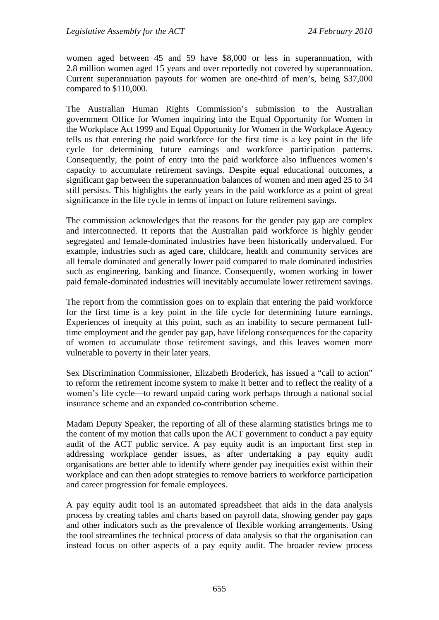women aged between 45 and 59 have \$8,000 or less in superannuation, with 2.8 million women aged 15 years and over reportedly not covered by superannuation. Current superannuation payouts for women are one-third of men's, being \$37,000 compared to \$110,000.

The Australian Human Rights Commission's submission to the Australian government Office for Women inquiring into the Equal Opportunity for Women in the Workplace Act 1999 and Equal Opportunity for Women in the Workplace Agency tells us that entering the paid workforce for the first time is a key point in the life cycle for determining future earnings and workforce participation patterns. Consequently, the point of entry into the paid workforce also influences women's capacity to accumulate retirement savings. Despite equal educational outcomes, a significant gap between the superannuation balances of women and men aged 25 to 34 still persists. This highlights the early years in the paid workforce as a point of great significance in the life cycle in terms of impact on future retirement savings.

The commission acknowledges that the reasons for the gender pay gap are complex and interconnected. It reports that the Australian paid workforce is highly gender segregated and female-dominated industries have been historically undervalued. For example, industries such as aged care, childcare, health and community services are all female dominated and generally lower paid compared to male dominated industries such as engineering, banking and finance. Consequently, women working in lower paid female-dominated industries will inevitably accumulate lower retirement savings.

The report from the commission goes on to explain that entering the paid workforce for the first time is a key point in the life cycle for determining future earnings. Experiences of inequity at this point, such as an inability to secure permanent fulltime employment and the gender pay gap, have lifelong consequences for the capacity of women to accumulate those retirement savings, and this leaves women more vulnerable to poverty in their later years.

Sex Discrimination Commissioner, Elizabeth Broderick, has issued a "call to action" to reform the retirement income system to make it better and to reflect the reality of a women's life cycle—to reward unpaid caring work perhaps through a national social insurance scheme and an expanded co-contribution scheme.

Madam Deputy Speaker, the reporting of all of these alarming statistics brings me to the content of my motion that calls upon the ACT government to conduct a pay equity audit of the ACT public service. A pay equity audit is an important first step in addressing workplace gender issues, as after undertaking a pay equity audit organisations are better able to identify where gender pay inequities exist within their workplace and can then adopt strategies to remove barriers to workforce participation and career progression for female employees.

A pay equity audit tool is an automated spreadsheet that aids in the data analysis process by creating tables and charts based on payroll data, showing gender pay gaps and other indicators such as the prevalence of flexible working arrangements. Using the tool streamlines the technical process of data analysis so that the organisation can instead focus on other aspects of a pay equity audit. The broader review process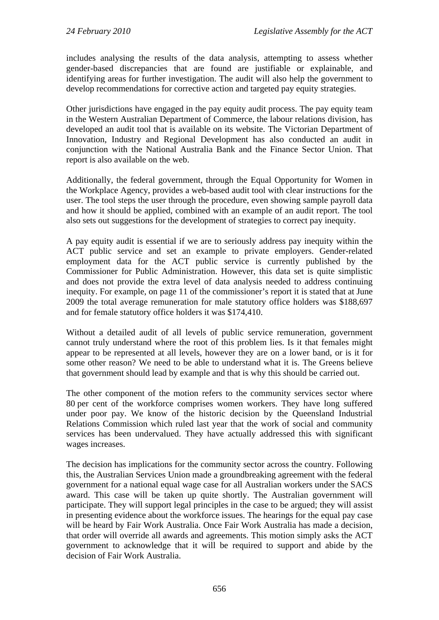includes analysing the results of the data analysis, attempting to assess whether gender-based discrepancies that are found are justifiable or explainable, and identifying areas for further investigation. The audit will also help the government to develop recommendations for corrective action and targeted pay equity strategies.

Other jurisdictions have engaged in the pay equity audit process. The pay equity team in the Western Australian Department of Commerce, the labour relations division, has developed an audit tool that is available on its website. The Victorian Department of Innovation, Industry and Regional Development has also conducted an audit in conjunction with the National Australia Bank and the Finance Sector Union. That report is also available on the web.

Additionally, the federal government, through the Equal Opportunity for Women in the Workplace Agency, provides a web-based audit tool with clear instructions for the user. The tool steps the user through the procedure, even showing sample payroll data and how it should be applied, combined with an example of an audit report. The tool also sets out suggestions for the development of strategies to correct pay inequity.

A pay equity audit is essential if we are to seriously address pay inequity within the ACT public service and set an example to private employers. Gender-related employment data for the ACT public service is currently published by the Commissioner for Public Administration. However, this data set is quite simplistic and does not provide the extra level of data analysis needed to address continuing inequity. For example, on page 11 of the commissioner's report it is stated that at June 2009 the total average remuneration for male statutory office holders was \$188,697 and for female statutory office holders it was \$174,410.

Without a detailed audit of all levels of public service remuneration, government cannot truly understand where the root of this problem lies. Is it that females might appear to be represented at all levels, however they are on a lower band, or is it for some other reason? We need to be able to understand what it is. The Greens believe that government should lead by example and that is why this should be carried out.

The other component of the motion refers to the community services sector where 80 per cent of the workforce comprises women workers. They have long suffered under poor pay. We know of the historic decision by the Queensland Industrial Relations Commission which ruled last year that the work of social and community services has been undervalued. They have actually addressed this with significant wages increases.

The decision has implications for the community sector across the country. Following this, the Australian Services Union made a groundbreaking agreement with the federal government for a national equal wage case for all Australian workers under the SACS award. This case will be taken up quite shortly. The Australian government will participate. They will support legal principles in the case to be argued; they will assist in presenting evidence about the workforce issues. The hearings for the equal pay case will be heard by Fair Work Australia. Once Fair Work Australia has made a decision, that order will override all awards and agreements. This motion simply asks the ACT government to acknowledge that it will be required to support and abide by the decision of Fair Work Australia.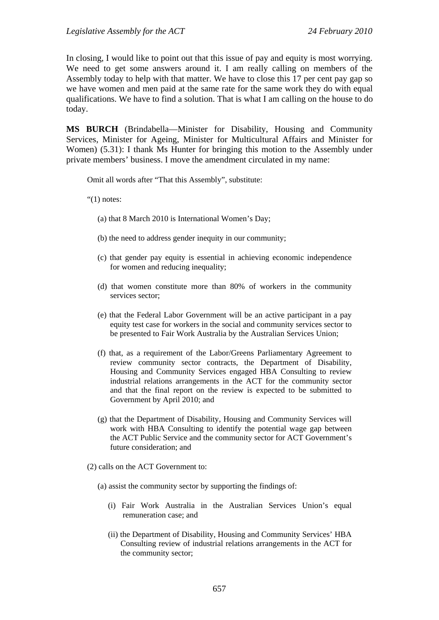In closing, I would like to point out that this issue of pay and equity is most worrying. We need to get some answers around it. I am really calling on members of the Assembly today to help with that matter. We have to close this 17 per cent pay gap so we have women and men paid at the same rate for the same work they do with equal qualifications. We have to find a solution. That is what I am calling on the house to do today.

**MS BURCH** (Brindabella—Minister for Disability, Housing and Community Services, Minister for Ageing, Minister for Multicultural Affairs and Minister for Women) (5.31): I thank Ms Hunter for bringing this motion to the Assembly under private members' business. I move the amendment circulated in my name:

Omit all words after "That this Assembly", substitute:

" $(1)$  notes:

- (a) that 8 March 2010 is International Women's Day;
- (b) the need to address gender inequity in our community;
- (c) that gender pay equity is essential in achieving economic independence for women and reducing inequality;
- (d) that women constitute more than 80% of workers in the community services sector;
- (e) that the Federal Labor Government will be an active participant in a pay equity test case for workers in the social and community services sector to be presented to Fair Work Australia by the Australian Services Union;
- (f) that, as a requirement of the Labor/Greens Parliamentary Agreement to review community sector contracts, the Department of Disability, Housing and Community Services engaged HBA Consulting to review industrial relations arrangements in the ACT for the community sector and that the final report on the review is expected to be submitted to Government by April 2010; and
- (g) that the Department of Disability, Housing and Community Services will work with HBA Consulting to identify the potential wage gap between the ACT Public Service and the community sector for ACT Government's future consideration; and
- (2) calls on the ACT Government to:
	- (a) assist the community sector by supporting the findings of:
		- (i) Fair Work Australia in the Australian Services Union's equal remuneration case; and
		- (ii) the Department of Disability, Housing and Community Services' HBA Consulting review of industrial relations arrangements in the ACT for the community sector;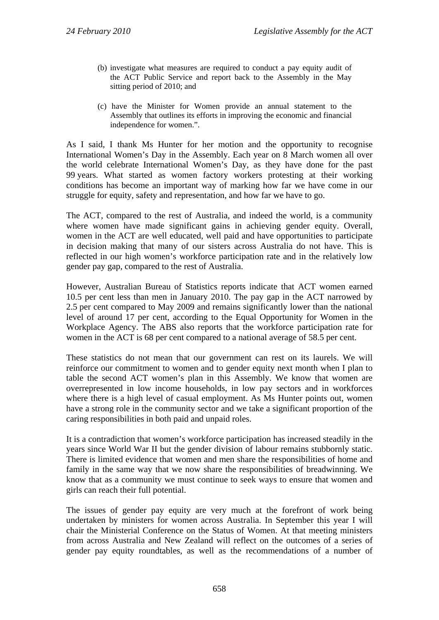- (b) investigate what measures are required to conduct a pay equity audit of the ACT Public Service and report back to the Assembly in the May sitting period of 2010; and
- (c) have the Minister for Women provide an annual statement to the Assembly that outlines its efforts in improving the economic and financial independence for women.".

As I said, I thank Ms Hunter for her motion and the opportunity to recognise International Women's Day in the Assembly. Each year on 8 March women all over the world celebrate International Women's Day, as they have done for the past 99 years. What started as women factory workers protesting at their working conditions has become an important way of marking how far we have come in our struggle for equity, safety and representation, and how far we have to go.

The ACT, compared to the rest of Australia, and indeed the world, is a community where women have made significant gains in achieving gender equity. Overall, women in the ACT are well educated, well paid and have opportunities to participate in decision making that many of our sisters across Australia do not have. This is reflected in our high women's workforce participation rate and in the relatively low gender pay gap, compared to the rest of Australia.

However, Australian Bureau of Statistics reports indicate that ACT women earned 10.5 per cent less than men in January 2010. The pay gap in the ACT narrowed by 2.5 per cent compared to May 2009 and remains significantly lower than the national level of around 17 per cent, according to the Equal Opportunity for Women in the Workplace Agency. The ABS also reports that the workforce participation rate for women in the ACT is 68 per cent compared to a national average of 58.5 per cent.

These statistics do not mean that our government can rest on its laurels. We will reinforce our commitment to women and to gender equity next month when I plan to table the second ACT women's plan in this Assembly. We know that women are overrepresented in low income households, in low pay sectors and in workforces where there is a high level of casual employment. As Ms Hunter points out, women have a strong role in the community sector and we take a significant proportion of the caring responsibilities in both paid and unpaid roles.

It is a contradiction that women's workforce participation has increased steadily in the years since World War II but the gender division of labour remains stubbornly static. There is limited evidence that women and men share the responsibilities of home and family in the same way that we now share the responsibilities of breadwinning. We know that as a community we must continue to seek ways to ensure that women and girls can reach their full potential.

The issues of gender pay equity are very much at the forefront of work being undertaken by ministers for women across Australia. In September this year I will chair the Ministerial Conference on the Status of Women. At that meeting ministers from across Australia and New Zealand will reflect on the outcomes of a series of gender pay equity roundtables, as well as the recommendations of a number of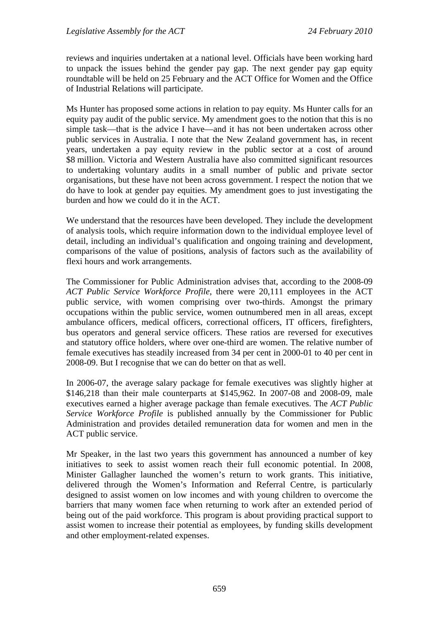reviews and inquiries undertaken at a national level. Officials have been working hard to unpack the issues behind the gender pay gap. The next gender pay gap equity roundtable will be held on 25 February and the ACT Office for Women and the Office of Industrial Relations will participate.

Ms Hunter has proposed some actions in relation to pay equity. Ms Hunter calls for an equity pay audit of the public service. My amendment goes to the notion that this is no simple task—that is the advice I have—and it has not been undertaken across other public services in Australia. I note that the New Zealand government has, in recent years, undertaken a pay equity review in the public sector at a cost of around \$8 million. Victoria and Western Australia have also committed significant resources to undertaking voluntary audits in a small number of public and private sector organisations, but these have not been across government. I respect the notion that we do have to look at gender pay equities. My amendment goes to just investigating the burden and how we could do it in the ACT.

We understand that the resources have been developed. They include the development of analysis tools, which require information down to the individual employee level of detail, including an individual's qualification and ongoing training and development, comparisons of the value of positions, analysis of factors such as the availability of flexi hours and work arrangements.

The Commissioner for Public Administration advises that, according to the 2008-09 *ACT Public Service Workforce Profile*, there were 20,111 employees in the ACT public service, with women comprising over two-thirds. Amongst the primary occupations within the public service, women outnumbered men in all areas, except ambulance officers, medical officers, correctional officers, IT officers, firefighters, bus operators and general service officers. These ratios are reversed for executives and statutory office holders, where over one-third are women. The relative number of female executives has steadily increased from 34 per cent in 2000-01 to 40 per cent in 2008-09. But I recognise that we can do better on that as well.

In 2006-07, the average salary package for female executives was slightly higher at \$146,218 than their male counterparts at \$145,962. In 2007-08 and 2008-09, male executives earned a higher average package than female executives. The *ACT Public Service Workforce Profile* is published annually by the Commissioner for Public Administration and provides detailed remuneration data for women and men in the ACT public service.

Mr Speaker, in the last two years this government has announced a number of key initiatives to seek to assist women reach their full economic potential. In 2008, Minister Gallagher launched the women's return to work grants. This initiative, delivered through the Women's Information and Referral Centre, is particularly designed to assist women on low incomes and with young children to overcome the barriers that many women face when returning to work after an extended period of being out of the paid workforce. This program is about providing practical support to assist women to increase their potential as employees, by funding skills development and other employment-related expenses.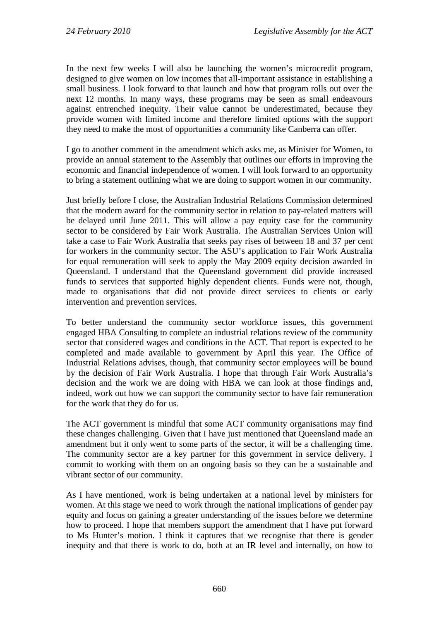In the next few weeks I will also be launching the women's microcredit program, designed to give women on low incomes that all-important assistance in establishing a small business. I look forward to that launch and how that program rolls out over the next 12 months. In many ways, these programs may be seen as small endeavours against entrenched inequity. Their value cannot be underestimated, because they provide women with limited income and therefore limited options with the support they need to make the most of opportunities a community like Canberra can offer.

I go to another comment in the amendment which asks me, as Minister for Women, to provide an annual statement to the Assembly that outlines our efforts in improving the economic and financial independence of women. I will look forward to an opportunity to bring a statement outlining what we are doing to support women in our community.

Just briefly before I close, the Australian Industrial Relations Commission determined that the modern award for the community sector in relation to pay-related matters will be delayed until June 2011. This will allow a pay equity case for the community sector to be considered by Fair Work Australia. The Australian Services Union will take a case to Fair Work Australia that seeks pay rises of between 18 and 37 per cent for workers in the community sector. The ASU's application to Fair Work Australia for equal remuneration will seek to apply the May 2009 equity decision awarded in Queensland. I understand that the Queensland government did provide increased funds to services that supported highly dependent clients. Funds were not, though, made to organisations that did not provide direct services to clients or early intervention and prevention services.

To better understand the community sector workforce issues, this government engaged HBA Consulting to complete an industrial relations review of the community sector that considered wages and conditions in the ACT. That report is expected to be completed and made available to government by April this year. The Office of Industrial Relations advises, though, that community sector employees will be bound by the decision of Fair Work Australia. I hope that through Fair Work Australia's decision and the work we are doing with HBA we can look at those findings and, indeed, work out how we can support the community sector to have fair remuneration for the work that they do for us.

The ACT government is mindful that some ACT community organisations may find these changes challenging. Given that I have just mentioned that Queensland made an amendment but it only went to some parts of the sector, it will be a challenging time. The community sector are a key partner for this government in service delivery. I commit to working with them on an ongoing basis so they can be a sustainable and vibrant sector of our community.

As I have mentioned, work is being undertaken at a national level by ministers for women. At this stage we need to work through the national implications of gender pay equity and focus on gaining a greater understanding of the issues before we determine how to proceed. I hope that members support the amendment that I have put forward to Ms Hunter's motion. I think it captures that we recognise that there is gender inequity and that there is work to do, both at an IR level and internally, on how to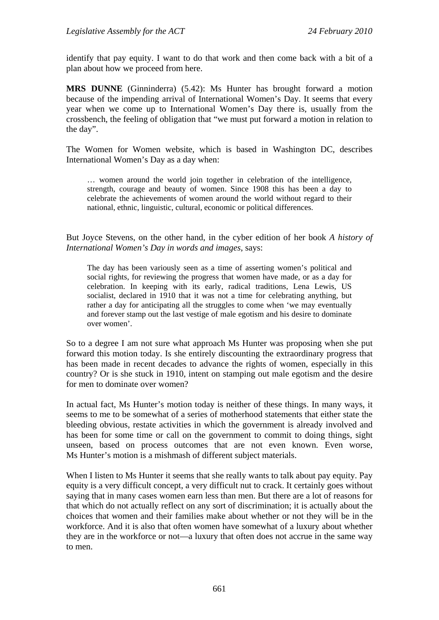identify that pay equity. I want to do that work and then come back with a bit of a plan about how we proceed from here.

**MRS DUNNE** (Ginninderra) (5.42): Ms Hunter has brought forward a motion because of the impending arrival of International Women's Day. It seems that every year when we come up to International Women's Day there is, usually from the crossbench, the feeling of obligation that "we must put forward a motion in relation to the day".

The Women for Women website, which is based in Washington DC, describes International Women's Day as a day when:

… women around the world join together in celebration of the intelligence, strength, courage and beauty of women. Since 1908 this has been a day to celebrate the achievements of women around the world without regard to their national, ethnic, linguistic, cultural, economic or political differences.

But Joyce Stevens, on the other hand, in the cyber edition of her book *A history of International Women's Day in words and images*, says:

The day has been variously seen as a time of asserting women's political and social rights, for reviewing the progress that women have made, or as a day for celebration. In keeping with its early, radical traditions, Lena Lewis, US socialist, declared in 1910 that it was not a time for celebrating anything, but rather a day for anticipating all the struggles to come when 'we may eventually and forever stamp out the last vestige of male egotism and his desire to dominate over women'.

So to a degree I am not sure what approach Ms Hunter was proposing when she put forward this motion today. Is she entirely discounting the extraordinary progress that has been made in recent decades to advance the rights of women, especially in this country? Or is she stuck in 1910, intent on stamping out male egotism and the desire for men to dominate over women?

In actual fact, Ms Hunter's motion today is neither of these things. In many ways, it seems to me to be somewhat of a series of motherhood statements that either state the bleeding obvious, restate activities in which the government is already involved and has been for some time or call on the government to commit to doing things, sight unseen, based on process outcomes that are not even known. Even worse, Ms Hunter's motion is a mishmash of different subject materials.

When I listen to Ms Hunter it seems that she really wants to talk about pay equity. Pay equity is a very difficult concept, a very difficult nut to crack. It certainly goes without saying that in many cases women earn less than men. But there are a lot of reasons for that which do not actually reflect on any sort of discrimination; it is actually about the choices that women and their families make about whether or not they will be in the workforce. And it is also that often women have somewhat of a luxury about whether they are in the workforce or not—a luxury that often does not accrue in the same way to men.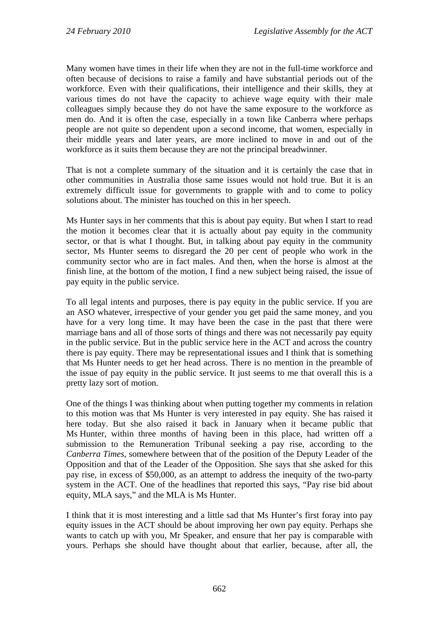Many women have times in their life when they are not in the full-time workforce and often because of decisions to raise a family and have substantial periods out of the workforce. Even with their qualifications, their intelligence and their skills, they at various times do not have the capacity to achieve wage equity with their male colleagues simply because they do not have the same exposure to the workforce as men do. And it is often the case, especially in a town like Canberra where perhaps people are not quite so dependent upon a second income, that women, especially in their middle years and later years, are more inclined to move in and out of the workforce as it suits them because they are not the principal breadwinner.

That is not a complete summary of the situation and it is certainly the case that in other communities in Australia those same issues would not hold true. But it is an extremely difficult issue for governments to grapple with and to come to policy solutions about. The minister has touched on this in her speech.

Ms Hunter says in her comments that this is about pay equity. But when I start to read the motion it becomes clear that it is actually about pay equity in the community sector, or that is what I thought. But, in talking about pay equity in the community sector, Ms Hunter seems to disregard the 20 per cent of people who work in the community sector who are in fact males. And then, when the horse is almost at the finish line, at the bottom of the motion, I find a new subject being raised, the issue of pay equity in the public service.

To all legal intents and purposes, there is pay equity in the public service. If you are an ASO whatever, irrespective of your gender you get paid the same money, and you have for a very long time. It may have been the case in the past that there were marriage bans and all of those sorts of things and there was not necessarily pay equity in the public service. But in the public service here in the ACT and across the country there is pay equity. There may be representational issues and I think that is something that Ms Hunter needs to get her head across. There is no mention in the preamble of the issue of pay equity in the public service. It just seems to me that overall this is a pretty lazy sort of motion.

One of the things I was thinking about when putting together my comments in relation to this motion was that Ms Hunter is very interested in pay equity. She has raised it here today. But she also raised it back in January when it became public that Ms Hunter, within three months of having been in this place, had written off a submission to the Remuneration Tribunal seeking a pay rise, according to the *Canberra Times*, somewhere between that of the position of the Deputy Leader of the Opposition and that of the Leader of the Opposition. She says that she asked for this pay rise, in excess of \$50,000, as an attempt to address the inequity of the two-party system in the ACT. One of the headlines that reported this says, "Pay rise bid about equity, MLA says," and the MLA is Ms Hunter.

I think that it is most interesting and a little sad that Ms Hunter's first foray into pay equity issues in the ACT should be about improving her own pay equity. Perhaps she wants to catch up with you, Mr Speaker, and ensure that her pay is comparable with yours. Perhaps she should have thought about that earlier, because, after all, the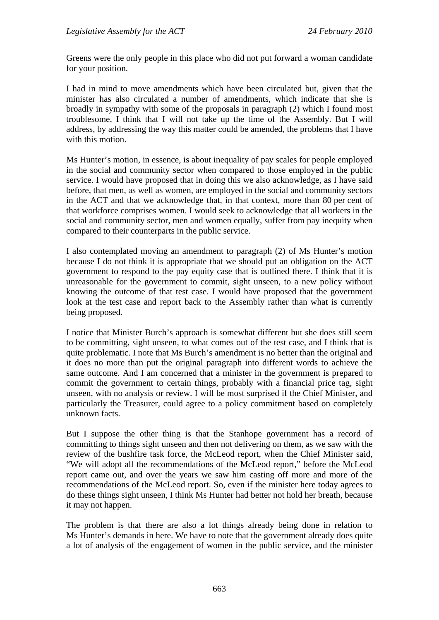Greens were the only people in this place who did not put forward a woman candidate for your position.

I had in mind to move amendments which have been circulated but, given that the minister has also circulated a number of amendments, which indicate that she is broadly in sympathy with some of the proposals in paragraph (2) which I found most troublesome, I think that I will not take up the time of the Assembly. But I will address, by addressing the way this matter could be amended, the problems that I have with this motion.

Ms Hunter's motion, in essence, is about inequality of pay scales for people employed in the social and community sector when compared to those employed in the public service. I would have proposed that in doing this we also acknowledge, as I have said before, that men, as well as women, are employed in the social and community sectors in the ACT and that we acknowledge that, in that context, more than 80 per cent of that workforce comprises women. I would seek to acknowledge that all workers in the social and community sector, men and women equally, suffer from pay inequity when compared to their counterparts in the public service.

I also contemplated moving an amendment to paragraph (2) of Ms Hunter's motion because I do not think it is appropriate that we should put an obligation on the ACT government to respond to the pay equity case that is outlined there. I think that it is unreasonable for the government to commit, sight unseen, to a new policy without knowing the outcome of that test case. I would have proposed that the government look at the test case and report back to the Assembly rather than what is currently being proposed.

I notice that Minister Burch's approach is somewhat different but she does still seem to be committing, sight unseen, to what comes out of the test case, and I think that is quite problematic. I note that Ms Burch's amendment is no better than the original and it does no more than put the original paragraph into different words to achieve the same outcome. And I am concerned that a minister in the government is prepared to commit the government to certain things, probably with a financial price tag, sight unseen, with no analysis or review. I will be most surprised if the Chief Minister, and particularly the Treasurer, could agree to a policy commitment based on completely unknown facts.

But I suppose the other thing is that the Stanhope government has a record of committing to things sight unseen and then not delivering on them, as we saw with the review of the bushfire task force, the McLeod report, when the Chief Minister said, "We will adopt all the recommendations of the McLeod report," before the McLeod report came out, and over the years we saw him casting off more and more of the recommendations of the McLeod report. So, even if the minister here today agrees to do these things sight unseen, I think Ms Hunter had better not hold her breath, because it may not happen.

The problem is that there are also a lot things already being done in relation to Ms Hunter's demands in here. We have to note that the government already does quite a lot of analysis of the engagement of women in the public service, and the minister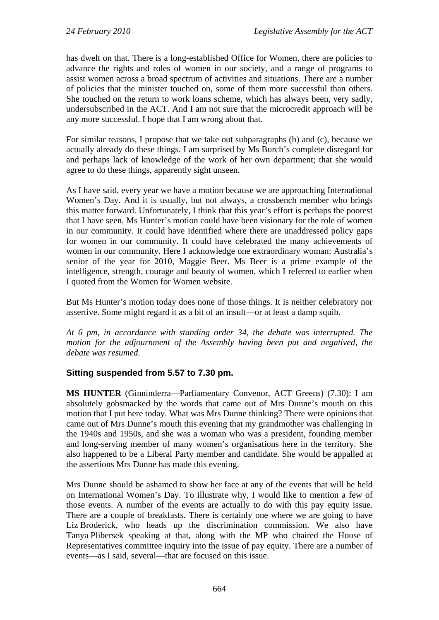has dwelt on that. There is a long-established Office for Women, there are policies to advance the rights and roles of women in our society, and a range of programs to assist women across a broad spectrum of activities and situations. There are a number of policies that the minister touched on, some of them more successful than others. She touched on the return to work loans scheme, which has always been, very sadly, undersubscribed in the ACT. And I am not sure that the microcredit approach will be any more successful. I hope that I am wrong about that.

For similar reasons, I propose that we take out subparagraphs (b) and (c), because we actually already do these things. I am surprised by Ms Burch's complete disregard for and perhaps lack of knowledge of the work of her own department; that she would agree to do these things, apparently sight unseen.

As I have said, every year we have a motion because we are approaching International Women's Day. And it is usually, but not always, a crossbench member who brings this matter forward. Unfortunately, I think that this year's effort is perhaps the poorest that I have seen. Ms Hunter's motion could have been visionary for the role of women in our community. It could have identified where there are unaddressed policy gaps for women in our community. It could have celebrated the many achievements of women in our community. Here I acknowledge one extraordinary woman: Australia's senior of the year for 2010, Maggie Beer. Ms Beer is a prime example of the intelligence, strength, courage and beauty of women, which I referred to earlier when I quoted from the Women for Women website.

But Ms Hunter's motion today does none of those things. It is neither celebratory nor assertive. Some might regard it as a bit of an insult—or at least a damp squib.

*At 6 pm, in accordance with standing order 34, the debate was interrupted. The motion for the adjournment of the Assembly having been put and negatived, the debate was resumed.* 

## **Sitting suspended from 5.57 to 7.30 pm.**

**MS HUNTER** (Ginninderra—Parliamentary Convenor, ACT Greens) (7.30): I am absolutely gobsmacked by the words that came out of Mrs Dunne's mouth on this motion that I put here today. What was Mrs Dunne thinking? There were opinions that came out of Mrs Dunne's mouth this evening that my grandmother was challenging in the 1940s and 1950s, and she was a woman who was a president, founding member and long-serving member of many women's organisations here in the territory. She also happened to be a Liberal Party member and candidate. She would be appalled at the assertions Mrs Dunne has made this evening.

Mrs Dunne should be ashamed to show her face at any of the events that will be held on International Women's Day. To illustrate why, I would like to mention a few of those events. A number of the events are actually to do with this pay equity issue. There are a couple of breakfasts. There is certainly one where we are going to have Liz Broderick, who heads up the discrimination commission. We also have Tanya Plibersek speaking at that, along with the MP who chaired the House of Representatives committee inquiry into the issue of pay equity. There are a number of events—as I said, several—that are focused on this issue.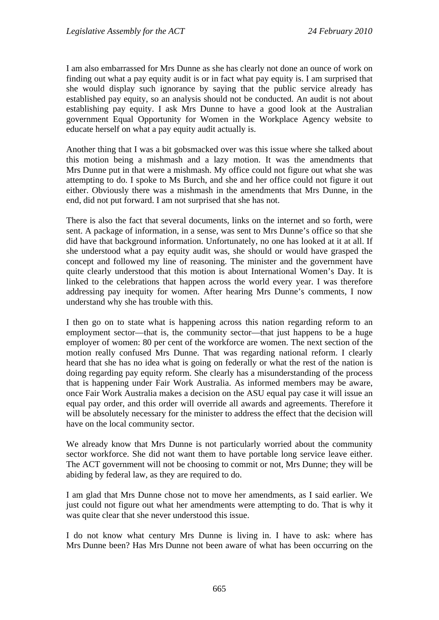I am also embarrassed for Mrs Dunne as she has clearly not done an ounce of work on finding out what a pay equity audit is or in fact what pay equity is. I am surprised that she would display such ignorance by saying that the public service already has established pay equity, so an analysis should not be conducted. An audit is not about establishing pay equity. I ask Mrs Dunne to have a good look at the Australian government Equal Opportunity for Women in the Workplace Agency website to educate herself on what a pay equity audit actually is.

Another thing that I was a bit gobsmacked over was this issue where she talked about this motion being a mishmash and a lazy motion. It was the amendments that Mrs Dunne put in that were a mishmash. My office could not figure out what she was attempting to do. I spoke to Ms Burch, and she and her office could not figure it out either. Obviously there was a mishmash in the amendments that Mrs Dunne, in the end, did not put forward. I am not surprised that she has not.

There is also the fact that several documents, links on the internet and so forth, were sent. A package of information, in a sense, was sent to Mrs Dunne's office so that she did have that background information. Unfortunately, no one has looked at it at all. If she understood what a pay equity audit was, she should or would have grasped the concept and followed my line of reasoning. The minister and the government have quite clearly understood that this motion is about International Women's Day. It is linked to the celebrations that happen across the world every year. I was therefore addressing pay inequity for women. After hearing Mrs Dunne's comments, I now understand why she has trouble with this.

I then go on to state what is happening across this nation regarding reform to an employment sector—that is, the community sector—that just happens to be a huge employer of women: 80 per cent of the workforce are women. The next section of the motion really confused Mrs Dunne. That was regarding national reform. I clearly heard that she has no idea what is going on federally or what the rest of the nation is doing regarding pay equity reform. She clearly has a misunderstanding of the process that is happening under Fair Work Australia. As informed members may be aware, once Fair Work Australia makes a decision on the ASU equal pay case it will issue an equal pay order, and this order will override all awards and agreements. Therefore it will be absolutely necessary for the minister to address the effect that the decision will have on the local community sector.

We already know that Mrs Dunne is not particularly worried about the community sector workforce. She did not want them to have portable long service leave either. The ACT government will not be choosing to commit or not, Mrs Dunne; they will be abiding by federal law, as they are required to do.

I am glad that Mrs Dunne chose not to move her amendments, as I said earlier. We just could not figure out what her amendments were attempting to do. That is why it was quite clear that she never understood this issue.

I do not know what century Mrs Dunne is living in. I have to ask: where has Mrs Dunne been? Has Mrs Dunne not been aware of what has been occurring on the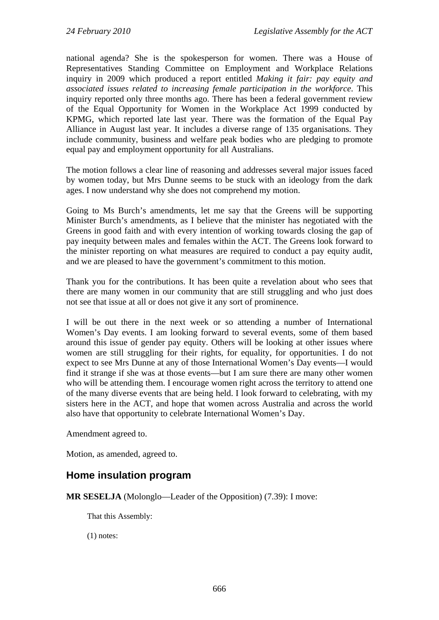national agenda? She is the spokesperson for women. There was a House of Representatives Standing Committee on Employment and Workplace Relations inquiry in 2009 which produced a report entitled *Making it fair: pay equity and associated issues related to increasing female participation in the workforce*. This inquiry reported only three months ago. There has been a federal government review of the Equal Opportunity for Women in the Workplace Act 1999 conducted by KPMG, which reported late last year. There was the formation of the Equal Pay Alliance in August last year. It includes a diverse range of 135 organisations. They include community, business and welfare peak bodies who are pledging to promote equal pay and employment opportunity for all Australians.

The motion follows a clear line of reasoning and addresses several major issues faced by women today, but Mrs Dunne seems to be stuck with an ideology from the dark ages. I now understand why she does not comprehend my motion.

Going to Ms Burch's amendments, let me say that the Greens will be supporting Minister Burch's amendments, as I believe that the minister has negotiated with the Greens in good faith and with every intention of working towards closing the gap of pay inequity between males and females within the ACT. The Greens look forward to the minister reporting on what measures are required to conduct a pay equity audit, and we are pleased to have the government's commitment to this motion.

Thank you for the contributions. It has been quite a revelation about who sees that there are many women in our community that are still struggling and who just does not see that issue at all or does not give it any sort of prominence.

I will be out there in the next week or so attending a number of International Women's Day events. I am looking forward to several events, some of them based around this issue of gender pay equity. Others will be looking at other issues where women are still struggling for their rights, for equality, for opportunities. I do not expect to see Mrs Dunne at any of those International Women's Day events—I would find it strange if she was at those events—but I am sure there are many other women who will be attending them. I encourage women right across the territory to attend one of the many diverse events that are being held. I look forward to celebrating, with my sisters here in the ACT, and hope that women across Australia and across the world also have that opportunity to celebrate International Women's Day.

Amendment agreed to.

Motion, as amended, agreed to.

# **Home insulation program**

**MR SESELJA** (Molonglo—Leader of the Opposition) (7.39): I move:

That this Assembly:

(1) notes: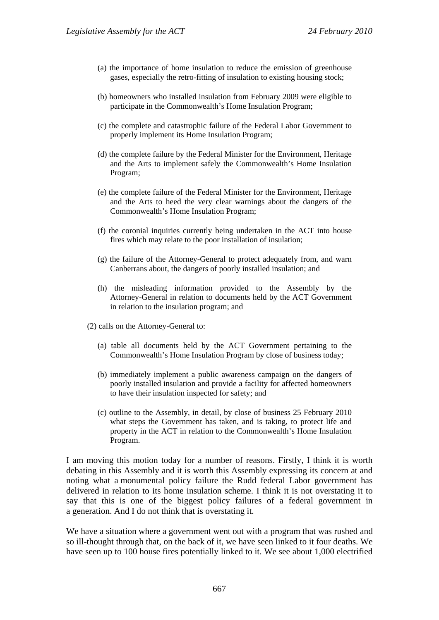- (a) the importance of home insulation to reduce the emission of greenhouse gases, especially the retro-fitting of insulation to existing housing stock;
- (b) homeowners who installed insulation from February 2009 were eligible to participate in the Commonwealth's Home Insulation Program;
- (c) the complete and catastrophic failure of the Federal Labor Government to properly implement its Home Insulation Program;
- (d) the complete failure by the Federal Minister for the Environment, Heritage and the Arts to implement safely the Commonwealth's Home Insulation Program;
- (e) the complete failure of the Federal Minister for the Environment, Heritage and the Arts to heed the very clear warnings about the dangers of the Commonwealth's Home Insulation Program;
- (f) the coronial inquiries currently being undertaken in the ACT into house fires which may relate to the poor installation of insulation;
- (g) the failure of the Attorney-General to protect adequately from, and warn Canberrans about, the dangers of poorly installed insulation; and
- (h) the misleading information provided to the Assembly by the Attorney-General in relation to documents held by the ACT Government in relation to the insulation program; and
- (2) calls on the Attorney-General to:
	- (a) table all documents held by the ACT Government pertaining to the Commonwealth's Home Insulation Program by close of business today;
	- (b) immediately implement a public awareness campaign on the dangers of poorly installed insulation and provide a facility for affected homeowners to have their insulation inspected for safety; and
	- (c) outline to the Assembly, in detail, by close of business 25 February 2010 what steps the Government has taken, and is taking, to protect life and property in the ACT in relation to the Commonwealth's Home Insulation Program.

I am moving this motion today for a number of reasons. Firstly, I think it is worth debating in this Assembly and it is worth this Assembly expressing its concern at and noting what a monumental policy failure the Rudd federal Labor government has delivered in relation to its home insulation scheme. I think it is not overstating it to say that this is one of the biggest policy failures of a federal government in a generation. And I do not think that is overstating it.

We have a situation where a government went out with a program that was rushed and so ill-thought through that, on the back of it, we have seen linked to it four deaths. We have seen up to 100 house fires potentially linked to it. We see about 1,000 electrified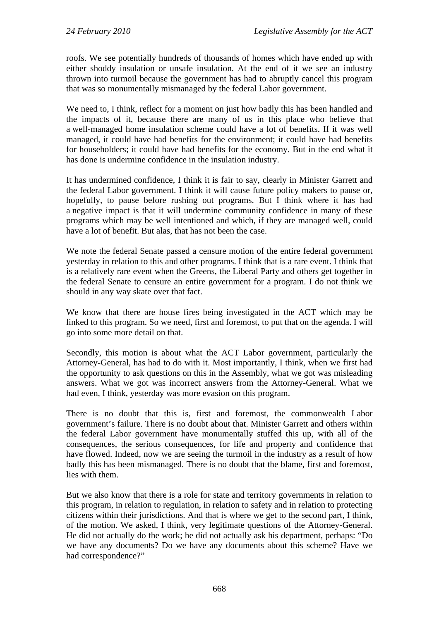roofs. We see potentially hundreds of thousands of homes which have ended up with either shoddy insulation or unsafe insulation. At the end of it we see an industry thrown into turmoil because the government has had to abruptly cancel this program that was so monumentally mismanaged by the federal Labor government.

We need to, I think, reflect for a moment on just how badly this has been handled and the impacts of it, because there are many of us in this place who believe that a well-managed home insulation scheme could have a lot of benefits. If it was well managed, it could have had benefits for the environment; it could have had benefits for householders; it could have had benefits for the economy. But in the end what it has done is undermine confidence in the insulation industry.

It has undermined confidence, I think it is fair to say, clearly in Minister Garrett and the federal Labor government. I think it will cause future policy makers to pause or, hopefully, to pause before rushing out programs. But I think where it has had a negative impact is that it will undermine community confidence in many of these programs which may be well intentioned and which, if they are managed well, could have a lot of benefit. But alas, that has not been the case.

We note the federal Senate passed a censure motion of the entire federal government yesterday in relation to this and other programs. I think that is a rare event. I think that is a relatively rare event when the Greens, the Liberal Party and others get together in the federal Senate to censure an entire government for a program. I do not think we should in any way skate over that fact.

We know that there are house fires being investigated in the ACT which may be linked to this program. So we need, first and foremost, to put that on the agenda. I will go into some more detail on that.

Secondly, this motion is about what the ACT Labor government, particularly the Attorney-General, has had to do with it. Most importantly, I think, when we first had the opportunity to ask questions on this in the Assembly, what we got was misleading answers. What we got was incorrect answers from the Attorney-General. What we had even, I think, yesterday was more evasion on this program.

There is no doubt that this is, first and foremost, the commonwealth Labor government's failure. There is no doubt about that. Minister Garrett and others within the federal Labor government have monumentally stuffed this up, with all of the consequences, the serious consequences, for life and property and confidence that have flowed. Indeed, now we are seeing the turmoil in the industry as a result of how badly this has been mismanaged. There is no doubt that the blame, first and foremost, lies with them.

But we also know that there is a role for state and territory governments in relation to this program, in relation to regulation, in relation to safety and in relation to protecting citizens within their jurisdictions. And that is where we get to the second part, I think, of the motion. We asked, I think, very legitimate questions of the Attorney-General. He did not actually do the work; he did not actually ask his department, perhaps: "Do we have any documents? Do we have any documents about this scheme? Have we had correspondence?"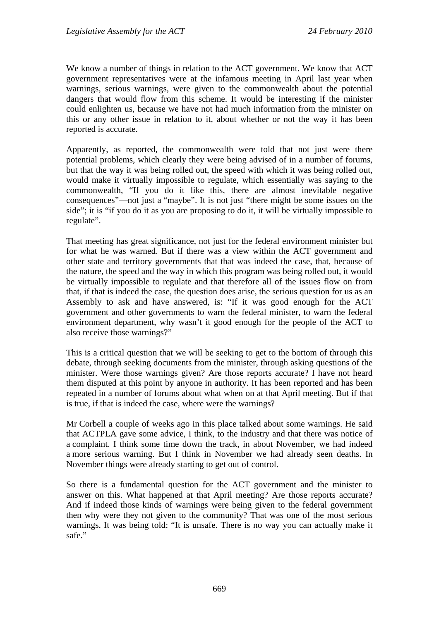We know a number of things in relation to the ACT government. We know that ACT government representatives were at the infamous meeting in April last year when warnings, serious warnings, were given to the commonwealth about the potential dangers that would flow from this scheme. It would be interesting if the minister could enlighten us, because we have not had much information from the minister on this or any other issue in relation to it, about whether or not the way it has been reported is accurate.

Apparently, as reported, the commonwealth were told that not just were there potential problems, which clearly they were being advised of in a number of forums, but that the way it was being rolled out, the speed with which it was being rolled out, would make it virtually impossible to regulate, which essentially was saying to the commonwealth, "If you do it like this, there are almost inevitable negative consequences"—not just a "maybe". It is not just "there might be some issues on the side"; it is "if you do it as you are proposing to do it, it will be virtually impossible to regulate".

That meeting has great significance, not just for the federal environment minister but for what he was warned. But if there was a view within the ACT government and other state and territory governments that that was indeed the case, that, because of the nature, the speed and the way in which this program was being rolled out, it would be virtually impossible to regulate and that therefore all of the issues flow on from that, if that is indeed the case, the question does arise, the serious question for us as an Assembly to ask and have answered, is: "If it was good enough for the ACT government and other governments to warn the federal minister, to warn the federal environment department, why wasn't it good enough for the people of the ACT to also receive those warnings?"

This is a critical question that we will be seeking to get to the bottom of through this debate, through seeking documents from the minister, through asking questions of the minister. Were those warnings given? Are those reports accurate? I have not heard them disputed at this point by anyone in authority. It has been reported and has been repeated in a number of forums about what when on at that April meeting. But if that is true, if that is indeed the case, where were the warnings?

Mr Corbell a couple of weeks ago in this place talked about some warnings. He said that ACTPLA gave some advice, I think, to the industry and that there was notice of a complaint. I think some time down the track, in about November, we had indeed a more serious warning. But I think in November we had already seen deaths. In November things were already starting to get out of control.

So there is a fundamental question for the ACT government and the minister to answer on this. What happened at that April meeting? Are those reports accurate? And if indeed those kinds of warnings were being given to the federal government then why were they not given to the community? That was one of the most serious warnings. It was being told: "It is unsafe. There is no way you can actually make it safe."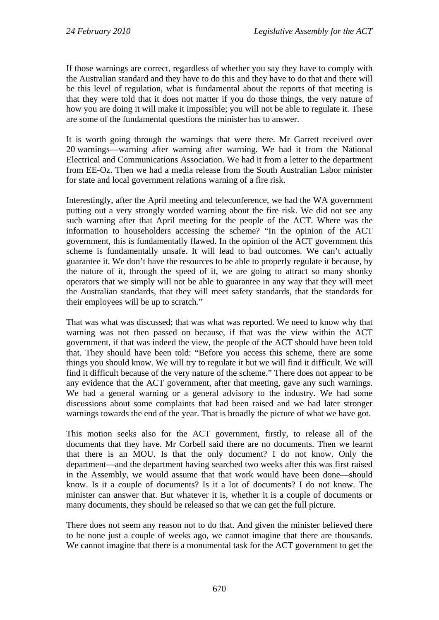If those warnings are correct, regardless of whether you say they have to comply with the Australian standard and they have to do this and they have to do that and there will be this level of regulation, what is fundamental about the reports of that meeting is that they were told that it does not matter if you do those things, the very nature of how you are doing it will make it impossible; you will not be able to regulate it. These are some of the fundamental questions the minister has to answer.

It is worth going through the warnings that were there. Mr Garrett received over 20 warnings—warning after warning after warning. We had it from the National Electrical and Communications Association. We had it from a letter to the department from EE-Oz. Then we had a media release from the South Australian Labor minister for state and local government relations warning of a fire risk.

Interestingly, after the April meeting and teleconference, we had the WA government putting out a very strongly worded warning about the fire risk. We did not see any such warning after that April meeting for the people of the ACT. Where was the information to householders accessing the scheme? "In the opinion of the ACT government, this is fundamentally flawed. In the opinion of the ACT government this scheme is fundamentally unsafe. It will lead to bad outcomes. We can't actually guarantee it. We don't have the resources to be able to properly regulate it because, by the nature of it, through the speed of it, we are going to attract so many shonky operators that we simply will not be able to guarantee in any way that they will meet the Australian standards, that they will meet safety standards, that the standards for their employees will be up to scratch."

That was what was discussed; that was what was reported. We need to know why that warning was not then passed on because, if that was the view within the ACT government, if that was indeed the view, the people of the ACT should have been told that. They should have been told: "Before you access this scheme, there are some things you should know. We will try to regulate it but we will find it difficult. We will find it difficult because of the very nature of the scheme." There does not appear to be any evidence that the ACT government, after that meeting, gave any such warnings. We had a general warning or a general advisory to the industry. We had some discussions about some complaints that had been raised and we had later stronger warnings towards the end of the year. That is broadly the picture of what we have got.

This motion seeks also for the ACT government, firstly, to release all of the documents that they have. Mr Corbell said there are no documents. Then we learnt that there is an MOU. Is that the only document? I do not know. Only the department—and the department having searched two weeks after this was first raised in the Assembly, we would assume that that work would have been done—should know. Is it a couple of documents? Is it a lot of documents? I do not know. The minister can answer that. But whatever it is, whether it is a couple of documents or many documents, they should be released so that we can get the full picture.

There does not seem any reason not to do that. And given the minister believed there to be none just a couple of weeks ago, we cannot imagine that there are thousands. We cannot imagine that there is a monumental task for the ACT government to get the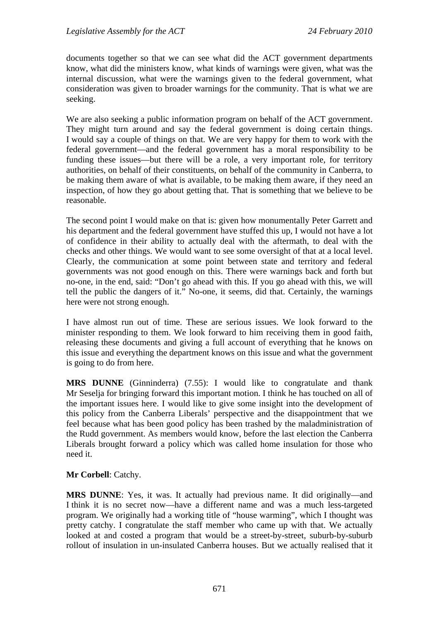documents together so that we can see what did the ACT government departments know, what did the ministers know, what kinds of warnings were given, what was the internal discussion, what were the warnings given to the federal government, what consideration was given to broader warnings for the community. That is what we are seeking.

We are also seeking a public information program on behalf of the ACT government. They might turn around and say the federal government is doing certain things. I would say a couple of things on that. We are very happy for them to work with the federal government—and the federal government has a moral responsibility to be funding these issues—but there will be a role, a very important role, for territory authorities, on behalf of their constituents, on behalf of the community in Canberra, to be making them aware of what is available, to be making them aware, if they need an inspection, of how they go about getting that. That is something that we believe to be reasonable.

The second point I would make on that is: given how monumentally Peter Garrett and his department and the federal government have stuffed this up, I would not have a lot of confidence in their ability to actually deal with the aftermath, to deal with the checks and other things. We would want to see some oversight of that at a local level. Clearly, the communication at some point between state and territory and federal governments was not good enough on this. There were warnings back and forth but no-one, in the end, said: "Don't go ahead with this. If you go ahead with this, we will tell the public the dangers of it." No-one, it seems, did that. Certainly, the warnings here were not strong enough.

I have almost run out of time. These are serious issues. We look forward to the minister responding to them. We look forward to him receiving them in good faith, releasing these documents and giving a full account of everything that he knows on this issue and everything the department knows on this issue and what the government is going to do from here.

**MRS DUNNE** (Ginninderra) (7.55): I would like to congratulate and thank Mr Seselja for bringing forward this important motion. I think he has touched on all of the important issues here. I would like to give some insight into the development of this policy from the Canberra Liberals' perspective and the disappointment that we feel because what has been good policy has been trashed by the maladministration of the Rudd government. As members would know, before the last election the Canberra Liberals brought forward a policy which was called home insulation for those who need it.

### **Mr Corbell**: Catchy.

**MRS DUNNE**: Yes, it was. It actually had previous name. It did originally—and I think it is no secret now—have a different name and was a much less-targeted program. We originally had a working title of "house warming", which I thought was pretty catchy. I congratulate the staff member who came up with that. We actually looked at and costed a program that would be a street-by-street, suburb-by-suburb rollout of insulation in un-insulated Canberra houses. But we actually realised that it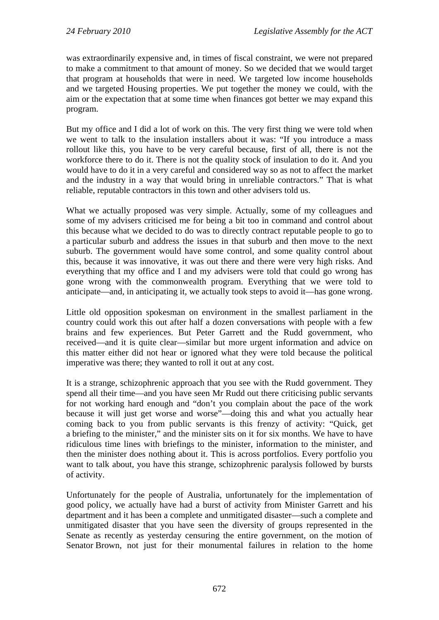was extraordinarily expensive and, in times of fiscal constraint, we were not prepared to make a commitment to that amount of money. So we decided that we would target that program at households that were in need. We targeted low income households and we targeted Housing properties. We put together the money we could, with the aim or the expectation that at some time when finances got better we may expand this program.

But my office and I did a lot of work on this. The very first thing we were told when we went to talk to the insulation installers about it was: "If you introduce a mass rollout like this, you have to be very careful because, first of all, there is not the workforce there to do it. There is not the quality stock of insulation to do it. And you would have to do it in a very careful and considered way so as not to affect the market and the industry in a way that would bring in unreliable contractors." That is what reliable, reputable contractors in this town and other advisers told us.

What we actually proposed was very simple. Actually, some of my colleagues and some of my advisers criticised me for being a bit too in command and control about this because what we decided to do was to directly contract reputable people to go to a particular suburb and address the issues in that suburb and then move to the next suburb. The government would have some control, and some quality control about this, because it was innovative, it was out there and there were very high risks. And everything that my office and I and my advisers were told that could go wrong has gone wrong with the commonwealth program. Everything that we were told to anticipate—and, in anticipating it, we actually took steps to avoid it—has gone wrong.

Little old opposition spokesman on environment in the smallest parliament in the country could work this out after half a dozen conversations with people with a few brains and few experiences. But Peter Garrett and the Rudd government, who received—and it is quite clear—similar but more urgent information and advice on this matter either did not hear or ignored what they were told because the political imperative was there; they wanted to roll it out at any cost.

It is a strange, schizophrenic approach that you see with the Rudd government. They spend all their time—and you have seen Mr Rudd out there criticising public servants for not working hard enough and "don't you complain about the pace of the work because it will just get worse and worse"—doing this and what you actually hear coming back to you from public servants is this frenzy of activity: "Quick, get a briefing to the minister," and the minister sits on it for six months. We have to have ridiculous time lines with briefings to the minister, information to the minister, and then the minister does nothing about it. This is across portfolios. Every portfolio you want to talk about, you have this strange, schizophrenic paralysis followed by bursts of activity.

Unfortunately for the people of Australia, unfortunately for the implementation of good policy, we actually have had a burst of activity from Minister Garrett and his department and it has been a complete and unmitigated disaster—such a complete and unmitigated disaster that you have seen the diversity of groups represented in the Senate as recently as yesterday censuring the entire government, on the motion of Senator Brown, not just for their monumental failures in relation to the home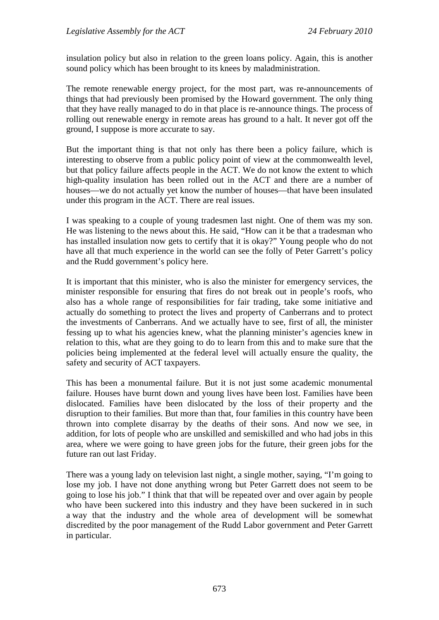insulation policy but also in relation to the green loans policy. Again, this is another sound policy which has been brought to its knees by maladministration.

The remote renewable energy project, for the most part, was re-announcements of things that had previously been promised by the Howard government. The only thing that they have really managed to do in that place is re-announce things. The process of rolling out renewable energy in remote areas has ground to a halt. It never got off the ground, I suppose is more accurate to say.

But the important thing is that not only has there been a policy failure, which is interesting to observe from a public policy point of view at the commonwealth level, but that policy failure affects people in the ACT. We do not know the extent to which high-quality insulation has been rolled out in the ACT and there are a number of houses—we do not actually yet know the number of houses—that have been insulated under this program in the ACT. There are real issues.

I was speaking to a couple of young tradesmen last night. One of them was my son. He was listening to the news about this. He said, "How can it be that a tradesman who has installed insulation now gets to certify that it is okay?" Young people who do not have all that much experience in the world can see the folly of Peter Garrett's policy and the Rudd government's policy here.

It is important that this minister, who is also the minister for emergency services, the minister responsible for ensuring that fires do not break out in people's roofs, who also has a whole range of responsibilities for fair trading, take some initiative and actually do something to protect the lives and property of Canberrans and to protect the investments of Canberrans. And we actually have to see, first of all, the minister fessing up to what his agencies knew, what the planning minister's agencies knew in relation to this, what are they going to do to learn from this and to make sure that the policies being implemented at the federal level will actually ensure the quality, the safety and security of ACT taxpayers.

This has been a monumental failure. But it is not just some academic monumental failure. Houses have burnt down and young lives have been lost. Families have been dislocated. Families have been dislocated by the loss of their property and the disruption to their families. But more than that, four families in this country have been thrown into complete disarray by the deaths of their sons. And now we see, in addition, for lots of people who are unskilled and semiskilled and who had jobs in this area, where we were going to have green jobs for the future, their green jobs for the future ran out last Friday.

There was a young lady on television last night, a single mother, saying, "I'm going to lose my job. I have not done anything wrong but Peter Garrett does not seem to be going to lose his job." I think that that will be repeated over and over again by people who have been suckered into this industry and they have been suckered in in such a way that the industry and the whole area of development will be somewhat discredited by the poor management of the Rudd Labor government and Peter Garrett in particular.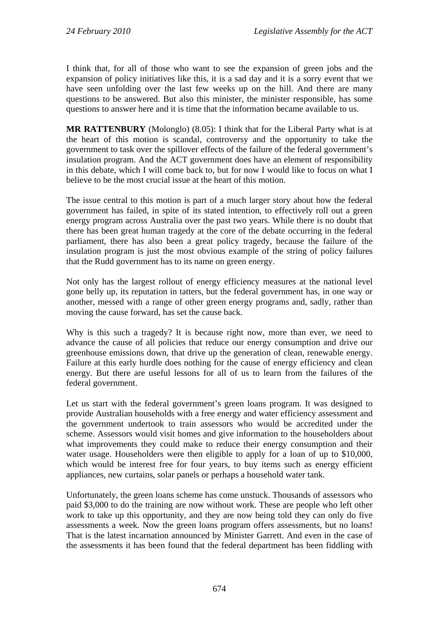I think that, for all of those who want to see the expansion of green jobs and the expansion of policy initiatives like this, it is a sad day and it is a sorry event that we have seen unfolding over the last few weeks up on the hill. And there are many questions to be answered. But also this minister, the minister responsible, has some questions to answer here and it is time that the information became available to us.

**MR RATTENBURY** (Molonglo) (8.05): I think that for the Liberal Party what is at the heart of this motion is scandal, controversy and the opportunity to take the government to task over the spillover effects of the failure of the federal government's insulation program. And the ACT government does have an element of responsibility in this debate, which I will come back to, but for now I would like to focus on what I believe to be the most crucial issue at the heart of this motion.

The issue central to this motion is part of a much larger story about how the federal government has failed, in spite of its stated intention, to effectively roll out a green energy program across Australia over the past two years. While there is no doubt that there has been great human tragedy at the core of the debate occurring in the federal parliament, there has also been a great policy tragedy, because the failure of the insulation program is just the most obvious example of the string of policy failures that the Rudd government has to its name on green energy.

Not only has the largest rollout of energy efficiency measures at the national level gone belly up, its reputation in tatters, but the federal government has, in one way or another, messed with a range of other green energy programs and, sadly, rather than moving the cause forward, has set the cause back.

Why is this such a tragedy? It is because right now, more than ever, we need to advance the cause of all policies that reduce our energy consumption and drive our greenhouse emissions down, that drive up the generation of clean, renewable energy. Failure at this early hurdle does nothing for the cause of energy efficiency and clean energy. But there are useful lessons for all of us to learn from the failures of the federal government.

Let us start with the federal government's green loans program. It was designed to provide Australian households with a free energy and water efficiency assessment and the government undertook to train assessors who would be accredited under the scheme. Assessors would visit homes and give information to the householders about what improvements they could make to reduce their energy consumption and their water usage. Householders were then eligible to apply for a loan of up to \$10,000, which would be interest free for four years, to buy items such as energy efficient appliances, new curtains, solar panels or perhaps a household water tank.

Unfortunately, the green loans scheme has come unstuck. Thousands of assessors who paid \$3,000 to do the training are now without work. These are people who left other work to take up this opportunity, and they are now being told they can only do five assessments a week. Now the green loans program offers assessments, but no loans! That is the latest incarnation announced by Minister Garrett. And even in the case of the assessments it has been found that the federal department has been fiddling with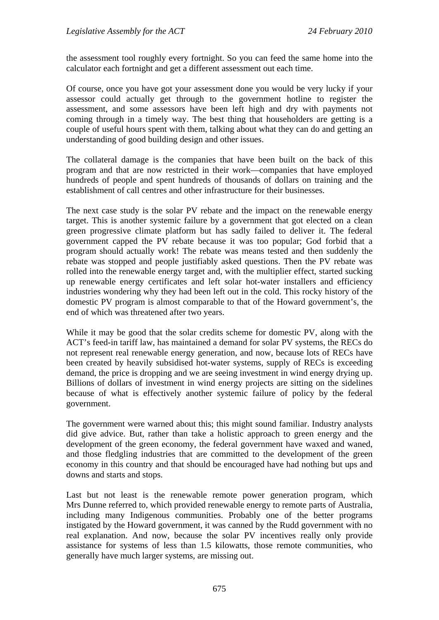the assessment tool roughly every fortnight. So you can feed the same home into the calculator each fortnight and get a different assessment out each time.

Of course, once you have got your assessment done you would be very lucky if your assessor could actually get through to the government hotline to register the assessment, and some assessors have been left high and dry with payments not coming through in a timely way. The best thing that householders are getting is a couple of useful hours spent with them, talking about what they can do and getting an understanding of good building design and other issues.

The collateral damage is the companies that have been built on the back of this program and that are now restricted in their work—companies that have employed hundreds of people and spent hundreds of thousands of dollars on training and the establishment of call centres and other infrastructure for their businesses.

The next case study is the solar PV rebate and the impact on the renewable energy target. This is another systemic failure by a government that got elected on a clean green progressive climate platform but has sadly failed to deliver it. The federal government capped the PV rebate because it was too popular; God forbid that a program should actually work! The rebate was means tested and then suddenly the rebate was stopped and people justifiably asked questions. Then the PV rebate was rolled into the renewable energy target and, with the multiplier effect, started sucking up renewable energy certificates and left solar hot-water installers and efficiency industries wondering why they had been left out in the cold. This rocky history of the domestic PV program is almost comparable to that of the Howard government's, the end of which was threatened after two years.

While it may be good that the solar credits scheme for domestic PV, along with the ACT's feed-in tariff law, has maintained a demand for solar PV systems, the RECs do not represent real renewable energy generation, and now, because lots of RECs have been created by heavily subsidised hot-water systems, supply of RECs is exceeding demand, the price is dropping and we are seeing investment in wind energy drying up. Billions of dollars of investment in wind energy projects are sitting on the sidelines because of what is effectively another systemic failure of policy by the federal government.

The government were warned about this; this might sound familiar. Industry analysts did give advice. But, rather than take a holistic approach to green energy and the development of the green economy, the federal government have waxed and waned, and those fledgling industries that are committed to the development of the green economy in this country and that should be encouraged have had nothing but ups and downs and starts and stops.

Last but not least is the renewable remote power generation program, which Mrs Dunne referred to, which provided renewable energy to remote parts of Australia, including many Indigenous communities. Probably one of the better programs instigated by the Howard government, it was canned by the Rudd government with no real explanation. And now, because the solar PV incentives really only provide assistance for systems of less than 1.5 kilowatts, those remote communities, who generally have much larger systems, are missing out.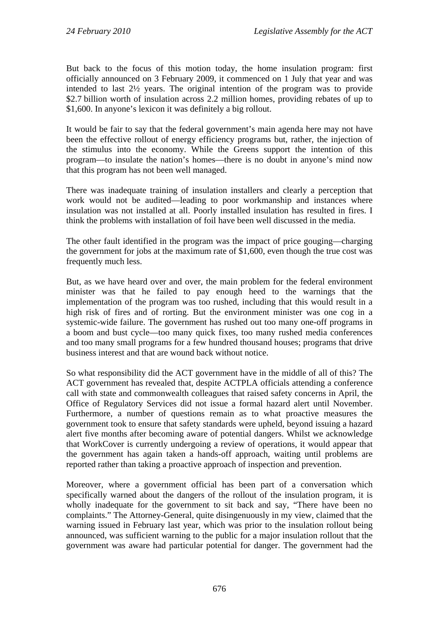But back to the focus of this motion today, the home insulation program: first officially announced on 3 February 2009, it commenced on 1 July that year and was intended to last 2½ years. The original intention of the program was to provide \$2.7 billion worth of insulation across 2.2 million homes, providing rebates of up to \$1,600. In anyone's lexicon it was definitely a big rollout.

It would be fair to say that the federal government's main agenda here may not have been the effective rollout of energy efficiency programs but, rather, the injection of the stimulus into the economy. While the Greens support the intention of this program—to insulate the nation's homes—there is no doubt in anyone's mind now that this program has not been well managed.

There was inadequate training of insulation installers and clearly a perception that work would not be audited—leading to poor workmanship and instances where insulation was not installed at all. Poorly installed insulation has resulted in fires. I think the problems with installation of foil have been well discussed in the media.

The other fault identified in the program was the impact of price gouging—charging the government for jobs at the maximum rate of \$1,600, even though the true cost was frequently much less.

But, as we have heard over and over, the main problem for the federal environment minister was that he failed to pay enough heed to the warnings that the implementation of the program was too rushed, including that this would result in a high risk of fires and of rorting. But the environment minister was one cog in a systemic-wide failure. The government has rushed out too many one-off programs in a boom and bust cycle—too many quick fixes, too many rushed media conferences and too many small programs for a few hundred thousand houses; programs that drive business interest and that are wound back without notice.

So what responsibility did the ACT government have in the middle of all of this? The ACT government has revealed that, despite ACTPLA officials attending a conference call with state and commonwealth colleagues that raised safety concerns in April, the Office of Regulatory Services did not issue a formal hazard alert until November. Furthermore, a number of questions remain as to what proactive measures the government took to ensure that safety standards were upheld, beyond issuing a hazard alert five months after becoming aware of potential dangers. Whilst we acknowledge that WorkCover is currently undergoing a review of operations, it would appear that the government has again taken a hands-off approach, waiting until problems are reported rather than taking a proactive approach of inspection and prevention.

Moreover, where a government official has been part of a conversation which specifically warned about the dangers of the rollout of the insulation program, it is wholly inadequate for the government to sit back and say, "There have been no complaints." The Attorney-General, quite disingenuously in my view, claimed that the warning issued in February last year, which was prior to the insulation rollout being announced, was sufficient warning to the public for a major insulation rollout that the government was aware had particular potential for danger. The government had the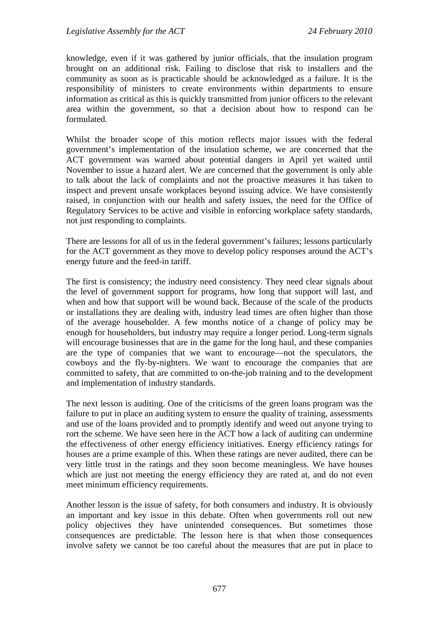knowledge, even if it was gathered by junior officials, that the insulation program brought on an additional risk. Failing to disclose that risk to installers and the community as soon as is practicable should be acknowledged as a failure. It is the responsibility of ministers to create environments within departments to ensure information as critical as this is quickly transmitted from junior officers to the relevant area within the government, so that a decision about how to respond can be formulated.

Whilst the broader scope of this motion reflects major issues with the federal government's implementation of the insulation scheme, we are concerned that the ACT government was warned about potential dangers in April yet waited until November to issue a hazard alert. We are concerned that the government is only able to talk about the lack of complaints and not the proactive measures it has taken to inspect and prevent unsafe workplaces beyond issuing advice. We have consistently raised, in conjunction with our health and safety issues, the need for the Office of Regulatory Services to be active and visible in enforcing workplace safety standards, not just responding to complaints.

There are lessons for all of us in the federal government's failures; lessons particularly for the ACT government as they move to develop policy responses around the ACT's energy future and the feed-in tariff.

The first is consistency; the industry need consistency. They need clear signals about the level of government support for programs, how long that support will last, and when and how that support will be wound back. Because of the scale of the products or installations they are dealing with, industry lead times are often higher than those of the average householder. A few months notice of a change of policy may be enough for householders, but industry may require a longer period. Long-term signals will encourage businesses that are in the game for the long haul, and these companies are the type of companies that we want to encourage—not the speculators, the cowboys and the fly-by-nighters. We want to encourage the companies that are committed to safety, that are committed to on-the-job training and to the development and implementation of industry standards.

The next lesson is auditing. One of the criticisms of the green loans program was the failure to put in place an auditing system to ensure the quality of training, assessments and use of the loans provided and to promptly identify and weed out anyone trying to rort the scheme. We have seen here in the ACT how a lack of auditing can undermine the effectiveness of other energy efficiency initiatives. Energy efficiency ratings for houses are a prime example of this. When these ratings are never audited, there can be very little trust in the ratings and they soon become meaningless. We have houses which are just not meeting the energy efficiency they are rated at, and do not even meet minimum efficiency requirements.

Another lesson is the issue of safety, for both consumers and industry. It is obviously an important and key issue in this debate. Often when governments roll out new policy objectives they have unintended consequences. But sometimes those consequences are predictable. The lesson here is that when those consequences involve safety we cannot be too careful about the measures that are put in place to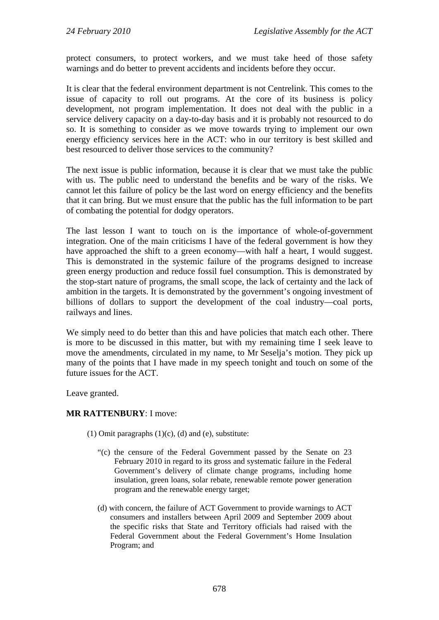protect consumers, to protect workers, and we must take heed of those safety warnings and do better to prevent accidents and incidents before they occur.

It is clear that the federal environment department is not Centrelink. This comes to the issue of capacity to roll out programs. At the core of its business is policy development, not program implementation. It does not deal with the public in a service delivery capacity on a day-to-day basis and it is probably not resourced to do so. It is something to consider as we move towards trying to implement our own energy efficiency services here in the ACT: who in our territory is best skilled and best resourced to deliver those services to the community?

The next issue is public information, because it is clear that we must take the public with us. The public need to understand the benefits and be wary of the risks. We cannot let this failure of policy be the last word on energy efficiency and the benefits that it can bring. But we must ensure that the public has the full information to be part of combating the potential for dodgy operators.

The last lesson I want to touch on is the importance of whole-of-government integration. One of the main criticisms I have of the federal government is how they have approached the shift to a green economy—with half a heart, I would suggest. This is demonstrated in the systemic failure of the programs designed to increase green energy production and reduce fossil fuel consumption. This is demonstrated by the stop-start nature of programs, the small scope, the lack of certainty and the lack of ambition in the targets. It is demonstrated by the government's ongoing investment of billions of dollars to support the development of the coal industry—coal ports, railways and lines.

We simply need to do better than this and have policies that match each other. There is more to be discussed in this matter, but with my remaining time I seek leave to move the amendments, circulated in my name, to Mr Seselja's motion. They pick up many of the points that I have made in my speech tonight and touch on some of the future issues for the ACT.

Leave granted.

### **MR RATTENBURY**: I move:

- (1) Omit paragraphs  $(1)(c)$ ,  $(d)$  and  $(e)$ , substitute:
	- "(c) the censure of the Federal Government passed by the Senate on 23 February 2010 in regard to its gross and systematic failure in the Federal Government's delivery of climate change programs, including home insulation, green loans, solar rebate, renewable remote power generation program and the renewable energy target;
	- (d) with concern, the failure of ACT Government to provide warnings to ACT consumers and installers between April 2009 and September 2009 about the specific risks that State and Territory officials had raised with the Federal Government about the Federal Government's Home Insulation Program; and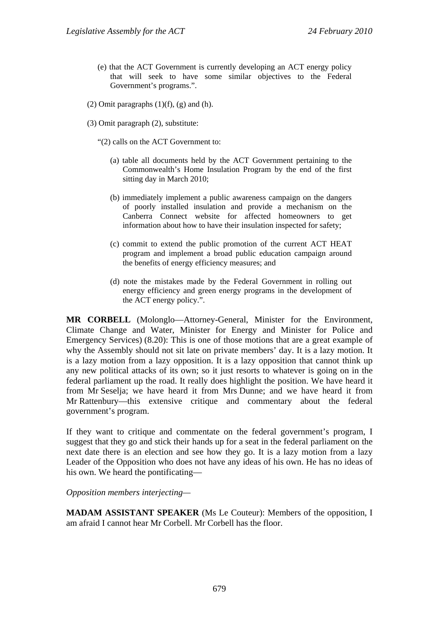- (e) that the ACT Government is currently developing an ACT energy policy that will seek to have some similar objectives to the Federal Government's programs.".
- (2) Omit paragraphs  $(1)(f)$ ,  $(g)$  and  $(h)$ .
- (3) Omit paragraph (2), substitute:
	- "(2) calls on the ACT Government to:
		- (a) table all documents held by the ACT Government pertaining to the Commonwealth's Home Insulation Program by the end of the first sitting day in March 2010;
		- (b) immediately implement a public awareness campaign on the dangers of poorly installed insulation and provide a mechanism on the Canberra Connect website for affected homeowners to get information about how to have their insulation inspected for safety;
		- (c) commit to extend the public promotion of the current ACT HEAT program and implement a broad public education campaign around the benefits of energy efficiency measures; and
		- (d) note the mistakes made by the Federal Government in rolling out energy efficiency and green energy programs in the development of the ACT energy policy.".

**MR CORBELL** (Molonglo—Attorney-General, Minister for the Environment, Climate Change and Water, Minister for Energy and Minister for Police and Emergency Services) (8.20): This is one of those motions that are a great example of why the Assembly should not sit late on private members' day. It is a lazy motion. It is a lazy motion from a lazy opposition. It is a lazy opposition that cannot think up any new political attacks of its own; so it just resorts to whatever is going on in the federal parliament up the road. It really does highlight the position. We have heard it from Mr Seselja; we have heard it from Mrs Dunne; and we have heard it from Mr Rattenbury—this extensive critique and commentary about the federal government's program.

If they want to critique and commentate on the federal government's program, I suggest that they go and stick their hands up for a seat in the federal parliament on the next date there is an election and see how they go. It is a lazy motion from a lazy Leader of the Opposition who does not have any ideas of his own. He has no ideas of his own. We heard the pontificating—

*Opposition members interjecting—* 

**MADAM ASSISTANT SPEAKER** (Ms Le Couteur): Members of the opposition, I am afraid I cannot hear Mr Corbell. Mr Corbell has the floor.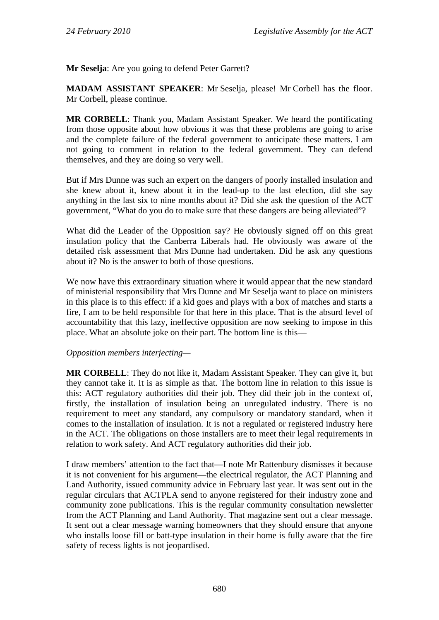**Mr Seselja**: Are you going to defend Peter Garrett?

**MADAM ASSISTANT SPEAKER**: Mr Seselja, please! Mr Corbell has the floor. Mr Corbell, please continue.

**MR CORBELL**: Thank you, Madam Assistant Speaker. We heard the pontificating from those opposite about how obvious it was that these problems are going to arise and the complete failure of the federal government to anticipate these matters. I am not going to comment in relation to the federal government. They can defend themselves, and they are doing so very well.

But if Mrs Dunne was such an expert on the dangers of poorly installed insulation and she knew about it, knew about it in the lead-up to the last election, did she say anything in the last six to nine months about it? Did she ask the question of the ACT government, "What do you do to make sure that these dangers are being alleviated"?

What did the Leader of the Opposition say? He obviously signed off on this great insulation policy that the Canberra Liberals had. He obviously was aware of the detailed risk assessment that Mrs Dunne had undertaken. Did he ask any questions about it? No is the answer to both of those questions.

We now have this extraordinary situation where it would appear that the new standard of ministerial responsibility that Mrs Dunne and Mr Seselja want to place on ministers in this place is to this effect: if a kid goes and plays with a box of matches and starts a fire, I am to be held responsible for that here in this place. That is the absurd level of accountability that this lazy, ineffective opposition are now seeking to impose in this place. What an absolute joke on their part. The bottom line is this—

#### *Opposition members interjecting—*

**MR CORBELL**: They do not like it, Madam Assistant Speaker. They can give it, but they cannot take it. It is as simple as that. The bottom line in relation to this issue is this: ACT regulatory authorities did their job. They did their job in the context of, firstly, the installation of insulation being an unregulated industry. There is no requirement to meet any standard, any compulsory or mandatory standard, when it comes to the installation of insulation. It is not a regulated or registered industry here in the ACT. The obligations on those installers are to meet their legal requirements in relation to work safety. And ACT regulatory authorities did their job.

I draw members' attention to the fact that—I note Mr Rattenbury dismisses it because it is not convenient for his argument—the electrical regulator, the ACT Planning and Land Authority, issued community advice in February last year. It was sent out in the regular circulars that ACTPLA send to anyone registered for their industry zone and community zone publications. This is the regular community consultation newsletter from the ACT Planning and Land Authority. That magazine sent out a clear message. It sent out a clear message warning homeowners that they should ensure that anyone who installs loose fill or batt-type insulation in their home is fully aware that the fire safety of recess lights is not jeopardised.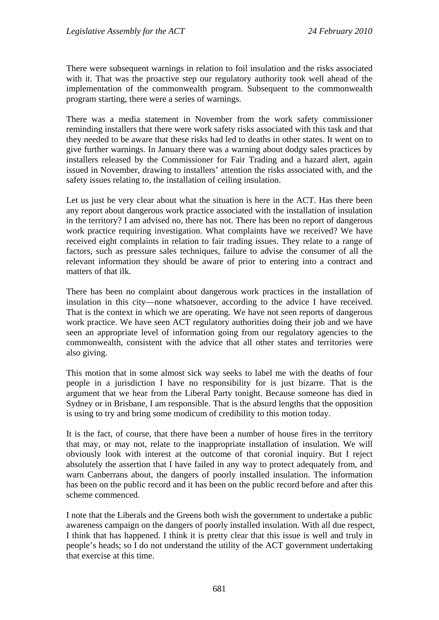There were subsequent warnings in relation to foil insulation and the risks associated with it. That was the proactive step our regulatory authority took well ahead of the implementation of the commonwealth program. Subsequent to the commonwealth program starting, there were a series of warnings.

There was a media statement in November from the work safety commissioner reminding installers that there were work safety risks associated with this task and that they needed to be aware that these risks had led to deaths in other states. It went on to give further warnings. In January there was a warning about dodgy sales practices by installers released by the Commissioner for Fair Trading and a hazard alert, again issued in November, drawing to installers' attention the risks associated with, and the safety issues relating to, the installation of ceiling insulation.

Let us just be very clear about what the situation is here in the ACT. Has there been any report about dangerous work practice associated with the installation of insulation in the territory? I am advised no, there has not. There has been no report of dangerous work practice requiring investigation. What complaints have we received? We have received eight complaints in relation to fair trading issues. They relate to a range of factors, such as pressure sales techniques, failure to advise the consumer of all the relevant information they should be aware of prior to entering into a contract and matters of that ilk.

There has been no complaint about dangerous work practices in the installation of insulation in this city—none whatsoever, according to the advice I have received. That is the context in which we are operating. We have not seen reports of dangerous work practice. We have seen ACT regulatory authorities doing their job and we have seen an appropriate level of information going from our regulatory agencies to the commonwealth, consistent with the advice that all other states and territories were also giving.

This motion that in some almost sick way seeks to label me with the deaths of four people in a jurisdiction I have no responsibility for is just bizarre. That is the argument that we hear from the Liberal Party tonight. Because someone has died in Sydney or in Brisbane, I am responsible. That is the absurd lengths that the opposition is using to try and bring some modicum of credibility to this motion today.

It is the fact, of course, that there have been a number of house fires in the territory that may, or may not, relate to the inappropriate installation of insulation. We will obviously look with interest at the outcome of that coronial inquiry. But I reject absolutely the assertion that I have failed in any way to protect adequately from, and warn Canberrans about, the dangers of poorly installed insulation. The information has been on the public record and it has been on the public record before and after this scheme commenced.

I note that the Liberals and the Greens both wish the government to undertake a public awareness campaign on the dangers of poorly installed insulation. With all due respect, I think that has happened. I think it is pretty clear that this issue is well and truly in people's heads; so I do not understand the utility of the ACT government undertaking that exercise at this time.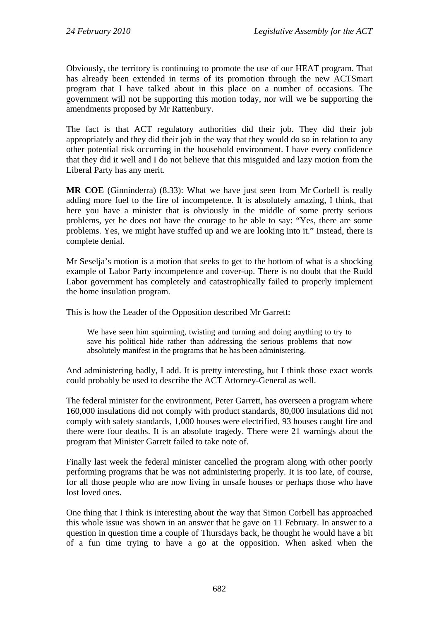Obviously, the territory is continuing to promote the use of our HEAT program. That has already been extended in terms of its promotion through the new ACTSmart program that I have talked about in this place on a number of occasions. The government will not be supporting this motion today, nor will we be supporting the amendments proposed by Mr Rattenbury.

The fact is that ACT regulatory authorities did their job. They did their job appropriately and they did their job in the way that they would do so in relation to any other potential risk occurring in the household environment. I have every confidence that they did it well and I do not believe that this misguided and lazy motion from the Liberal Party has any merit.

**MR COE** (Ginninderra) (8.33): What we have just seen from Mr Corbell is really adding more fuel to the fire of incompetence. It is absolutely amazing, I think, that here you have a minister that is obviously in the middle of some pretty serious problems, yet he does not have the courage to be able to say: "Yes, there are some problems. Yes, we might have stuffed up and we are looking into it." Instead, there is complete denial.

Mr Seselja's motion is a motion that seeks to get to the bottom of what is a shocking example of Labor Party incompetence and cover-up. There is no doubt that the Rudd Labor government has completely and catastrophically failed to properly implement the home insulation program.

This is how the Leader of the Opposition described Mr Garrett:

We have seen him squirming, twisting and turning and doing anything to try to save his political hide rather than addressing the serious problems that now absolutely manifest in the programs that he has been administering.

And administering badly, I add. It is pretty interesting, but I think those exact words could probably be used to describe the ACT Attorney-General as well.

The federal minister for the environment, Peter Garrett, has overseen a program where 160,000 insulations did not comply with product standards, 80,000 insulations did not comply with safety standards, 1,000 houses were electrified, 93 houses caught fire and there were four deaths. It is an absolute tragedy. There were 21 warnings about the program that Minister Garrett failed to take note of.

Finally last week the federal minister cancelled the program along with other poorly performing programs that he was not administering properly. It is too late, of course, for all those people who are now living in unsafe houses or perhaps those who have lost loved ones.

One thing that I think is interesting about the way that Simon Corbell has approached this whole issue was shown in an answer that he gave on 11 February. In answer to a question in question time a couple of Thursdays back, he thought he would have a bit of a fun time trying to have a go at the opposition. When asked when the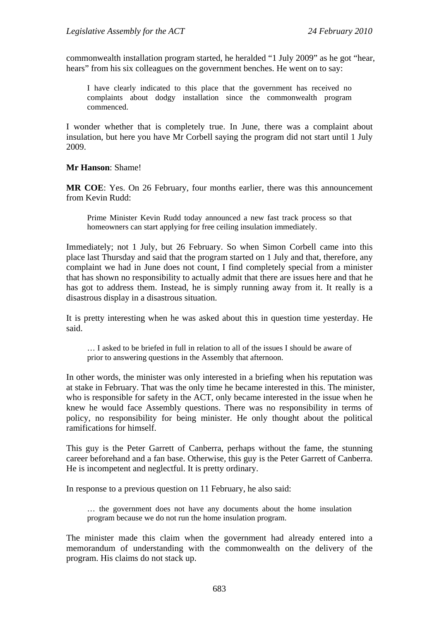commonwealth installation program started, he heralded "1 July 2009" as he got "hear, hears" from his six colleagues on the government benches. He went on to say:

I have clearly indicated to this place that the government has received no complaints about dodgy installation since the commonwealth program commenced.

I wonder whether that is completely true. In June, there was a complaint about insulation, but here you have Mr Corbell saying the program did not start until 1 July 2009.

**Mr Hanson**: Shame!

**MR COE**: Yes. On 26 February, four months earlier, there was this announcement from Kevin Rudd:

Prime Minister Kevin Rudd today announced a new fast track process so that homeowners can start applying for free ceiling insulation immediately.

Immediately; not 1 July, but 26 February. So when Simon Corbell came into this place last Thursday and said that the program started on 1 July and that, therefore, any complaint we had in June does not count, I find completely special from a minister that has shown no responsibility to actually admit that there are issues here and that he has got to address them. Instead, he is simply running away from it. It really is a disastrous display in a disastrous situation.

It is pretty interesting when he was asked about this in question time yesterday. He said.

… I asked to be briefed in full in relation to all of the issues I should be aware of prior to answering questions in the Assembly that afternoon.

In other words, the minister was only interested in a briefing when his reputation was at stake in February. That was the only time he became interested in this. The minister, who is responsible for safety in the ACT, only became interested in the issue when he knew he would face Assembly questions. There was no responsibility in terms of policy, no responsibility for being minister. He only thought about the political ramifications for himself.

This guy is the Peter Garrett of Canberra, perhaps without the fame, the stunning career beforehand and a fan base. Otherwise, this guy is the Peter Garrett of Canberra. He is incompetent and neglectful. It is pretty ordinary.

In response to a previous question on 11 February, he also said:

… the government does not have any documents about the home insulation program because we do not run the home insulation program.

The minister made this claim when the government had already entered into a memorandum of understanding with the commonwealth on the delivery of the program. His claims do not stack up.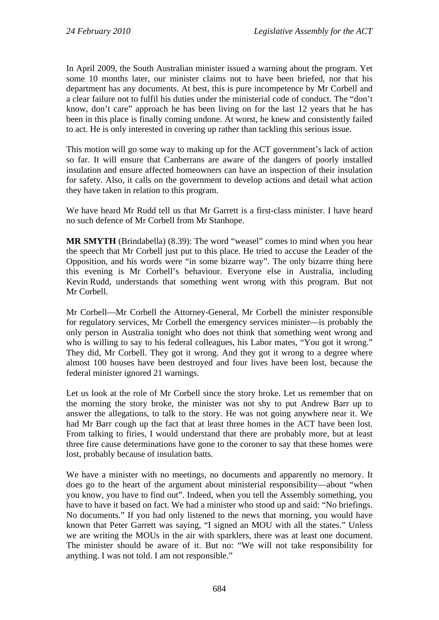In April 2009, the South Australian minister issued a warning about the program. Yet some 10 months later, our minister claims not to have been briefed, nor that his department has any documents. At best, this is pure incompetence by Mr Corbell and a clear failure not to fulfil his duties under the ministerial code of conduct. The "don't know, don't care" approach he has been living on for the last 12 years that he has been in this place is finally coming undone. At worst, he knew and consistently failed to act. He is only interested in covering up rather than tackling this serious issue.

This motion will go some way to making up for the ACT government's lack of action so far. It will ensure that Canberrans are aware of the dangers of poorly installed insulation and ensure affected homeowners can have an inspection of their insulation for safety. Also, it calls on the government to develop actions and detail what action they have taken in relation to this program.

We have heard Mr Rudd tell us that Mr Garrett is a first-class minister. I have heard no such defence of Mr Corbell from Mr Stanhope.

**MR SMYTH** (Brindabella) (8.39): The word "weasel" comes to mind when you hear the speech that Mr Corbell just put to this place. He tried to accuse the Leader of the Opposition, and his words were "in some bizarre way". The only bizarre thing here this evening is Mr Corbell's behaviour. Everyone else in Australia, including Kevin Rudd, understands that something went wrong with this program. But not Mr Corbell.

Mr Corbell—Mr Corbell the Attorney-General, Mr Corbell the minister responsible for regulatory services, Mr Corbell the emergency services minister—is probably the only person in Australia tonight who does not think that something went wrong and who is willing to say to his federal colleagues, his Labor mates, "You got it wrong." They did, Mr Corbell. They got it wrong. And they got it wrong to a degree where almost 100 houses have been destroyed and four lives have been lost, because the federal minister ignored 21 warnings.

Let us look at the role of Mr Corbell since the story broke. Let us remember that on the morning the story broke, the minister was not shy to put Andrew Barr up to answer the allegations, to talk to the story. He was not going anywhere near it. We had Mr Barr cough up the fact that at least three homes in the ACT have been lost. From talking to firies, I would understand that there are probably more, but at least three fire cause determinations have gone to the coroner to say that these homes were lost, probably because of insulation batts.

We have a minister with no meetings, no documents and apparently no memory. It does go to the heart of the argument about ministerial responsibility—about "when you know, you have to find out". Indeed, when you tell the Assembly something, you have to have it based on fact. We had a minister who stood up and said: "No briefings. No documents." If you had only listened to the news that morning, you would have known that Peter Garrett was saying, "I signed an MOU with all the states." Unless we are writing the MOUs in the air with sparklers, there was at least one document. The minister should be aware of it. But no: "We will not take responsibility for anything. I was not told. I am not responsible."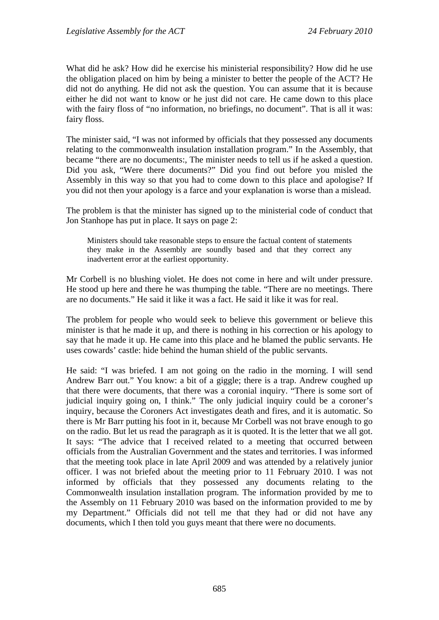What did he ask? How did he exercise his ministerial responsibility? How did he use the obligation placed on him by being a minister to better the people of the ACT? He did not do anything. He did not ask the question. You can assume that it is because either he did not want to know or he just did not care. He came down to this place with the fairy floss of "no information, no briefings, no document". That is all it was: fairy floss.

The minister said, "I was not informed by officials that they possessed any documents relating to the commonwealth insulation installation program." In the Assembly, that became "there are no documents:, The minister needs to tell us if he asked a question. Did you ask, "Were there documents?" Did you find out before you misled the Assembly in this way so that you had to come down to this place and apologise? If you did not then your apology is a farce and your explanation is worse than a mislead.

The problem is that the minister has signed up to the ministerial code of conduct that Jon Stanhope has put in place. It says on page 2:

Ministers should take reasonable steps to ensure the factual content of statements they make in the Assembly are soundly based and that they correct any inadvertent error at the earliest opportunity.

Mr Corbell is no blushing violet. He does not come in here and wilt under pressure. He stood up here and there he was thumping the table. "There are no meetings. There are no documents." He said it like it was a fact. He said it like it was for real.

The problem for people who would seek to believe this government or believe this minister is that he made it up, and there is nothing in his correction or his apology to say that he made it up. He came into this place and he blamed the public servants. He uses cowards' castle: hide behind the human shield of the public servants.

He said: "I was briefed. I am not going on the radio in the morning. I will send Andrew Barr out." You know: a bit of a giggle; there is a trap. Andrew coughed up that there were documents, that there was a coronial inquiry. "There is some sort of judicial inquiry going on, I think." The only judicial inquiry could be a coroner's inquiry, because the Coroners Act investigates death and fires, and it is automatic. So there is Mr Barr putting his foot in it, because Mr Corbell was not brave enough to go on the radio. But let us read the paragraph as it is quoted. It is the letter that we all got. It says: "The advice that I received related to a meeting that occurred between officials from the Australian Government and the states and territories. I was informed that the meeting took place in late April 2009 and was attended by a relatively junior officer. I was not briefed about the meeting prior to 11 February 2010. I was not informed by officials that they possessed any documents relating to the Commonwealth insulation installation program. The information provided by me to the Assembly on 11 February 2010 was based on the information provided to me by my Department." Officials did not tell me that they had or did not have any documents, which I then told you guys meant that there were no documents.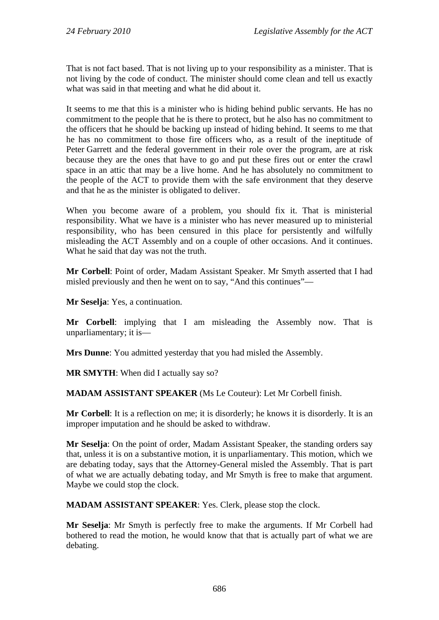That is not fact based. That is not living up to your responsibility as a minister. That is not living by the code of conduct. The minister should come clean and tell us exactly what was said in that meeting and what he did about it.

It seems to me that this is a minister who is hiding behind public servants. He has no commitment to the people that he is there to protect, but he also has no commitment to the officers that he should be backing up instead of hiding behind. It seems to me that he has no commitment to those fire officers who, as a result of the ineptitude of Peter Garrett and the federal government in their role over the program, are at risk because they are the ones that have to go and put these fires out or enter the crawl space in an attic that may be a live home. And he has absolutely no commitment to the people of the ACT to provide them with the safe environment that they deserve and that he as the minister is obligated to deliver.

When you become aware of a problem, you should fix it. That is ministerial responsibility. What we have is a minister who has never measured up to ministerial responsibility, who has been censured in this place for persistently and wilfully misleading the ACT Assembly and on a couple of other occasions. And it continues. What he said that day was not the truth.

**Mr Corbell**: Point of order, Madam Assistant Speaker. Mr Smyth asserted that I had misled previously and then he went on to say, "And this continues"—

**Mr Seselja**: Yes, a continuation.

**Mr Corbell**: implying that I am misleading the Assembly now. That is unparliamentary; it is—

**Mrs Dunne**: You admitted yesterday that you had misled the Assembly.

**MR SMYTH**: When did I actually say so?

**MADAM ASSISTANT SPEAKER** (Ms Le Couteur): Let Mr Corbell finish.

**Mr Corbell**: It is a reflection on me; it is disorderly; he knows it is disorderly. It is an improper imputation and he should be asked to withdraw.

**Mr Seselja**: On the point of order, Madam Assistant Speaker, the standing orders say that, unless it is on a substantive motion, it is unparliamentary. This motion, which we are debating today, says that the Attorney-General misled the Assembly. That is part of what we are actually debating today, and Mr Smyth is free to make that argument. Maybe we could stop the clock.

**MADAM ASSISTANT SPEAKER**: Yes. Clerk, please stop the clock.

**Mr Seselja**: Mr Smyth is perfectly free to make the arguments. If Mr Corbell had bothered to read the motion, he would know that that is actually part of what we are debating.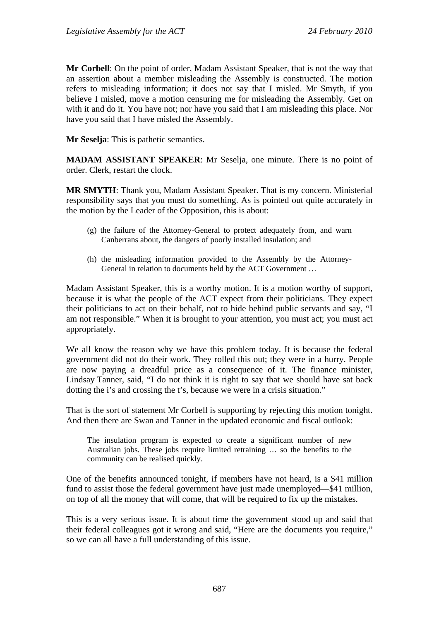**Mr Corbell**: On the point of order, Madam Assistant Speaker, that is not the way that an assertion about a member misleading the Assembly is constructed. The motion refers to misleading information; it does not say that I misled. Mr Smyth, if you believe I misled, move a motion censuring me for misleading the Assembly. Get on with it and do it. You have not; nor have you said that I am misleading this place. Nor have you said that I have misled the Assembly.

**Mr Seselja**: This is pathetic semantics.

**MADAM ASSISTANT SPEAKER**: Mr Seselja, one minute. There is no point of order. Clerk, restart the clock.

**MR SMYTH**: Thank you, Madam Assistant Speaker. That is my concern. Ministerial responsibility says that you must do something. As is pointed out quite accurately in the motion by the Leader of the Opposition, this is about:

- (g) the failure of the Attorney-General to protect adequately from, and warn Canberrans about, the dangers of poorly installed insulation; and
- (h) the misleading information provided to the Assembly by the Attorney-General in relation to documents held by the ACT Government …

Madam Assistant Speaker, this is a worthy motion. It is a motion worthy of support, because it is what the people of the ACT expect from their politicians. They expect their politicians to act on their behalf, not to hide behind public servants and say, "I am not responsible." When it is brought to your attention, you must act; you must act appropriately.

We all know the reason why we have this problem today. It is because the federal government did not do their work. They rolled this out; they were in a hurry. People are now paying a dreadful price as a consequence of it. The finance minister, Lindsay Tanner, said, "I do not think it is right to say that we should have sat back dotting the i's and crossing the t's, because we were in a crisis situation."

That is the sort of statement Mr Corbell is supporting by rejecting this motion tonight. And then there are Swan and Tanner in the updated economic and fiscal outlook:

The insulation program is expected to create a significant number of new Australian jobs. These jobs require limited retraining … so the benefits to the community can be realised quickly.

One of the benefits announced tonight, if members have not heard, is a \$41 million fund to assist those the federal government have just made unemployed—\$41 million, on top of all the money that will come, that will be required to fix up the mistakes.

This is a very serious issue. It is about time the government stood up and said that their federal colleagues got it wrong and said, "Here are the documents you require," so we can all have a full understanding of this issue.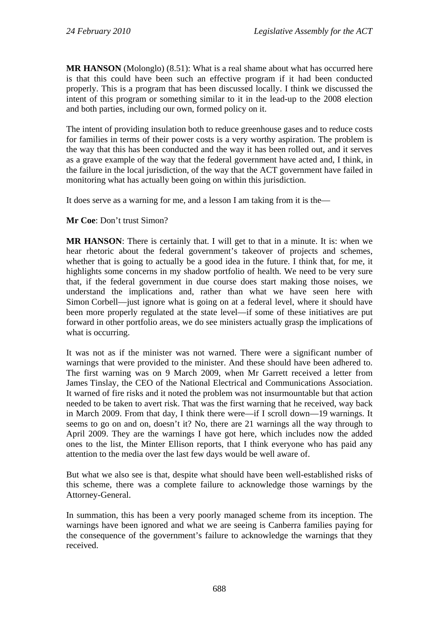**MR HANSON** (Molonglo) (8.51): What is a real shame about what has occurred here is that this could have been such an effective program if it had been conducted properly. This is a program that has been discussed locally. I think we discussed the intent of this program or something similar to it in the lead-up to the 2008 election and both parties, including our own, formed policy on it.

The intent of providing insulation both to reduce greenhouse gases and to reduce costs for families in terms of their power costs is a very worthy aspiration. The problem is the way that this has been conducted and the way it has been rolled out, and it serves as a grave example of the way that the federal government have acted and, I think, in the failure in the local jurisdiction, of the way that the ACT government have failed in monitoring what has actually been going on within this jurisdiction.

It does serve as a warning for me, and a lesson I am taking from it is the—

**Mr Coe**: Don't trust Simon?

**MR HANSON**: There is certainly that. I will get to that in a minute. It is: when we hear rhetoric about the federal government's takeover of projects and schemes, whether that is going to actually be a good idea in the future. I think that, for me, it highlights some concerns in my shadow portfolio of health. We need to be very sure that, if the federal government in due course does start making those noises, we understand the implications and, rather than what we have seen here with Simon Corbell—just ignore what is going on at a federal level, where it should have been more properly regulated at the state level—if some of these initiatives are put forward in other portfolio areas, we do see ministers actually grasp the implications of what is occurring.

It was not as if the minister was not warned. There were a significant number of warnings that were provided to the minister. And these should have been adhered to. The first warning was on 9 March 2009, when Mr Garrett received a letter from James Tinslay, the CEO of the National Electrical and Communications Association. It warned of fire risks and it noted the problem was not insurmountable but that action needed to be taken to avert risk. That was the first warning that he received, way back in March 2009. From that day, I think there were—if I scroll down—19 warnings. It seems to go on and on, doesn't it? No, there are 21 warnings all the way through to April 2009. They are the warnings I have got here, which includes now the added ones to the list, the Minter Ellison reports, that I think everyone who has paid any attention to the media over the last few days would be well aware of.

But what we also see is that, despite what should have been well-established risks of this scheme, there was a complete failure to acknowledge those warnings by the Attorney-General.

In summation, this has been a very poorly managed scheme from its inception. The warnings have been ignored and what we are seeing is Canberra families paying for the consequence of the government's failure to acknowledge the warnings that they received.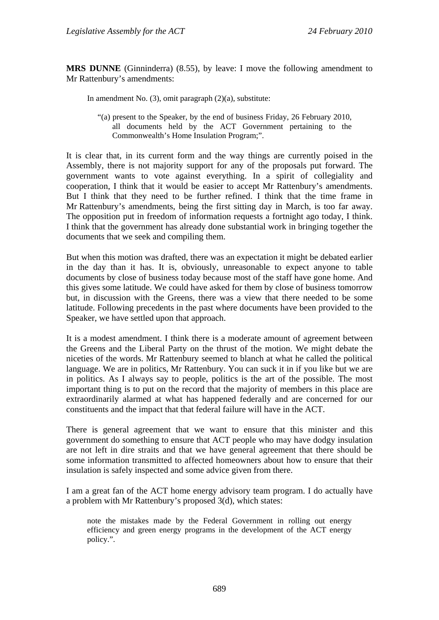**MRS DUNNE** (Ginninderra) (8.55), by leave: I move the following amendment to Mr Rattenbury's amendments:

In amendment No. (3), omit paragraph (2)(a), substitute:

"(a) present to the Speaker, by the end of business Friday, 26 February 2010, all documents held by the ACT Government pertaining to the Commonwealth's Home Insulation Program;".

It is clear that, in its current form and the way things are currently poised in the Assembly, there is not majority support for any of the proposals put forward. The government wants to vote against everything. In a spirit of collegiality and cooperation, I think that it would be easier to accept Mr Rattenbury's amendments. But I think that they need to be further refined. I think that the time frame in Mr Rattenbury's amendments, being the first sitting day in March, is too far away. The opposition put in freedom of information requests a fortnight ago today, I think. I think that the government has already done substantial work in bringing together the documents that we seek and compiling them.

But when this motion was drafted, there was an expectation it might be debated earlier in the day than it has. It is, obviously, unreasonable to expect anyone to table documents by close of business today because most of the staff have gone home. And this gives some latitude. We could have asked for them by close of business tomorrow but, in discussion with the Greens, there was a view that there needed to be some latitude. Following precedents in the past where documents have been provided to the Speaker, we have settled upon that approach.

It is a modest amendment. I think there is a moderate amount of agreement between the Greens and the Liberal Party on the thrust of the motion. We might debate the niceties of the words. Mr Rattenbury seemed to blanch at what he called the political language. We are in politics, Mr Rattenbury. You can suck it in if you like but we are in politics. As I always say to people, politics is the art of the possible. The most important thing is to put on the record that the majority of members in this place are extraordinarily alarmed at what has happened federally and are concerned for our constituents and the impact that that federal failure will have in the ACT.

There is general agreement that we want to ensure that this minister and this government do something to ensure that ACT people who may have dodgy insulation are not left in dire straits and that we have general agreement that there should be some information transmitted to affected homeowners about how to ensure that their insulation is safely inspected and some advice given from there.

I am a great fan of the ACT home energy advisory team program. I do actually have a problem with Mr Rattenbury's proposed 3(d), which states:

note the mistakes made by the Federal Government in rolling out energy efficiency and green energy programs in the development of the ACT energy policy.".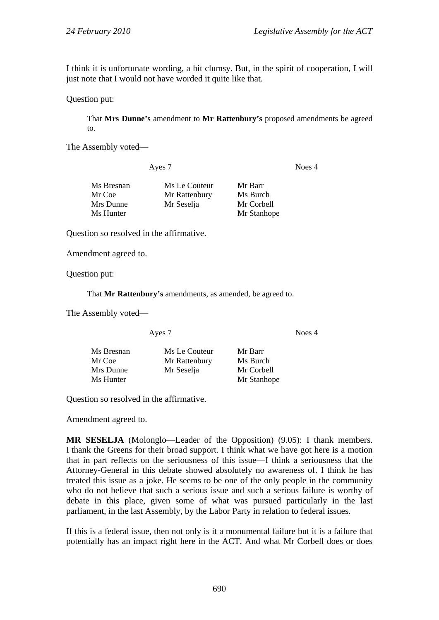I think it is unfortunate wording, a bit clumsy. But, in the spirit of cooperation, I will just note that I would not have worded it quite like that.

#### Question put:

That **Mrs Dunne's** amendment to **Mr Rattenbury's** proposed amendments be agreed to.

The Assembly voted—

Ayes 7 Noes 4

| Ms Bresnan | Ms Le Couteur | Mr Barr     |
|------------|---------------|-------------|
| Mr Coe     | Mr Rattenbury | Ms Burch    |
| Mrs Dunne  | Mr Seselja    | Mr Corbell  |
| Ms Hunter  |               | Mr Stanhope |

Question so resolved in the affirmative.

Amendment agreed to.

Question put:

That **Mr Rattenbury's** amendments, as amended, be agreed to.

The Assembly voted—

Ayes 7 Noes 4

| Ms Bresnan | Ms Le Couteur | Mr Barr     |
|------------|---------------|-------------|
| Mr Coe     | Mr Rattenbury | Ms Burch    |
| Mrs Dunne  | Mr Seselja    | Mr Corbell  |
| Ms Hunter  |               | Mr Stanhope |

Question so resolved in the affirmative.

Amendment agreed to.

**MR SESELJA** (Molonglo—Leader of the Opposition) (9.05): I thank members. I thank the Greens for their broad support. I think what we have got here is a motion that in part reflects on the seriousness of this issue—I think a seriousness that the Attorney-General in this debate showed absolutely no awareness of. I think he has treated this issue as a joke. He seems to be one of the only people in the community who do not believe that such a serious issue and such a serious failure is worthy of debate in this place, given some of what was pursued particularly in the last parliament, in the last Assembly, by the Labor Party in relation to federal issues.

If this is a federal issue, then not only is it a monumental failure but it is a failure that potentially has an impact right here in the ACT. And what Mr Corbell does or does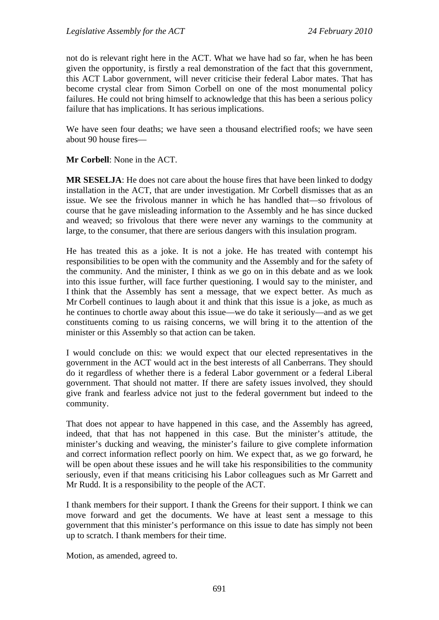not do is relevant right here in the ACT. What we have had so far, when he has been given the opportunity, is firstly a real demonstration of the fact that this government, this ACT Labor government, will never criticise their federal Labor mates. That has become crystal clear from Simon Corbell on one of the most monumental policy failures. He could not bring himself to acknowledge that this has been a serious policy failure that has implications. It has serious implications.

We have seen four deaths; we have seen a thousand electrified roofs; we have seen about 90 house fires—

**Mr Corbell**: None in the ACT.

**MR SESELJA**: He does not care about the house fires that have been linked to dodgy installation in the ACT, that are under investigation. Mr Corbell dismisses that as an issue. We see the frivolous manner in which he has handled that—so frivolous of course that he gave misleading information to the Assembly and he has since ducked and weaved; so frivolous that there were never any warnings to the community at large, to the consumer, that there are serious dangers with this insulation program.

He has treated this as a joke. It is not a joke. He has treated with contempt his responsibilities to be open with the community and the Assembly and for the safety of the community. And the minister, I think as we go on in this debate and as we look into this issue further, will face further questioning. I would say to the minister, and I think that the Assembly has sent a message, that we expect better. As much as Mr Corbell continues to laugh about it and think that this issue is a joke, as much as he continues to chortle away about this issue—we do take it seriously—and as we get constituents coming to us raising concerns, we will bring it to the attention of the minister or this Assembly so that action can be taken.

I would conclude on this: we would expect that our elected representatives in the government in the ACT would act in the best interests of all Canberrans. They should do it regardless of whether there is a federal Labor government or a federal Liberal government. That should not matter. If there are safety issues involved, they should give frank and fearless advice not just to the federal government but indeed to the community.

That does not appear to have happened in this case, and the Assembly has agreed, indeed, that that has not happened in this case. But the minister's attitude, the minister's ducking and weaving, the minister's failure to give complete information and correct information reflect poorly on him. We expect that, as we go forward, he will be open about these issues and he will take his responsibilities to the community seriously, even if that means criticising his Labor colleagues such as Mr Garrett and Mr Rudd. It is a responsibility to the people of the ACT.

I thank members for their support. I thank the Greens for their support. I think we can move forward and get the documents. We have at least sent a message to this government that this minister's performance on this issue to date has simply not been up to scratch. I thank members for their time.

Motion, as amended, agreed to.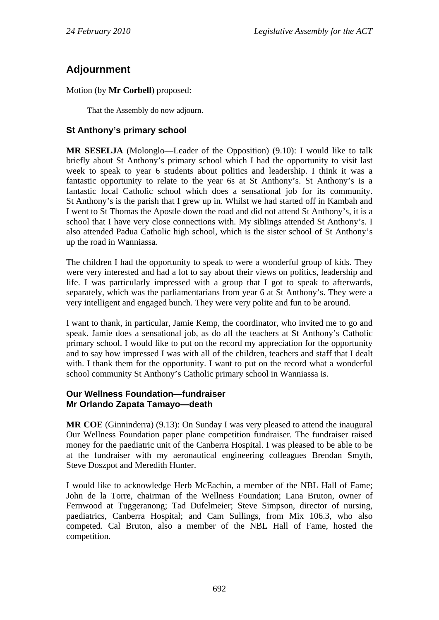# **Adjournment**

Motion (by **Mr Corbell**) proposed:

That the Assembly do now adjourn.

## **St Anthony's primary school**

**MR SESELJA** (Molonglo—Leader of the Opposition) (9.10): I would like to talk briefly about St Anthony's primary school which I had the opportunity to visit last week to speak to year 6 students about politics and leadership. I think it was a fantastic opportunity to relate to the year 6s at St Anthony's. St Anthony's is a fantastic local Catholic school which does a sensational job for its community. St Anthony's is the parish that I grew up in. Whilst we had started off in Kambah and I went to St Thomas the Apostle down the road and did not attend St Anthony's, it is a school that I have very close connections with. My siblings attended St Anthony's. I also attended Padua Catholic high school, which is the sister school of St Anthony's up the road in Wanniassa.

The children I had the opportunity to speak to were a wonderful group of kids. They were very interested and had a lot to say about their views on politics, leadership and life. I was particularly impressed with a group that I got to speak to afterwards, separately, which was the parliamentarians from year 6 at St Anthony's. They were a very intelligent and engaged bunch. They were very polite and fun to be around.

I want to thank, in particular, Jamie Kemp, the coordinator, who invited me to go and speak. Jamie does a sensational job, as do all the teachers at St Anthony's Catholic primary school. I would like to put on the record my appreciation for the opportunity and to say how impressed I was with all of the children, teachers and staff that I dealt with. I thank them for the opportunity. I want to put on the record what a wonderful school community St Anthony's Catholic primary school in Wanniassa is.

### **Our Wellness Foundation—fundraiser Mr Orlando Zapata Tamayo—death**

**MR COE** (Ginninderra) (9.13): On Sunday I was very pleased to attend the inaugural Our Wellness Foundation paper plane competition fundraiser. The fundraiser raised money for the paediatric unit of the Canberra Hospital. I was pleased to be able to be at the fundraiser with my aeronautical engineering colleagues Brendan Smyth, Steve Doszpot and Meredith Hunter.

I would like to acknowledge Herb McEachin, a member of the NBL Hall of Fame; John de la Torre, chairman of the Wellness Foundation; Lana Bruton, owner of Fernwood at Tuggeranong; Tad Dufelmeier; Steve Simpson, director of nursing, paediatrics, Canberra Hospital; and Cam Sullings, from Mix 106.3, who also competed. Cal Bruton, also a member of the NBL Hall of Fame, hosted the competition.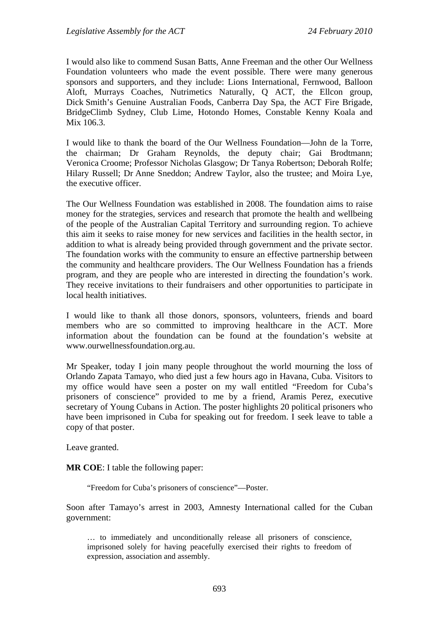I would also like to commend Susan Batts, Anne Freeman and the other Our Wellness Foundation volunteers who made the event possible. There were many generous sponsors and supporters, and they include: Lions International, Fernwood, Balloon Aloft, Murrays Coaches, Nutrimetics Naturally, Q ACT, the Ellcon group, Dick Smith's Genuine Australian Foods, Canberra Day Spa, the ACT Fire Brigade, BridgeClimb Sydney, Club Lime, Hotondo Homes, Constable Kenny Koala and Mix 106.3.

I would like to thank the board of the Our Wellness Foundation—John de la Torre, the chairman; Dr Graham Reynolds, the deputy chair; Gai Brodtmann; Veronica Croome; Professor Nicholas Glasgow; Dr Tanya Robertson; Deborah Rolfe; Hilary Russell; Dr Anne Sneddon; Andrew Taylor, also the trustee; and Moira Lye, the executive officer.

The Our Wellness Foundation was established in 2008. The foundation aims to raise money for the strategies, services and research that promote the health and wellbeing of the people of the Australian Capital Territory and surrounding region. To achieve this aim it seeks to raise money for new services and facilities in the health sector, in addition to what is already being provided through government and the private sector. The foundation works with the community to ensure an effective partnership between the community and healthcare providers. The Our Wellness Foundation has a friends program, and they are people who are interested in directing the foundation's work. They receive invitations to their fundraisers and other opportunities to participate in local health initiatives.

I would like to thank all those donors, sponsors, volunteers, friends and board members who are so committed to improving healthcare in the ACT. More information about the foundation can be found at the foundation's website at www.ourwellnessfoundation.org.au.

Mr Speaker, today I join many people throughout the world mourning the loss of Orlando Zapata Tamayo, who died just a few hours ago in Havana, Cuba. Visitors to my office would have seen a poster on my wall entitled "Freedom for Cuba's prisoners of conscience" provided to me by a friend, Aramis Perez, executive secretary of Young Cubans in Action. The poster highlights 20 political prisoners who have been imprisoned in Cuba for speaking out for freedom. I seek leave to table a copy of that poster.

Leave granted.

**MR COE**: I table the following paper:

"Freedom for Cuba's prisoners of conscience"—Poster.

Soon after Tamayo's arrest in 2003, Amnesty International called for the Cuban government:

… to immediately and unconditionally release all prisoners of conscience, imprisoned solely for having peacefully exercised their rights to freedom of expression, association and assembly.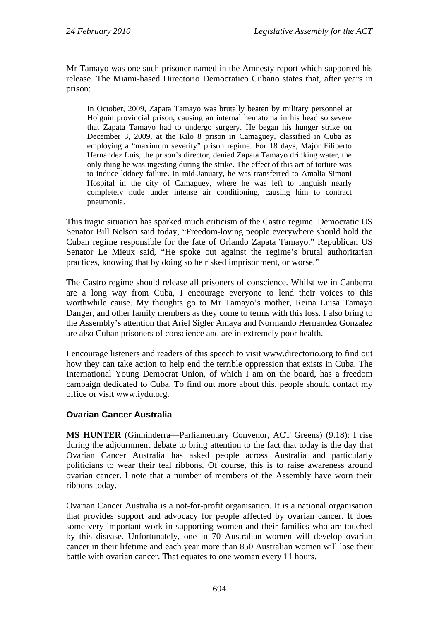Mr Tamayo was one such prisoner named in the Amnesty report which supported his release. The Miami-based Directorio Democratico Cubano states that, after years in prison:

In October, 2009, Zapata Tamayo was brutally beaten by military personnel at Holguin provincial prison, causing an internal hematoma in his head so severe that Zapata Tamayo had to undergo surgery. He began his hunger strike on December 3, 2009, at the Kilo 8 prison in Camaguey, classified in Cuba as employing a "maximum severity" prison regime. For 18 days, Major Filiberto Hernandez Luis, the prison's director, denied Zapata Tamayo drinking water, the only thing he was ingesting during the strike. The effect of this act of torture was to induce kidney failure. In mid-January, he was transferred to Amalia Simoni Hospital in the city of Camaguey, where he was left to languish nearly completely nude under intense air conditioning, causing him to contract pneumonia.

This tragic situation has sparked much criticism of the Castro regime. Democratic US Senator Bill Nelson said today, "Freedom-loving people everywhere should hold the Cuban regime responsible for the fate of Orlando Zapata Tamayo." Republican US Senator Le Mieux said, "He spoke out against the regime's brutal authoritarian practices, knowing that by doing so he risked imprisonment, or worse."

The Castro regime should release all prisoners of conscience. Whilst we in Canberra are a long way from Cuba, I encourage everyone to lend their voices to this worthwhile cause. My thoughts go to Mr Tamayo's mother, Reina Luisa Tamayo Danger, and other family members as they come to terms with this loss. I also bring to the Assembly's attention that Ariel Sigler Amaya and Normando Hernandez Gonzalez are also Cuban prisoners of conscience and are in extremely poor health.

I encourage listeners and readers of this speech to visit www.directorio.org to find out how they can take action to help end the terrible oppression that exists in Cuba. The International Young Democrat Union, of which I am on the board, has a freedom campaign dedicated to Cuba. To find out more about this, people should contact my office or visit www.iydu.org.

#### **Ovarian Cancer Australia**

**MS HUNTER** (Ginninderra—Parliamentary Convenor, ACT Greens) (9.18): I rise during the adjournment debate to bring attention to the fact that today is the day that Ovarian Cancer Australia has asked people across Australia and particularly politicians to wear their teal ribbons. Of course, this is to raise awareness around ovarian cancer. I note that a number of members of the Assembly have worn their ribbons today.

Ovarian Cancer Australia is a not-for-profit organisation. It is a national organisation that provides support and advocacy for people affected by ovarian cancer. It does some very important work in supporting women and their families who are touched by this disease. Unfortunately, one in 70 Australian women will develop ovarian cancer in their lifetime and each year more than 850 Australian women will lose their battle with ovarian cancer. That equates to one woman every 11 hours.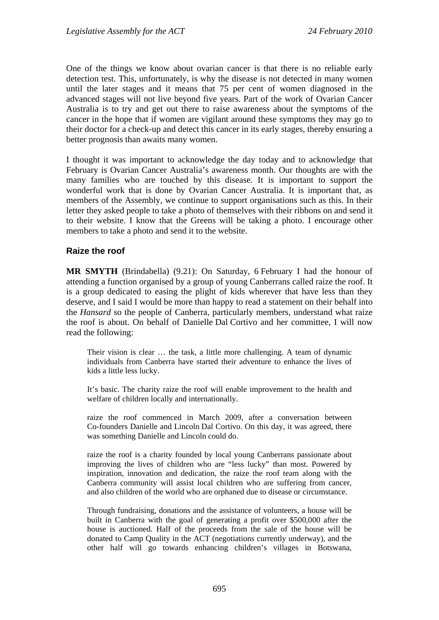One of the things we know about ovarian cancer is that there is no reliable early detection test. This, unfortunately, is why the disease is not detected in many women until the later stages and it means that 75 per cent of women diagnosed in the advanced stages will not live beyond five years. Part of the work of Ovarian Cancer Australia is to try and get out there to raise awareness about the symptoms of the cancer in the hope that if women are vigilant around these symptoms they may go to their doctor for a check-up and detect this cancer in its early stages, thereby ensuring a better prognosis than awaits many women.

I thought it was important to acknowledge the day today and to acknowledge that February is Ovarian Cancer Australia's awareness month. Our thoughts are with the many families who are touched by this disease. It is important to support the wonderful work that is done by Ovarian Cancer Australia. It is important that, as members of the Assembly, we continue to support organisations such as this. In their letter they asked people to take a photo of themselves with their ribbons on and send it to their website. I know that the Greens will be taking a photo. I encourage other members to take a photo and send it to the website.

#### **Raize the roof**

**MR SMYTH** (Brindabella) (9.21): On Saturday, 6 February I had the honour of attending a function organised by a group of young Canberrans called raize the roof. It is a group dedicated to easing the plight of kids wherever that have less than they deserve, and I said I would be more than happy to read a statement on their behalf into the *Hansard* so the people of Canberra, particularly members, understand what raize the roof is about. On behalf of Danielle Dal Cortivo and her committee, I will now read the following:

Their vision is clear … the task, a little more challenging. A team of dynamic individuals from Canberra have started their adventure to enhance the lives of kids a little less lucky.

It's basic. The charity raize the roof will enable improvement to the health and welfare of children locally and internationally.

raize the roof commenced in March 2009, after a conversation between Co-founders Danielle and Lincoln Dal Cortivo. On this day, it was agreed, there was something Danielle and Lincoln could do.

raize the roof is a charity founded by local young Canberrans passionate about improving the lives of children who are "less lucky" than most. Powered by inspiration, innovation and dedication, the raize the roof team along with the Canberra community will assist local children who are suffering from cancer, and also children of the world who are orphaned due to disease or circumstance.

Through fundraising, donations and the assistance of volunteers, a house will be built in Canberra with the goal of generating a profit over \$500,000 after the house is auctioned. Half of the proceeds from the sale of the house will be donated to Camp Quality in the ACT (negotiations currently underway), and the other half will go towards enhancing children's villages in Botswana,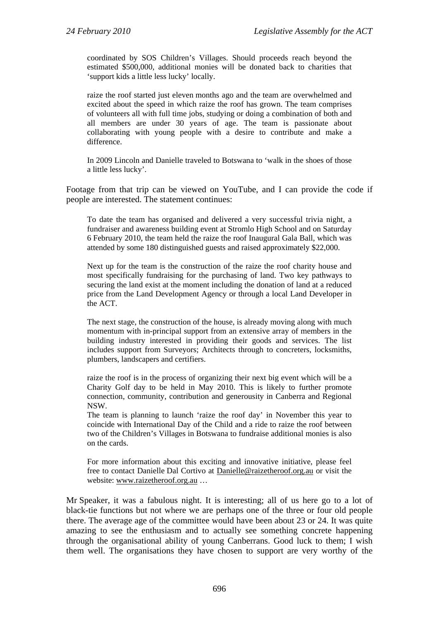coordinated by SOS Children's Villages. Should proceeds reach beyond the estimated \$500,000, additional monies will be donated back to charities that 'support kids a little less lucky' locally.

raize the roof started just eleven months ago and the team are overwhelmed and excited about the speed in which raize the roof has grown. The team comprises of volunteers all with full time jobs, studying or doing a combination of both and all members are under 30 years of age. The team is passionate about collaborating with young people with a desire to contribute and make a difference.

In 2009 Lincoln and Danielle traveled to Botswana to 'walk in the shoes of those a little less lucky'.

Footage from that trip can be viewed on YouTube, and I can provide the code if people are interested. The statement continues:

To date the team has organised and delivered a very successful trivia night, a fundraiser and awareness building event at Stromlo High School and on Saturday 6 February 2010, the team held the raize the roof Inaugural Gala Ball, which was attended by some 180 distinguished guests and raised approximately \$22,000.

Next up for the team is the construction of the raize the roof charity house and most specifically fundraising for the purchasing of land. Two key pathways to securing the land exist at the moment including the donation of land at a reduced price from the Land Development Agency or through a local Land Developer in the ACT.

The next stage, the construction of the house, is already moving along with much momentum with in-principal support from an extensive array of members in the building industry interested in providing their goods and services. The list includes support from Surveyors; Architects through to concreters, locksmiths, plumbers, landscapers and certifiers.

raize the roof is in the process of organizing their next big event which will be a Charity Golf day to be held in May 2010. This is likely to further promote connection, community, contribution and generousity in Canberra and Regional NSW.

The team is planning to launch 'raize the roof day' in November this year to coincide with International Day of the Child and a ride to raize the roof between two of the Children's Villages in Botswana to fundraise additional monies is also on the cards.

For more information about this exciting and innovative initiative, please feel free to contact Danielle Dal Cortivo at Danielle@raizetheroof.org.au or visit the website: www.raizetheroof.org.au …

Mr Speaker, it was a fabulous night. It is interesting; all of us here go to a lot of black-tie functions but not where we are perhaps one of the three or four old people there. The average age of the committee would have been about 23 or 24. It was quite amazing to see the enthusiasm and to actually see something concrete happening through the organisational ability of young Canberrans. Good luck to them; I wish them well. The organisations they have chosen to support are very worthy of the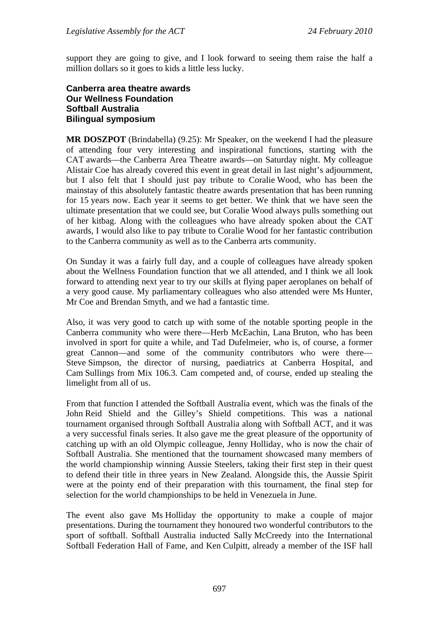support they are going to give, and I look forward to seeing them raise the half a million dollars so it goes to kids a little less lucky.

#### **Canberra area theatre awards Our Wellness Foundation Softball Australia Bilingual symposium**

**MR DOSZPOT** (Brindabella) (9.25): Mr Speaker, on the weekend I had the pleasure of attending four very interesting and inspirational functions, starting with the CAT awards—the Canberra Area Theatre awards—on Saturday night. My colleague Alistair Coe has already covered this event in great detail in last night's adjournment, but I also felt that I should just pay tribute to Coralie Wood, who has been the mainstay of this absolutely fantastic theatre awards presentation that has been running for 15 years now. Each year it seems to get better. We think that we have seen the ultimate presentation that we could see, but Coralie Wood always pulls something out of her kitbag. Along with the colleagues who have already spoken about the CAT awards, I would also like to pay tribute to Coralie Wood for her fantastic contribution to the Canberra community as well as to the Canberra arts community.

On Sunday it was a fairly full day, and a couple of colleagues have already spoken about the Wellness Foundation function that we all attended, and I think we all look forward to attending next year to try our skills at flying paper aeroplanes on behalf of a very good cause. My parliamentary colleagues who also attended were Ms Hunter, Mr Coe and Brendan Smyth, and we had a fantastic time.

Also, it was very good to catch up with some of the notable sporting people in the Canberra community who were there—Herb McEachin, Lana Bruton, who has been involved in sport for quite a while, and Tad Dufelmeier, who is, of course, a former great Cannon—and some of the community contributors who were there— Steve Simpson, the director of nursing, paediatrics at Canberra Hospital, and Cam Sullings from Mix 106.3. Cam competed and, of course, ended up stealing the limelight from all of us.

From that function I attended the Softball Australia event, which was the finals of the John Reid Shield and the Gilley's Shield competitions. This was a national tournament organised through Softball Australia along with Softball ACT, and it was a very successful finals series. It also gave me the great pleasure of the opportunity of catching up with an old Olympic colleague, Jenny Holliday, who is now the chair of Softball Australia. She mentioned that the tournament showcased many members of the world championship winning Aussie Steelers, taking their first step in their quest to defend their title in three years in New Zealand. Alongside this, the Aussie Spirit were at the pointy end of their preparation with this tournament, the final step for selection for the world championships to be held in Venezuela in June.

The event also gave Ms Holliday the opportunity to make a couple of major presentations. During the tournament they honoured two wonderful contributors to the sport of softball. Softball Australia inducted Sally McCreedy into the International Softball Federation Hall of Fame, and Ken Culpitt, already a member of the ISF hall